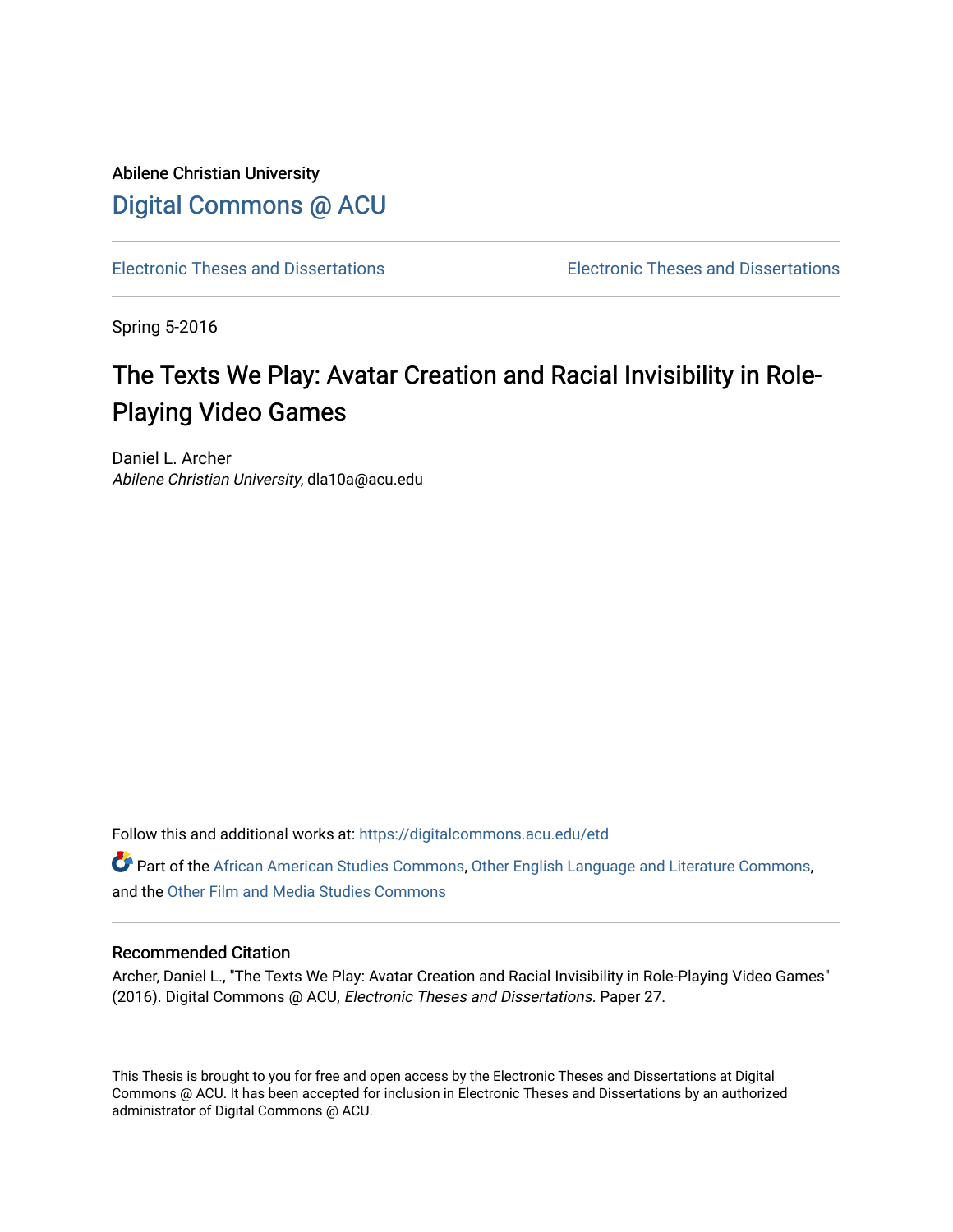Abilene Christian University [Digital Commons @ ACU](https://digitalcommons.acu.edu/)

[Electronic Theses and Dissertations](https://digitalcommons.acu.edu/etd) [Electronic Theses and Dissertations](https://digitalcommons.acu.edu/graduate_works) 

Spring 5-2016

# The Texts We Play: Avatar Creation and Racial Invisibility in Role-Playing Video Games

Daniel L. Archer Abilene Christian University, dla10a@acu.edu

Follow this and additional works at: [https://digitalcommons.acu.edu/etd](https://digitalcommons.acu.edu/etd?utm_source=digitalcommons.acu.edu%2Fetd%2F27&utm_medium=PDF&utm_campaign=PDFCoverPages) 

Part of the [African American Studies Commons,](http://network.bepress.com/hgg/discipline/567?utm_source=digitalcommons.acu.edu%2Fetd%2F27&utm_medium=PDF&utm_campaign=PDFCoverPages) [Other English Language and Literature Commons,](http://network.bepress.com/hgg/discipline/462?utm_source=digitalcommons.acu.edu%2Fetd%2F27&utm_medium=PDF&utm_campaign=PDFCoverPages) and the [Other Film and Media Studies Commons](http://network.bepress.com/hgg/discipline/565?utm_source=digitalcommons.acu.edu%2Fetd%2F27&utm_medium=PDF&utm_campaign=PDFCoverPages) 

#### Recommended Citation

Archer, Daniel L., "The Texts We Play: Avatar Creation and Racial Invisibility in Role-Playing Video Games" (2016). Digital Commons @ ACU, Electronic Theses and Dissertations. Paper 27.

This Thesis is brought to you for free and open access by the Electronic Theses and Dissertations at Digital Commons @ ACU. It has been accepted for inclusion in Electronic Theses and Dissertations by an authorized administrator of Digital Commons @ ACU.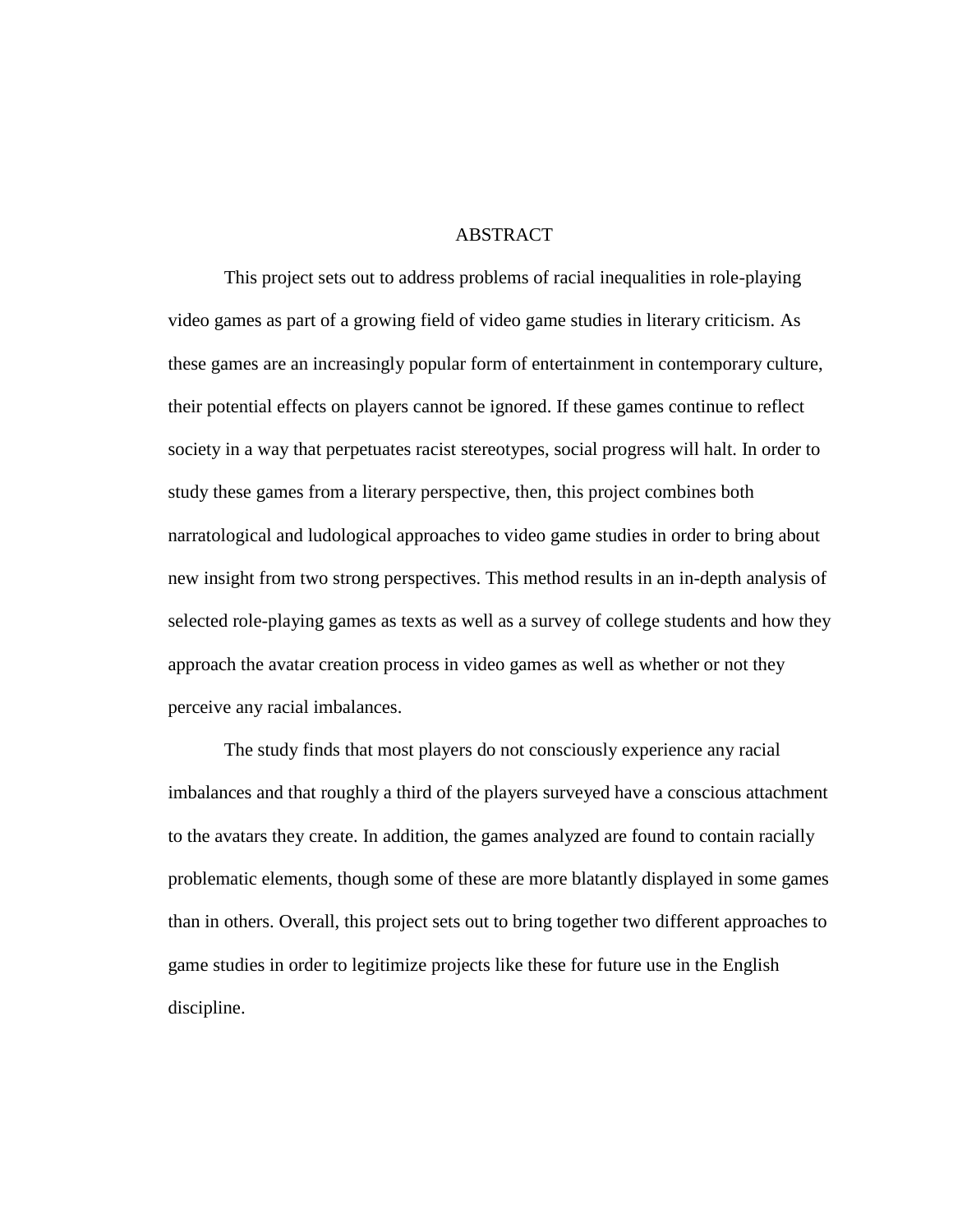#### **ABSTRACT**

This project sets out to address problems of racial inequalities in role-playing video games as part of a growing field of video game studies in literary criticism. As these games are an increasingly popular form of entertainment in contemporary culture, their potential effects on players cannot be ignored. If these games continue to reflect society in a way that perpetuates racist stereotypes, social progress will halt. In order to study these games from a literary perspective, then, this project combines both narratological and ludological approaches to video game studies in order to bring about new insight from two strong perspectives. This method results in an in-depth analysis of selected role-playing games as texts as well as a survey of college students and how they approach the avatar creation process in video games as well as whether or not they perceive any racial imbalances.

The study finds that most players do not consciously experience any racial imbalances and that roughly a third of the players surveyed have a conscious attachment to the avatars they create. In addition, the games analyzed are found to contain racially problematic elements, though some of these are more blatantly displayed in some games than in others. Overall, this project sets out to bring together two different approaches to game studies in order to legitimize projects like these for future use in the English discipline.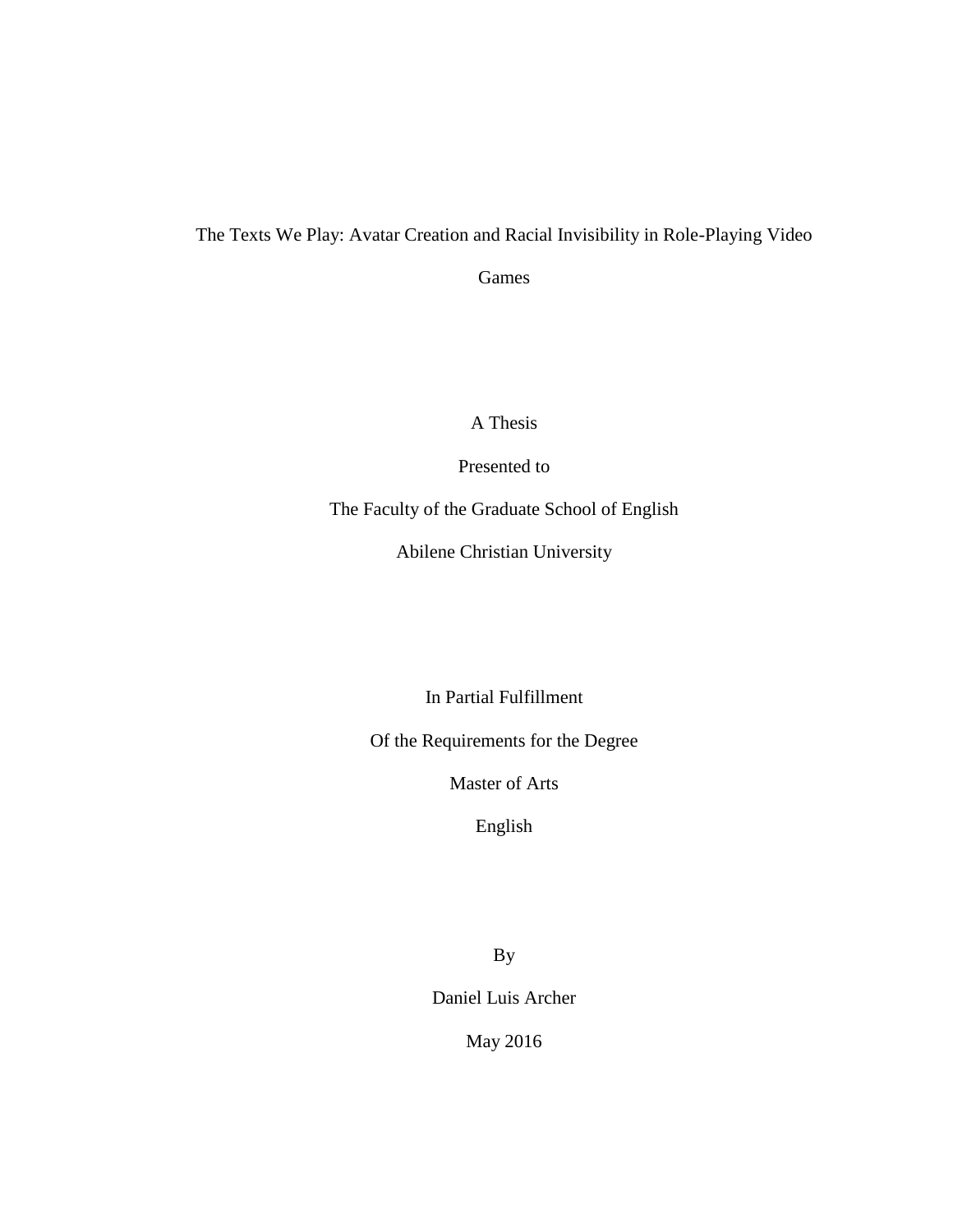### The Texts We Play: Avatar Creation and Racial Invisibility in Role-Playing Video

Games

A Thesis

Presented to

The Faculty of the Graduate School of English

Abilene Christian University

In Partial Fulfillment

Of the Requirements for the Degree

Master of Arts

English

By

Daniel Luis Archer

May 2016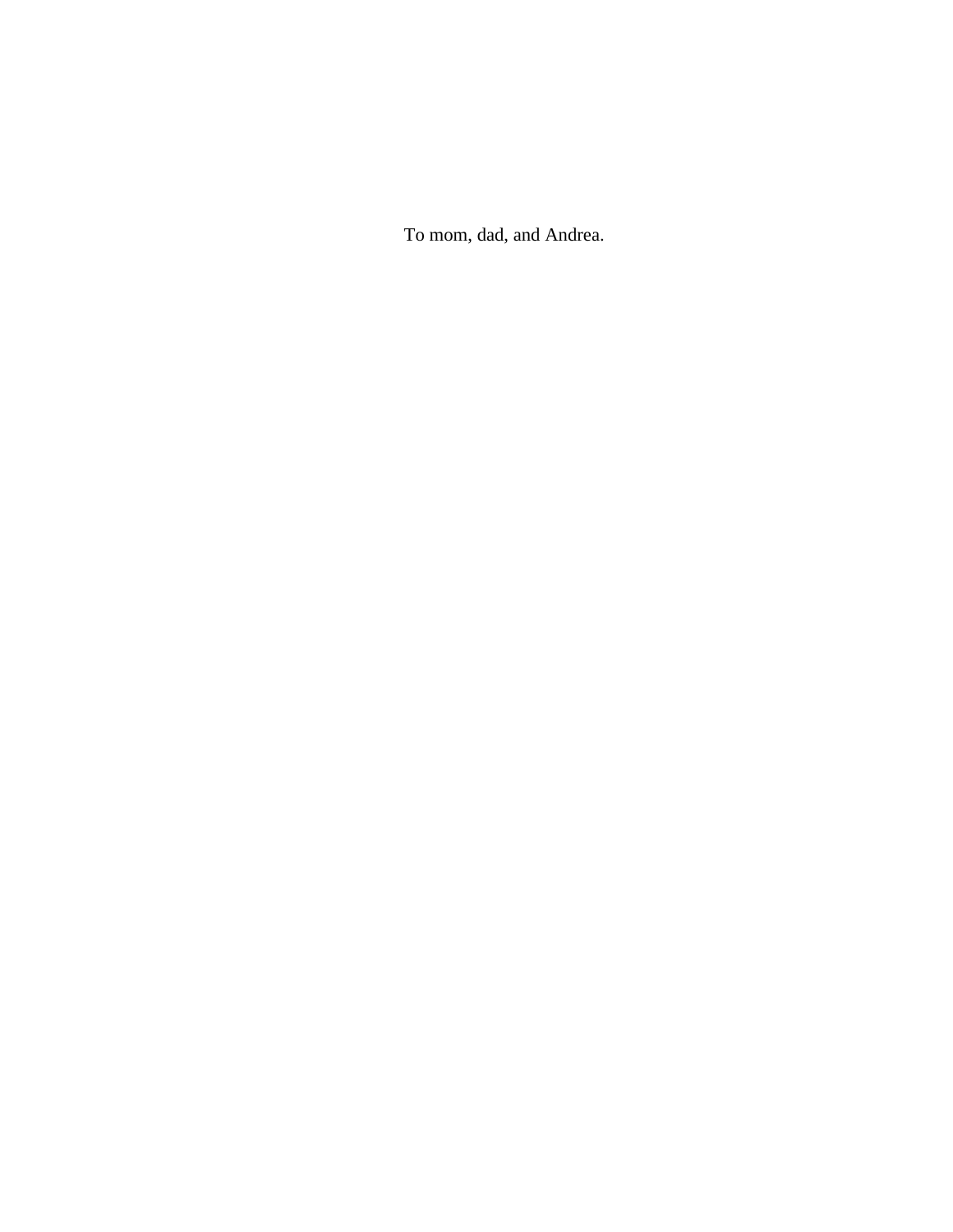To mom, dad, and Andrea.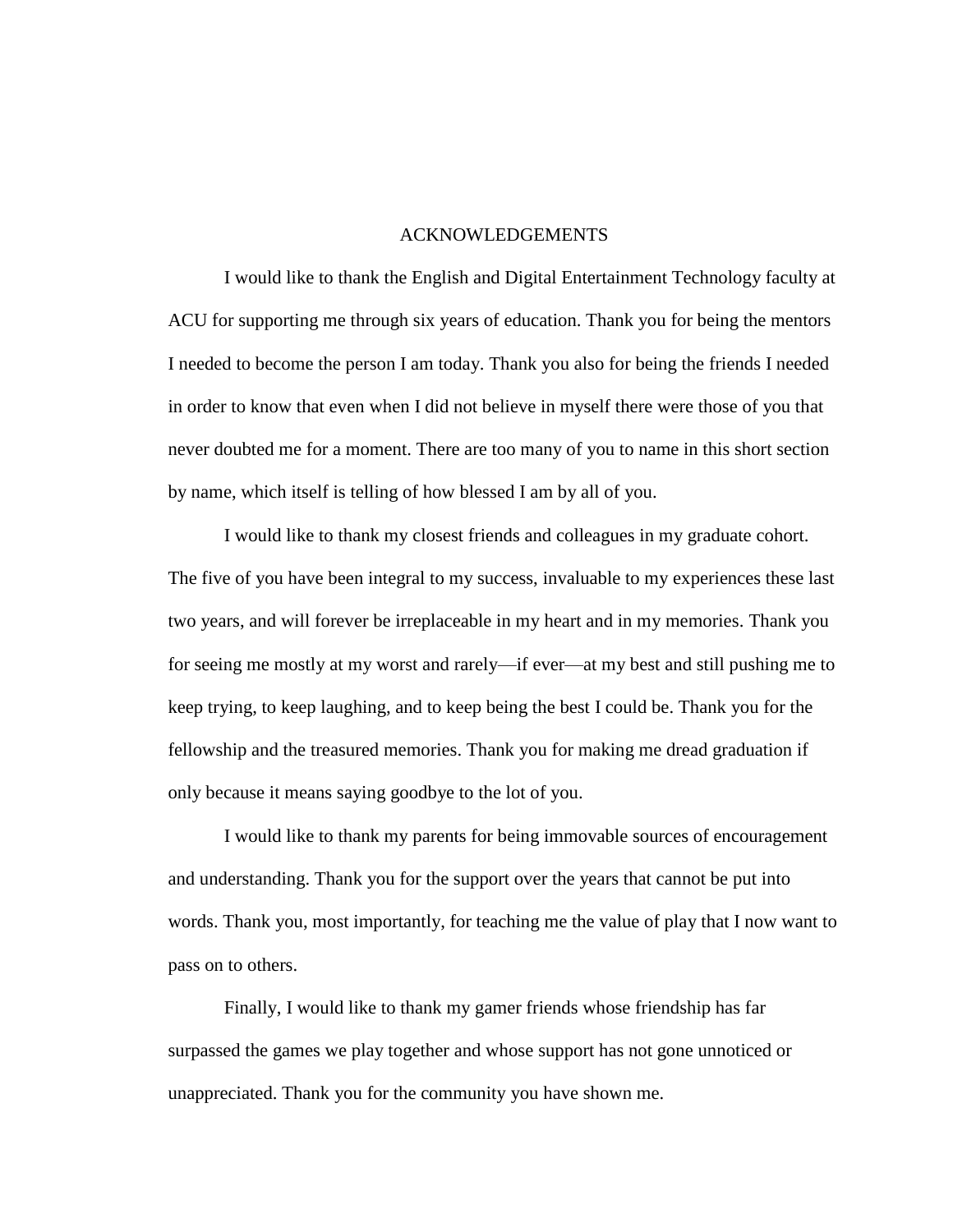#### ACKNOWLEDGEMENTS

I would like to thank the English and Digital Entertainment Technology faculty at ACU for supporting me through six years of education. Thank you for being the mentors I needed to become the person I am today. Thank you also for being the friends I needed in order to know that even when I did not believe in myself there were those of you that never doubted me for a moment. There are too many of you to name in this short section by name, which itself is telling of how blessed I am by all of you.

I would like to thank my closest friends and colleagues in my graduate cohort. The five of you have been integral to my success, invaluable to my experiences these last two years, and will forever be irreplaceable in my heart and in my memories. Thank you for seeing me mostly at my worst and rarely—if ever—at my best and still pushing me to keep trying, to keep laughing, and to keep being the best I could be. Thank you for the fellowship and the treasured memories. Thank you for making me dread graduation if only because it means saying goodbye to the lot of you.

I would like to thank my parents for being immovable sources of encouragement and understanding. Thank you for the support over the years that cannot be put into words. Thank you, most importantly, for teaching me the value of play that I now want to pass on to others.

Finally, I would like to thank my gamer friends whose friendship has far surpassed the games we play together and whose support has not gone unnoticed or unappreciated. Thank you for the community you have shown me.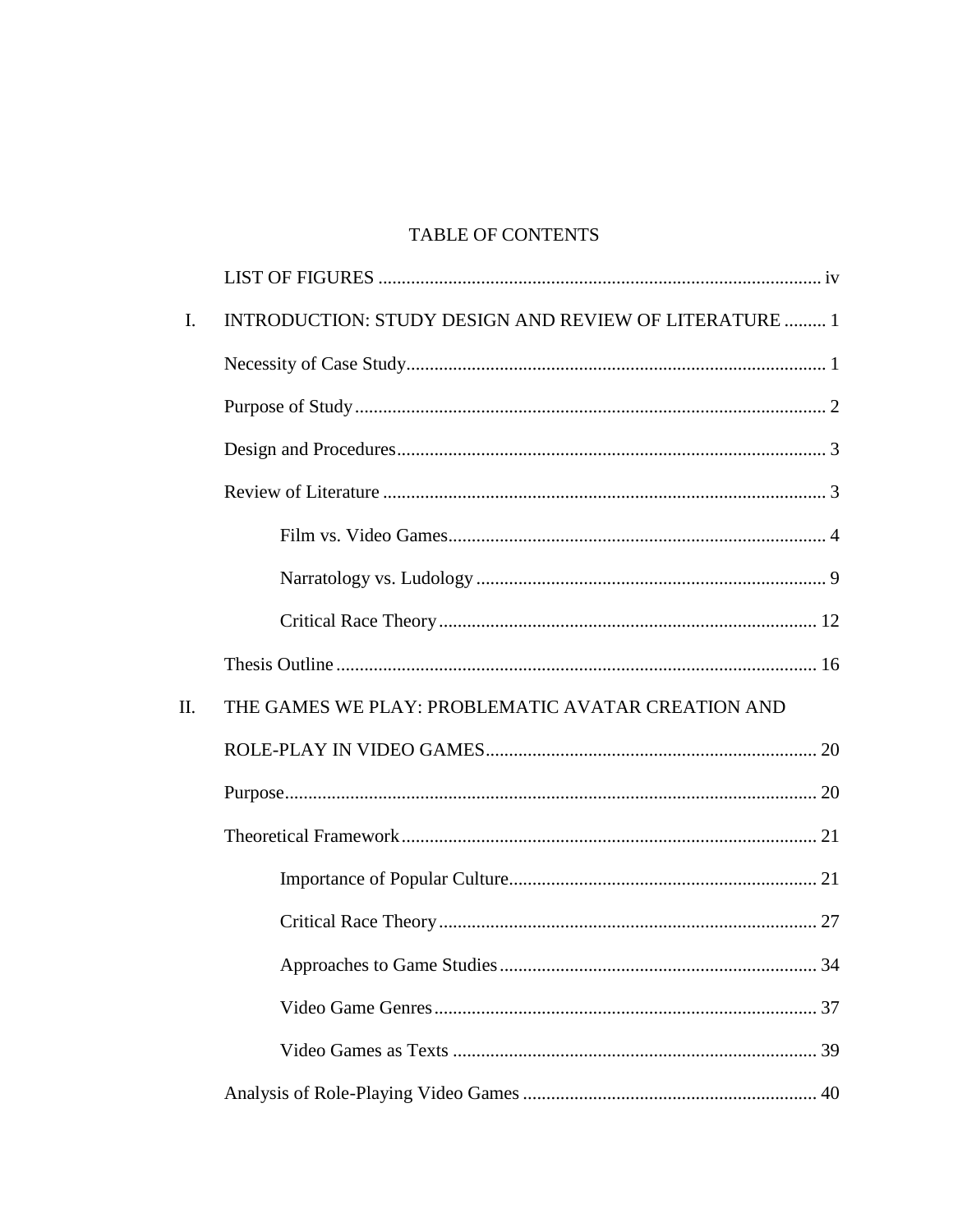## TABLE OF CONTENTS

| $\mathbf{I}$ . | INTRODUCTION: STUDY DESIGN AND REVIEW OF LITERATURE  1 |
|----------------|--------------------------------------------------------|
|                |                                                        |
|                |                                                        |
|                |                                                        |
|                |                                                        |
|                |                                                        |
|                |                                                        |
|                |                                                        |
|                |                                                        |
| II.            | THE GAMES WE PLAY: PROBLEMATIC AVATAR CREATION AND     |
|                |                                                        |
|                |                                                        |
|                |                                                        |
|                |                                                        |
|                |                                                        |
|                |                                                        |
|                |                                                        |
|                |                                                        |
|                |                                                        |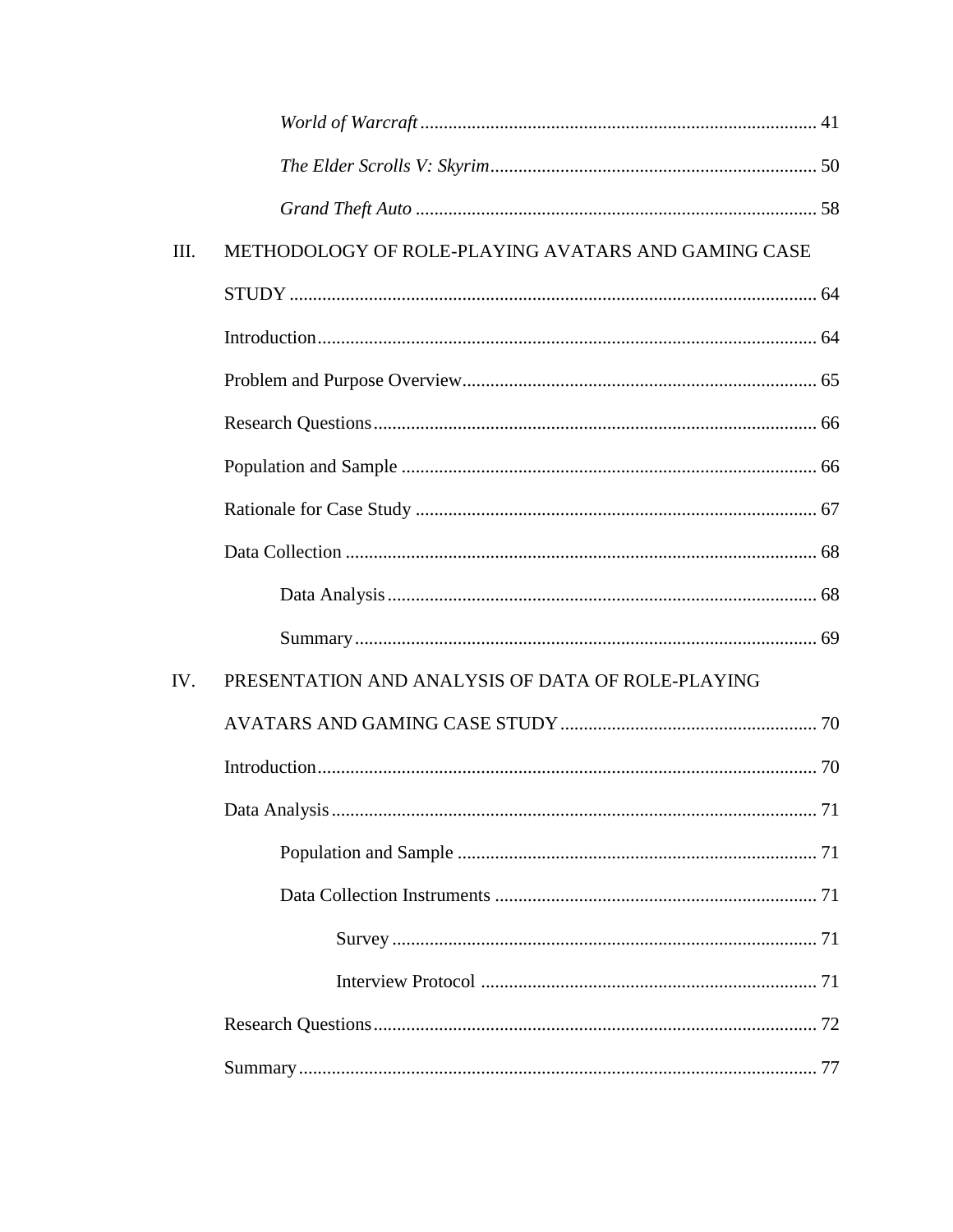| III. | METHODOLOGY OF ROLE-PLAYING AVATARS AND GAMING CASE |  |
|------|-----------------------------------------------------|--|
|      |                                                     |  |
|      |                                                     |  |
|      |                                                     |  |
|      |                                                     |  |
|      |                                                     |  |
|      |                                                     |  |
|      |                                                     |  |
|      |                                                     |  |
|      |                                                     |  |
| IV.  | PRESENTATION AND ANALYSIS OF DATA OF ROLE-PLAYING   |  |
|      |                                                     |  |
|      |                                                     |  |
|      |                                                     |  |
|      |                                                     |  |
|      |                                                     |  |
|      |                                                     |  |
|      |                                                     |  |
|      |                                                     |  |
|      |                                                     |  |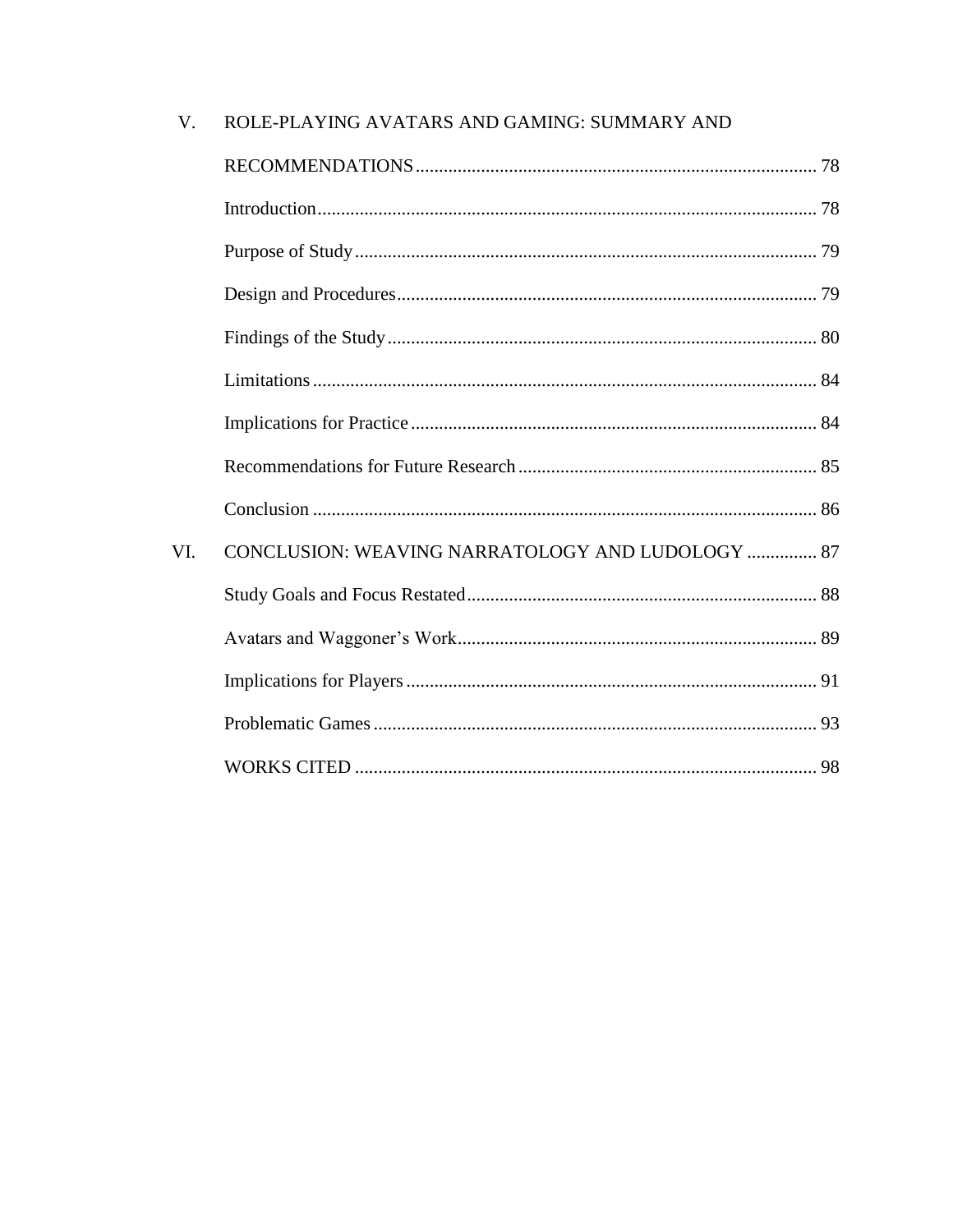| V.  | ROLE-PLAYING AVATARS AND GAMING: SUMMARY AND     |  |
|-----|--------------------------------------------------|--|
|     |                                                  |  |
|     |                                                  |  |
|     |                                                  |  |
|     |                                                  |  |
|     |                                                  |  |
|     |                                                  |  |
|     |                                                  |  |
|     |                                                  |  |
|     |                                                  |  |
| VI. | CONCLUSION: WEAVING NARRATOLOGY AND LUDOLOGY  87 |  |
|     |                                                  |  |
|     |                                                  |  |
|     |                                                  |  |
|     |                                                  |  |
|     |                                                  |  |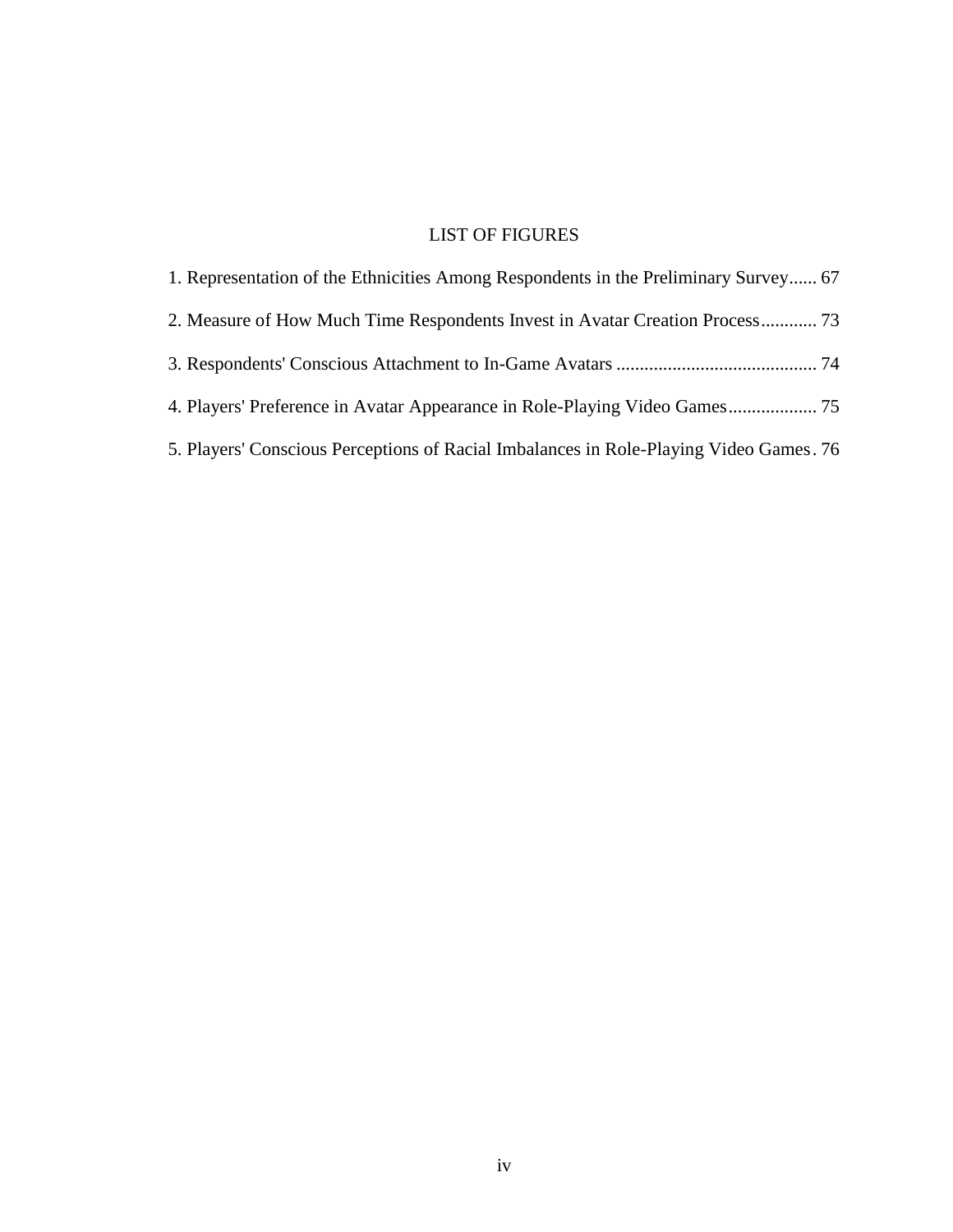## LIST OF FIGURES

| 1. Representation of the Ethnicities Among Respondents in the Preliminary Survey 67    |  |
|----------------------------------------------------------------------------------------|--|
| 2. Measure of How Much Time Respondents Invest in Avatar Creation Process 73           |  |
|                                                                                        |  |
|                                                                                        |  |
| 5. Players' Conscious Perceptions of Racial Imbalances in Role-Playing Video Games. 76 |  |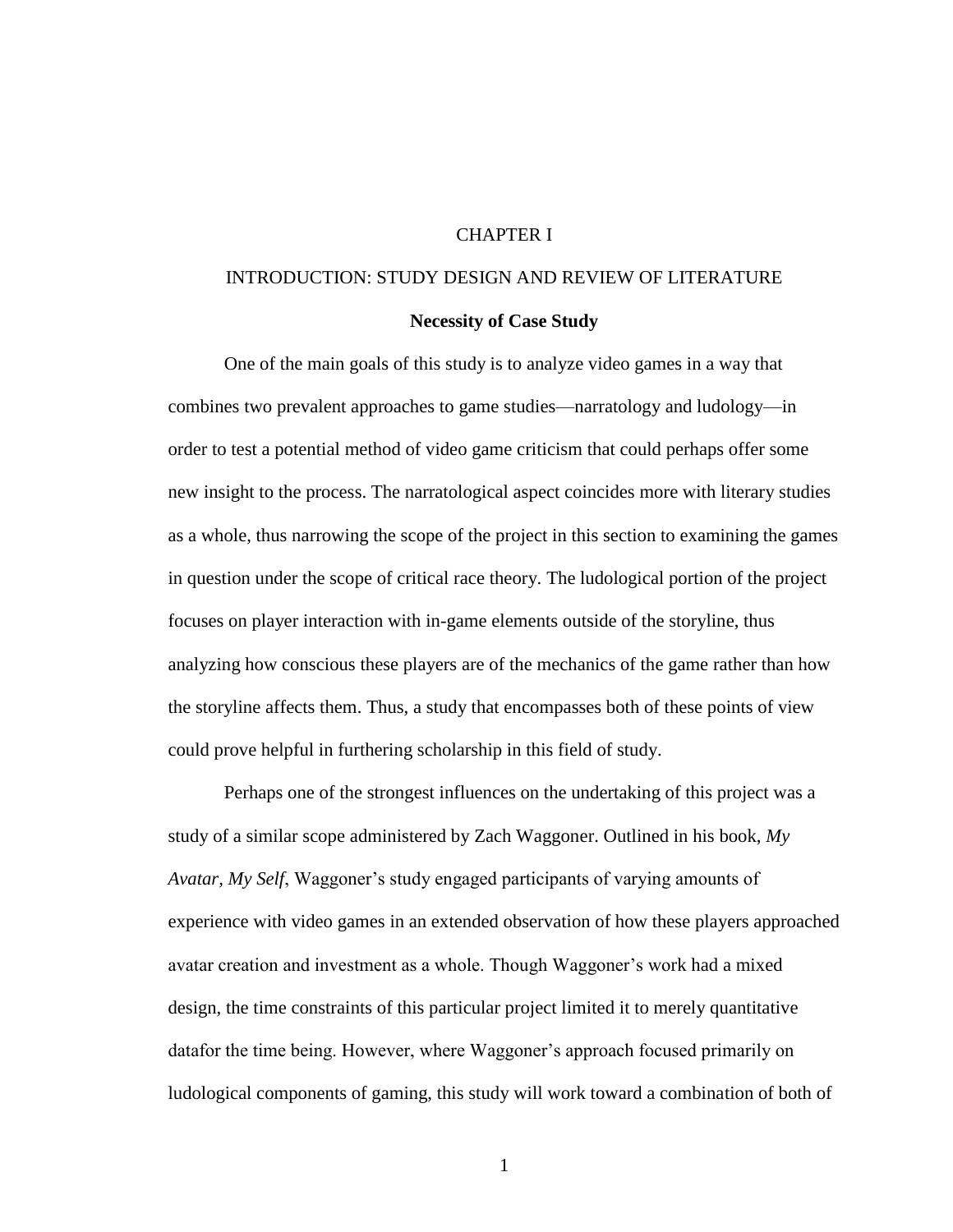#### CHAPTER I

# INTRODUCTION: STUDY DESIGN AND REVIEW OF LITERATURE

#### **Necessity of Case Study**

One of the main goals of this study is to analyze video games in a way that combines two prevalent approaches to game studies—narratology and ludology—in order to test a potential method of video game criticism that could perhaps offer some new insight to the process. The narratological aspect coincides more with literary studies as a whole, thus narrowing the scope of the project in this section to examining the games in question under the scope of critical race theory. The ludological portion of the project focuses on player interaction with in-game elements outside of the storyline, thus analyzing how conscious these players are of the mechanics of the game rather than how the storyline affects them. Thus, a study that encompasses both of these points of view could prove helpful in furthering scholarship in this field of study.

Perhaps one of the strongest influences on the undertaking of this project was a study of a similar scope administered by Zach Waggoner. Outlined in his book, *My Avatar, My Self*, Waggoner's study engaged participants of varying amounts of experience with video games in an extended observation of how these players approached avatar creation and investment as a whole. Though Waggoner's work had a mixed design, the time constraints of this particular project limited it to merely quantitative datafor the time being. However, where Waggoner's approach focused primarily on ludological components of gaming, this study will work toward a combination of both of

1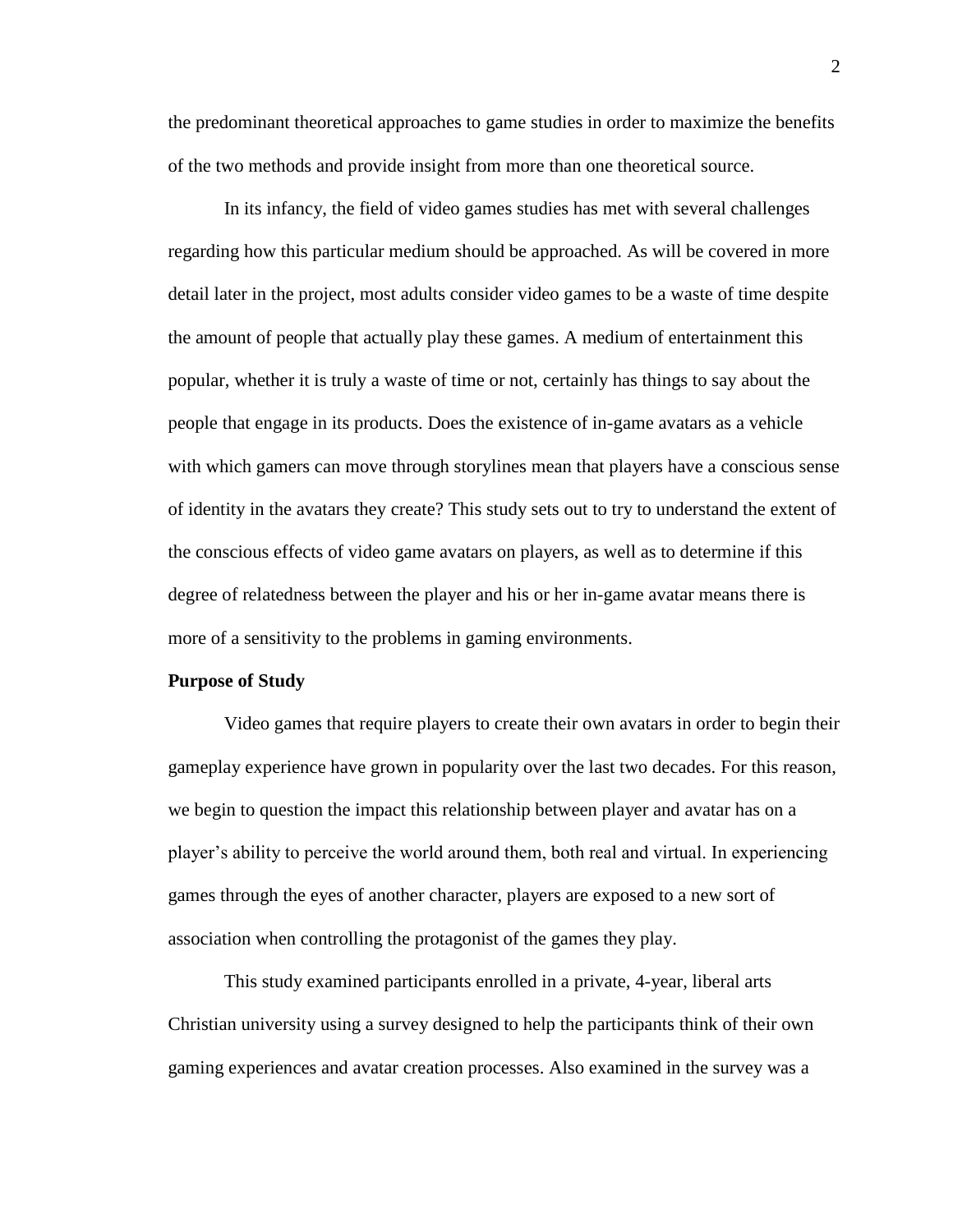the predominant theoretical approaches to game studies in order to maximize the benefits of the two methods and provide insight from more than one theoretical source.

In its infancy, the field of video games studies has met with several challenges regarding how this particular medium should be approached. As will be covered in more detail later in the project, most adults consider video games to be a waste of time despite the amount of people that actually play these games. A medium of entertainment this popular, whether it is truly a waste of time or not, certainly has things to say about the people that engage in its products. Does the existence of in-game avatars as a vehicle with which gamers can move through storylines mean that players have a conscious sense of identity in the avatars they create? This study sets out to try to understand the extent of the conscious effects of video game avatars on players, as well as to determine if this degree of relatedness between the player and his or her in-game avatar means there is more of a sensitivity to the problems in gaming environments.

#### **Purpose of Study**

Video games that require players to create their own avatars in order to begin their gameplay experience have grown in popularity over the last two decades. For this reason, we begin to question the impact this relationship between player and avatar has on a player's ability to perceive the world around them, both real and virtual. In experiencing games through the eyes of another character, players are exposed to a new sort of association when controlling the protagonist of the games they play.

This study examined participants enrolled in a private, 4-year, liberal arts Christian university using a survey designed to help the participants think of their own gaming experiences and avatar creation processes. Also examined in the survey was a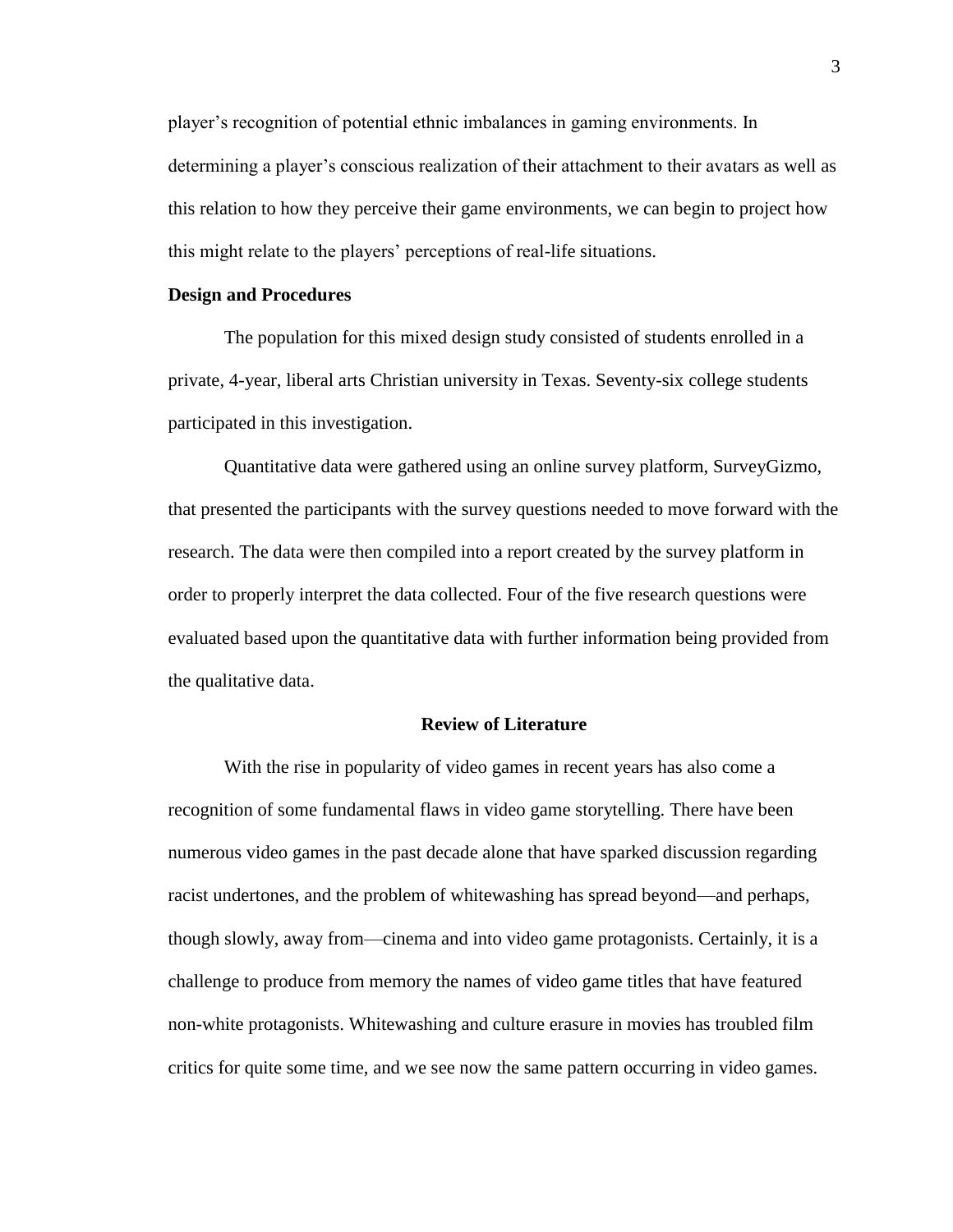player's recognition of potential ethnic imbalances in gaming environments. In determining a player's conscious realization of their attachment to their avatars as well as this relation to how they perceive their game environments, we can begin to project how this might relate to the players' perceptions of real-life situations.

#### **Design and Procedures**

The population for this mixed design study consisted of students enrolled in a private, 4-year, liberal arts Christian university in Texas. Seventy-six college students participated in this investigation.

Quantitative data were gathered using an online survey platform, SurveyGizmo, that presented the participants with the survey questions needed to move forward with the research. The data were then compiled into a report created by the survey platform in order to properly interpret the data collected. Four of the five research questions were evaluated based upon the quantitative data with further information being provided from the qualitative data.

#### **Review of Literature**

With the rise in popularity of video games in recent years has also come a recognition of some fundamental flaws in video game storytelling. There have been numerous video games in the past decade alone that have sparked discussion regarding racist undertones, and the problem of whitewashing has spread beyond—and perhaps, though slowly, away from—cinema and into video game protagonists. Certainly, it is a challenge to produce from memory the names of video game titles that have featured non-white protagonists. Whitewashing and culture erasure in movies has troubled film critics for quite some time, and we see now the same pattern occurring in video games.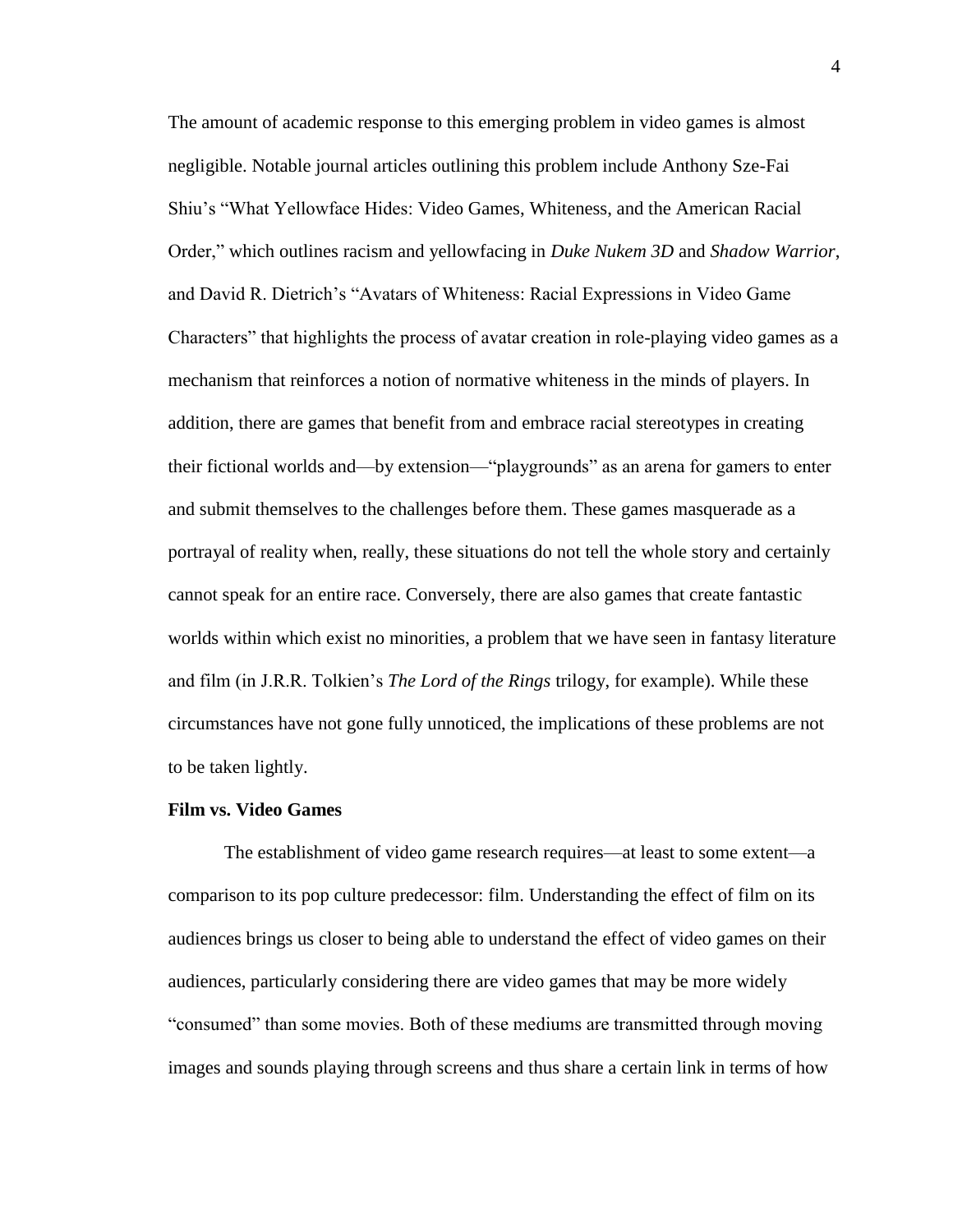The amount of academic response to this emerging problem in video games is almost negligible. Notable journal articles outlining this problem include Anthony Sze-Fai Shiu's "What Yellowface Hides: Video Games, Whiteness, and the American Racial Order," which outlines racism and yellowfacing in *Duke Nukem 3D* and *Shadow Warrior*, and David R. Dietrich's "Avatars of Whiteness: Racial Expressions in Video Game Characters" that highlights the process of avatar creation in role-playing video games as a mechanism that reinforces a notion of normative whiteness in the minds of players. In addition, there are games that benefit from and embrace racial stereotypes in creating their fictional worlds and—by extension—"playgrounds" as an arena for gamers to enter and submit themselves to the challenges before them. These games masquerade as a portrayal of reality when, really, these situations do not tell the whole story and certainly cannot speak for an entire race. Conversely, there are also games that create fantastic worlds within which exist no minorities, a problem that we have seen in fantasy literature and film (in J.R.R. Tolkien's *The Lord of the Rings* trilogy, for example). While these circumstances have not gone fully unnoticed, the implications of these problems are not to be taken lightly.

#### **Film vs. Video Games**

The establishment of video game research requires—at least to some extent—a comparison to its pop culture predecessor: film. Understanding the effect of film on its audiences brings us closer to being able to understand the effect of video games on their audiences, particularly considering there are video games that may be more widely "consumed" than some movies. Both of these mediums are transmitted through moving images and sounds playing through screens and thus share a certain link in terms of how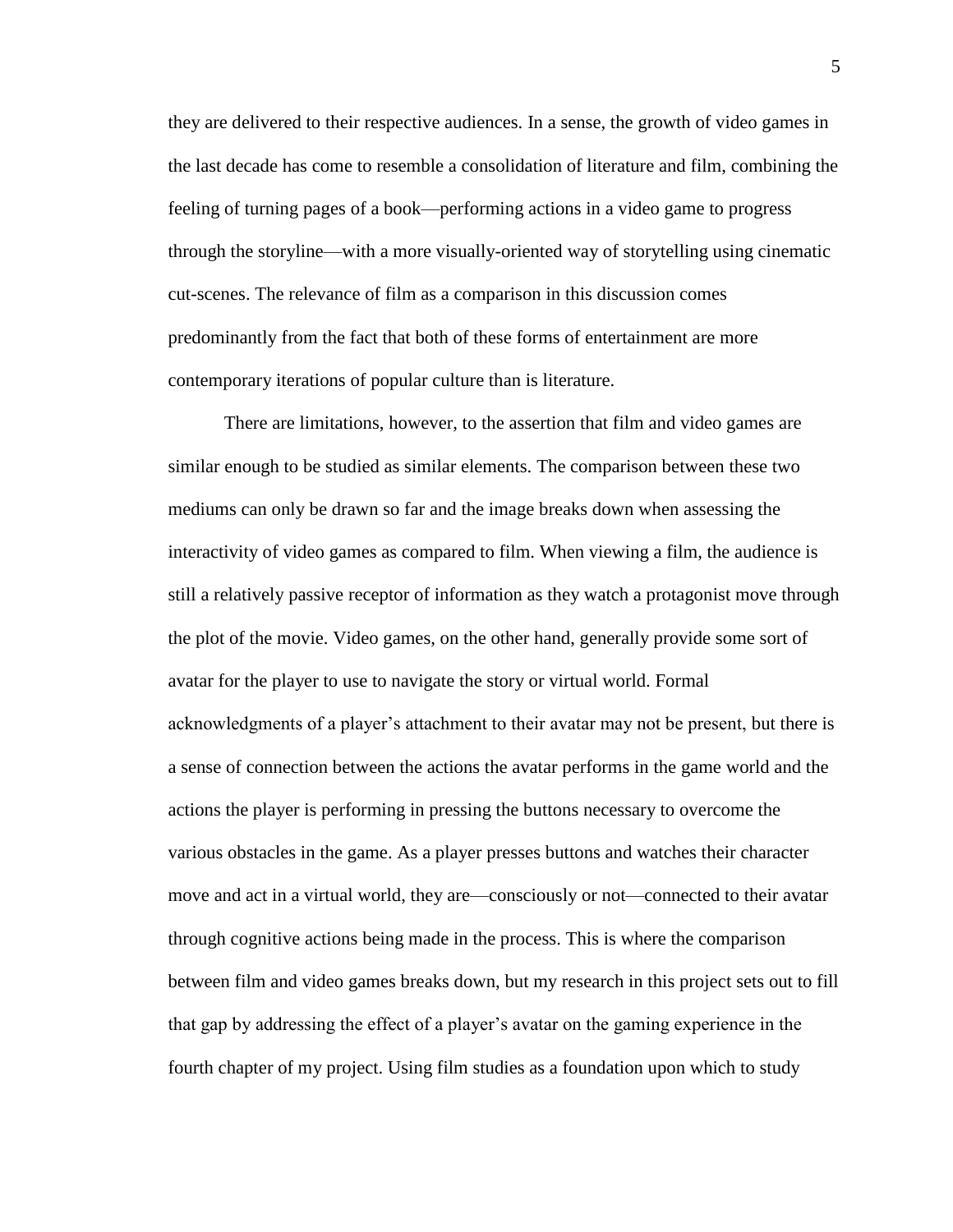they are delivered to their respective audiences. In a sense, the growth of video games in the last decade has come to resemble a consolidation of literature and film, combining the feeling of turning pages of a book—performing actions in a video game to progress through the storyline—with a more visually-oriented way of storytelling using cinematic cut-scenes. The relevance of film as a comparison in this discussion comes predominantly from the fact that both of these forms of entertainment are more contemporary iterations of popular culture than is literature.

There are limitations, however, to the assertion that film and video games are similar enough to be studied as similar elements. The comparison between these two mediums can only be drawn so far and the image breaks down when assessing the interactivity of video games as compared to film. When viewing a film, the audience is still a relatively passive receptor of information as they watch a protagonist move through the plot of the movie. Video games, on the other hand, generally provide some sort of avatar for the player to use to navigate the story or virtual world. Formal acknowledgments of a player's attachment to their avatar may not be present, but there is a sense of connection between the actions the avatar performs in the game world and the actions the player is performing in pressing the buttons necessary to overcome the various obstacles in the game. As a player presses buttons and watches their character move and act in a virtual world, they are—consciously or not—connected to their avatar through cognitive actions being made in the process. This is where the comparison between film and video games breaks down, but my research in this project sets out to fill that gap by addressing the effect of a player's avatar on the gaming experience in the fourth chapter of my project. Using film studies as a foundation upon which to study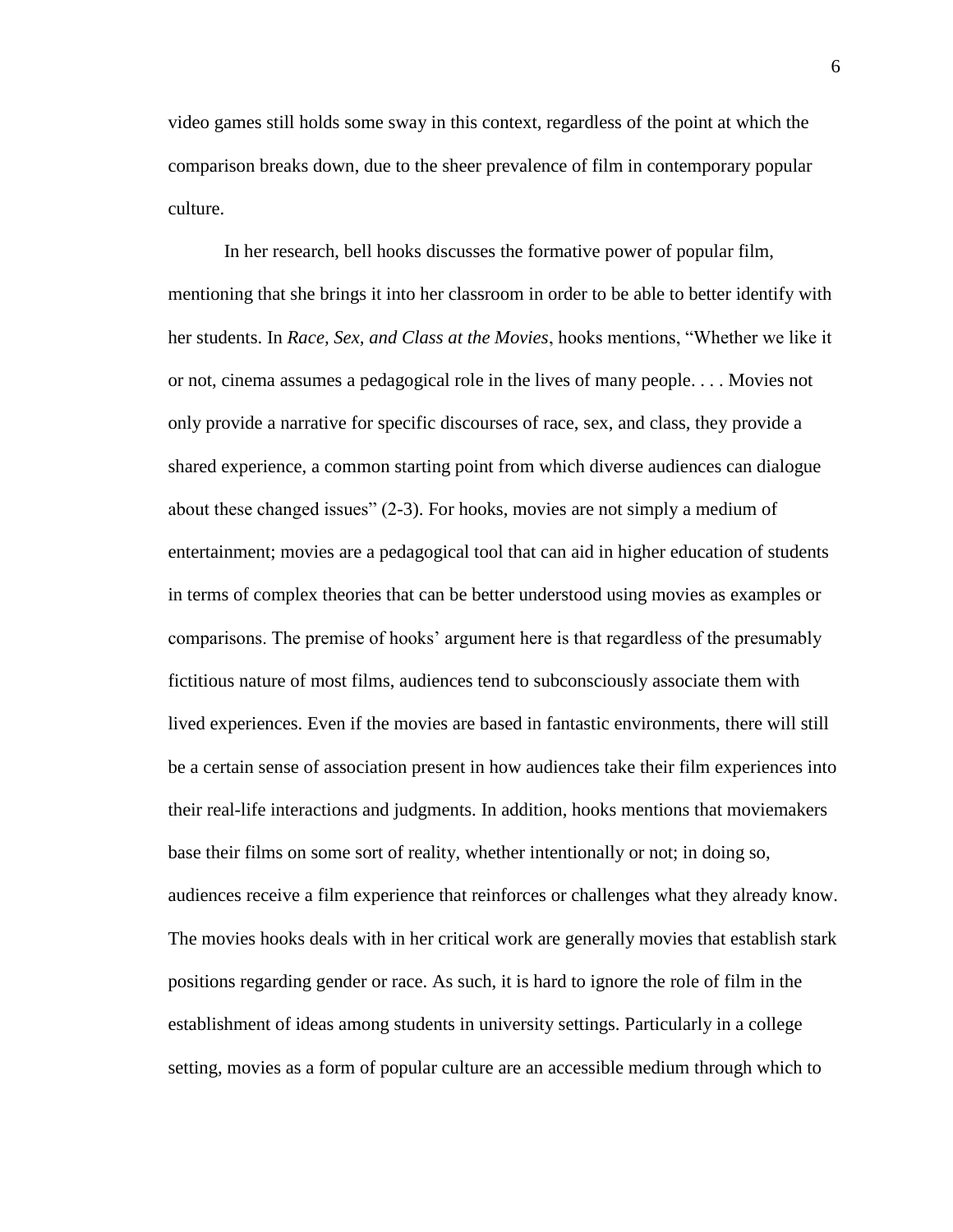video games still holds some sway in this context, regardless of the point at which the comparison breaks down, due to the sheer prevalence of film in contemporary popular culture.

In her research, bell hooks discusses the formative power of popular film, mentioning that she brings it into her classroom in order to be able to better identify with her students. In *Race, Sex, and Class at the Movies*, hooks mentions, "Whether we like it or not, cinema assumes a pedagogical role in the lives of many people. . . . Movies not only provide a narrative for specific discourses of race, sex, and class, they provide a shared experience, a common starting point from which diverse audiences can dialogue about these changed issues" (2-3). For hooks, movies are not simply a medium of entertainment; movies are a pedagogical tool that can aid in higher education of students in terms of complex theories that can be better understood using movies as examples or comparisons. The premise of hooks' argument here is that regardless of the presumably fictitious nature of most films, audiences tend to subconsciously associate them with lived experiences. Even if the movies are based in fantastic environments, there will still be a certain sense of association present in how audiences take their film experiences into their real-life interactions and judgments. In addition, hooks mentions that moviemakers base their films on some sort of reality, whether intentionally or not; in doing so, audiences receive a film experience that reinforces or challenges what they already know. The movies hooks deals with in her critical work are generally movies that establish stark positions regarding gender or race. As such, it is hard to ignore the role of film in the establishment of ideas among students in university settings. Particularly in a college setting, movies as a form of popular culture are an accessible medium through which to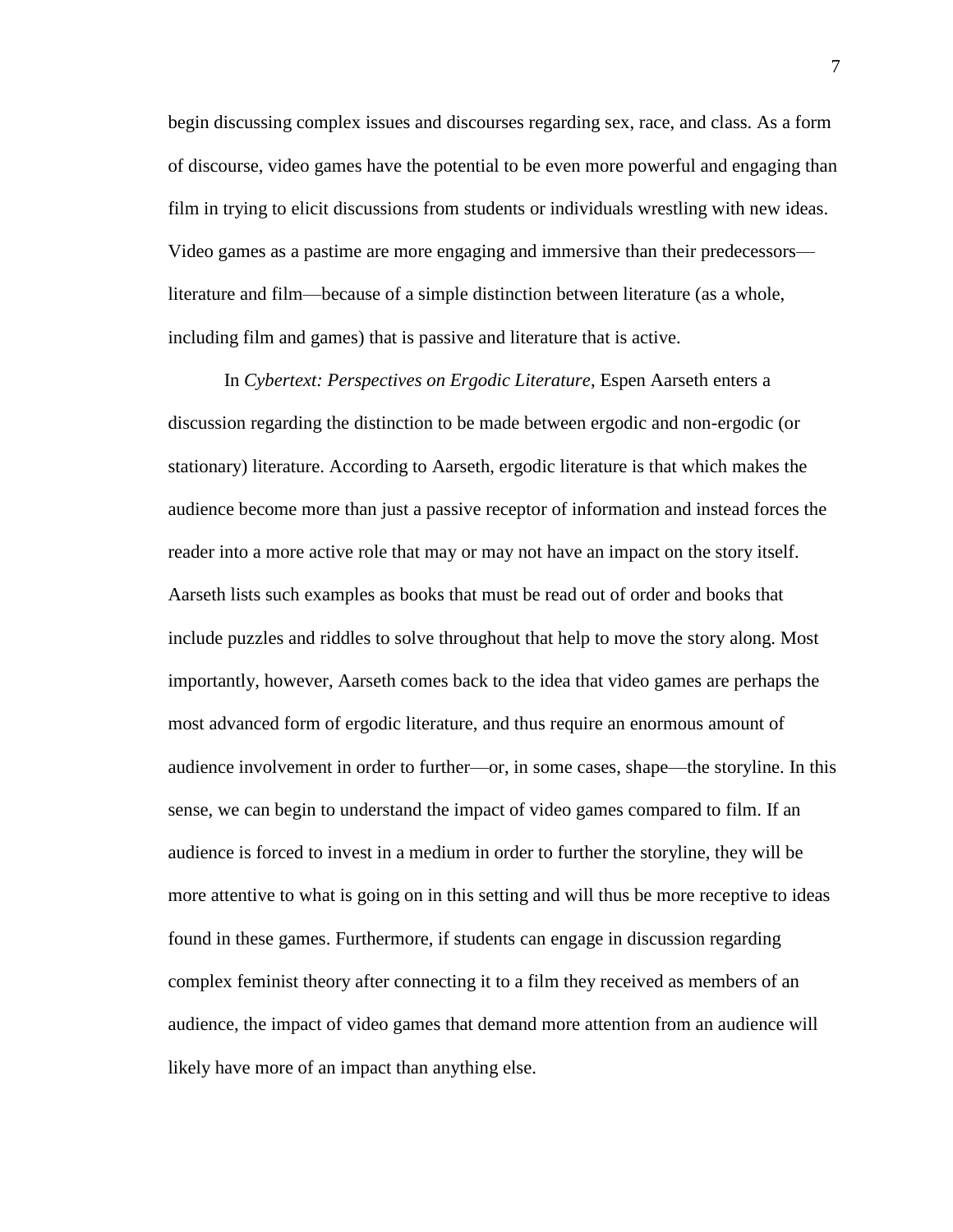begin discussing complex issues and discourses regarding sex, race, and class. As a form of discourse, video games have the potential to be even more powerful and engaging than film in trying to elicit discussions from students or individuals wrestling with new ideas. Video games as a pastime are more engaging and immersive than their predecessors literature and film—because of a simple distinction between literature (as a whole, including film and games) that is passive and literature that is active.

In *Cybertext: Perspectives on Ergodic Literature*, Espen Aarseth enters a discussion regarding the distinction to be made between ergodic and non-ergodic (or stationary) literature. According to Aarseth, ergodic literature is that which makes the audience become more than just a passive receptor of information and instead forces the reader into a more active role that may or may not have an impact on the story itself. Aarseth lists such examples as books that must be read out of order and books that include puzzles and riddles to solve throughout that help to move the story along. Most importantly, however, Aarseth comes back to the idea that video games are perhaps the most advanced form of ergodic literature, and thus require an enormous amount of audience involvement in order to further—or, in some cases, shape—the storyline. In this sense, we can begin to understand the impact of video games compared to film. If an audience is forced to invest in a medium in order to further the storyline, they will be more attentive to what is going on in this setting and will thus be more receptive to ideas found in these games. Furthermore, if students can engage in discussion regarding complex feminist theory after connecting it to a film they received as members of an audience, the impact of video games that demand more attention from an audience will likely have more of an impact than anything else.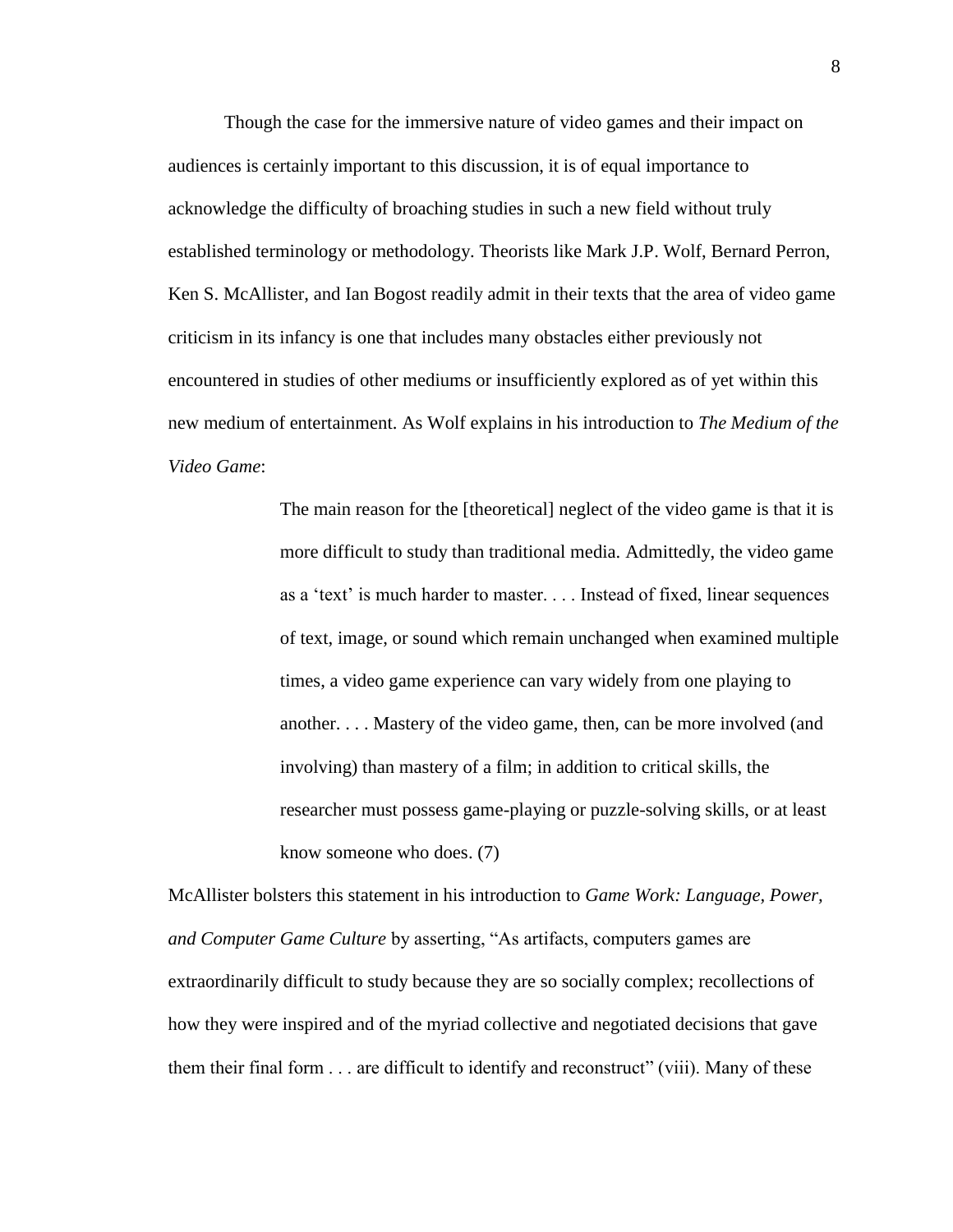Though the case for the immersive nature of video games and their impact on audiences is certainly important to this discussion, it is of equal importance to acknowledge the difficulty of broaching studies in such a new field without truly established terminology or methodology. Theorists like Mark J.P. Wolf, Bernard Perron, Ken S. McAllister, and Ian Bogost readily admit in their texts that the area of video game criticism in its infancy is one that includes many obstacles either previously not encountered in studies of other mediums or insufficiently explored as of yet within this new medium of entertainment. As Wolf explains in his introduction to *The Medium of the Video Game*:

> The main reason for the [theoretical] neglect of the video game is that it is more difficult to study than traditional media. Admittedly, the video game as a 'text' is much harder to master. . . . Instead of fixed, linear sequences of text, image, or sound which remain unchanged when examined multiple times, a video game experience can vary widely from one playing to another. . . . Mastery of the video game, then, can be more involved (and involving) than mastery of a film; in addition to critical skills, the researcher must possess game-playing or puzzle-solving skills, or at least know someone who does. (7)

McAllister bolsters this statement in his introduction to *Game Work: Language, Power, and Computer Game Culture* by asserting, "As artifacts, computers games are extraordinarily difficult to study because they are so socially complex; recollections of how they were inspired and of the myriad collective and negotiated decisions that gave them their final form . . . are difficult to identify and reconstruct" (viii). Many of these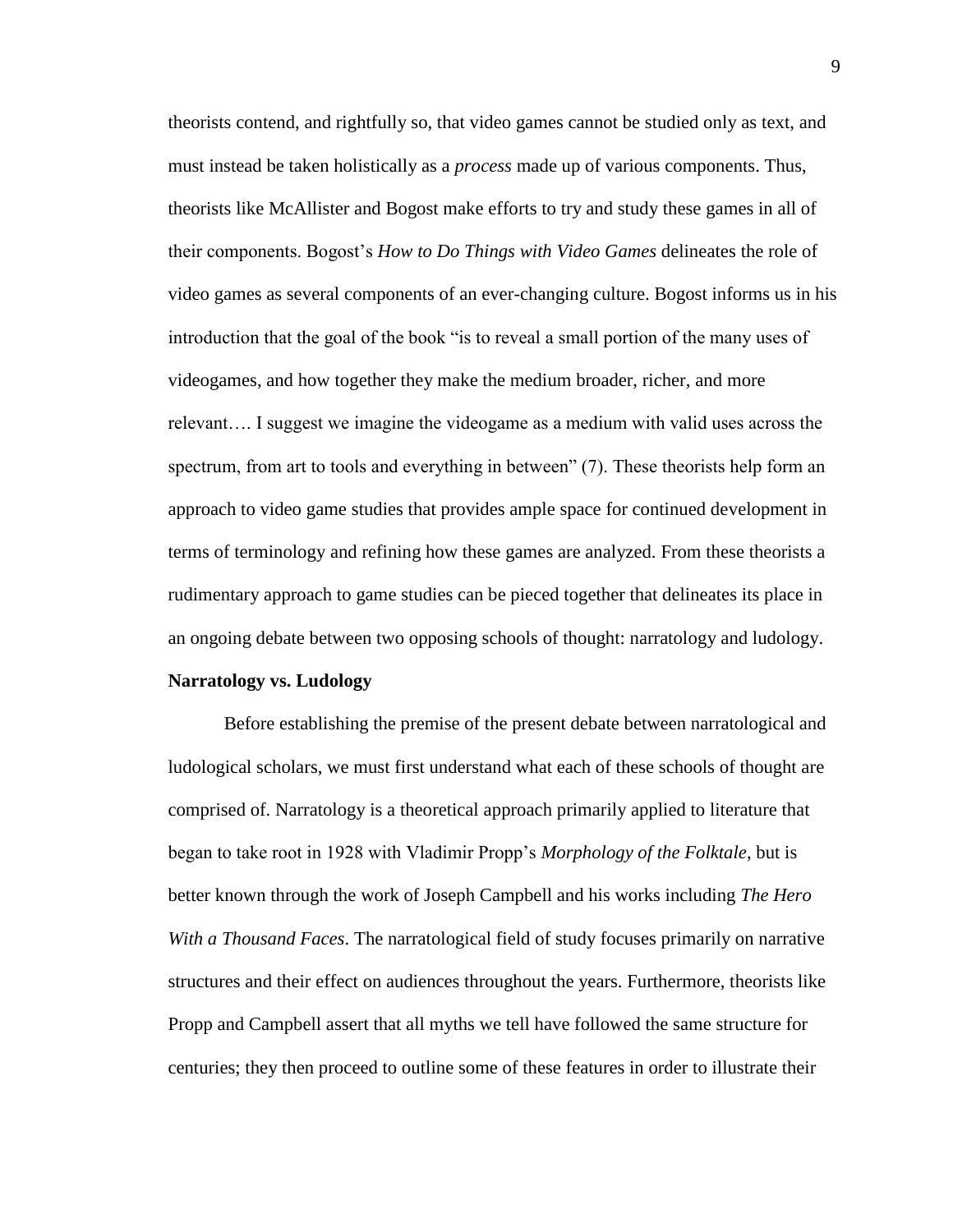theorists contend, and rightfully so, that video games cannot be studied only as text, and must instead be taken holistically as a *process* made up of various components. Thus, theorists like McAllister and Bogost make efforts to try and study these games in all of their components. Bogost's *How to Do Things with Video Games* delineates the role of video games as several components of an ever-changing culture. Bogost informs us in his introduction that the goal of the book "is to reveal a small portion of the many uses of videogames, and how together they make the medium broader, richer, and more relevant…. I suggest we imagine the videogame as a medium with valid uses across the spectrum, from art to tools and everything in between" (7). These theorists help form an approach to video game studies that provides ample space for continued development in terms of terminology and refining how these games are analyzed. From these theorists a rudimentary approach to game studies can be pieced together that delineates its place in an ongoing debate between two opposing schools of thought: narratology and ludology.

#### **Narratology vs. Ludology**

Before establishing the premise of the present debate between narratological and ludological scholars, we must first understand what each of these schools of thought are comprised of. Narratology is a theoretical approach primarily applied to literature that began to take root in 1928 with Vladimir Propp's *Morphology of the Folktale*, but is better known through the work of Joseph Campbell and his works including *The Hero With a Thousand Faces*. The narratological field of study focuses primarily on narrative structures and their effect on audiences throughout the years. Furthermore, theorists like Propp and Campbell assert that all myths we tell have followed the same structure for centuries; they then proceed to outline some of these features in order to illustrate their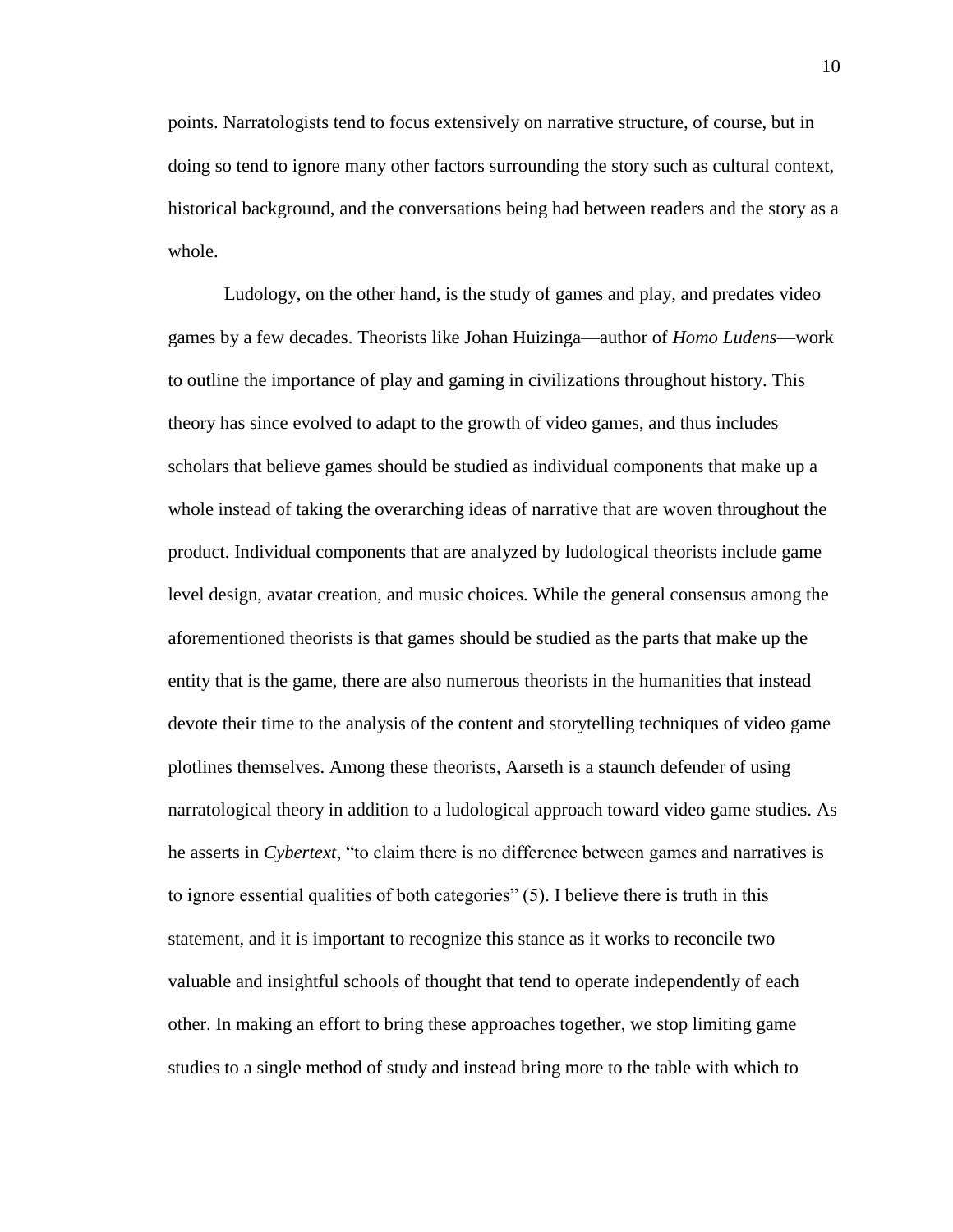points. Narratologists tend to focus extensively on narrative structure, of course, but in doing so tend to ignore many other factors surrounding the story such as cultural context, historical background, and the conversations being had between readers and the story as a whole.

Ludology, on the other hand, is the study of games and play, and predates video games by a few decades. Theorists like Johan Huizinga—author of *Homo Ludens*—work to outline the importance of play and gaming in civilizations throughout history. This theory has since evolved to adapt to the growth of video games, and thus includes scholars that believe games should be studied as individual components that make up a whole instead of taking the overarching ideas of narrative that are woven throughout the product. Individual components that are analyzed by ludological theorists include game level design, avatar creation, and music choices. While the general consensus among the aforementioned theorists is that games should be studied as the parts that make up the entity that is the game, there are also numerous theorists in the humanities that instead devote their time to the analysis of the content and storytelling techniques of video game plotlines themselves. Among these theorists, Aarseth is a staunch defender of using narratological theory in addition to a ludological approach toward video game studies. As he asserts in *Cybertext*, "to claim there is no difference between games and narratives is to ignore essential qualities of both categories" (5). I believe there is truth in this statement, and it is important to recognize this stance as it works to reconcile two valuable and insightful schools of thought that tend to operate independently of each other. In making an effort to bring these approaches together, we stop limiting game studies to a single method of study and instead bring more to the table with which to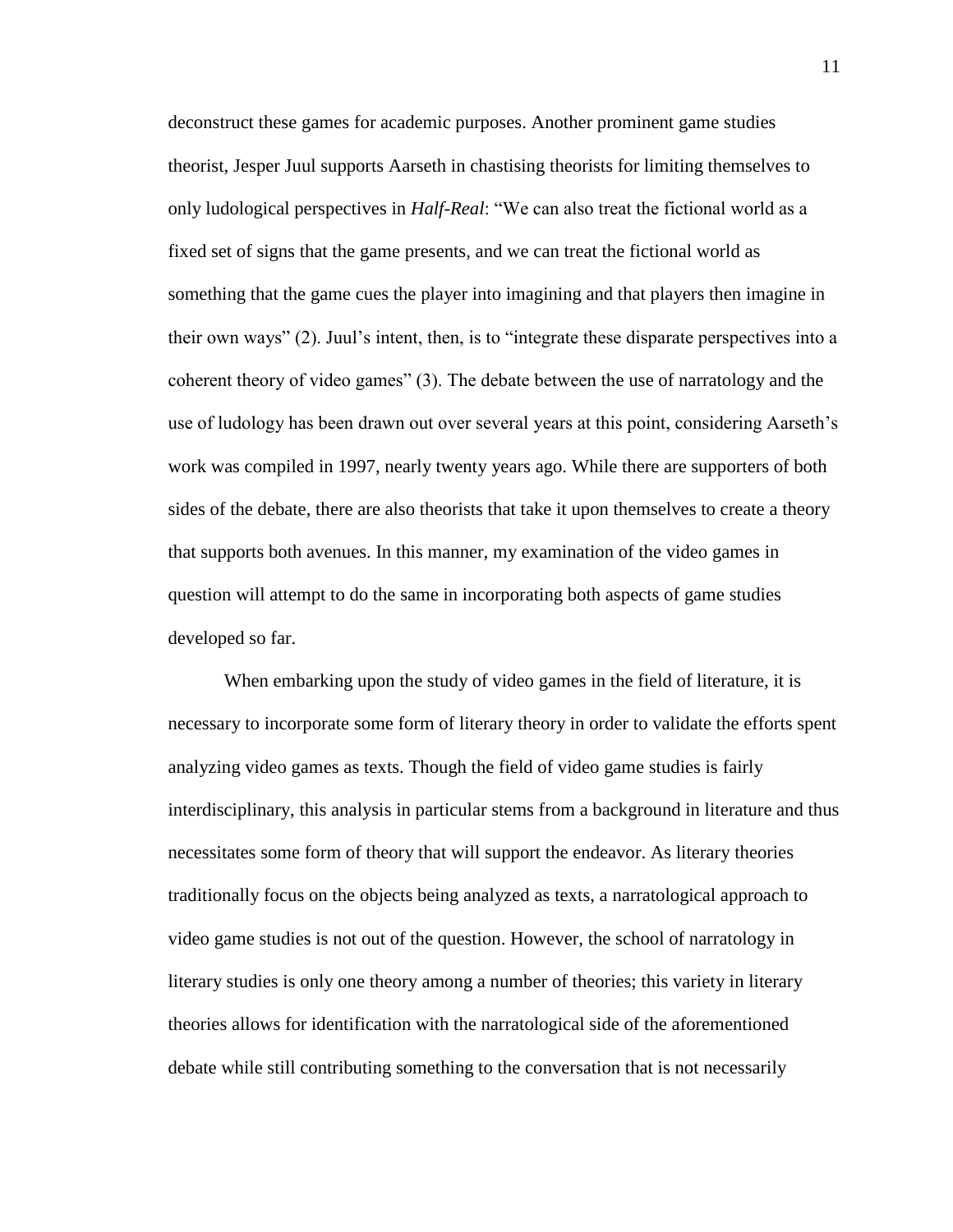deconstruct these games for academic purposes. Another prominent game studies theorist, Jesper Juul supports Aarseth in chastising theorists for limiting themselves to only ludological perspectives in *Half-Real*: "We can also treat the fictional world as a fixed set of signs that the game presents, and we can treat the fictional world as something that the game cues the player into imagining and that players then imagine in their own ways" (2). Juul's intent, then, is to "integrate these disparate perspectives into a coherent theory of video games" (3). The debate between the use of narratology and the use of ludology has been drawn out over several years at this point, considering Aarseth's work was compiled in 1997, nearly twenty years ago. While there are supporters of both sides of the debate, there are also theorists that take it upon themselves to create a theory that supports both avenues. In this manner, my examination of the video games in question will attempt to do the same in incorporating both aspects of game studies developed so far.

When embarking upon the study of video games in the field of literature, it is necessary to incorporate some form of literary theory in order to validate the efforts spent analyzing video games as texts. Though the field of video game studies is fairly interdisciplinary, this analysis in particular stems from a background in literature and thus necessitates some form of theory that will support the endeavor. As literary theories traditionally focus on the objects being analyzed as texts, a narratological approach to video game studies is not out of the question. However, the school of narratology in literary studies is only one theory among a number of theories; this variety in literary theories allows for identification with the narratological side of the aforementioned debate while still contributing something to the conversation that is not necessarily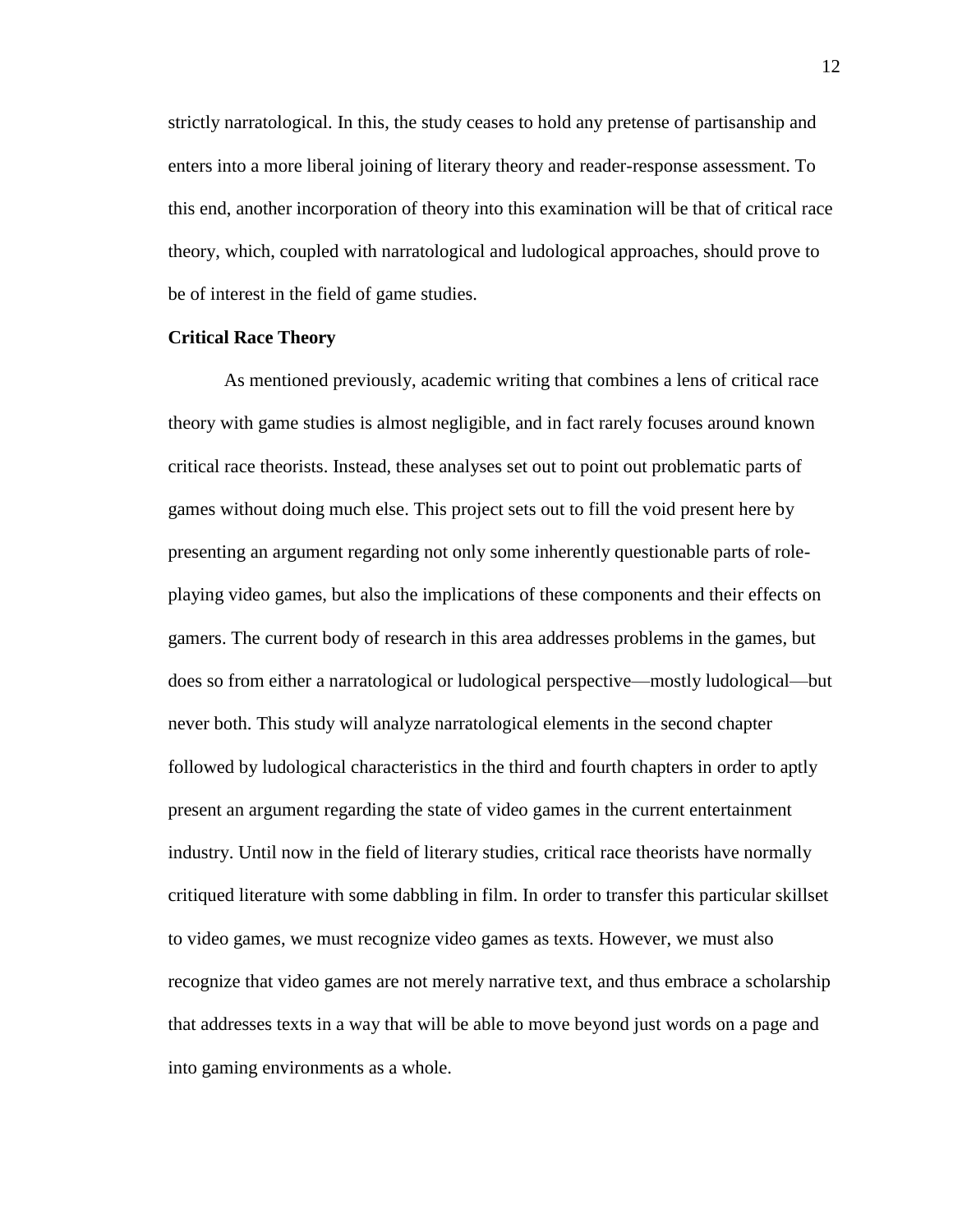strictly narratological. In this, the study ceases to hold any pretense of partisanship and enters into a more liberal joining of literary theory and reader-response assessment. To this end, another incorporation of theory into this examination will be that of critical race theory, which, coupled with narratological and ludological approaches, should prove to be of interest in the field of game studies.

#### **Critical Race Theory**

As mentioned previously, academic writing that combines a lens of critical race theory with game studies is almost negligible, and in fact rarely focuses around known critical race theorists. Instead, these analyses set out to point out problematic parts of games without doing much else. This project sets out to fill the void present here by presenting an argument regarding not only some inherently questionable parts of roleplaying video games, but also the implications of these components and their effects on gamers. The current body of research in this area addresses problems in the games, but does so from either a narratological or ludological perspective—mostly ludological—but never both. This study will analyze narratological elements in the second chapter followed by ludological characteristics in the third and fourth chapters in order to aptly present an argument regarding the state of video games in the current entertainment industry. Until now in the field of literary studies, critical race theorists have normally critiqued literature with some dabbling in film. In order to transfer this particular skillset to video games, we must recognize video games as texts. However, we must also recognize that video games are not merely narrative text, and thus embrace a scholarship that addresses texts in a way that will be able to move beyond just words on a page and into gaming environments as a whole.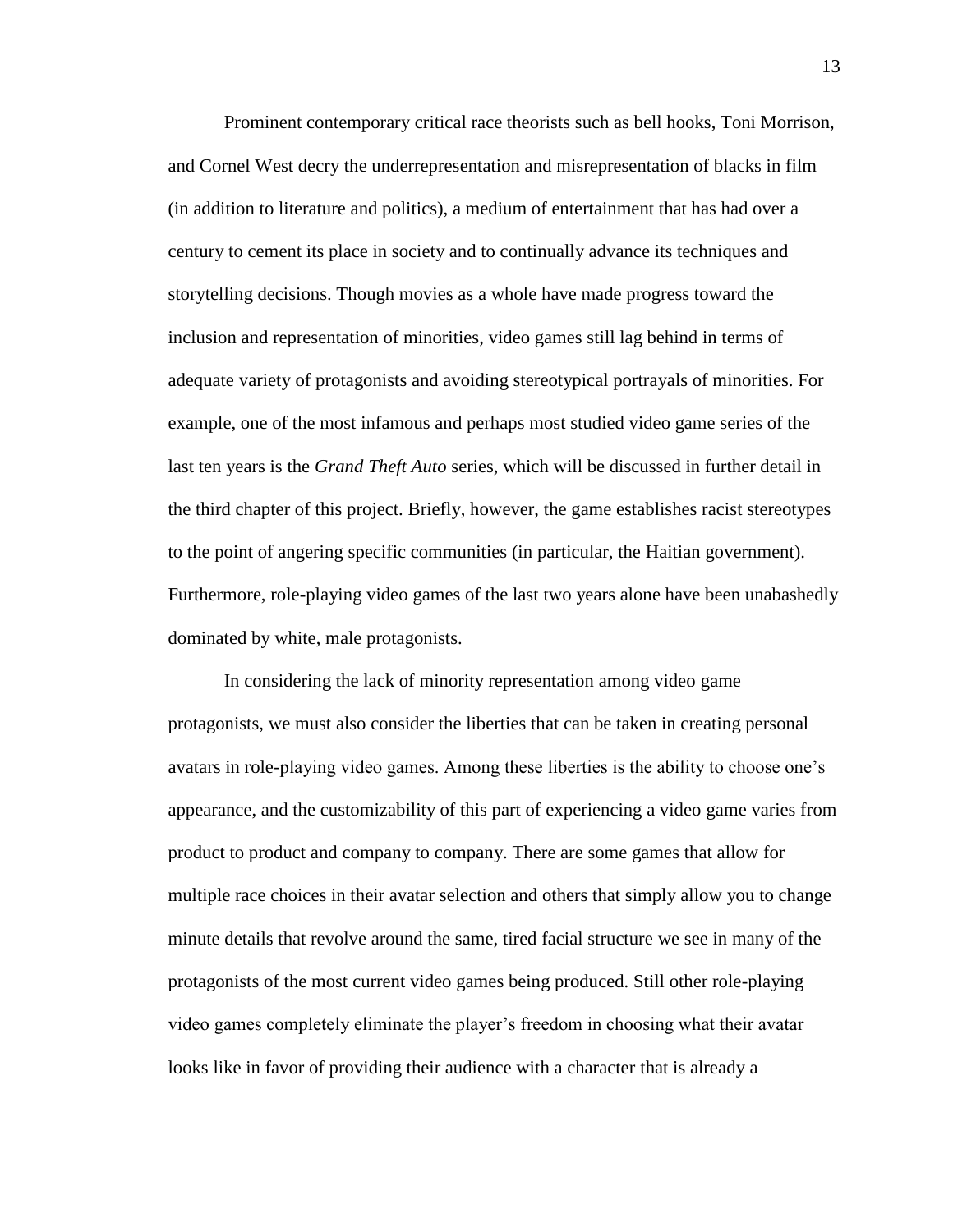Prominent contemporary critical race theorists such as bell hooks, Toni Morrison, and Cornel West decry the underrepresentation and misrepresentation of blacks in film (in addition to literature and politics), a medium of entertainment that has had over a century to cement its place in society and to continually advance its techniques and storytelling decisions. Though movies as a whole have made progress toward the inclusion and representation of minorities, video games still lag behind in terms of adequate variety of protagonists and avoiding stereotypical portrayals of minorities. For example, one of the most infamous and perhaps most studied video game series of the last ten years is the *Grand Theft Auto* series, which will be discussed in further detail in the third chapter of this project. Briefly, however, the game establishes racist stereotypes to the point of angering specific communities (in particular, the Haitian government). Furthermore, role-playing video games of the last two years alone have been unabashedly dominated by white, male protagonists.

In considering the lack of minority representation among video game protagonists, we must also consider the liberties that can be taken in creating personal avatars in role-playing video games. Among these liberties is the ability to choose one's appearance, and the customizability of this part of experiencing a video game varies from product to product and company to company. There are some games that allow for multiple race choices in their avatar selection and others that simply allow you to change minute details that revolve around the same, tired facial structure we see in many of the protagonists of the most current video games being produced. Still other role-playing video games completely eliminate the player's freedom in choosing what their avatar looks like in favor of providing their audience with a character that is already a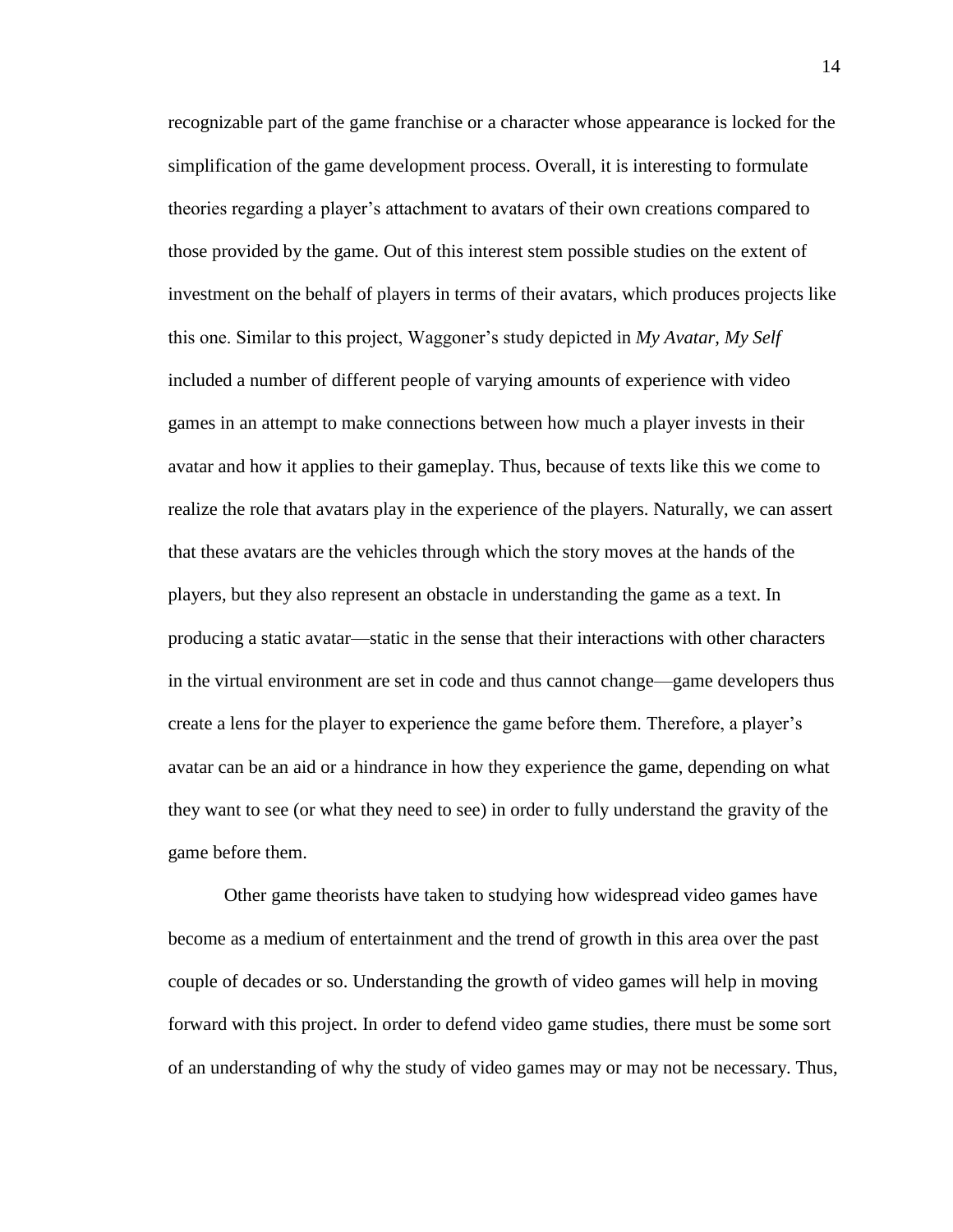recognizable part of the game franchise or a character whose appearance is locked for the simplification of the game development process. Overall, it is interesting to formulate theories regarding a player's attachment to avatars of their own creations compared to those provided by the game. Out of this interest stem possible studies on the extent of investment on the behalf of players in terms of their avatars, which produces projects like this one. Similar to this project, Waggoner's study depicted in *My Avatar, My Self*  included a number of different people of varying amounts of experience with video games in an attempt to make connections between how much a player invests in their avatar and how it applies to their gameplay. Thus, because of texts like this we come to realize the role that avatars play in the experience of the players. Naturally, we can assert that these avatars are the vehicles through which the story moves at the hands of the players, but they also represent an obstacle in understanding the game as a text. In producing a static avatar—static in the sense that their interactions with other characters in the virtual environment are set in code and thus cannot change—game developers thus create a lens for the player to experience the game before them. Therefore, a player's avatar can be an aid or a hindrance in how they experience the game, depending on what they want to see (or what they need to see) in order to fully understand the gravity of the game before them.

Other game theorists have taken to studying how widespread video games have become as a medium of entertainment and the trend of growth in this area over the past couple of decades or so. Understanding the growth of video games will help in moving forward with this project. In order to defend video game studies, there must be some sort of an understanding of why the study of video games may or may not be necessary. Thus,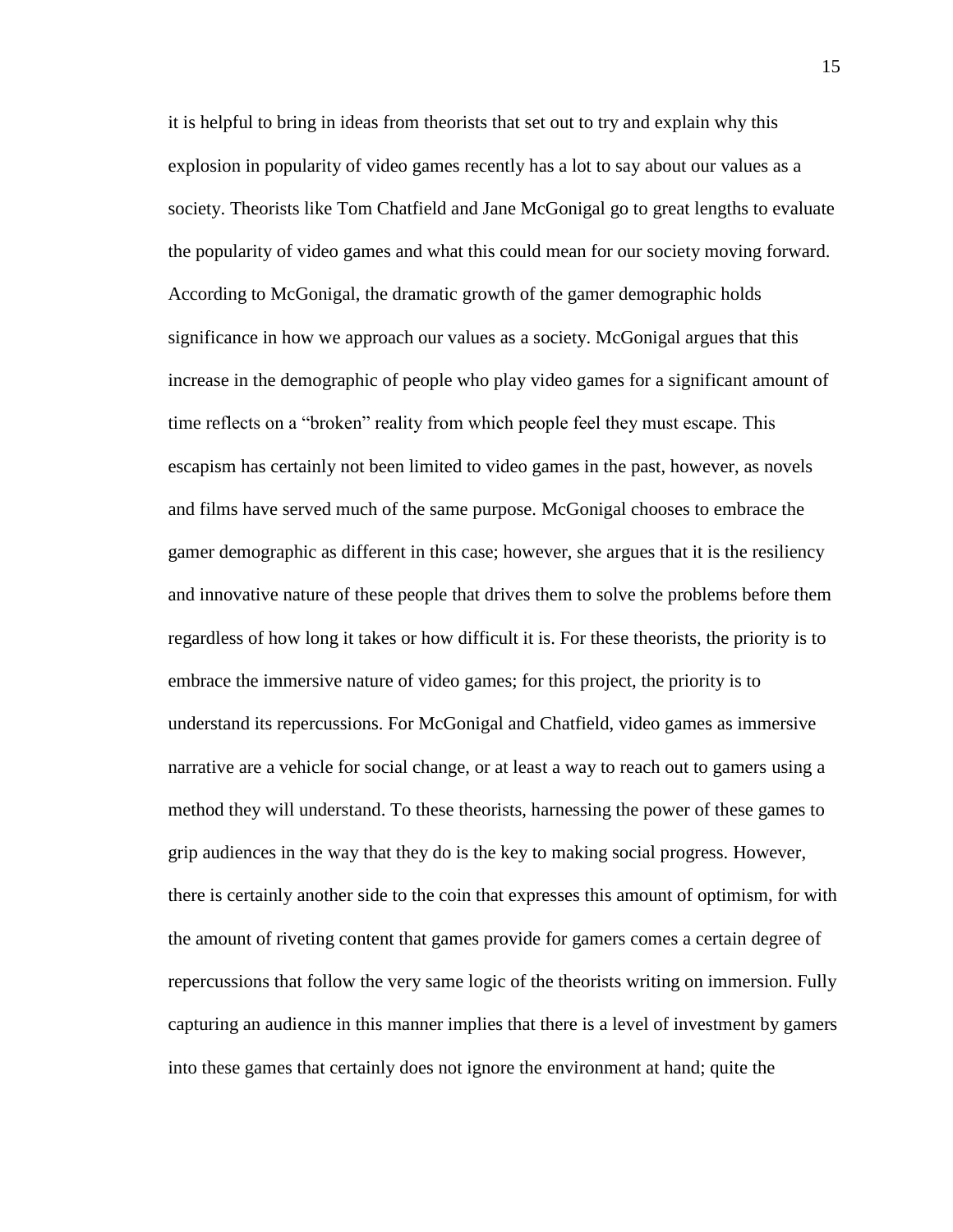it is helpful to bring in ideas from theorists that set out to try and explain why this explosion in popularity of video games recently has a lot to say about our values as a society. Theorists like Tom Chatfield and Jane McGonigal go to great lengths to evaluate the popularity of video games and what this could mean for our society moving forward. According to McGonigal, the dramatic growth of the gamer demographic holds significance in how we approach our values as a society. McGonigal argues that this increase in the demographic of people who play video games for a significant amount of time reflects on a "broken" reality from which people feel they must escape. This escapism has certainly not been limited to video games in the past, however, as novels and films have served much of the same purpose. McGonigal chooses to embrace the gamer demographic as different in this case; however, she argues that it is the resiliency and innovative nature of these people that drives them to solve the problems before them regardless of how long it takes or how difficult it is. For these theorists, the priority is to embrace the immersive nature of video games; for this project, the priority is to understand its repercussions. For McGonigal and Chatfield, video games as immersive narrative are a vehicle for social change, or at least a way to reach out to gamers using a method they will understand. To these theorists, harnessing the power of these games to grip audiences in the way that they do is the key to making social progress. However, there is certainly another side to the coin that expresses this amount of optimism, for with the amount of riveting content that games provide for gamers comes a certain degree of repercussions that follow the very same logic of the theorists writing on immersion. Fully capturing an audience in this manner implies that there is a level of investment by gamers into these games that certainly does not ignore the environment at hand; quite the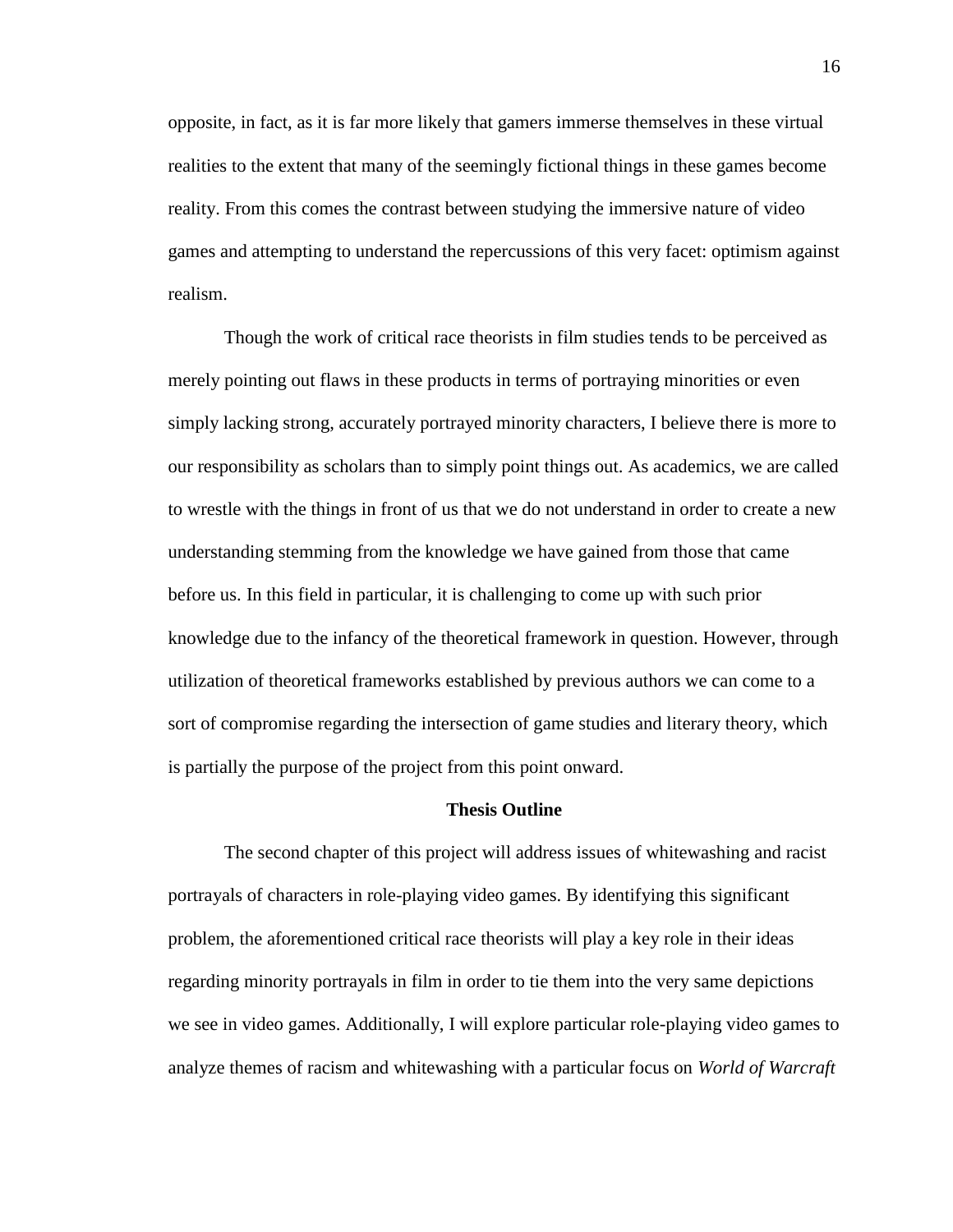opposite, in fact, as it is far more likely that gamers immerse themselves in these virtual realities to the extent that many of the seemingly fictional things in these games become reality. From this comes the contrast between studying the immersive nature of video games and attempting to understand the repercussions of this very facet: optimism against realism.

Though the work of critical race theorists in film studies tends to be perceived as merely pointing out flaws in these products in terms of portraying minorities or even simply lacking strong, accurately portrayed minority characters, I believe there is more to our responsibility as scholars than to simply point things out. As academics, we are called to wrestle with the things in front of us that we do not understand in order to create a new understanding stemming from the knowledge we have gained from those that came before us. In this field in particular, it is challenging to come up with such prior knowledge due to the infancy of the theoretical framework in question. However, through utilization of theoretical frameworks established by previous authors we can come to a sort of compromise regarding the intersection of game studies and literary theory, which is partially the purpose of the project from this point onward.

#### **Thesis Outline**

The second chapter of this project will address issues of whitewashing and racist portrayals of characters in role-playing video games. By identifying this significant problem, the aforementioned critical race theorists will play a key role in their ideas regarding minority portrayals in film in order to tie them into the very same depictions we see in video games. Additionally, I will explore particular role-playing video games to analyze themes of racism and whitewashing with a particular focus on *World of Warcraft*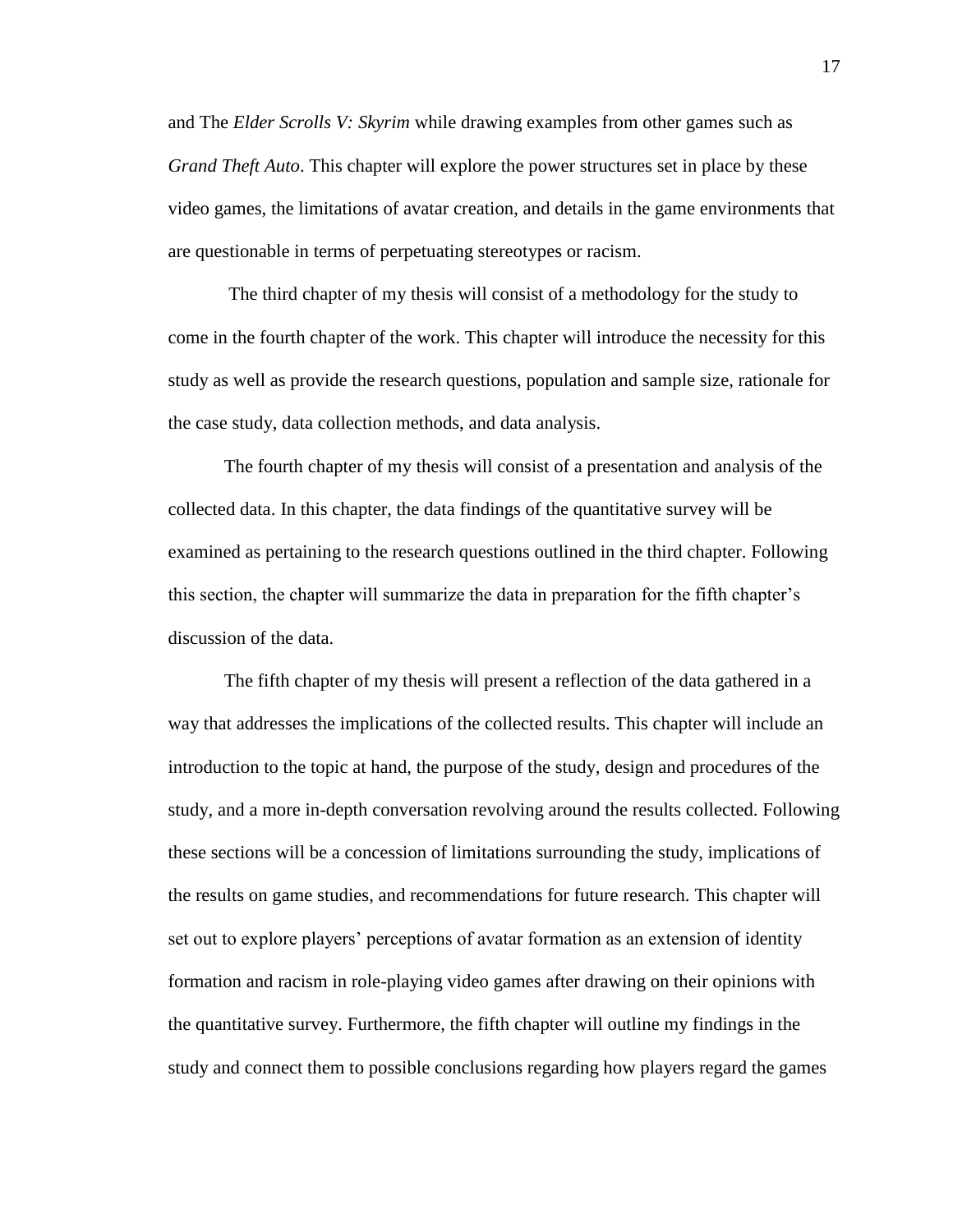and The *Elder Scrolls V: Skyrim* while drawing examples from other games such as *Grand Theft Auto*. This chapter will explore the power structures set in place by these video games, the limitations of avatar creation, and details in the game environments that are questionable in terms of perpetuating stereotypes or racism.

The third chapter of my thesis will consist of a methodology for the study to come in the fourth chapter of the work. This chapter will introduce the necessity for this study as well as provide the research questions, population and sample size, rationale for the case study, data collection methods, and data analysis.

The fourth chapter of my thesis will consist of a presentation and analysis of the collected data. In this chapter, the data findings of the quantitative survey will be examined as pertaining to the research questions outlined in the third chapter. Following this section, the chapter will summarize the data in preparation for the fifth chapter's discussion of the data.

The fifth chapter of my thesis will present a reflection of the data gathered in a way that addresses the implications of the collected results. This chapter will include an introduction to the topic at hand, the purpose of the study, design and procedures of the study, and a more in-depth conversation revolving around the results collected. Following these sections will be a concession of limitations surrounding the study, implications of the results on game studies, and recommendations for future research. This chapter will set out to explore players' perceptions of avatar formation as an extension of identity formation and racism in role-playing video games after drawing on their opinions with the quantitative survey. Furthermore, the fifth chapter will outline my findings in the study and connect them to possible conclusions regarding how players regard the games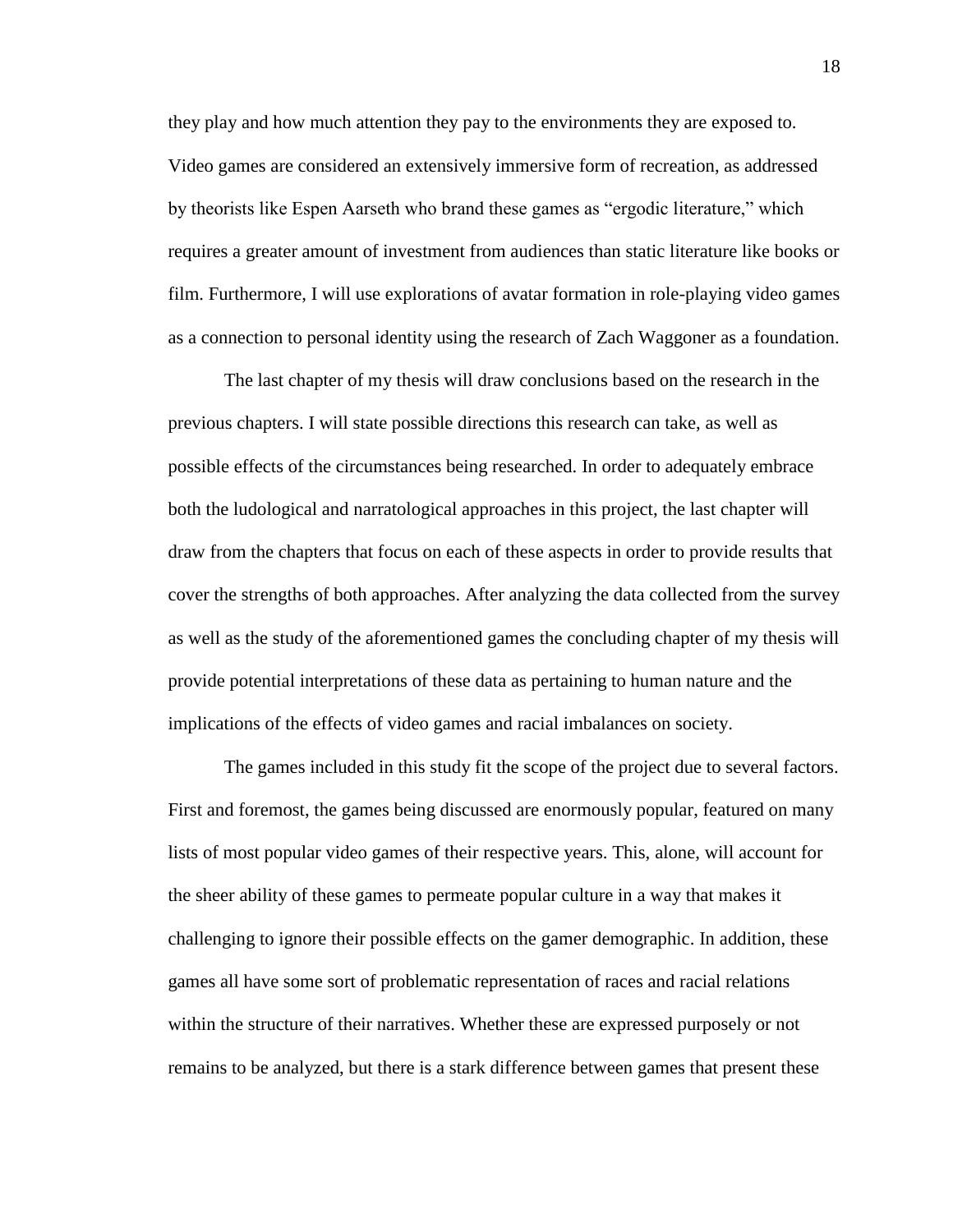they play and how much attention they pay to the environments they are exposed to. Video games are considered an extensively immersive form of recreation, as addressed by theorists like Espen Aarseth who brand these games as "ergodic literature," which requires a greater amount of investment from audiences than static literature like books or film. Furthermore, I will use explorations of avatar formation in role-playing video games as a connection to personal identity using the research of Zach Waggoner as a foundation.

The last chapter of my thesis will draw conclusions based on the research in the previous chapters. I will state possible directions this research can take, as well as possible effects of the circumstances being researched. In order to adequately embrace both the ludological and narratological approaches in this project, the last chapter will draw from the chapters that focus on each of these aspects in order to provide results that cover the strengths of both approaches. After analyzing the data collected from the survey as well as the study of the aforementioned games the concluding chapter of my thesis will provide potential interpretations of these data as pertaining to human nature and the implications of the effects of video games and racial imbalances on society.

The games included in this study fit the scope of the project due to several factors. First and foremost, the games being discussed are enormously popular, featured on many lists of most popular video games of their respective years. This, alone, will account for the sheer ability of these games to permeate popular culture in a way that makes it challenging to ignore their possible effects on the gamer demographic. In addition, these games all have some sort of problematic representation of races and racial relations within the structure of their narratives. Whether these are expressed purposely or not remains to be analyzed, but there is a stark difference between games that present these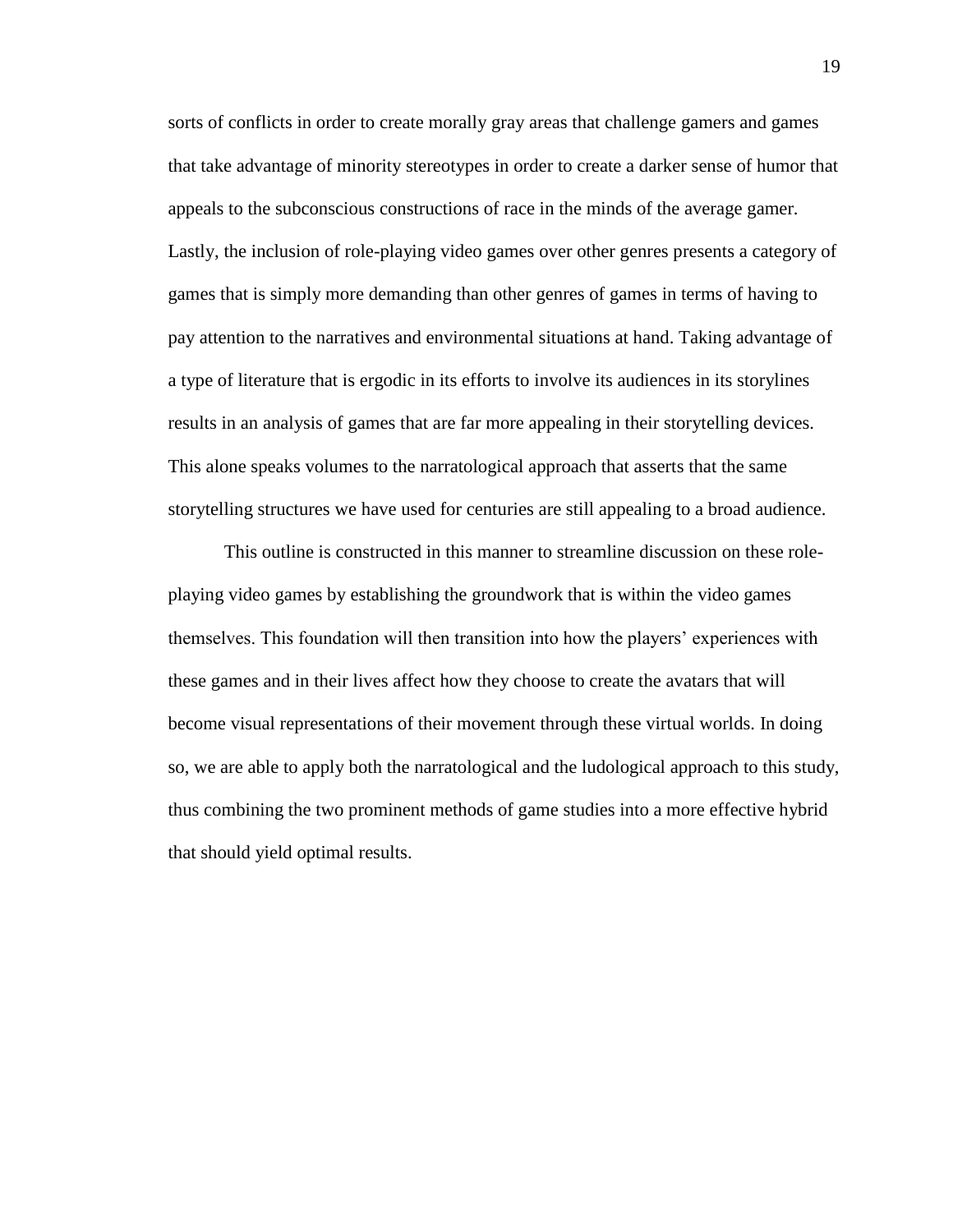sorts of conflicts in order to create morally gray areas that challenge gamers and games that take advantage of minority stereotypes in order to create a darker sense of humor that appeals to the subconscious constructions of race in the minds of the average gamer. Lastly, the inclusion of role-playing video games over other genres presents a category of games that is simply more demanding than other genres of games in terms of having to pay attention to the narratives and environmental situations at hand. Taking advantage of a type of literature that is ergodic in its efforts to involve its audiences in its storylines results in an analysis of games that are far more appealing in their storytelling devices. This alone speaks volumes to the narratological approach that asserts that the same storytelling structures we have used for centuries are still appealing to a broad audience.

This outline is constructed in this manner to streamline discussion on these roleplaying video games by establishing the groundwork that is within the video games themselves. This foundation will then transition into how the players' experiences with these games and in their lives affect how they choose to create the avatars that will become visual representations of their movement through these virtual worlds. In doing so, we are able to apply both the narratological and the ludological approach to this study, thus combining the two prominent methods of game studies into a more effective hybrid that should yield optimal results.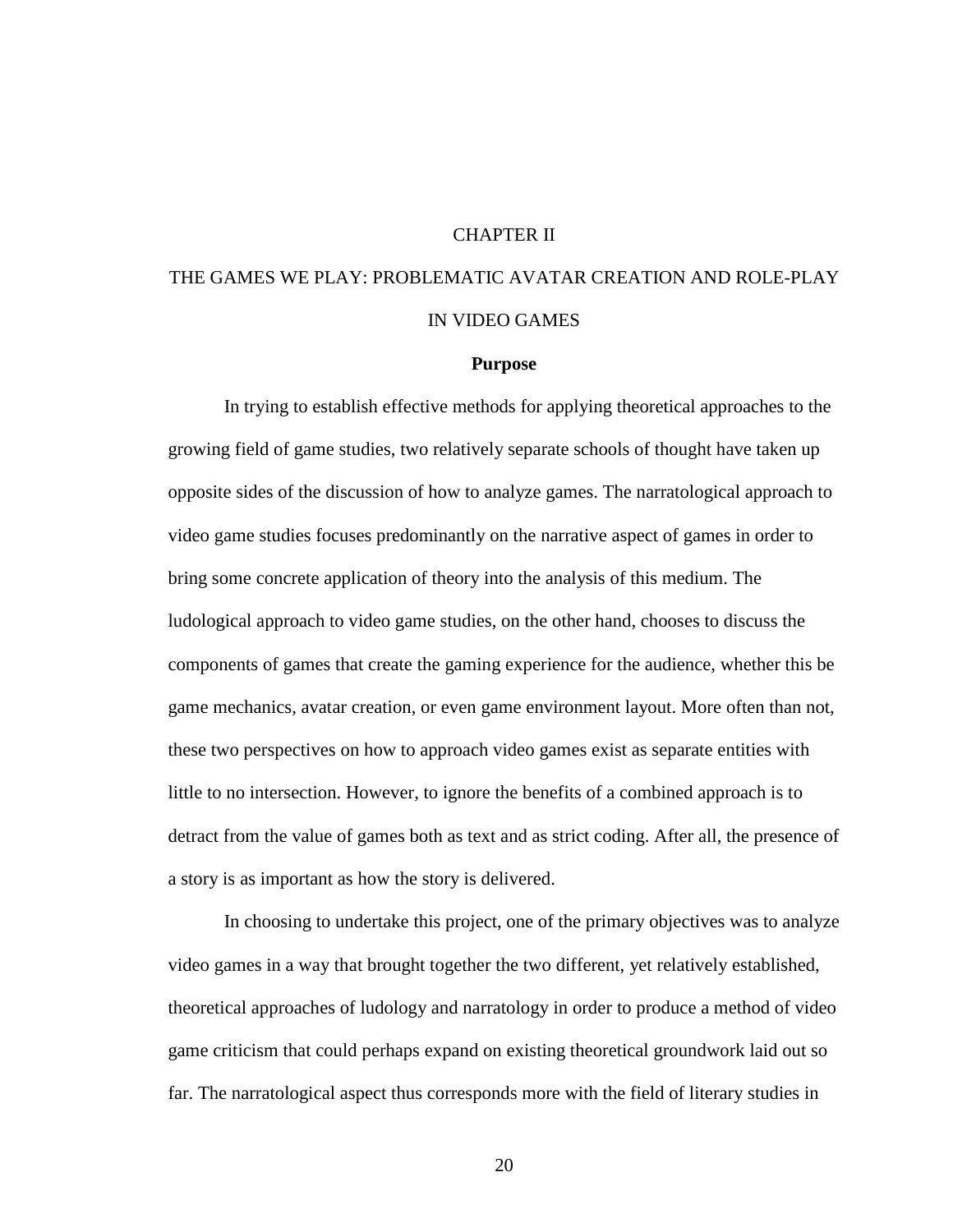#### CHAPTER II

## THE GAMES WE PLAY: PROBLEMATIC AVATAR CREATION AND ROLE-PLAY IN VIDEO GAMES

#### **Purpose**

In trying to establish effective methods for applying theoretical approaches to the growing field of game studies, two relatively separate schools of thought have taken up opposite sides of the discussion of how to analyze games. The narratological approach to video game studies focuses predominantly on the narrative aspect of games in order to bring some concrete application of theory into the analysis of this medium. The ludological approach to video game studies, on the other hand, chooses to discuss the components of games that create the gaming experience for the audience, whether this be game mechanics, avatar creation, or even game environment layout. More often than not, these two perspectives on how to approach video games exist as separate entities with little to no intersection. However, to ignore the benefits of a combined approach is to detract from the value of games both as text and as strict coding. After all, the presence of a story is as important as how the story is delivered.

In choosing to undertake this project, one of the primary objectives was to analyze video games in a way that brought together the two different, yet relatively established, theoretical approaches of ludology and narratology in order to produce a method of video game criticism that could perhaps expand on existing theoretical groundwork laid out so far. The narratological aspect thus corresponds more with the field of literary studies in

20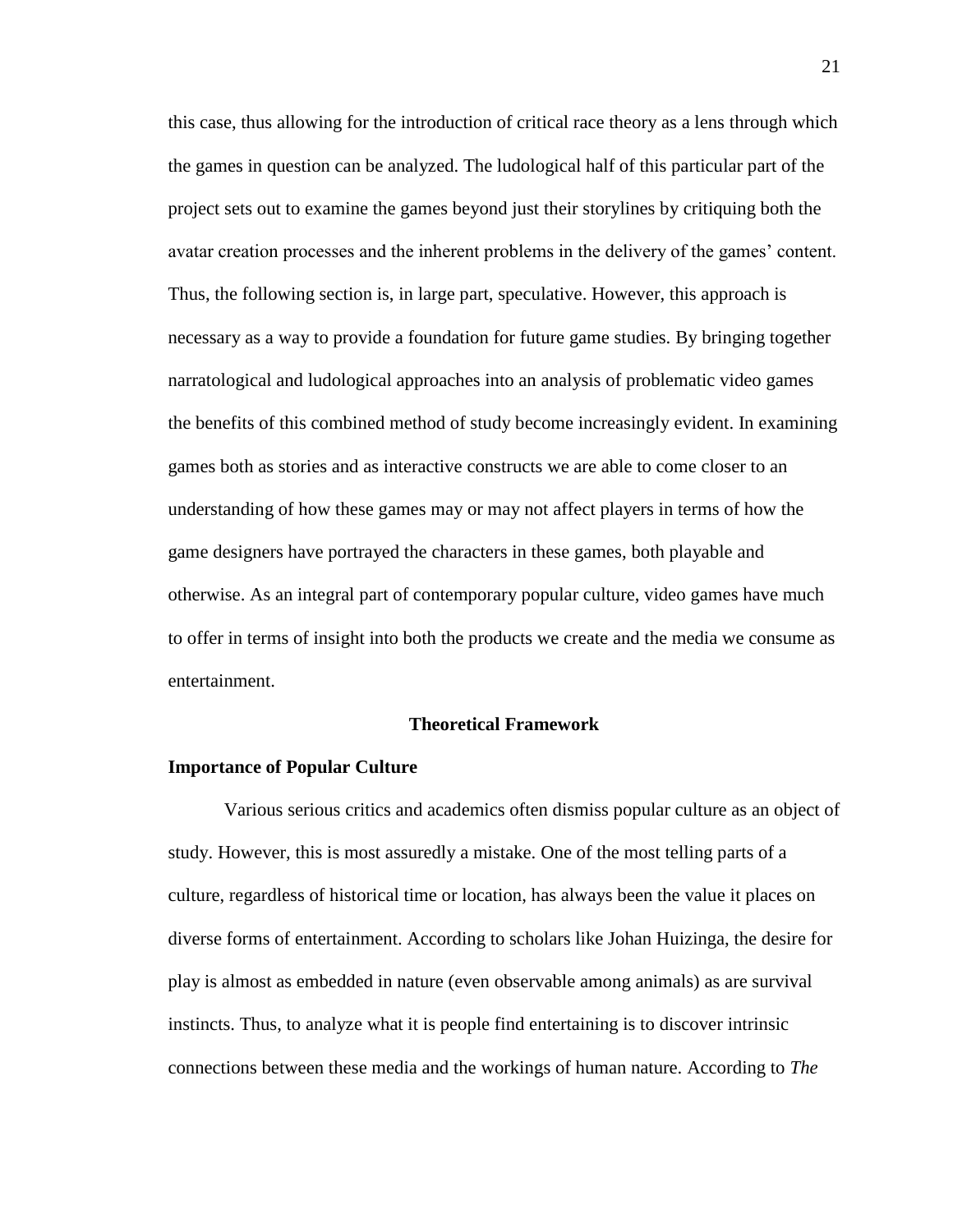this case, thus allowing for the introduction of critical race theory as a lens through which the games in question can be analyzed. The ludological half of this particular part of the project sets out to examine the games beyond just their storylines by critiquing both the avatar creation processes and the inherent problems in the delivery of the games' content. Thus, the following section is, in large part, speculative. However, this approach is necessary as a way to provide a foundation for future game studies. By bringing together narratological and ludological approaches into an analysis of problematic video games the benefits of this combined method of study become increasingly evident. In examining games both as stories and as interactive constructs we are able to come closer to an understanding of how these games may or may not affect players in terms of how the game designers have portrayed the characters in these games, both playable and otherwise. As an integral part of contemporary popular culture, video games have much to offer in terms of insight into both the products we create and the media we consume as entertainment.

#### **Theoretical Framework**

#### **Importance of Popular Culture**

Various serious critics and academics often dismiss popular culture as an object of study. However, this is most assuredly a mistake. One of the most telling parts of a culture, regardless of historical time or location, has always been the value it places on diverse forms of entertainment. According to scholars like Johan Huizinga, the desire for play is almost as embedded in nature (even observable among animals) as are survival instincts. Thus, to analyze what it is people find entertaining is to discover intrinsic connections between these media and the workings of human nature. According to *The*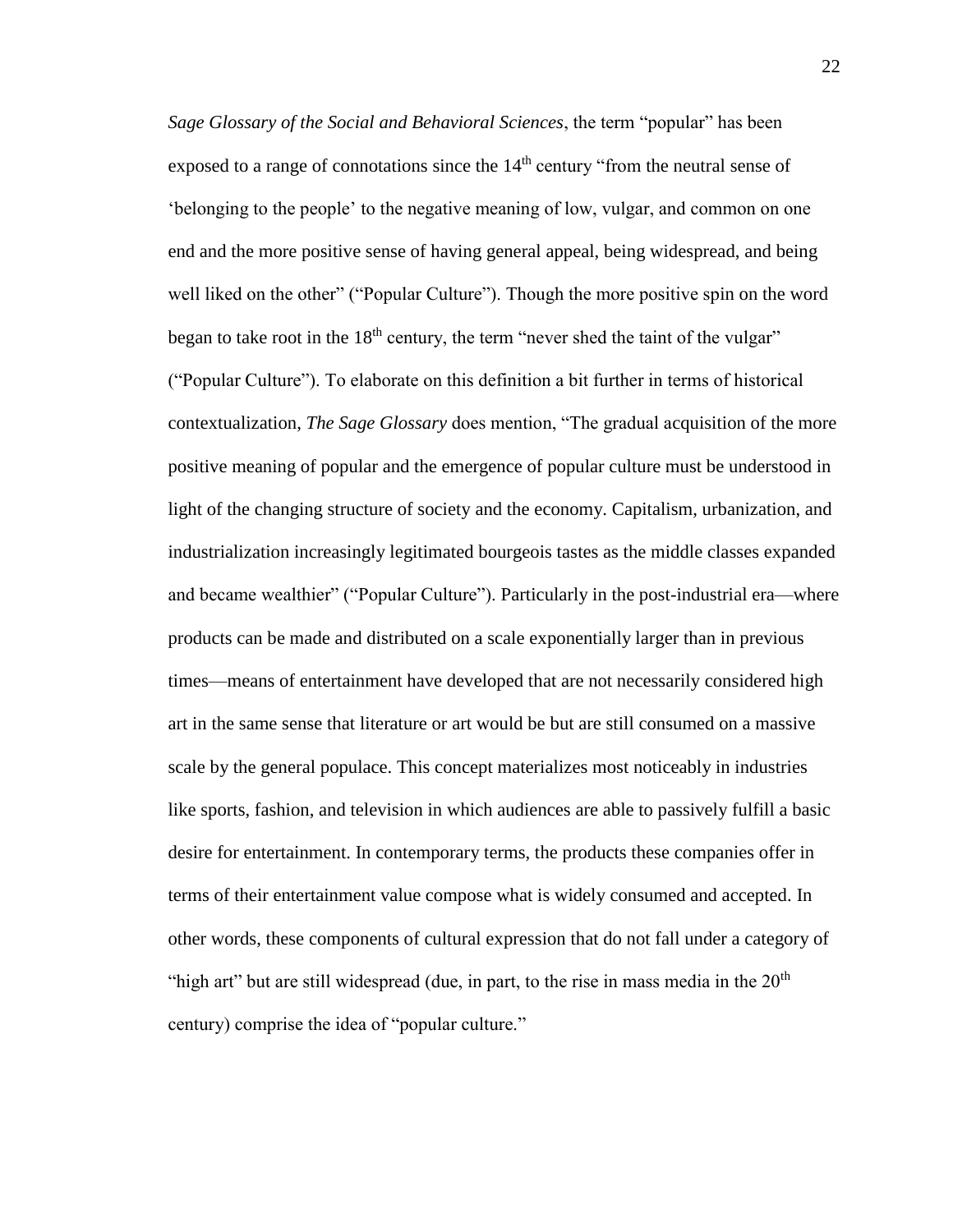*Sage Glossary of the Social and Behavioral Sciences*, the term "popular" has been exposed to a range of connotations since the  $14<sup>th</sup>$  century "from the neutral sense of 'belonging to the people' to the negative meaning of low, vulgar, and common on one end and the more positive sense of having general appeal, being widespread, and being well liked on the other" ("Popular Culture"). Though the more positive spin on the word began to take root in the  $18<sup>th</sup>$  century, the term "never shed the taint of the vulgar" ("Popular Culture"). To elaborate on this definition a bit further in terms of historical contextualization, *The Sage Glossary* does mention, "The gradual acquisition of the more positive meaning of popular and the emergence of popular culture must be understood in light of the changing structure of society and the economy. Capitalism, urbanization, and industrialization increasingly legitimated bourgeois tastes as the middle classes expanded and became wealthier" ("Popular Culture"). Particularly in the post-industrial era—where products can be made and distributed on a scale exponentially larger than in previous times—means of entertainment have developed that are not necessarily considered high art in the same sense that literature or art would be but are still consumed on a massive scale by the general populace. This concept materializes most noticeably in industries like sports, fashion, and television in which audiences are able to passively fulfill a basic desire for entertainment. In contemporary terms, the products these companies offer in terms of their entertainment value compose what is widely consumed and accepted. In other words, these components of cultural expression that do not fall under a category of "high art" but are still widespread (due, in part, to the rise in mass media in the  $20<sup>th</sup>$ century) comprise the idea of "popular culture."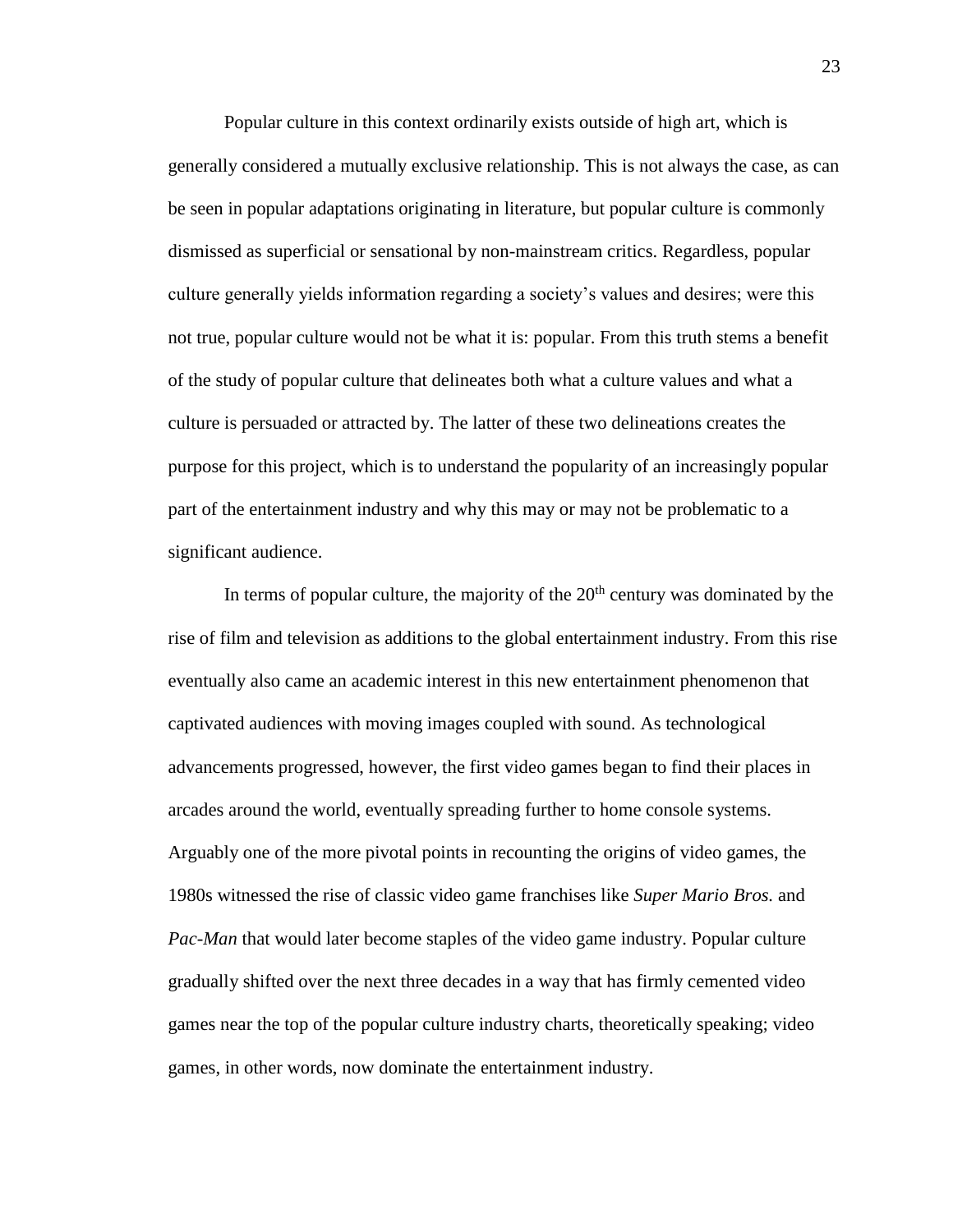Popular culture in this context ordinarily exists outside of high art, which is generally considered a mutually exclusive relationship. This is not always the case, as can be seen in popular adaptations originating in literature, but popular culture is commonly dismissed as superficial or sensational by non-mainstream critics. Regardless, popular culture generally yields information regarding a society's values and desires; were this not true, popular culture would not be what it is: popular. From this truth stems a benefit of the study of popular culture that delineates both what a culture values and what a culture is persuaded or attracted by. The latter of these two delineations creates the purpose for this project, which is to understand the popularity of an increasingly popular part of the entertainment industry and why this may or may not be problematic to a significant audience.

In terms of popular culture, the majority of the  $20<sup>th</sup>$  century was dominated by the rise of film and television as additions to the global entertainment industry. From this rise eventually also came an academic interest in this new entertainment phenomenon that captivated audiences with moving images coupled with sound. As technological advancements progressed, however, the first video games began to find their places in arcades around the world, eventually spreading further to home console systems. Arguably one of the more pivotal points in recounting the origins of video games, the 1980s witnessed the rise of classic video game franchises like *Super Mario Bros.* and *Pac-Man* that would later become staples of the video game industry. Popular culture gradually shifted over the next three decades in a way that has firmly cemented video games near the top of the popular culture industry charts, theoretically speaking; video games, in other words, now dominate the entertainment industry.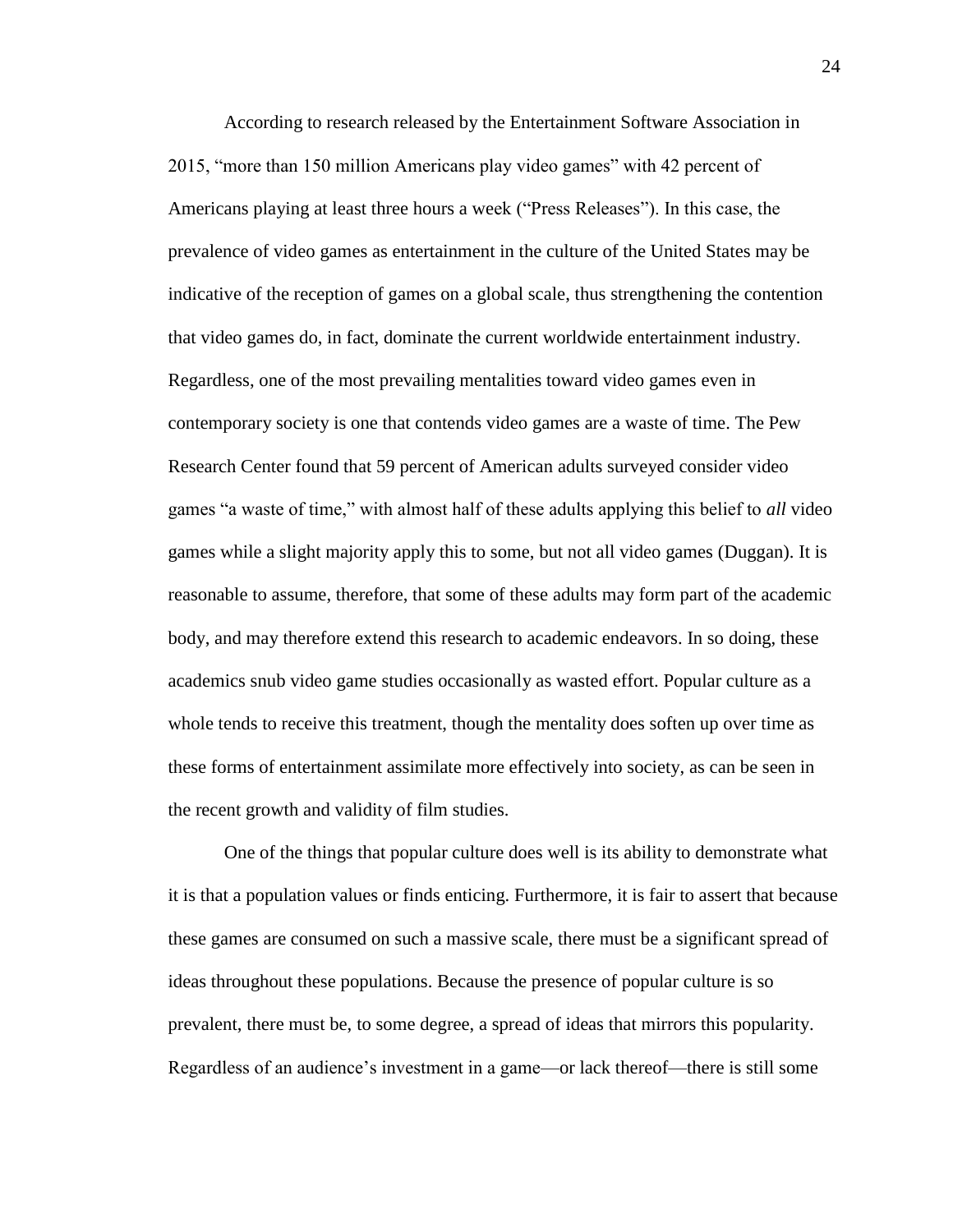According to research released by the Entertainment Software Association in 2015, "more than 150 million Americans play video games" with 42 percent of Americans playing at least three hours a week ("Press Releases"). In this case, the prevalence of video games as entertainment in the culture of the United States may be indicative of the reception of games on a global scale, thus strengthening the contention that video games do, in fact, dominate the current worldwide entertainment industry. Regardless, one of the most prevailing mentalities toward video games even in contemporary society is one that contends video games are a waste of time. The Pew Research Center found that 59 percent of American adults surveyed consider video games "a waste of time," with almost half of these adults applying this belief to *all* video games while a slight majority apply this to some, but not all video games (Duggan). It is reasonable to assume, therefore, that some of these adults may form part of the academic body, and may therefore extend this research to academic endeavors. In so doing, these academics snub video game studies occasionally as wasted effort. Popular culture as a whole tends to receive this treatment, though the mentality does soften up over time as these forms of entertainment assimilate more effectively into society, as can be seen in the recent growth and validity of film studies.

One of the things that popular culture does well is its ability to demonstrate what it is that a population values or finds enticing. Furthermore, it is fair to assert that because these games are consumed on such a massive scale, there must be a significant spread of ideas throughout these populations. Because the presence of popular culture is so prevalent, there must be, to some degree, a spread of ideas that mirrors this popularity. Regardless of an audience's investment in a game—or lack thereof—there is still some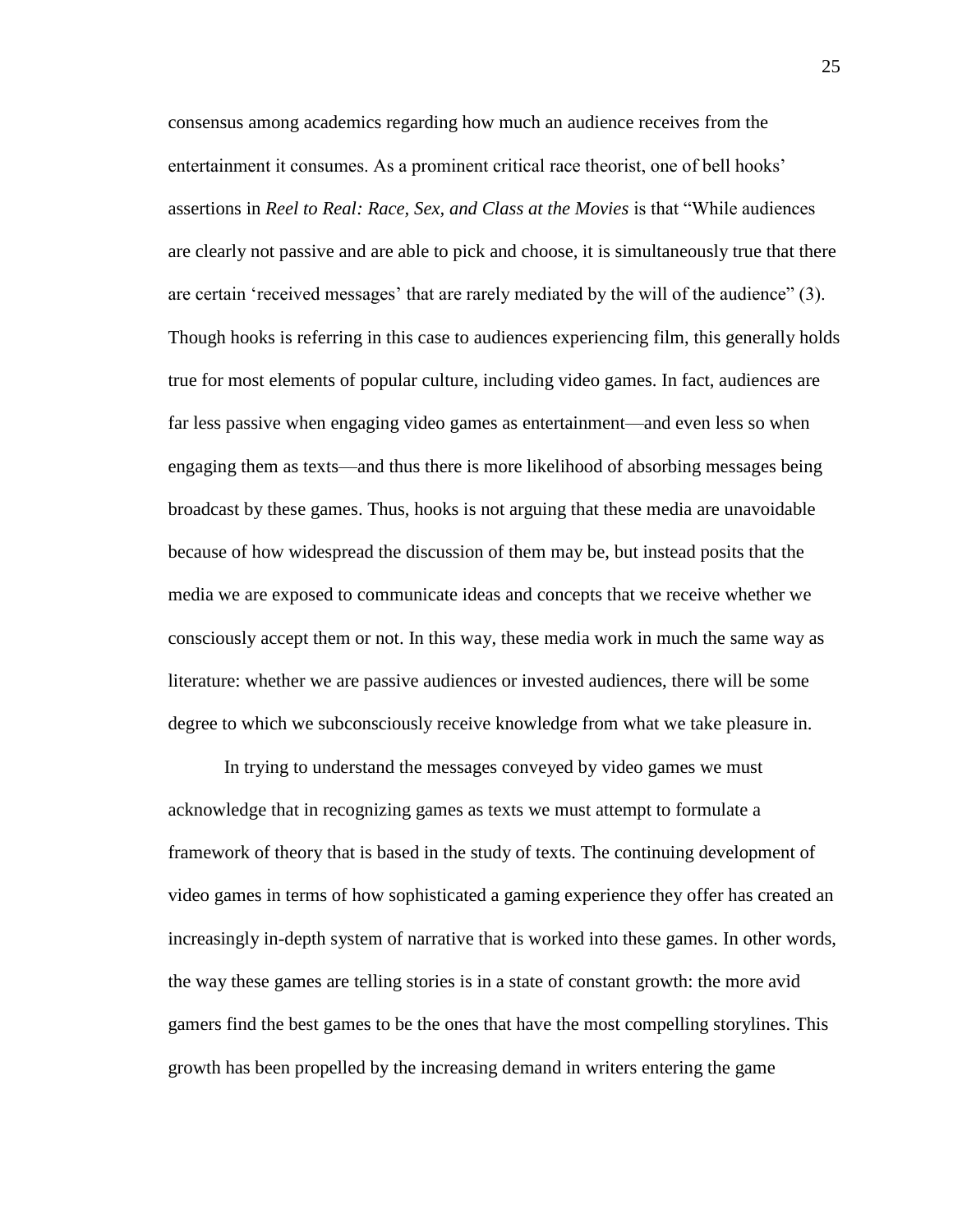consensus among academics regarding how much an audience receives from the entertainment it consumes. As a prominent critical race theorist, one of bell hooks' assertions in *Reel to Real: Race, Sex, and Class at the Movies* is that "While audiences are clearly not passive and are able to pick and choose, it is simultaneously true that there are certain 'received messages' that are rarely mediated by the will of the audience" (3). Though hooks is referring in this case to audiences experiencing film, this generally holds true for most elements of popular culture, including video games. In fact, audiences are far less passive when engaging video games as entertainment—and even less so when engaging them as texts—and thus there is more likelihood of absorbing messages being broadcast by these games. Thus, hooks is not arguing that these media are unavoidable because of how widespread the discussion of them may be, but instead posits that the media we are exposed to communicate ideas and concepts that we receive whether we consciously accept them or not. In this way, these media work in much the same way as literature: whether we are passive audiences or invested audiences, there will be some degree to which we subconsciously receive knowledge from what we take pleasure in.

In trying to understand the messages conveyed by video games we must acknowledge that in recognizing games as texts we must attempt to formulate a framework of theory that is based in the study of texts. The continuing development of video games in terms of how sophisticated a gaming experience they offer has created an increasingly in-depth system of narrative that is worked into these games. In other words, the way these games are telling stories is in a state of constant growth: the more avid gamers find the best games to be the ones that have the most compelling storylines. This growth has been propelled by the increasing demand in writers entering the game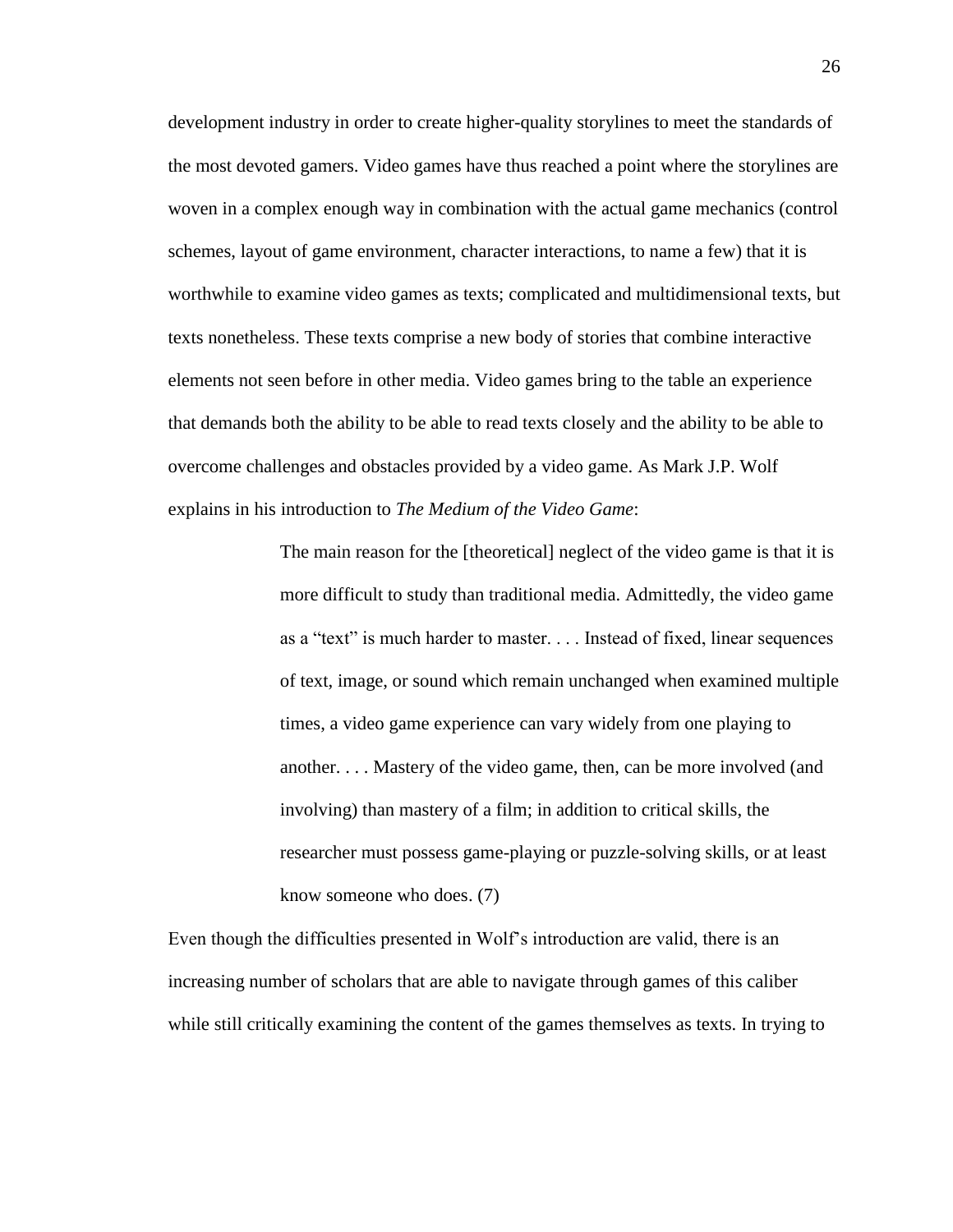development industry in order to create higher-quality storylines to meet the standards of the most devoted gamers. Video games have thus reached a point where the storylines are woven in a complex enough way in combination with the actual game mechanics (control schemes, layout of game environment, character interactions, to name a few) that it is worthwhile to examine video games as texts; complicated and multidimensional texts, but texts nonetheless. These texts comprise a new body of stories that combine interactive elements not seen before in other media. Video games bring to the table an experience that demands both the ability to be able to read texts closely and the ability to be able to overcome challenges and obstacles provided by a video game. As Mark J.P. Wolf explains in his introduction to *The Medium of the Video Game*:

> The main reason for the [theoretical] neglect of the video game is that it is more difficult to study than traditional media. Admittedly, the video game as a "text" is much harder to master. . . . Instead of fixed, linear sequences of text, image, or sound which remain unchanged when examined multiple times, a video game experience can vary widely from one playing to another. . . . Mastery of the video game, then, can be more involved (and involving) than mastery of a film; in addition to critical skills, the researcher must possess game-playing or puzzle-solving skills, or at least know someone who does. (7)

Even though the difficulties presented in Wolf's introduction are valid, there is an increasing number of scholars that are able to navigate through games of this caliber while still critically examining the content of the games themselves as texts. In trying to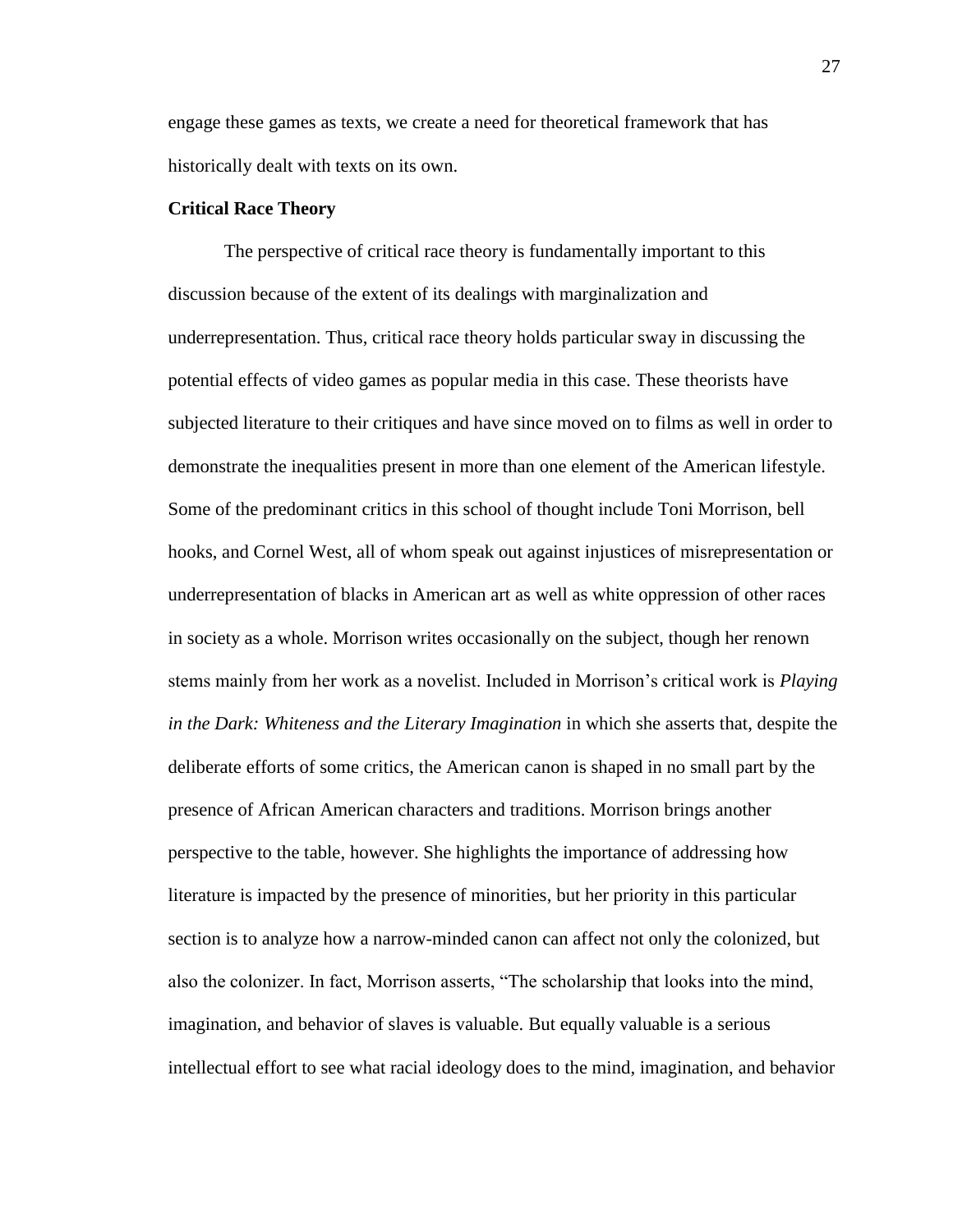engage these games as texts, we create a need for theoretical framework that has historically dealt with texts on its own.

#### **Critical Race Theory**

The perspective of critical race theory is fundamentally important to this discussion because of the extent of its dealings with marginalization and underrepresentation. Thus, critical race theory holds particular sway in discussing the potential effects of video games as popular media in this case. These theorists have subjected literature to their critiques and have since moved on to films as well in order to demonstrate the inequalities present in more than one element of the American lifestyle. Some of the predominant critics in this school of thought include Toni Morrison, bell hooks, and Cornel West, all of whom speak out against injustices of misrepresentation or underrepresentation of blacks in American art as well as white oppression of other races in society as a whole. Morrison writes occasionally on the subject, though her renown stems mainly from her work as a novelist. Included in Morrison's critical work is *Playing in the Dark: Whiteness and the Literary Imagination* in which she asserts that, despite the deliberate efforts of some critics, the American canon is shaped in no small part by the presence of African American characters and traditions. Morrison brings another perspective to the table, however. She highlights the importance of addressing how literature is impacted by the presence of minorities, but her priority in this particular section is to analyze how a narrow-minded canon can affect not only the colonized, but also the colonizer. In fact, Morrison asserts, "The scholarship that looks into the mind, imagination, and behavior of slaves is valuable. But equally valuable is a serious intellectual effort to see what racial ideology does to the mind, imagination, and behavior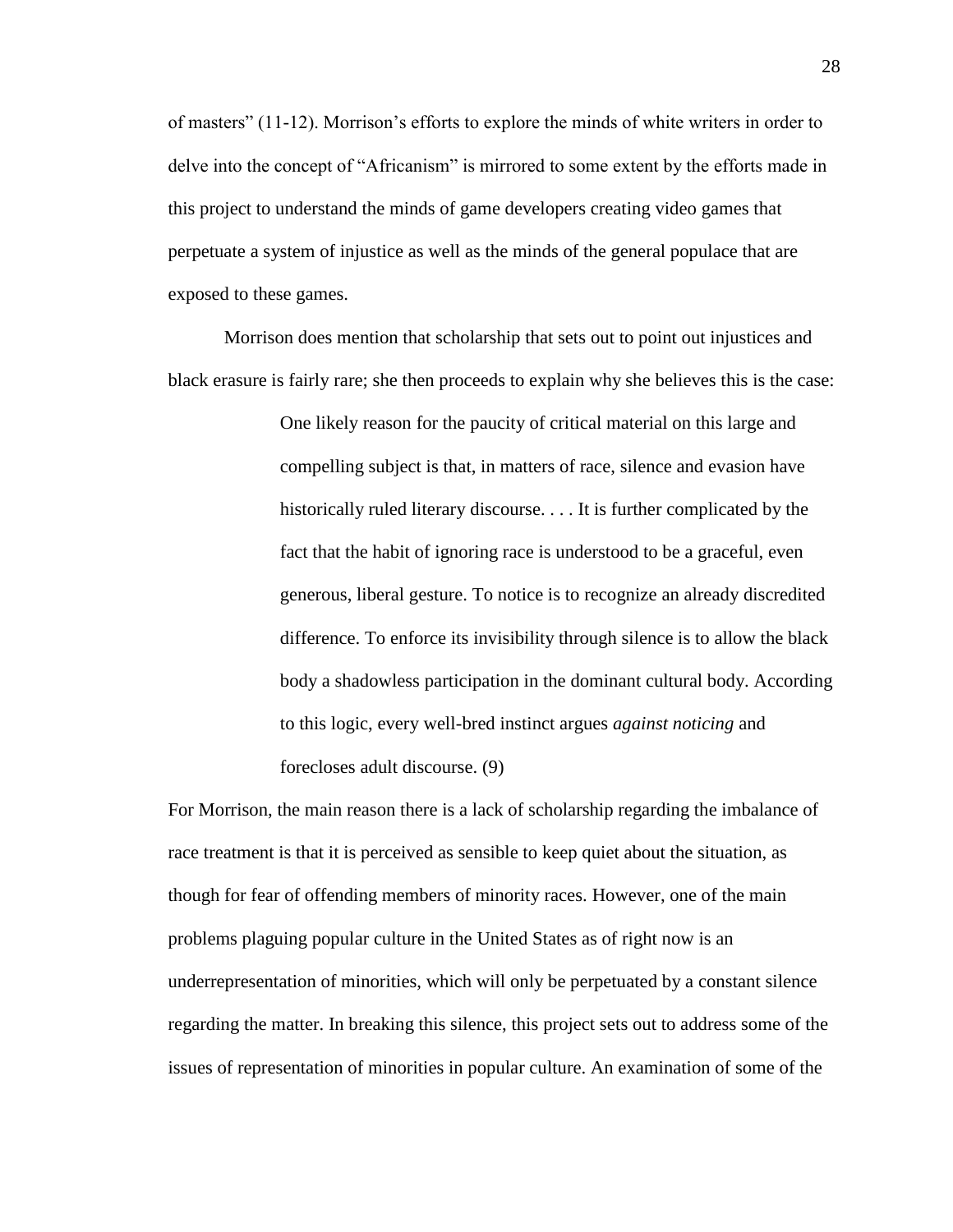of masters" (11-12). Morrison's efforts to explore the minds of white writers in order to delve into the concept of "Africanism" is mirrored to some extent by the efforts made in this project to understand the minds of game developers creating video games that perpetuate a system of injustice as well as the minds of the general populace that are exposed to these games.

Morrison does mention that scholarship that sets out to point out injustices and black erasure is fairly rare; she then proceeds to explain why she believes this is the case:

> One likely reason for the paucity of critical material on this large and compelling subject is that, in matters of race, silence and evasion have historically ruled literary discourse. . . . It is further complicated by the fact that the habit of ignoring race is understood to be a graceful, even generous, liberal gesture. To notice is to recognize an already discredited difference. To enforce its invisibility through silence is to allow the black body a shadowless participation in the dominant cultural body. According to this logic, every well-bred instinct argues *against noticing* and forecloses adult discourse. (9)

For Morrison, the main reason there is a lack of scholarship regarding the imbalance of race treatment is that it is perceived as sensible to keep quiet about the situation, as though for fear of offending members of minority races. However, one of the main problems plaguing popular culture in the United States as of right now is an underrepresentation of minorities, which will only be perpetuated by a constant silence regarding the matter. In breaking this silence, this project sets out to address some of the issues of representation of minorities in popular culture. An examination of some of the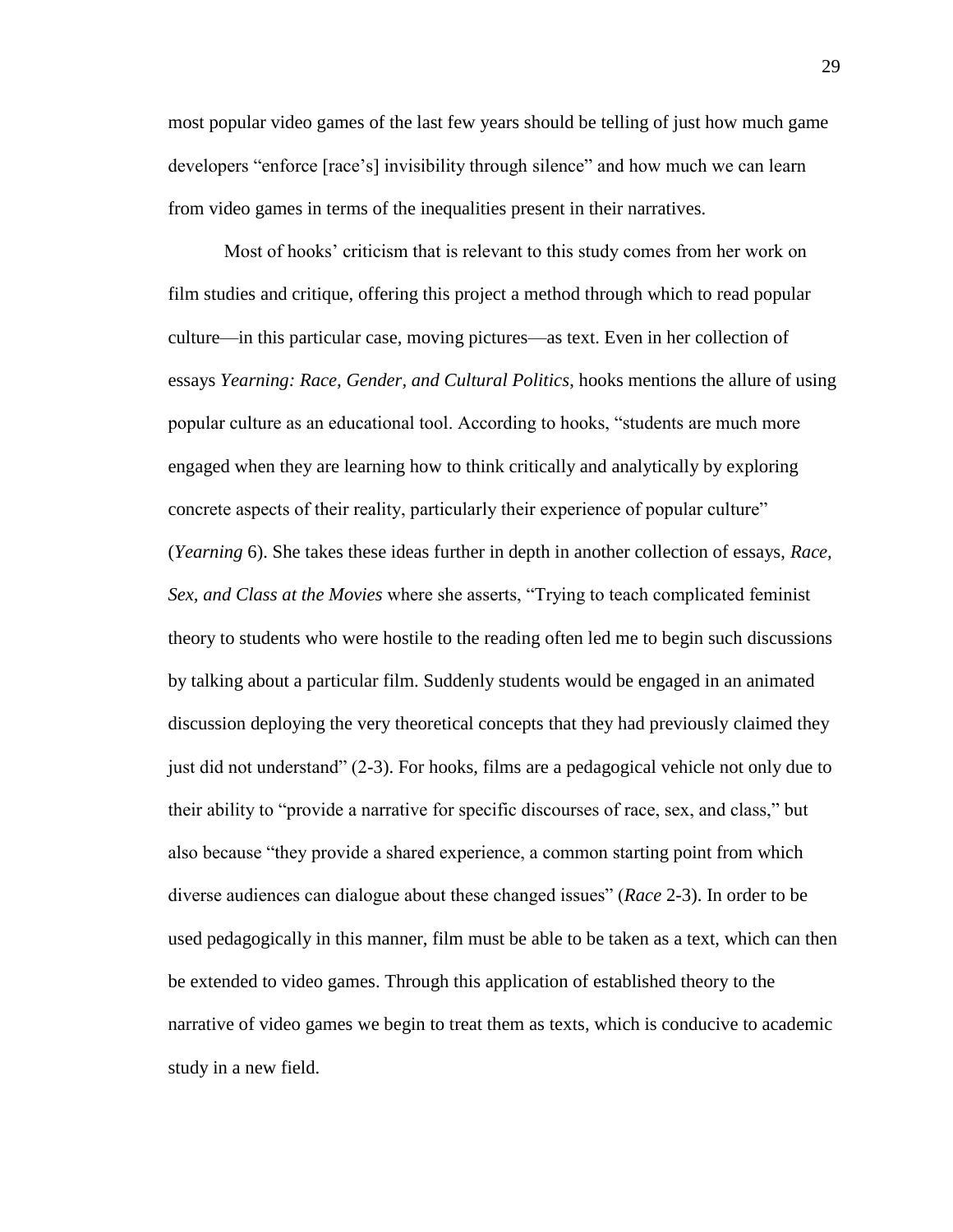most popular video games of the last few years should be telling of just how much game developers "enforce [race's] invisibility through silence" and how much we can learn from video games in terms of the inequalities present in their narratives.

Most of hooks' criticism that is relevant to this study comes from her work on film studies and critique, offering this project a method through which to read popular culture—in this particular case, moving pictures—as text. Even in her collection of essays *Yearning: Race, Gender, and Cultural Politics*, hooks mentions the allure of using popular culture as an educational tool. According to hooks, "students are much more engaged when they are learning how to think critically and analytically by exploring concrete aspects of their reality, particularly their experience of popular culture" (*Yearning* 6). She takes these ideas further in depth in another collection of essays, *Race, Sex, and Class at the Movies* where she asserts, "Trying to teach complicated feminist theory to students who were hostile to the reading often led me to begin such discussions by talking about a particular film. Suddenly students would be engaged in an animated discussion deploying the very theoretical concepts that they had previously claimed they just did not understand" (2-3). For hooks, films are a pedagogical vehicle not only due to their ability to "provide a narrative for specific discourses of race, sex, and class," but also because "they provide a shared experience, a common starting point from which diverse audiences can dialogue about these changed issues" (*Race* 2-3). In order to be used pedagogically in this manner, film must be able to be taken as a text, which can then be extended to video games. Through this application of established theory to the narrative of video games we begin to treat them as texts, which is conducive to academic study in a new field.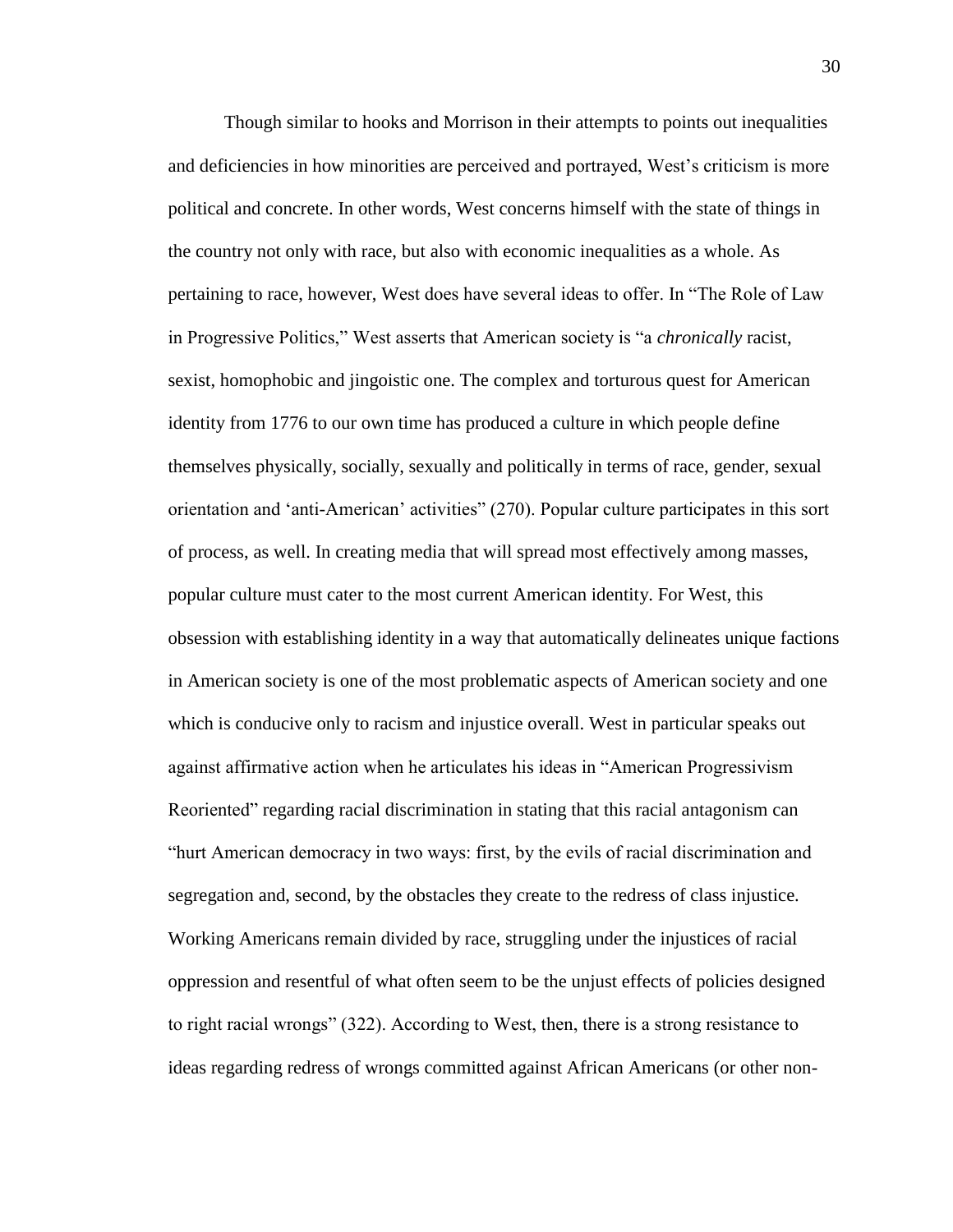Though similar to hooks and Morrison in their attempts to points out inequalities and deficiencies in how minorities are perceived and portrayed, West's criticism is more political and concrete. In other words, West concerns himself with the state of things in the country not only with race, but also with economic inequalities as a whole. As pertaining to race, however, West does have several ideas to offer. In "The Role of Law in Progressive Politics," West asserts that American society is "a *chronically* racist, sexist, homophobic and jingoistic one. The complex and torturous quest for American identity from 1776 to our own time has produced a culture in which people define themselves physically, socially, sexually and politically in terms of race, gender, sexual orientation and 'anti-American' activities" (270). Popular culture participates in this sort of process, as well. In creating media that will spread most effectively among masses, popular culture must cater to the most current American identity. For West, this obsession with establishing identity in a way that automatically delineates unique factions in American society is one of the most problematic aspects of American society and one which is conducive only to racism and injustice overall. West in particular speaks out against affirmative action when he articulates his ideas in "American Progressivism Reoriented" regarding racial discrimination in stating that this racial antagonism can "hurt American democracy in two ways: first, by the evils of racial discrimination and segregation and, second, by the obstacles they create to the redress of class injustice. Working Americans remain divided by race, struggling under the injustices of racial oppression and resentful of what often seem to be the unjust effects of policies designed to right racial wrongs" (322). According to West, then, there is a strong resistance to ideas regarding redress of wrongs committed against African Americans (or other non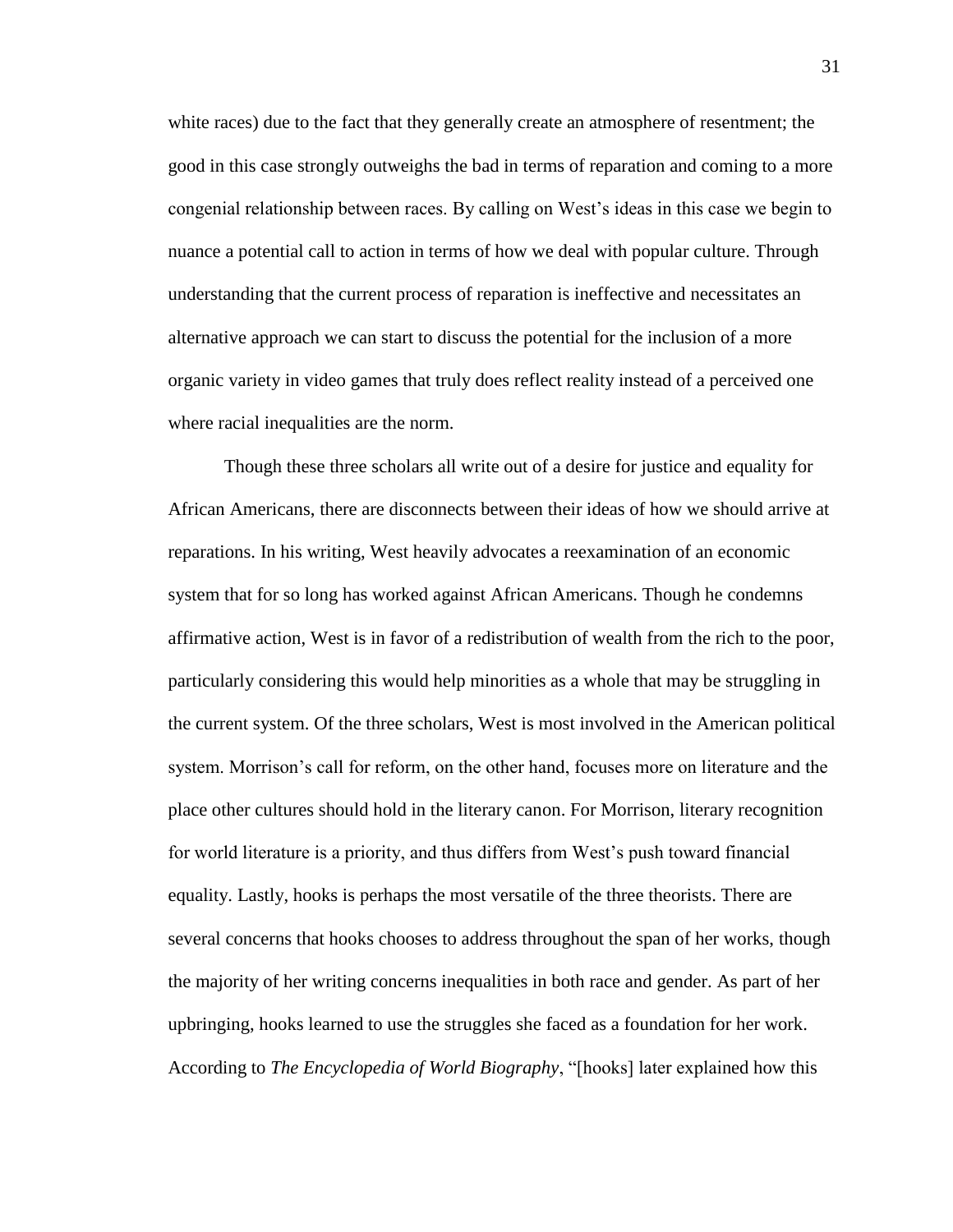white races) due to the fact that they generally create an atmosphere of resentment; the good in this case strongly outweighs the bad in terms of reparation and coming to a more congenial relationship between races. By calling on West's ideas in this case we begin to nuance a potential call to action in terms of how we deal with popular culture. Through understanding that the current process of reparation is ineffective and necessitates an alternative approach we can start to discuss the potential for the inclusion of a more organic variety in video games that truly does reflect reality instead of a perceived one where racial inequalities are the norm.

Though these three scholars all write out of a desire for justice and equality for African Americans, there are disconnects between their ideas of how we should arrive at reparations. In his writing, West heavily advocates a reexamination of an economic system that for so long has worked against African Americans. Though he condemns affirmative action, West is in favor of a redistribution of wealth from the rich to the poor, particularly considering this would help minorities as a whole that may be struggling in the current system. Of the three scholars, West is most involved in the American political system. Morrison's call for reform, on the other hand, focuses more on literature and the place other cultures should hold in the literary canon. For Morrison, literary recognition for world literature is a priority, and thus differs from West's push toward financial equality. Lastly, hooks is perhaps the most versatile of the three theorists. There are several concerns that hooks chooses to address throughout the span of her works, though the majority of her writing concerns inequalities in both race and gender. As part of her upbringing, hooks learned to use the struggles she faced as a foundation for her work. According to *The Encyclopedia of World Biography*, "[hooks] later explained how this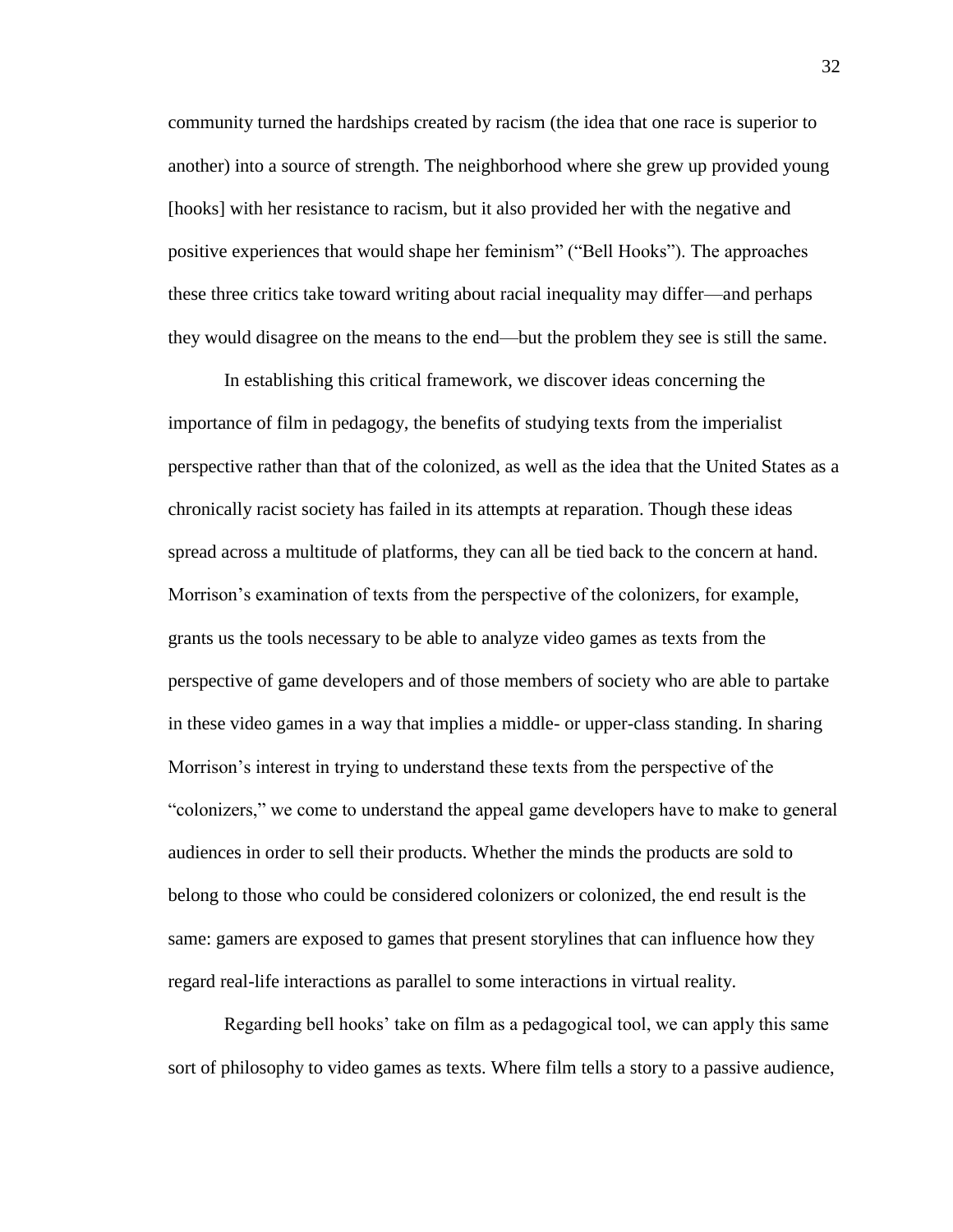community turned the hardships created by racism (the idea that one race is superior to another) into a source of strength. The neighborhood where she grew up provided young [hooks] with her resistance to racism, but it also provided her with the negative and positive experiences that would shape her feminism" ("Bell Hooks"). The approaches these three critics take toward writing about racial inequality may differ—and perhaps they would disagree on the means to the end—but the problem they see is still the same.

In establishing this critical framework, we discover ideas concerning the importance of film in pedagogy, the benefits of studying texts from the imperialist perspective rather than that of the colonized, as well as the idea that the United States as a chronically racist society has failed in its attempts at reparation. Though these ideas spread across a multitude of platforms, they can all be tied back to the concern at hand. Morrison's examination of texts from the perspective of the colonizers, for example, grants us the tools necessary to be able to analyze video games as texts from the perspective of game developers and of those members of society who are able to partake in these video games in a way that implies a middle- or upper-class standing. In sharing Morrison's interest in trying to understand these texts from the perspective of the "colonizers," we come to understand the appeal game developers have to make to general audiences in order to sell their products. Whether the minds the products are sold to belong to those who could be considered colonizers or colonized, the end result is the same: gamers are exposed to games that present storylines that can influence how they regard real-life interactions as parallel to some interactions in virtual reality.

Regarding bell hooks' take on film as a pedagogical tool, we can apply this same sort of philosophy to video games as texts. Where film tells a story to a passive audience,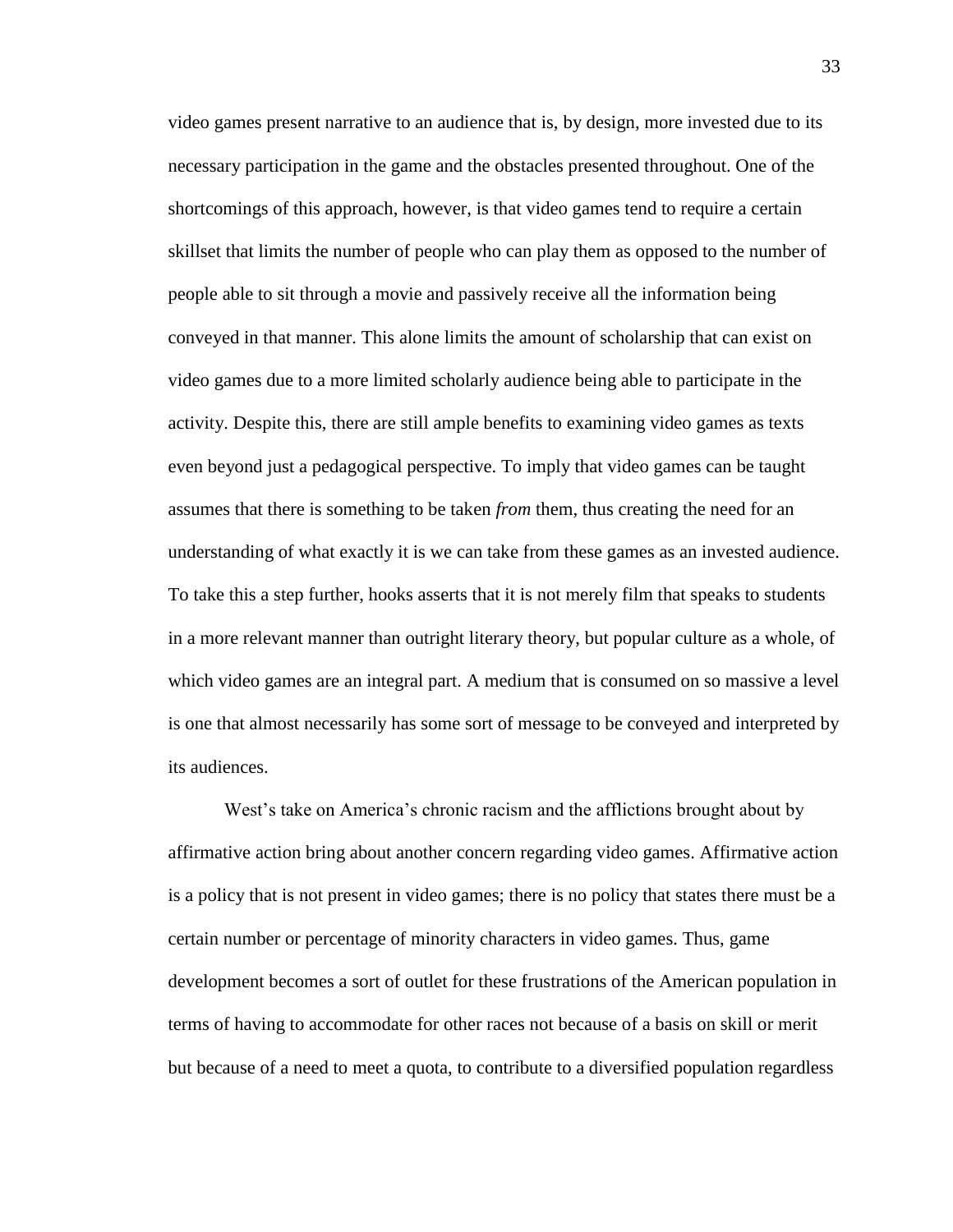video games present narrative to an audience that is, by design, more invested due to its necessary participation in the game and the obstacles presented throughout. One of the shortcomings of this approach, however, is that video games tend to require a certain skillset that limits the number of people who can play them as opposed to the number of people able to sit through a movie and passively receive all the information being conveyed in that manner. This alone limits the amount of scholarship that can exist on video games due to a more limited scholarly audience being able to participate in the activity. Despite this, there are still ample benefits to examining video games as texts even beyond just a pedagogical perspective. To imply that video games can be taught assumes that there is something to be taken *from* them, thus creating the need for an understanding of what exactly it is we can take from these games as an invested audience. To take this a step further, hooks asserts that it is not merely film that speaks to students in a more relevant manner than outright literary theory, but popular culture as a whole, of which video games are an integral part. A medium that is consumed on so massive a level is one that almost necessarily has some sort of message to be conveyed and interpreted by its audiences.

West's take on America's chronic racism and the afflictions brought about by affirmative action bring about another concern regarding video games. Affirmative action is a policy that is not present in video games; there is no policy that states there must be a certain number or percentage of minority characters in video games. Thus, game development becomes a sort of outlet for these frustrations of the American population in terms of having to accommodate for other races not because of a basis on skill or merit but because of a need to meet a quota, to contribute to a diversified population regardless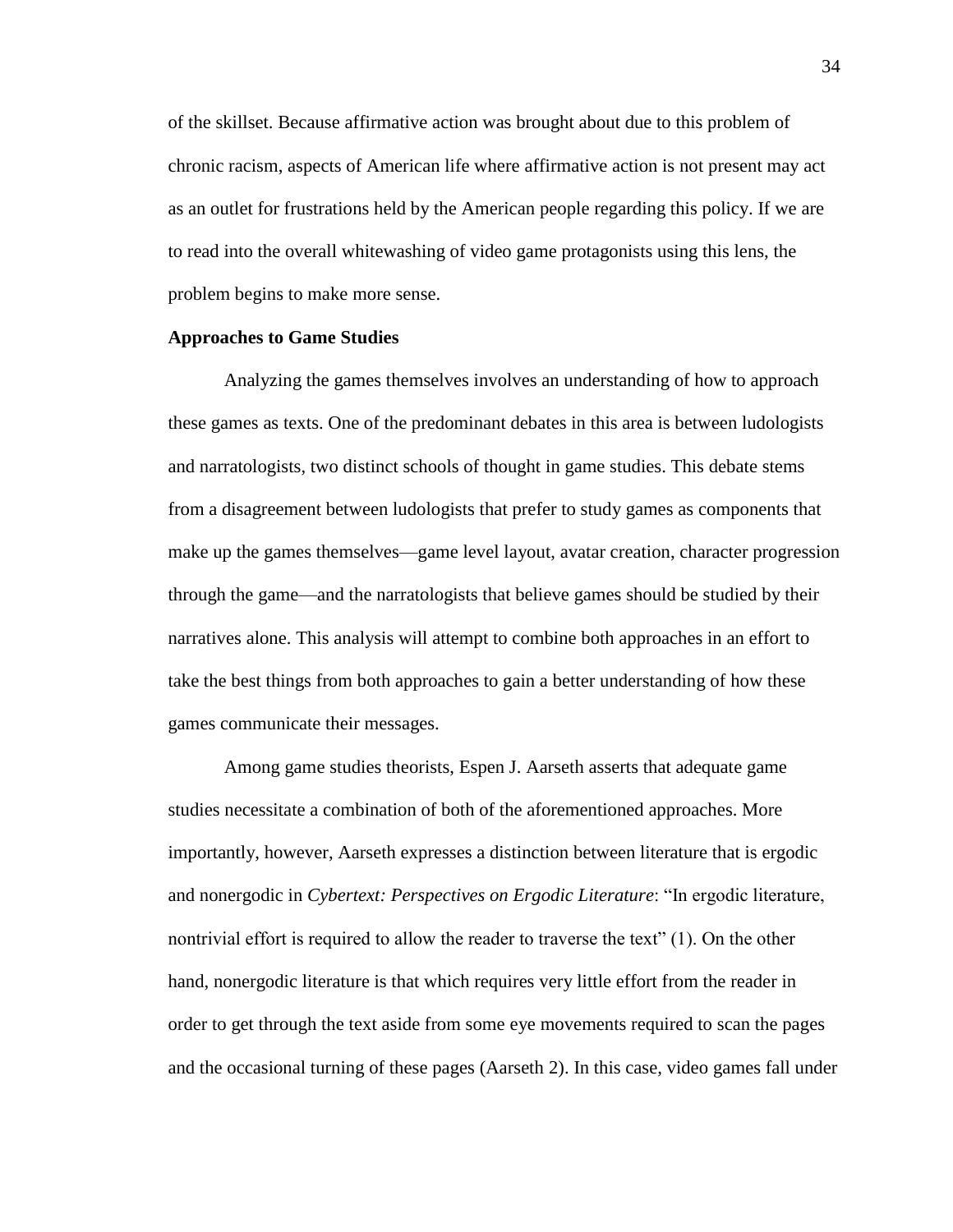of the skillset. Because affirmative action was brought about due to this problem of chronic racism, aspects of American life where affirmative action is not present may act as an outlet for frustrations held by the American people regarding this policy. If we are to read into the overall whitewashing of video game protagonists using this lens, the problem begins to make more sense.

# **Approaches to Game Studies**

Analyzing the games themselves involves an understanding of how to approach these games as texts. One of the predominant debates in this area is between ludologists and narratologists, two distinct schools of thought in game studies. This debate stems from a disagreement between ludologists that prefer to study games as components that make up the games themselves—game level layout, avatar creation, character progression through the game—and the narratologists that believe games should be studied by their narratives alone. This analysis will attempt to combine both approaches in an effort to take the best things from both approaches to gain a better understanding of how these games communicate their messages.

Among game studies theorists, Espen J. Aarseth asserts that adequate game studies necessitate a combination of both of the aforementioned approaches. More importantly, however, Aarseth expresses a distinction between literature that is ergodic and nonergodic in *Cybertext: Perspectives on Ergodic Literature*: "In ergodic literature, nontrivial effort is required to allow the reader to traverse the text" (1). On the other hand, nonergodic literature is that which requires very little effort from the reader in order to get through the text aside from some eye movements required to scan the pages and the occasional turning of these pages (Aarseth 2). In this case, video games fall under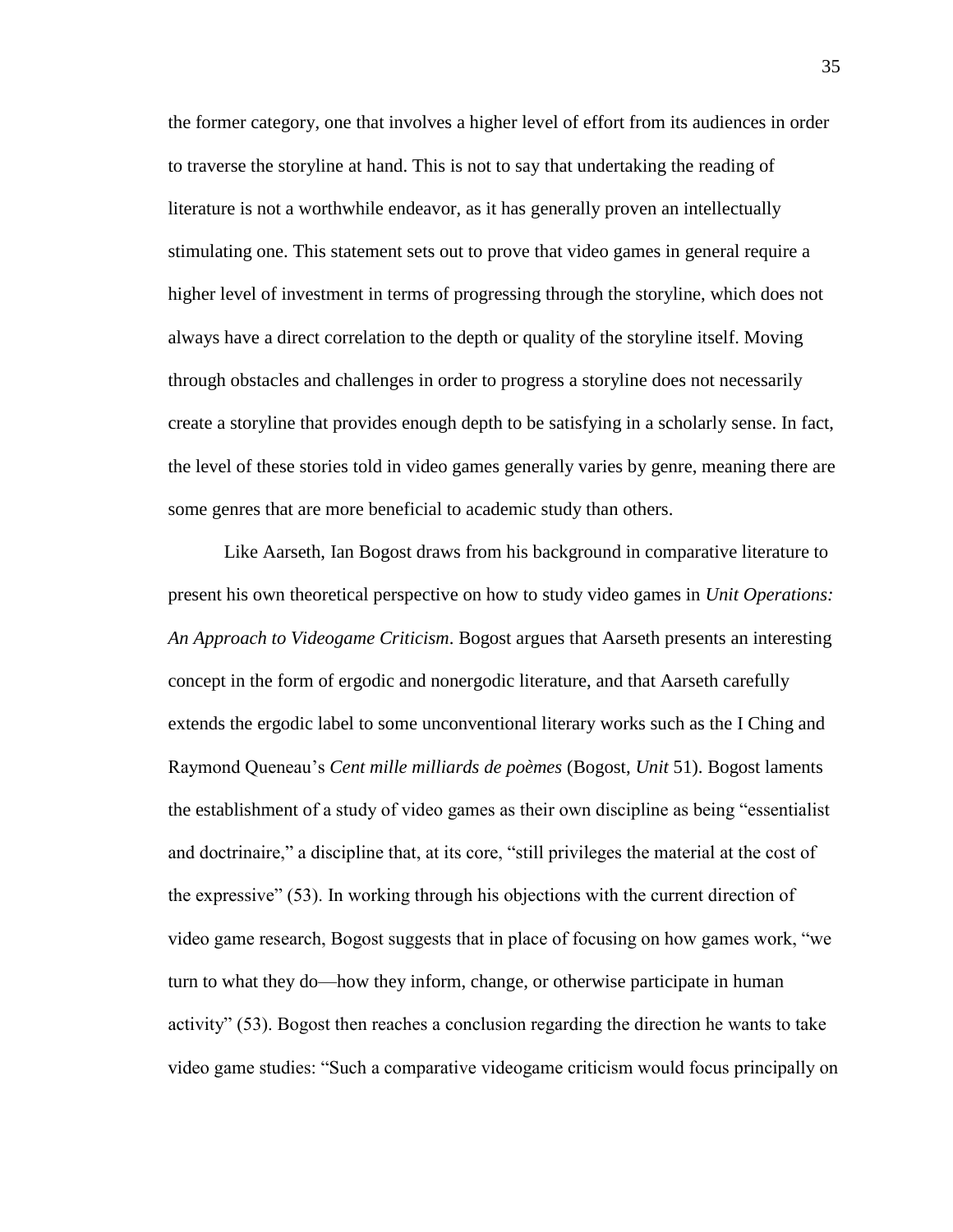the former category, one that involves a higher level of effort from its audiences in order to traverse the storyline at hand. This is not to say that undertaking the reading of literature is not a worthwhile endeavor, as it has generally proven an intellectually stimulating one. This statement sets out to prove that video games in general require a higher level of investment in terms of progressing through the storyline, which does not always have a direct correlation to the depth or quality of the storyline itself. Moving through obstacles and challenges in order to progress a storyline does not necessarily create a storyline that provides enough depth to be satisfying in a scholarly sense. In fact, the level of these stories told in video games generally varies by genre, meaning there are some genres that are more beneficial to academic study than others.

Like Aarseth, Ian Bogost draws from his background in comparative literature to present his own theoretical perspective on how to study video games in *Unit Operations: An Approach to Videogame Criticism*. Bogost argues that Aarseth presents an interesting concept in the form of ergodic and nonergodic literature, and that Aarseth carefully extends the ergodic label to some unconventional literary works such as the I Ching and Raymond Queneau's *Cent mille milliards de poèmes* (Bogost, *Unit* 51). Bogost laments the establishment of a study of video games as their own discipline as being "essentialist and doctrinaire," a discipline that, at its core, "still privileges the material at the cost of the expressive" (53). In working through his objections with the current direction of video game research, Bogost suggests that in place of focusing on how games work, "we turn to what they do—how they inform, change, or otherwise participate in human activity" (53). Bogost then reaches a conclusion regarding the direction he wants to take video game studies: "Such a comparative videogame criticism would focus principally on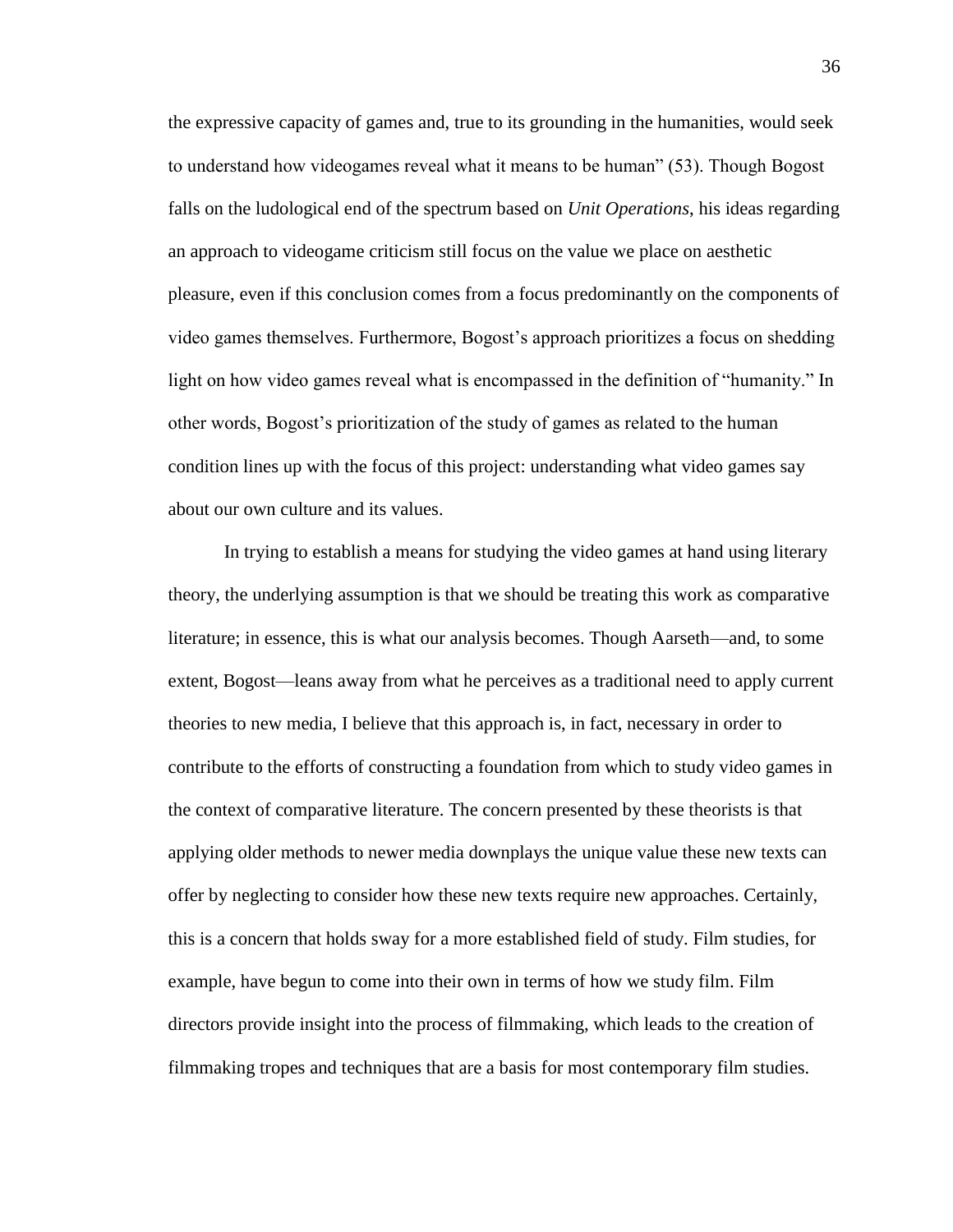the expressive capacity of games and, true to its grounding in the humanities, would seek to understand how videogames reveal what it means to be human" (53). Though Bogost falls on the ludological end of the spectrum based on *Unit Operations*, his ideas regarding an approach to videogame criticism still focus on the value we place on aesthetic pleasure, even if this conclusion comes from a focus predominantly on the components of video games themselves. Furthermore, Bogost's approach prioritizes a focus on shedding light on how video games reveal what is encompassed in the definition of "humanity." In other words, Bogost's prioritization of the study of games as related to the human condition lines up with the focus of this project: understanding what video games say about our own culture and its values.

In trying to establish a means for studying the video games at hand using literary theory, the underlying assumption is that we should be treating this work as comparative literature; in essence, this is what our analysis becomes. Though Aarseth—and, to some extent, Bogost—leans away from what he perceives as a traditional need to apply current theories to new media, I believe that this approach is, in fact, necessary in order to contribute to the efforts of constructing a foundation from which to study video games in the context of comparative literature. The concern presented by these theorists is that applying older methods to newer media downplays the unique value these new texts can offer by neglecting to consider how these new texts require new approaches. Certainly, this is a concern that holds sway for a more established field of study. Film studies, for example, have begun to come into their own in terms of how we study film. Film directors provide insight into the process of filmmaking, which leads to the creation of filmmaking tropes and techniques that are a basis for most contemporary film studies.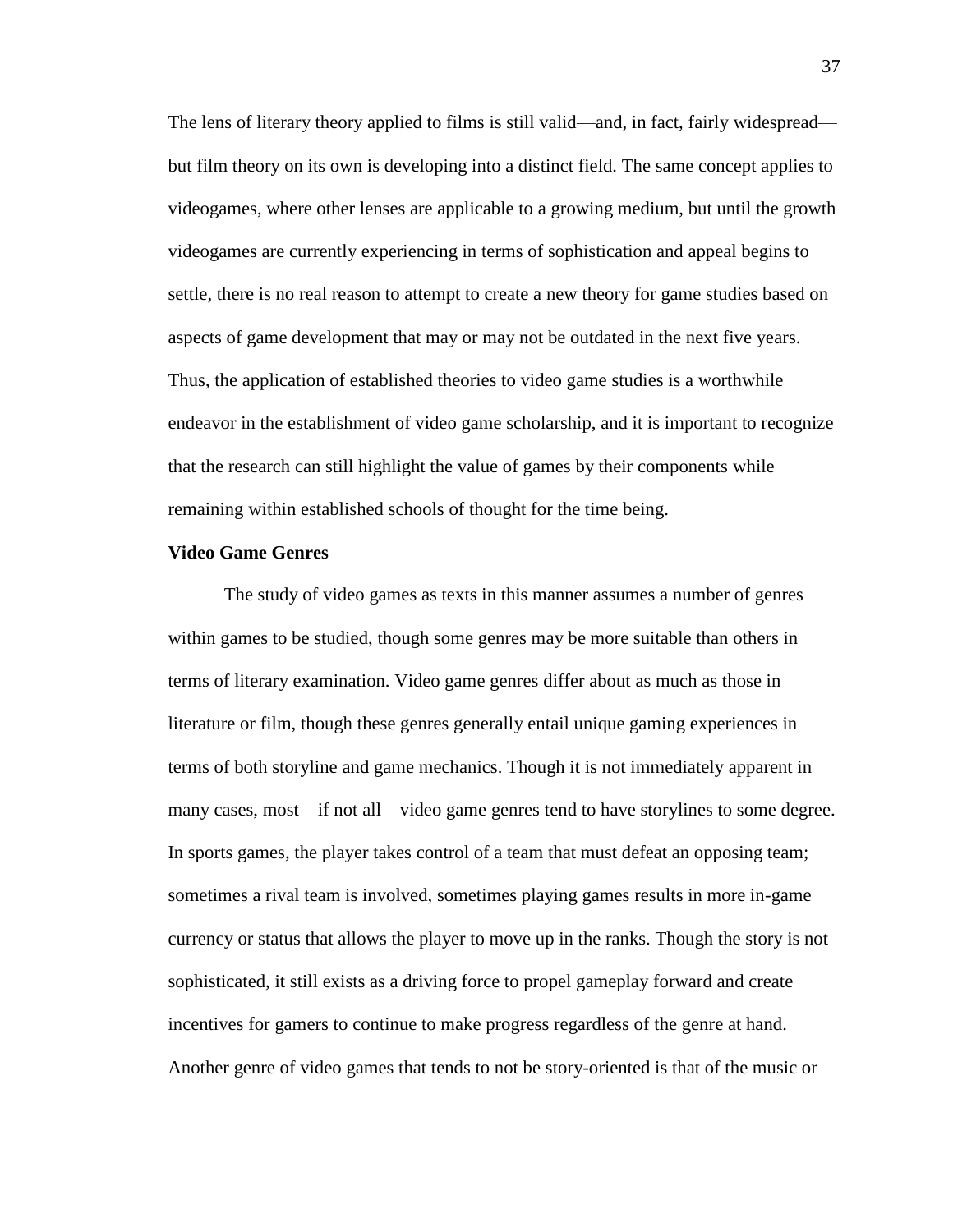The lens of literary theory applied to films is still valid—and, in fact, fairly widespread but film theory on its own is developing into a distinct field. The same concept applies to videogames, where other lenses are applicable to a growing medium, but until the growth videogames are currently experiencing in terms of sophistication and appeal begins to settle, there is no real reason to attempt to create a new theory for game studies based on aspects of game development that may or may not be outdated in the next five years. Thus, the application of established theories to video game studies is a worthwhile endeavor in the establishment of video game scholarship, and it is important to recognize that the research can still highlight the value of games by their components while remaining within established schools of thought for the time being.

### **Video Game Genres**

The study of video games as texts in this manner assumes a number of genres within games to be studied, though some genres may be more suitable than others in terms of literary examination. Video game genres differ about as much as those in literature or film, though these genres generally entail unique gaming experiences in terms of both storyline and game mechanics. Though it is not immediately apparent in many cases, most—if not all—video game genres tend to have storylines to some degree. In sports games, the player takes control of a team that must defeat an opposing team; sometimes a rival team is involved, sometimes playing games results in more in-game currency or status that allows the player to move up in the ranks. Though the story is not sophisticated, it still exists as a driving force to propel gameplay forward and create incentives for gamers to continue to make progress regardless of the genre at hand. Another genre of video games that tends to not be story-oriented is that of the music or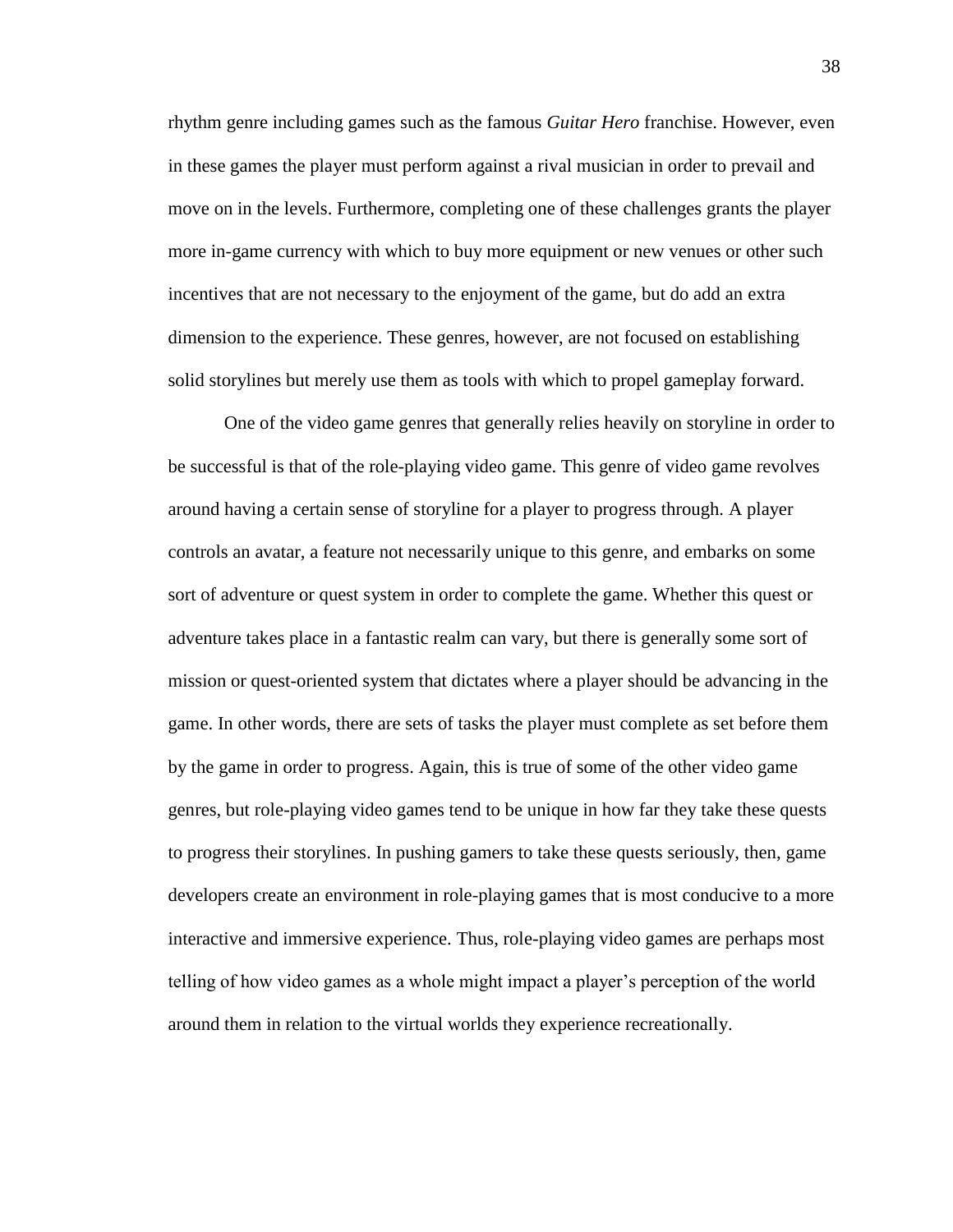rhythm genre including games such as the famous *Guitar Hero* franchise. However, even in these games the player must perform against a rival musician in order to prevail and move on in the levels. Furthermore, completing one of these challenges grants the player more in-game currency with which to buy more equipment or new venues or other such incentives that are not necessary to the enjoyment of the game, but do add an extra dimension to the experience. These genres, however, are not focused on establishing solid storylines but merely use them as tools with which to propel gameplay forward.

One of the video game genres that generally relies heavily on storyline in order to be successful is that of the role-playing video game. This genre of video game revolves around having a certain sense of storyline for a player to progress through. A player controls an avatar, a feature not necessarily unique to this genre, and embarks on some sort of adventure or quest system in order to complete the game. Whether this quest or adventure takes place in a fantastic realm can vary, but there is generally some sort of mission or quest-oriented system that dictates where a player should be advancing in the game. In other words, there are sets of tasks the player must complete as set before them by the game in order to progress. Again, this is true of some of the other video game genres, but role-playing video games tend to be unique in how far they take these quests to progress their storylines. In pushing gamers to take these quests seriously, then, game developers create an environment in role-playing games that is most conducive to a more interactive and immersive experience. Thus, role-playing video games are perhaps most telling of how video games as a whole might impact a player's perception of the world around them in relation to the virtual worlds they experience recreationally.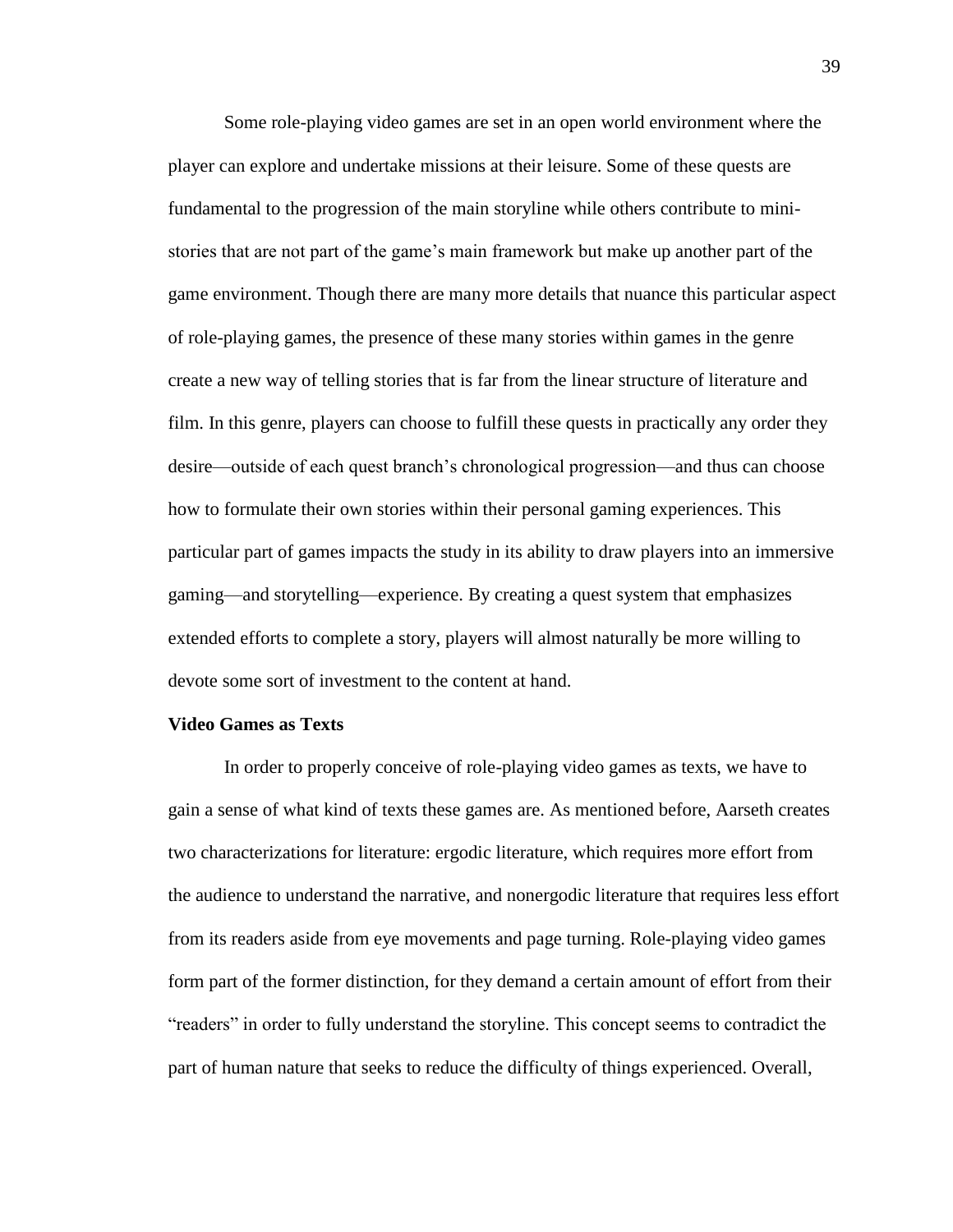Some role-playing video games are set in an open world environment where the player can explore and undertake missions at their leisure. Some of these quests are fundamental to the progression of the main storyline while others contribute to ministories that are not part of the game's main framework but make up another part of the game environment. Though there are many more details that nuance this particular aspect of role-playing games, the presence of these many stories within games in the genre create a new way of telling stories that is far from the linear structure of literature and film. In this genre, players can choose to fulfill these quests in practically any order they desire—outside of each quest branch's chronological progression—and thus can choose how to formulate their own stories within their personal gaming experiences. This particular part of games impacts the study in its ability to draw players into an immersive gaming—and storytelling—experience. By creating a quest system that emphasizes extended efforts to complete a story, players will almost naturally be more willing to devote some sort of investment to the content at hand.

### **Video Games as Texts**

In order to properly conceive of role-playing video games as texts, we have to gain a sense of what kind of texts these games are. As mentioned before, Aarseth creates two characterizations for literature: ergodic literature, which requires more effort from the audience to understand the narrative, and nonergodic literature that requires less effort from its readers aside from eye movements and page turning. Role-playing video games form part of the former distinction, for they demand a certain amount of effort from their "readers" in order to fully understand the storyline. This concept seems to contradict the part of human nature that seeks to reduce the difficulty of things experienced. Overall,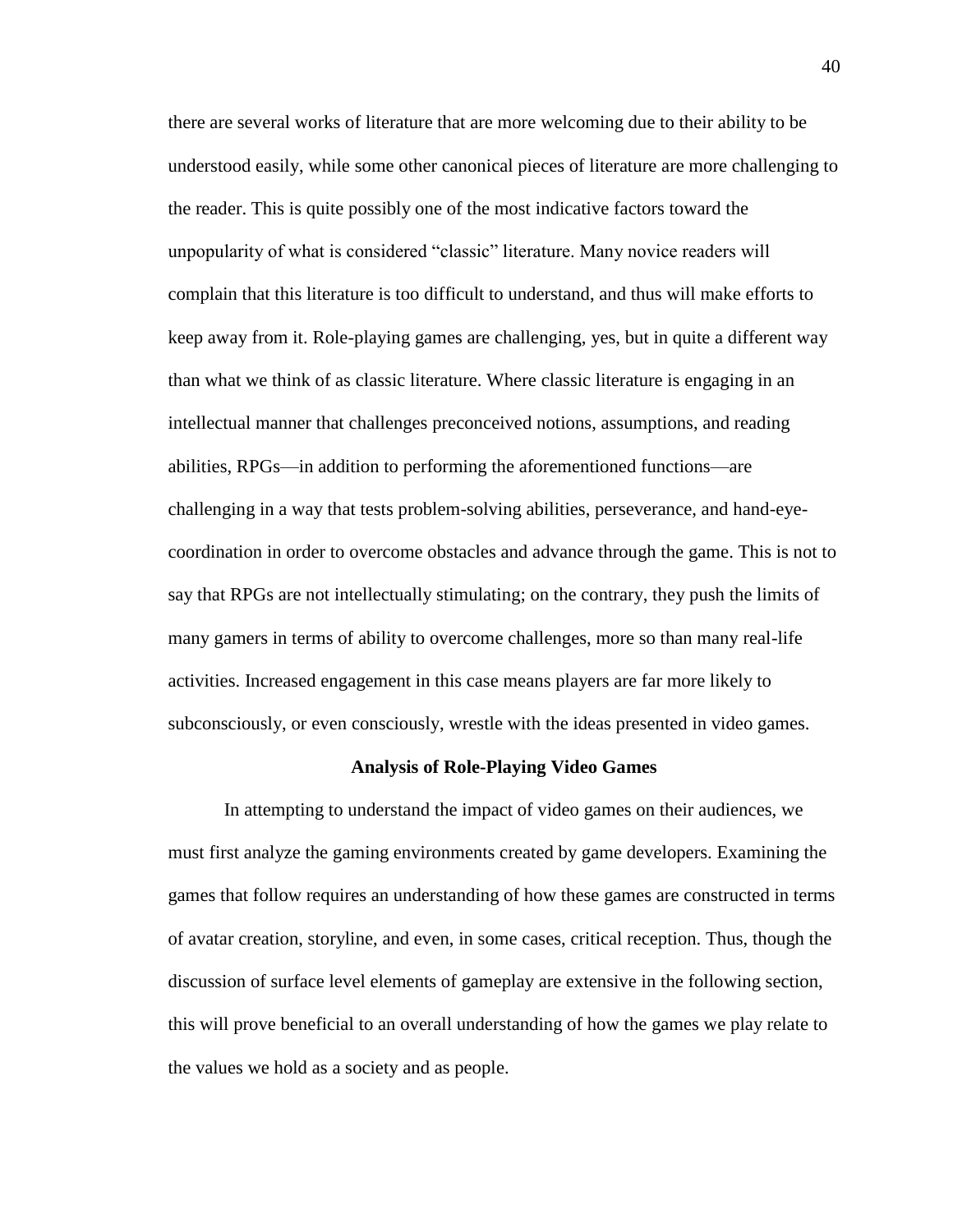there are several works of literature that are more welcoming due to their ability to be understood easily, while some other canonical pieces of literature are more challenging to the reader. This is quite possibly one of the most indicative factors toward the unpopularity of what is considered "classic" literature. Many novice readers will complain that this literature is too difficult to understand, and thus will make efforts to keep away from it. Role-playing games are challenging, yes, but in quite a different way than what we think of as classic literature. Where classic literature is engaging in an intellectual manner that challenges preconceived notions, assumptions, and reading abilities, RPGs—in addition to performing the aforementioned functions—are challenging in a way that tests problem-solving abilities, perseverance, and hand-eyecoordination in order to overcome obstacles and advance through the game. This is not to say that RPGs are not intellectually stimulating; on the contrary, they push the limits of many gamers in terms of ability to overcome challenges, more so than many real-life activities. Increased engagement in this case means players are far more likely to subconsciously, or even consciously, wrestle with the ideas presented in video games.

#### **Analysis of Role-Playing Video Games**

In attempting to understand the impact of video games on their audiences, we must first analyze the gaming environments created by game developers. Examining the games that follow requires an understanding of how these games are constructed in terms of avatar creation, storyline, and even, in some cases, critical reception. Thus, though the discussion of surface level elements of gameplay are extensive in the following section, this will prove beneficial to an overall understanding of how the games we play relate to the values we hold as a society and as people.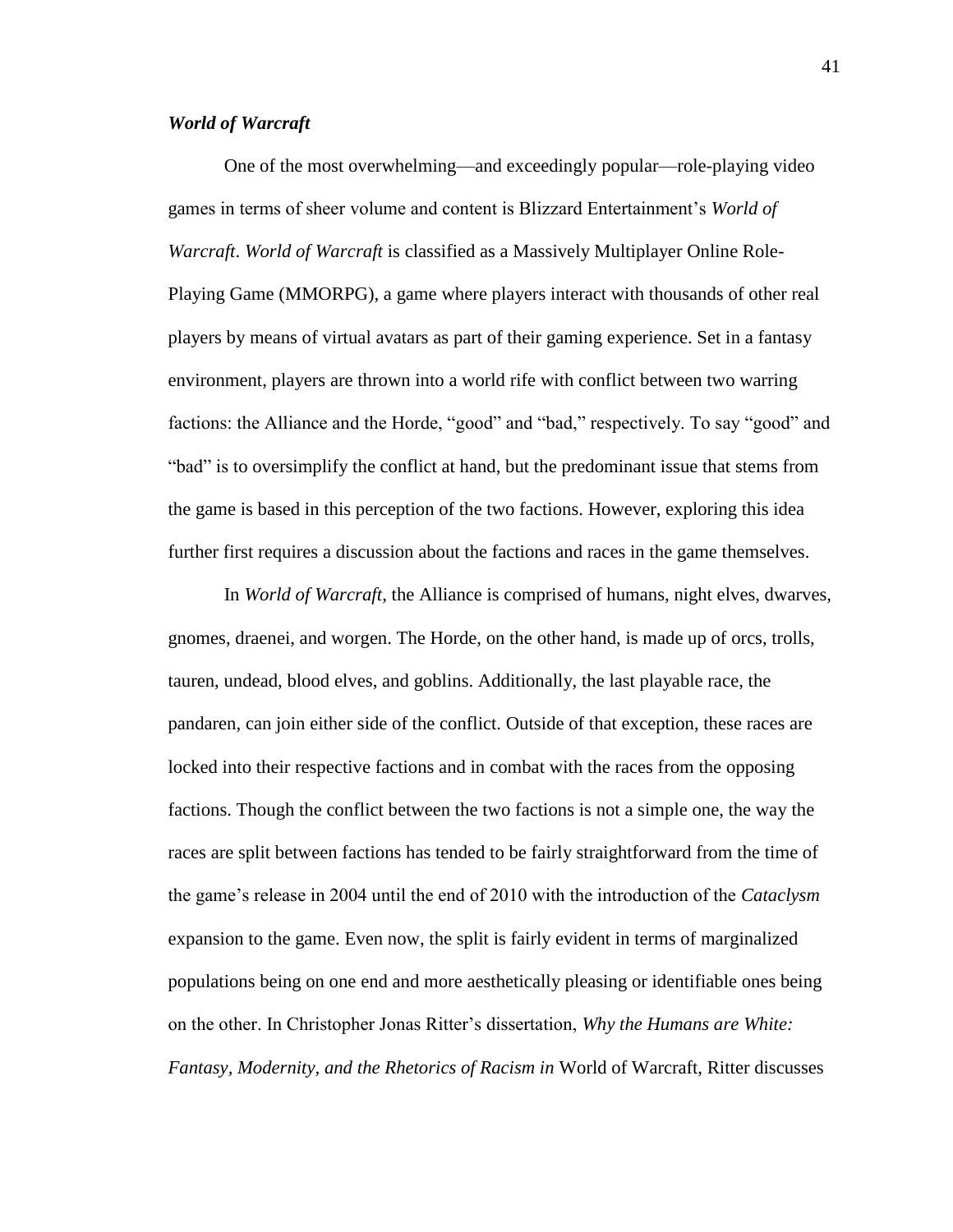## *World of Warcraft*

One of the most overwhelming—and exceedingly popular—role-playing video games in terms of sheer volume and content is Blizzard Entertainment's *World of Warcraft*. *World of Warcraft* is classified as a Massively Multiplayer Online Role-Playing Game (MMORPG), a game where players interact with thousands of other real players by means of virtual avatars as part of their gaming experience. Set in a fantasy environment, players are thrown into a world rife with conflict between two warring factions: the Alliance and the Horde, "good" and "bad," respectively. To say "good" and "bad" is to oversimplify the conflict at hand, but the predominant issue that stems from the game is based in this perception of the two factions. However, exploring this idea further first requires a discussion about the factions and races in the game themselves.

In *World of Warcraft*, the Alliance is comprised of humans, night elves, dwarves, gnomes, draenei, and worgen. The Horde, on the other hand, is made up of orcs, trolls, tauren, undead, blood elves, and goblins. Additionally, the last playable race, the pandaren, can join either side of the conflict. Outside of that exception, these races are locked into their respective factions and in combat with the races from the opposing factions. Though the conflict between the two factions is not a simple one, the way the races are split between factions has tended to be fairly straightforward from the time of the game's release in 2004 until the end of 2010 with the introduction of the *Cataclysm* expansion to the game. Even now, the split is fairly evident in terms of marginalized populations being on one end and more aesthetically pleasing or identifiable ones being on the other. In Christopher Jonas Ritter's dissertation, *Why the Humans are White: Fantasy, Modernity, and the Rhetorics of Racism in* World of Warcraft, Ritter discusses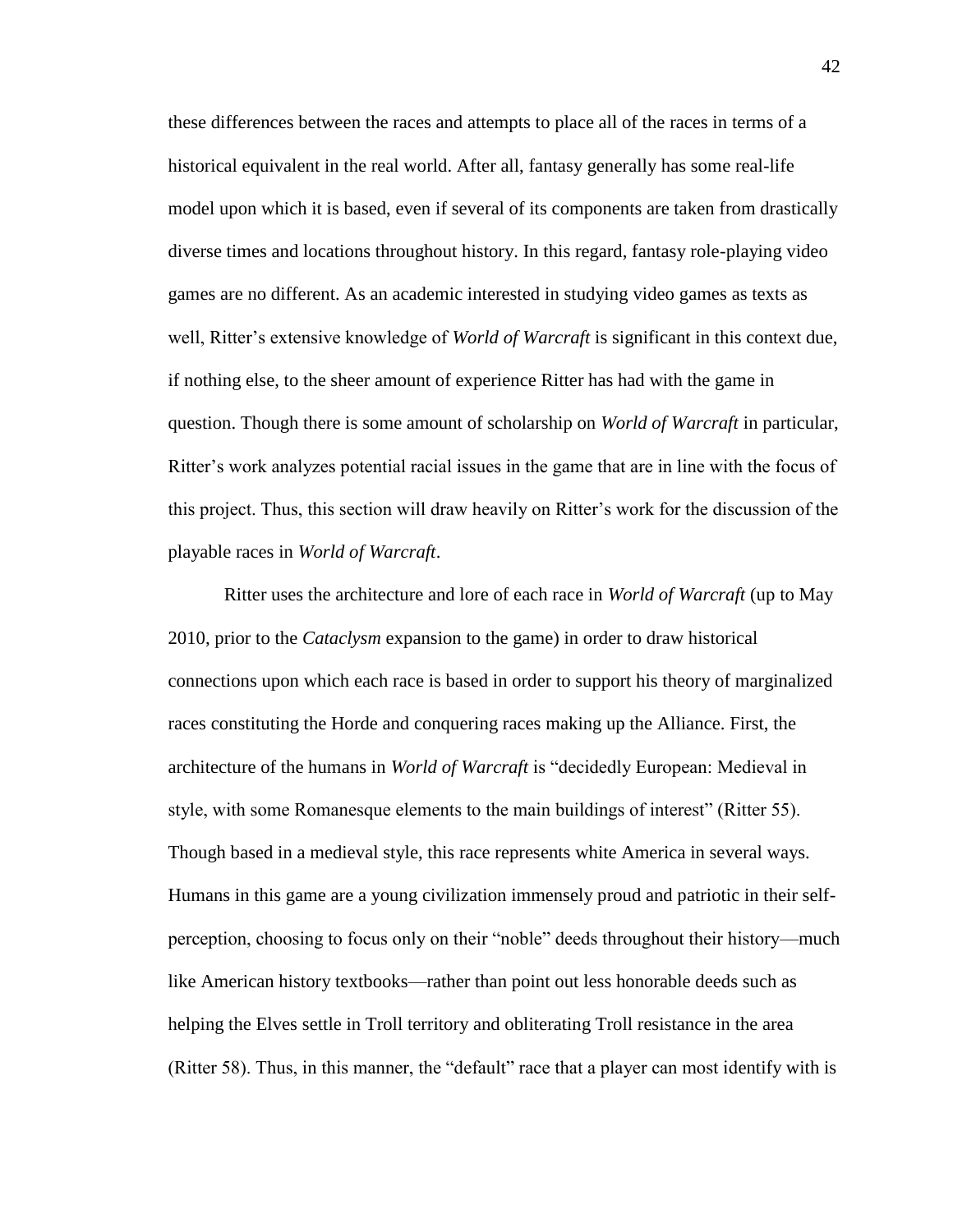these differences between the races and attempts to place all of the races in terms of a historical equivalent in the real world. After all, fantasy generally has some real-life model upon which it is based, even if several of its components are taken from drastically diverse times and locations throughout history. In this regard, fantasy role-playing video games are no different. As an academic interested in studying video games as texts as well, Ritter's extensive knowledge of *World of Warcraft* is significant in this context due, if nothing else, to the sheer amount of experience Ritter has had with the game in question. Though there is some amount of scholarship on *World of Warcraft* in particular, Ritter's work analyzes potential racial issues in the game that are in line with the focus of this project. Thus, this section will draw heavily on Ritter's work for the discussion of the playable races in *World of Warcraft*.

Ritter uses the architecture and lore of each race in *World of Warcraft* (up to May 2010, prior to the *Cataclysm* expansion to the game) in order to draw historical connections upon which each race is based in order to support his theory of marginalized races constituting the Horde and conquering races making up the Alliance. First, the architecture of the humans in *World of Warcraft* is "decidedly European: Medieval in style, with some Romanesque elements to the main buildings of interest" (Ritter 55). Though based in a medieval style, this race represents white America in several ways. Humans in this game are a young civilization immensely proud and patriotic in their selfperception, choosing to focus only on their "noble" deeds throughout their history—much like American history textbooks—rather than point out less honorable deeds such as helping the Elves settle in Troll territory and obliterating Troll resistance in the area (Ritter 58). Thus, in this manner, the "default" race that a player can most identify with is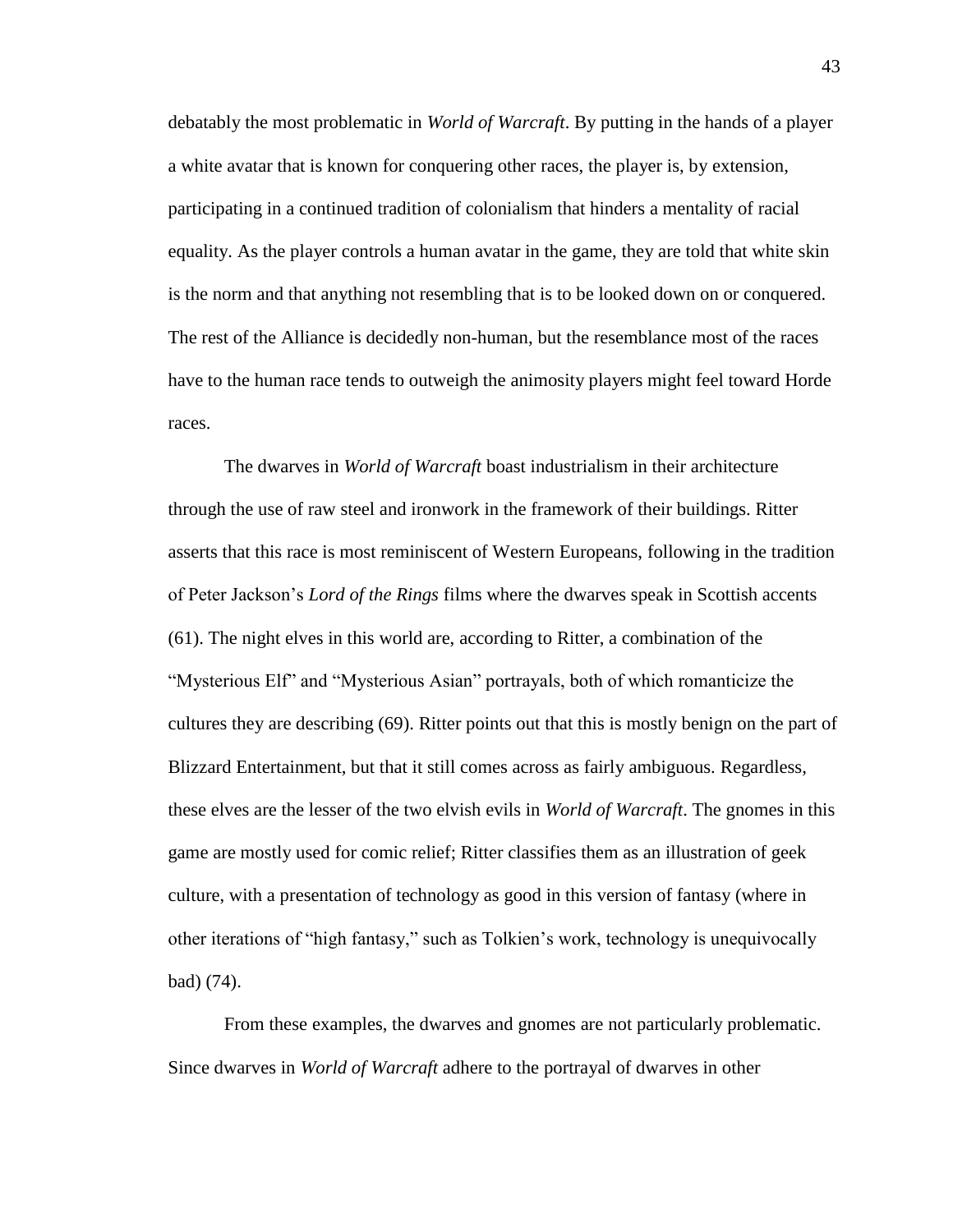debatably the most problematic in *World of Warcraft*. By putting in the hands of a player a white avatar that is known for conquering other races, the player is, by extension, participating in a continued tradition of colonialism that hinders a mentality of racial equality. As the player controls a human avatar in the game, they are told that white skin is the norm and that anything not resembling that is to be looked down on or conquered. The rest of the Alliance is decidedly non-human, but the resemblance most of the races have to the human race tends to outweigh the animosity players might feel toward Horde races.

The dwarves in *World of Warcraft* boast industrialism in their architecture through the use of raw steel and ironwork in the framework of their buildings. Ritter asserts that this race is most reminiscent of Western Europeans, following in the tradition of Peter Jackson's *Lord of the Rings* films where the dwarves speak in Scottish accents (61). The night elves in this world are, according to Ritter, a combination of the "Mysterious Elf" and "Mysterious Asian" portrayals, both of which romanticize the cultures they are describing (69). Ritter points out that this is mostly benign on the part of Blizzard Entertainment, but that it still comes across as fairly ambiguous. Regardless, these elves are the lesser of the two elvish evils in *World of Warcraft*. The gnomes in this game are mostly used for comic relief; Ritter classifies them as an illustration of geek culture, with a presentation of technology as good in this version of fantasy (where in other iterations of "high fantasy," such as Tolkien's work, technology is unequivocally bad) (74).

From these examples, the dwarves and gnomes are not particularly problematic. Since dwarves in *World of Warcraft* adhere to the portrayal of dwarves in other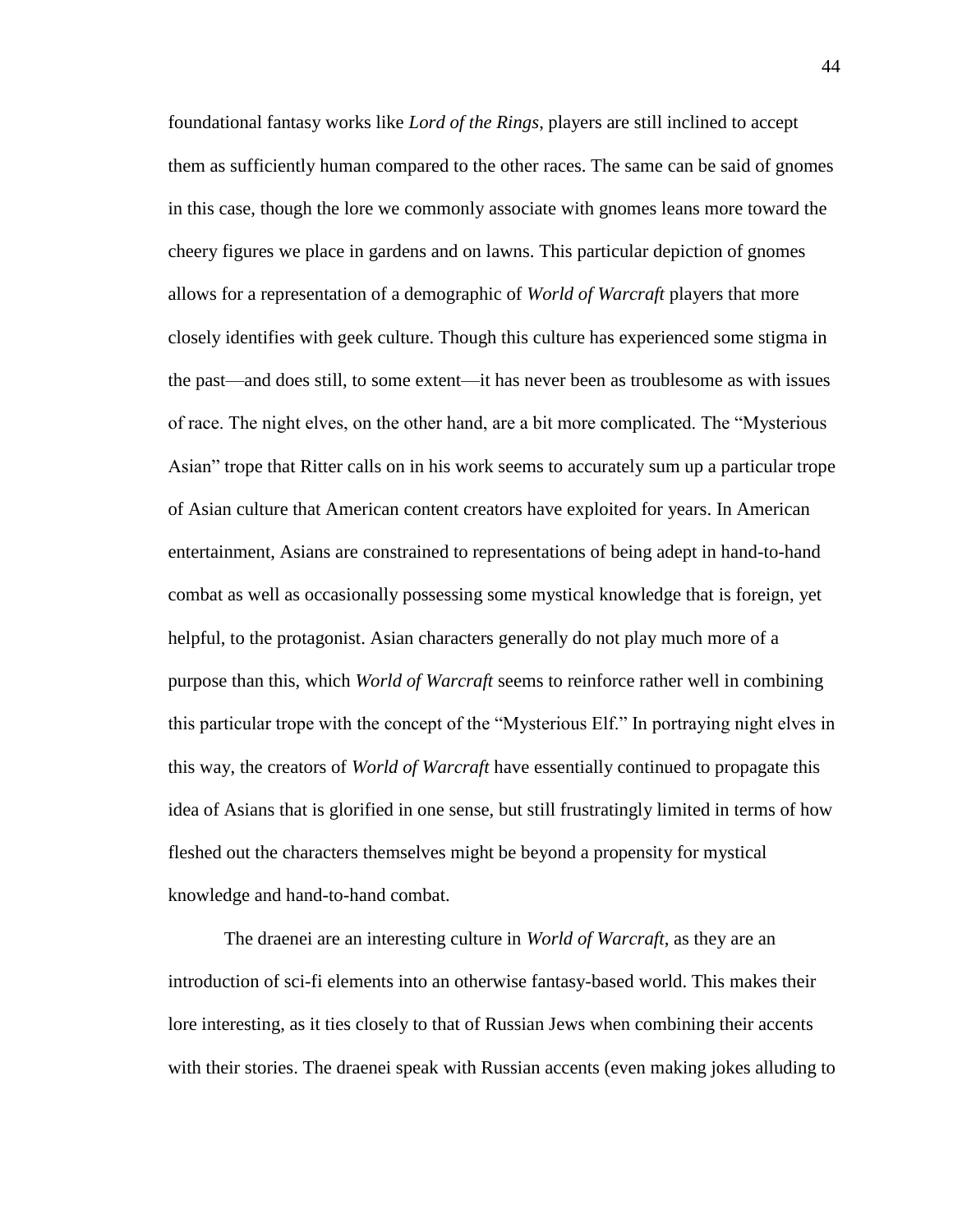foundational fantasy works like *Lord of the Rings*, players are still inclined to accept them as sufficiently human compared to the other races. The same can be said of gnomes in this case, though the lore we commonly associate with gnomes leans more toward the cheery figures we place in gardens and on lawns. This particular depiction of gnomes allows for a representation of a demographic of *World of Warcraft* players that more closely identifies with geek culture. Though this culture has experienced some stigma in the past—and does still, to some extent—it has never been as troublesome as with issues of race. The night elves, on the other hand, are a bit more complicated. The "Mysterious Asian" trope that Ritter calls on in his work seems to accurately sum up a particular trope of Asian culture that American content creators have exploited for years. In American entertainment, Asians are constrained to representations of being adept in hand-to-hand combat as well as occasionally possessing some mystical knowledge that is foreign, yet helpful, to the protagonist. Asian characters generally do not play much more of a purpose than this, which *World of Warcraft* seems to reinforce rather well in combining this particular trope with the concept of the "Mysterious Elf." In portraying night elves in this way, the creators of *World of Warcraft* have essentially continued to propagate this idea of Asians that is glorified in one sense, but still frustratingly limited in terms of how fleshed out the characters themselves might be beyond a propensity for mystical knowledge and hand-to-hand combat.

The draenei are an interesting culture in *World of Warcraft*, as they are an introduction of sci-fi elements into an otherwise fantasy-based world. This makes their lore interesting, as it ties closely to that of Russian Jews when combining their accents with their stories. The draenei speak with Russian accents (even making jokes alluding to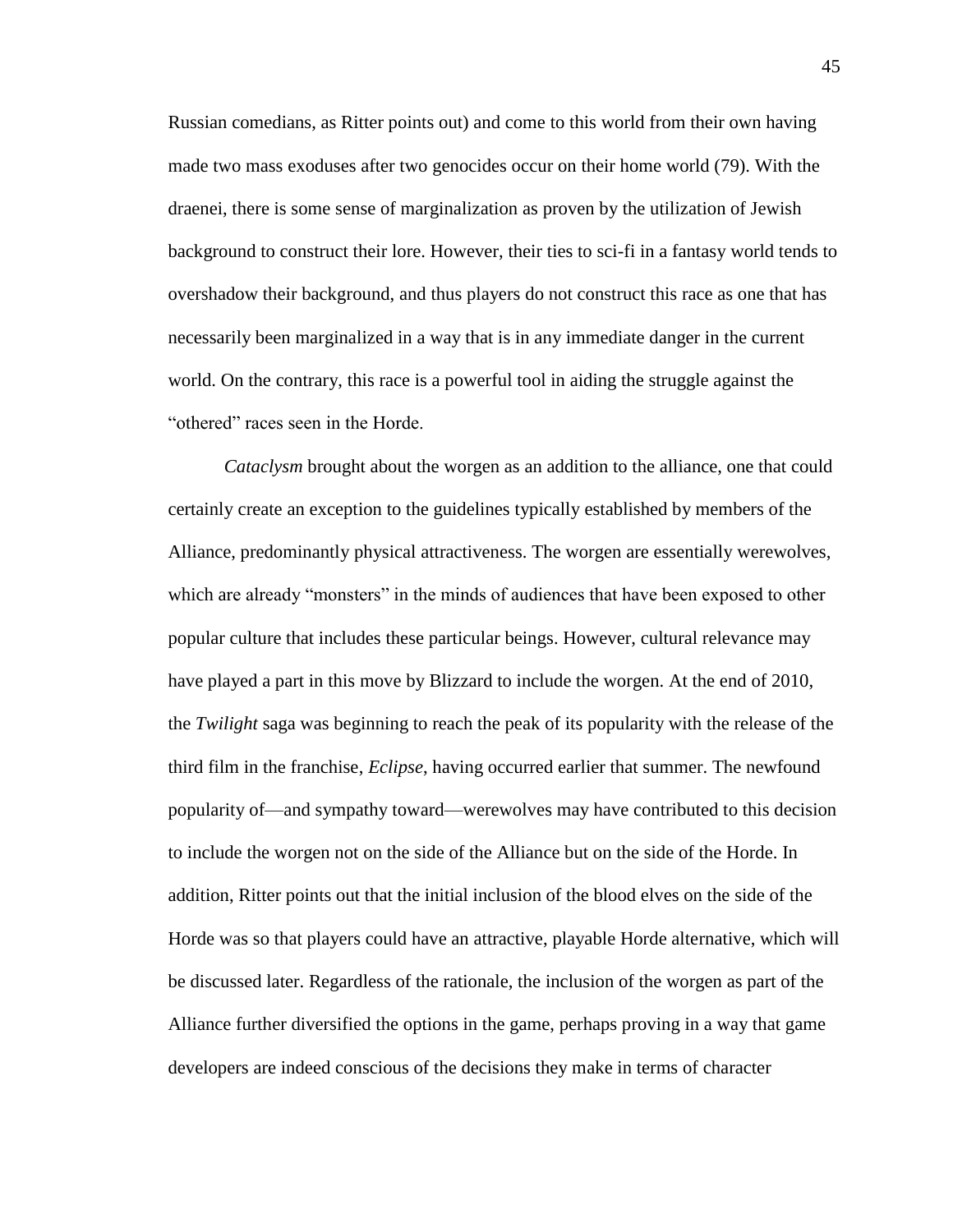Russian comedians, as Ritter points out) and come to this world from their own having made two mass exoduses after two genocides occur on their home world (79). With the draenei, there is some sense of marginalization as proven by the utilization of Jewish background to construct their lore. However, their ties to sci-fi in a fantasy world tends to overshadow their background, and thus players do not construct this race as one that has necessarily been marginalized in a way that is in any immediate danger in the current world. On the contrary, this race is a powerful tool in aiding the struggle against the "othered" races seen in the Horde.

*Cataclysm* brought about the worgen as an addition to the alliance, one that could certainly create an exception to the guidelines typically established by members of the Alliance, predominantly physical attractiveness. The worgen are essentially werewolves, which are already "monsters" in the minds of audiences that have been exposed to other popular culture that includes these particular beings. However, cultural relevance may have played a part in this move by Blizzard to include the worgen. At the end of 2010, the *Twilight* saga was beginning to reach the peak of its popularity with the release of the third film in the franchise, *Eclipse*, having occurred earlier that summer. The newfound popularity of—and sympathy toward—werewolves may have contributed to this decision to include the worgen not on the side of the Alliance but on the side of the Horde. In addition, Ritter points out that the initial inclusion of the blood elves on the side of the Horde was so that players could have an attractive, playable Horde alternative, which will be discussed later. Regardless of the rationale, the inclusion of the worgen as part of the Alliance further diversified the options in the game, perhaps proving in a way that game developers are indeed conscious of the decisions they make in terms of character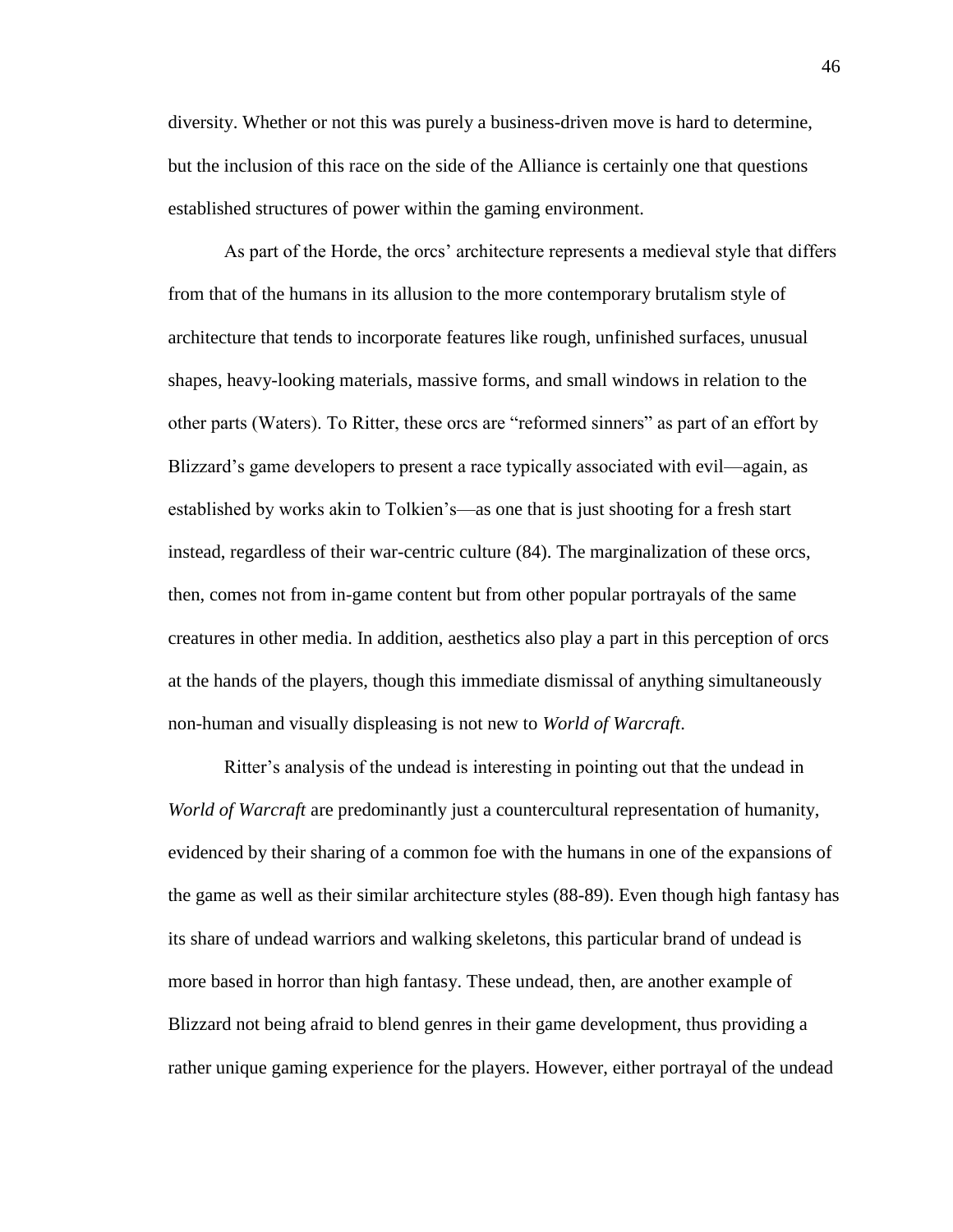diversity. Whether or not this was purely a business-driven move is hard to determine, but the inclusion of this race on the side of the Alliance is certainly one that questions established structures of power within the gaming environment.

As part of the Horde, the orcs' architecture represents a medieval style that differs from that of the humans in its allusion to the more contemporary brutalism style of architecture that tends to incorporate features like rough, unfinished surfaces, unusual shapes, heavy-looking materials, massive forms, and small windows in relation to the other parts (Waters). To Ritter, these orcs are "reformed sinners" as part of an effort by Blizzard's game developers to present a race typically associated with evil—again, as established by works akin to Tolkien's—as one that is just shooting for a fresh start instead, regardless of their war-centric culture (84). The marginalization of these orcs, then, comes not from in-game content but from other popular portrayals of the same creatures in other media. In addition, aesthetics also play a part in this perception of orcs at the hands of the players, though this immediate dismissal of anything simultaneously non-human and visually displeasing is not new to *World of Warcraft*.

Ritter's analysis of the undead is interesting in pointing out that the undead in *World of Warcraft* are predominantly just a countercultural representation of humanity, evidenced by their sharing of a common foe with the humans in one of the expansions of the game as well as their similar architecture styles (88-89). Even though high fantasy has its share of undead warriors and walking skeletons, this particular brand of undead is more based in horror than high fantasy. These undead, then, are another example of Blizzard not being afraid to blend genres in their game development, thus providing a rather unique gaming experience for the players. However, either portrayal of the undead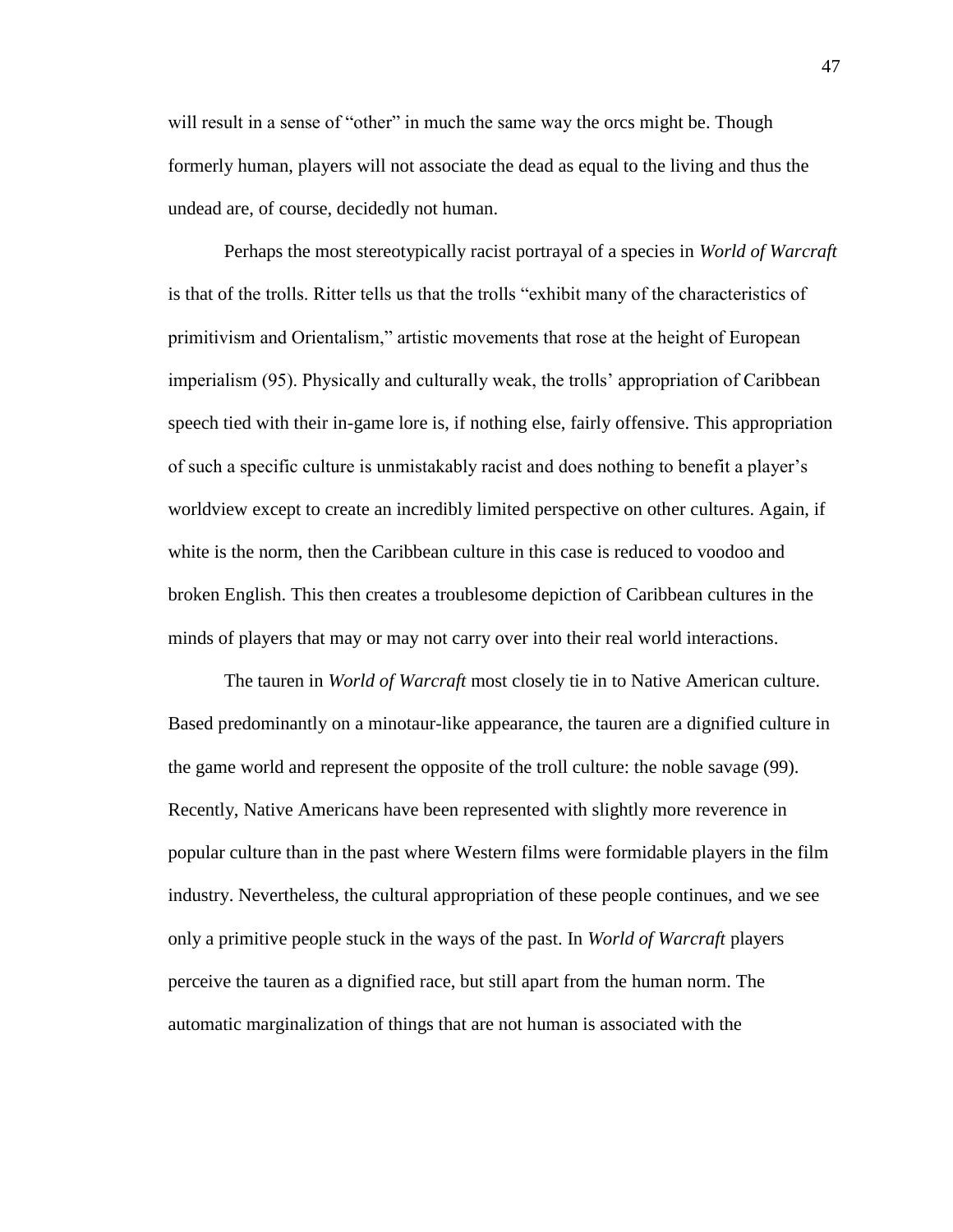will result in a sense of "other" in much the same way the orcs might be. Though formerly human, players will not associate the dead as equal to the living and thus the undead are, of course, decidedly not human.

Perhaps the most stereotypically racist portrayal of a species in *World of Warcraft* is that of the trolls. Ritter tells us that the trolls "exhibit many of the characteristics of primitivism and Orientalism," artistic movements that rose at the height of European imperialism (95). Physically and culturally weak, the trolls' appropriation of Caribbean speech tied with their in-game lore is, if nothing else, fairly offensive. This appropriation of such a specific culture is unmistakably racist and does nothing to benefit a player's worldview except to create an incredibly limited perspective on other cultures. Again, if white is the norm, then the Caribbean culture in this case is reduced to voodoo and broken English. This then creates a troublesome depiction of Caribbean cultures in the minds of players that may or may not carry over into their real world interactions.

The tauren in *World of Warcraft* most closely tie in to Native American culture. Based predominantly on a minotaur-like appearance, the tauren are a dignified culture in the game world and represent the opposite of the troll culture: the noble savage (99). Recently, Native Americans have been represented with slightly more reverence in popular culture than in the past where Western films were formidable players in the film industry. Nevertheless, the cultural appropriation of these people continues, and we see only a primitive people stuck in the ways of the past. In *World of Warcraft* players perceive the tauren as a dignified race, but still apart from the human norm. The automatic marginalization of things that are not human is associated with the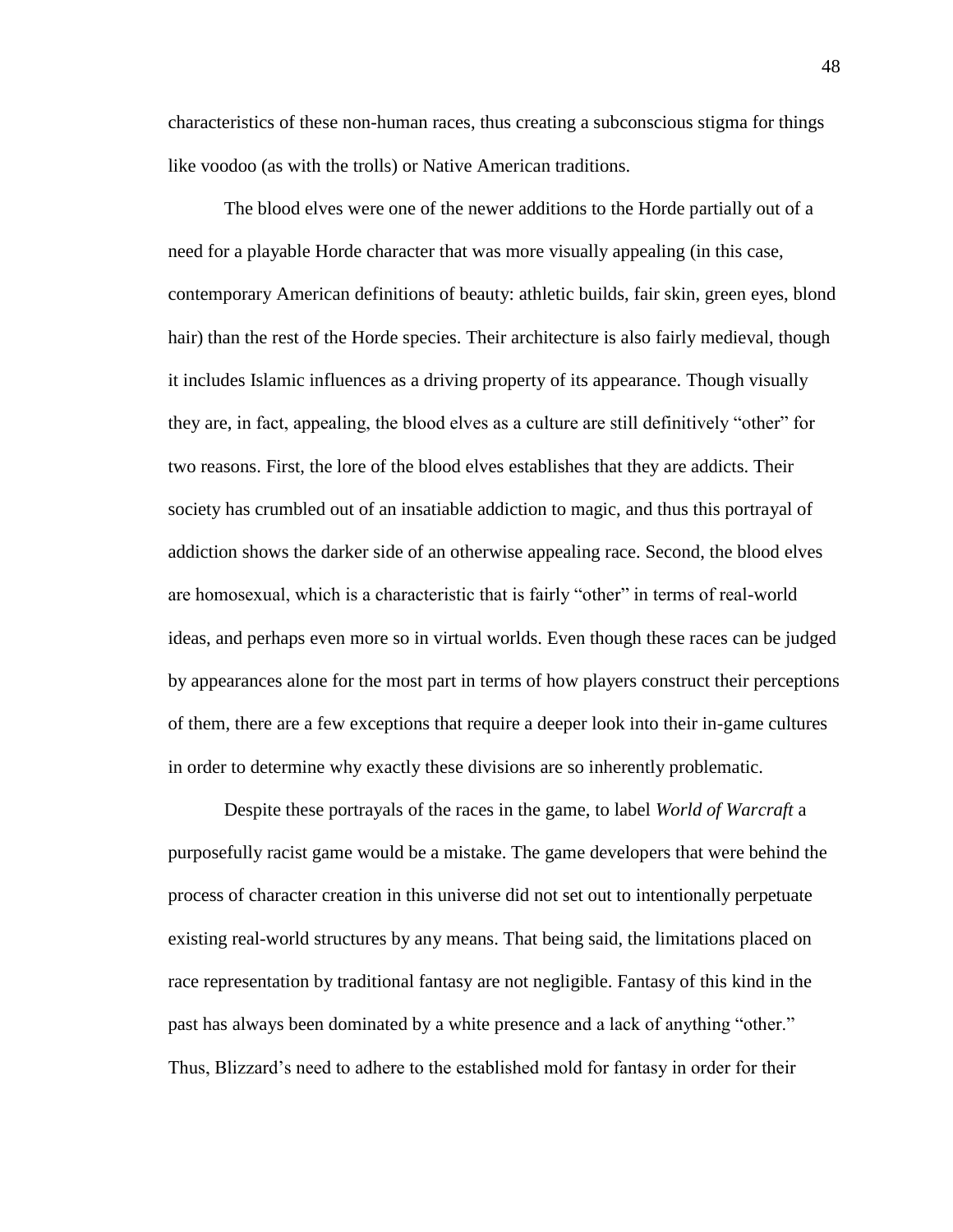characteristics of these non-human races, thus creating a subconscious stigma for things like voodoo (as with the trolls) or Native American traditions.

The blood elves were one of the newer additions to the Horde partially out of a need for a playable Horde character that was more visually appealing (in this case, contemporary American definitions of beauty: athletic builds, fair skin, green eyes, blond hair) than the rest of the Horde species. Their architecture is also fairly medieval, though it includes Islamic influences as a driving property of its appearance. Though visually they are, in fact, appealing, the blood elves as a culture are still definitively "other" for two reasons. First, the lore of the blood elves establishes that they are addicts. Their society has crumbled out of an insatiable addiction to magic, and thus this portrayal of addiction shows the darker side of an otherwise appealing race. Second, the blood elves are homosexual, which is a characteristic that is fairly "other" in terms of real-world ideas, and perhaps even more so in virtual worlds. Even though these races can be judged by appearances alone for the most part in terms of how players construct their perceptions of them, there are a few exceptions that require a deeper look into their in-game cultures in order to determine why exactly these divisions are so inherently problematic.

Despite these portrayals of the races in the game, to label *World of Warcraft* a purposefully racist game would be a mistake. The game developers that were behind the process of character creation in this universe did not set out to intentionally perpetuate existing real-world structures by any means. That being said, the limitations placed on race representation by traditional fantasy are not negligible. Fantasy of this kind in the past has always been dominated by a white presence and a lack of anything "other." Thus, Blizzard's need to adhere to the established mold for fantasy in order for their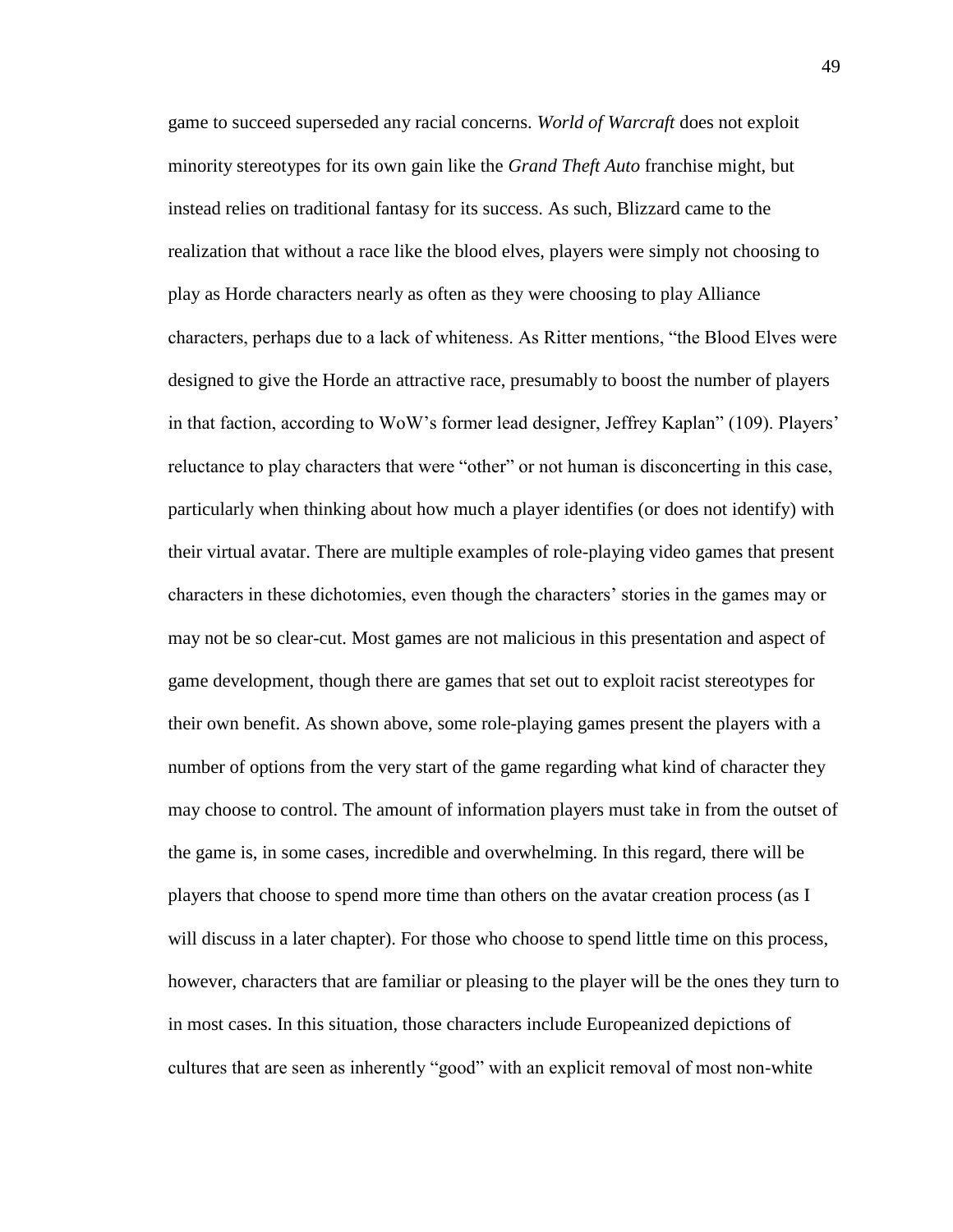game to succeed superseded any racial concerns. *World of Warcraft* does not exploit minority stereotypes for its own gain like the *Grand Theft Auto* franchise might, but instead relies on traditional fantasy for its success. As such, Blizzard came to the realization that without a race like the blood elves, players were simply not choosing to play as Horde characters nearly as often as they were choosing to play Alliance characters, perhaps due to a lack of whiteness. As Ritter mentions, "the Blood Elves were designed to give the Horde an attractive race, presumably to boost the number of players in that faction, according to WoW's former lead designer, Jeffrey Kaplan" (109). Players' reluctance to play characters that were "other" or not human is disconcerting in this case, particularly when thinking about how much a player identifies (or does not identify) with their virtual avatar. There are multiple examples of role-playing video games that present characters in these dichotomies, even though the characters' stories in the games may or may not be so clear-cut. Most games are not malicious in this presentation and aspect of game development, though there are games that set out to exploit racist stereotypes for their own benefit. As shown above, some role-playing games present the players with a number of options from the very start of the game regarding what kind of character they may choose to control. The amount of information players must take in from the outset of the game is, in some cases, incredible and overwhelming. In this regard, there will be players that choose to spend more time than others on the avatar creation process (as I will discuss in a later chapter). For those who choose to spend little time on this process, however, characters that are familiar or pleasing to the player will be the ones they turn to in most cases. In this situation, those characters include Europeanized depictions of cultures that are seen as inherently "good" with an explicit removal of most non-white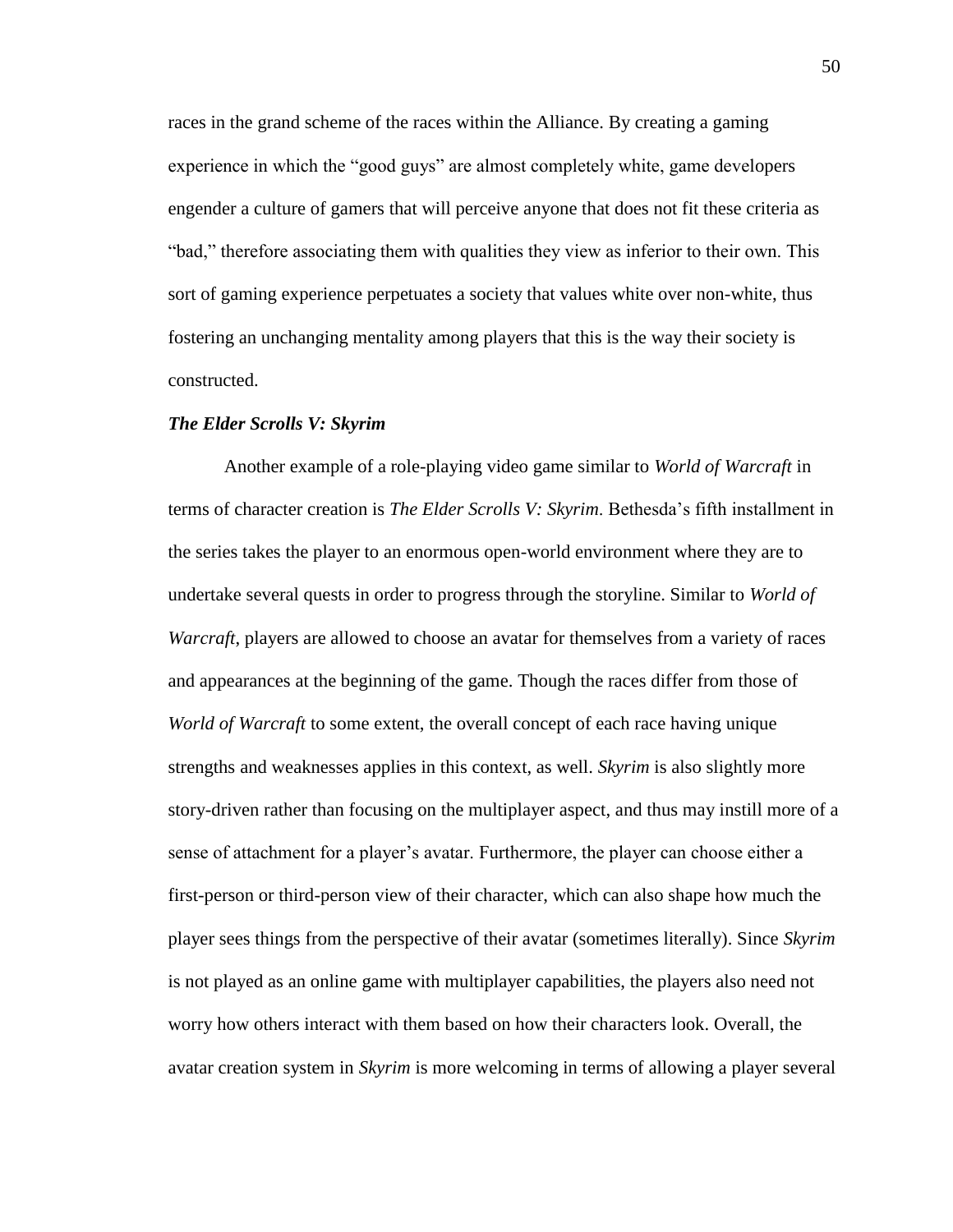races in the grand scheme of the races within the Alliance. By creating a gaming experience in which the "good guys" are almost completely white, game developers engender a culture of gamers that will perceive anyone that does not fit these criteria as "bad," therefore associating them with qualities they view as inferior to their own. This sort of gaming experience perpetuates a society that values white over non-white, thus fostering an unchanging mentality among players that this is the way their society is constructed.

#### *The Elder Scrolls V: Skyrim*

Another example of a role-playing video game similar to *World of Warcraft* in terms of character creation is *The Elder Scrolls V: Skyrim*. Bethesda's fifth installment in the series takes the player to an enormous open-world environment where they are to undertake several quests in order to progress through the storyline. Similar to *World of Warcraft*, players are allowed to choose an avatar for themselves from a variety of races and appearances at the beginning of the game. Though the races differ from those of *World of Warcraft* to some extent, the overall concept of each race having unique strengths and weaknesses applies in this context, as well. *Skyrim* is also slightly more story-driven rather than focusing on the multiplayer aspect, and thus may instill more of a sense of attachment for a player's avatar. Furthermore, the player can choose either a first-person or third-person view of their character, which can also shape how much the player sees things from the perspective of their avatar (sometimes literally). Since *Skyrim* is not played as an online game with multiplayer capabilities, the players also need not worry how others interact with them based on how their characters look. Overall, the avatar creation system in *Skyrim* is more welcoming in terms of allowing a player several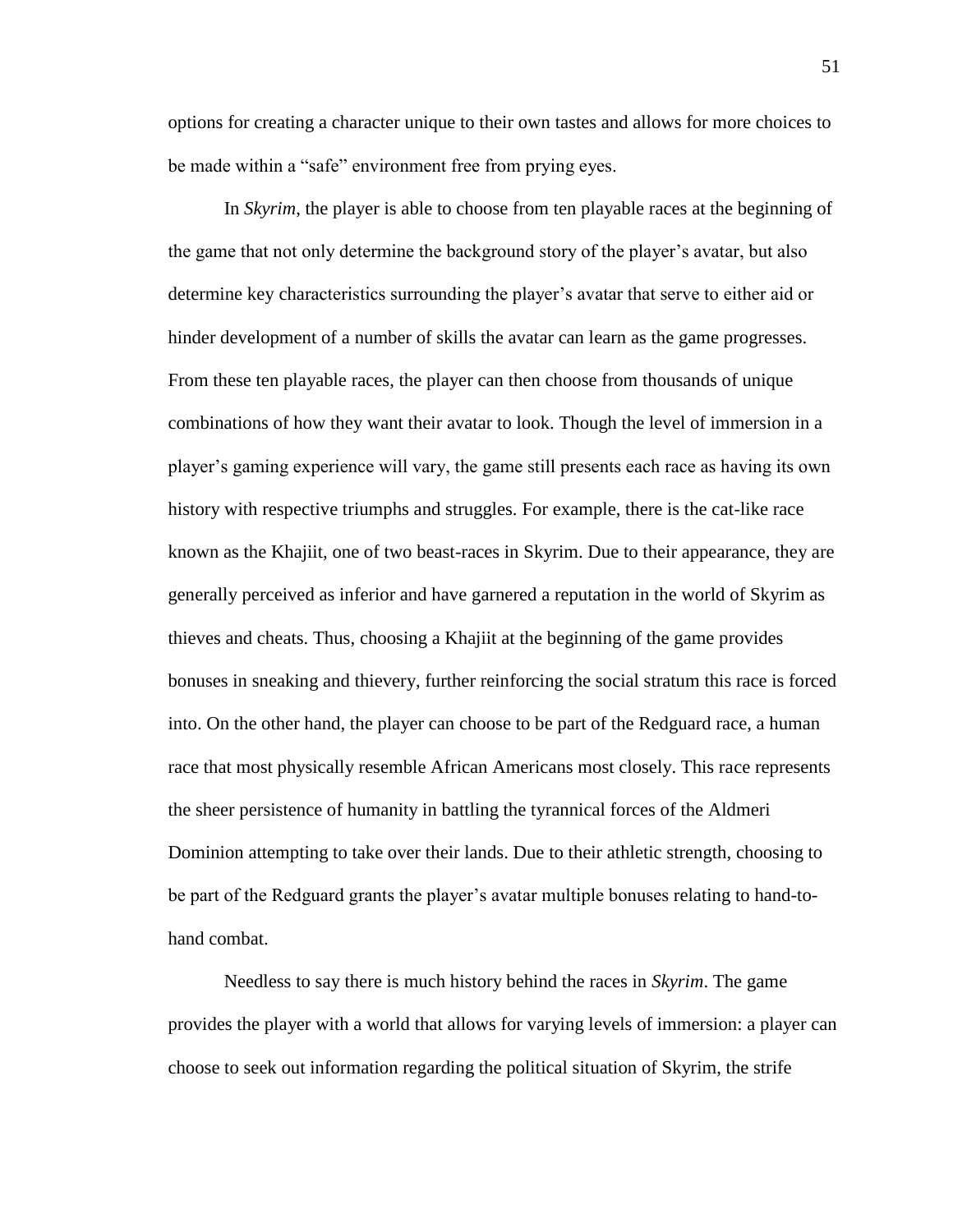options for creating a character unique to their own tastes and allows for more choices to be made within a "safe" environment free from prying eyes.

In *Skyrim*, the player is able to choose from ten playable races at the beginning of the game that not only determine the background story of the player's avatar, but also determine key characteristics surrounding the player's avatar that serve to either aid or hinder development of a number of skills the avatar can learn as the game progresses. From these ten playable races, the player can then choose from thousands of unique combinations of how they want their avatar to look. Though the level of immersion in a player's gaming experience will vary, the game still presents each race as having its own history with respective triumphs and struggles. For example, there is the cat-like race known as the Khajiit, one of two beast-races in Skyrim. Due to their appearance, they are generally perceived as inferior and have garnered a reputation in the world of Skyrim as thieves and cheats. Thus, choosing a Khajiit at the beginning of the game provides bonuses in sneaking and thievery, further reinforcing the social stratum this race is forced into. On the other hand, the player can choose to be part of the Redguard race, a human race that most physically resemble African Americans most closely. This race represents the sheer persistence of humanity in battling the tyrannical forces of the Aldmeri Dominion attempting to take over their lands. Due to their athletic strength, choosing to be part of the Redguard grants the player's avatar multiple bonuses relating to hand-tohand combat.

Needless to say there is much history behind the races in *Skyrim*. The game provides the player with a world that allows for varying levels of immersion: a player can choose to seek out information regarding the political situation of Skyrim, the strife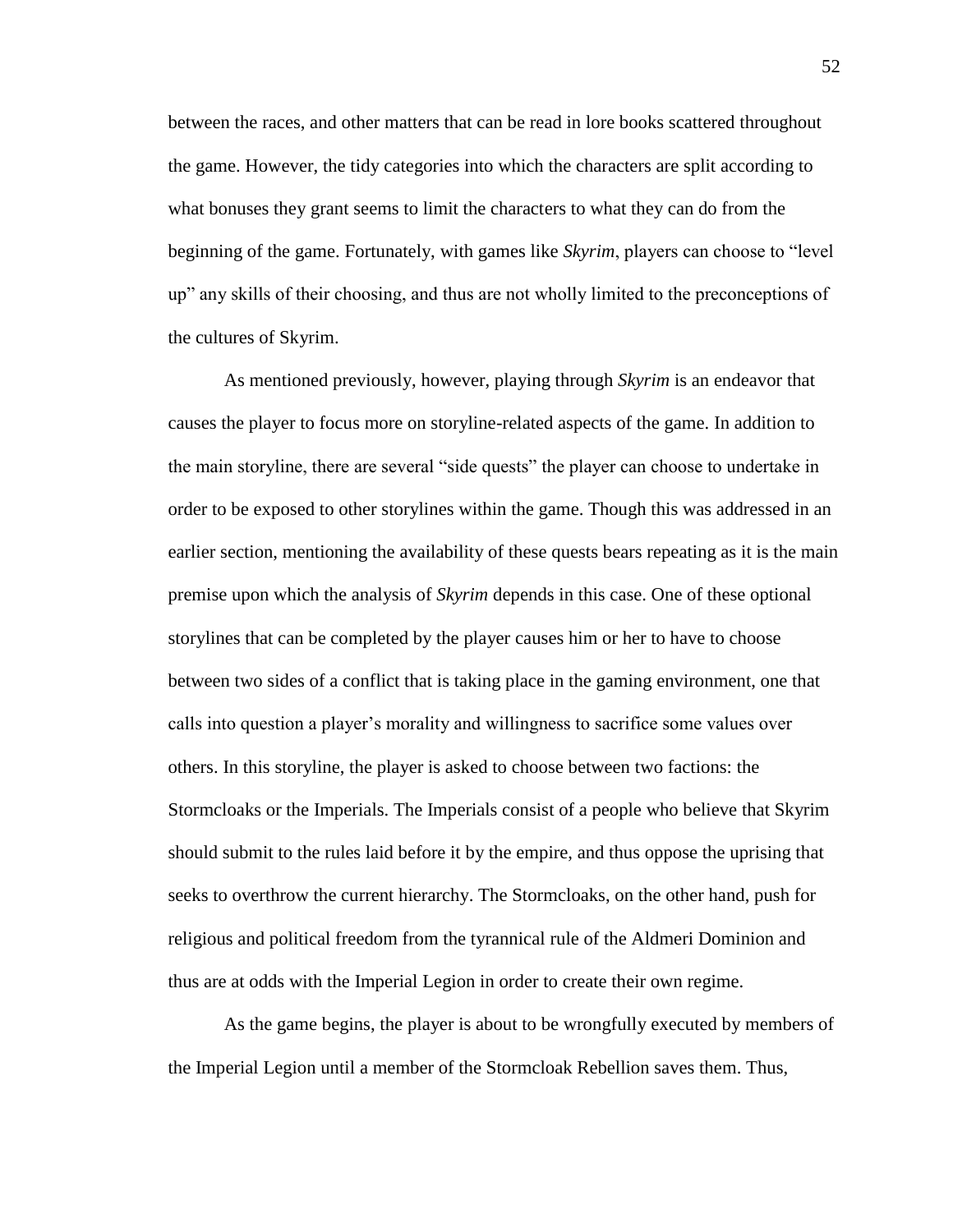between the races, and other matters that can be read in lore books scattered throughout the game. However, the tidy categories into which the characters are split according to what bonuses they grant seems to limit the characters to what they can do from the beginning of the game. Fortunately, with games like *Skyrim*, players can choose to "level up" any skills of their choosing, and thus are not wholly limited to the preconceptions of the cultures of Skyrim.

As mentioned previously, however, playing through *Skyrim* is an endeavor that causes the player to focus more on storyline-related aspects of the game. In addition to the main storyline, there are several "side quests" the player can choose to undertake in order to be exposed to other storylines within the game. Though this was addressed in an earlier section, mentioning the availability of these quests bears repeating as it is the main premise upon which the analysis of *Skyrim* depends in this case. One of these optional storylines that can be completed by the player causes him or her to have to choose between two sides of a conflict that is taking place in the gaming environment, one that calls into question a player's morality and willingness to sacrifice some values over others. In this storyline, the player is asked to choose between two factions: the Stormcloaks or the Imperials. The Imperials consist of a people who believe that Skyrim should submit to the rules laid before it by the empire, and thus oppose the uprising that seeks to overthrow the current hierarchy. The Stormcloaks, on the other hand, push for religious and political freedom from the tyrannical rule of the Aldmeri Dominion and thus are at odds with the Imperial Legion in order to create their own regime.

As the game begins, the player is about to be wrongfully executed by members of the Imperial Legion until a member of the Stormcloak Rebellion saves them. Thus,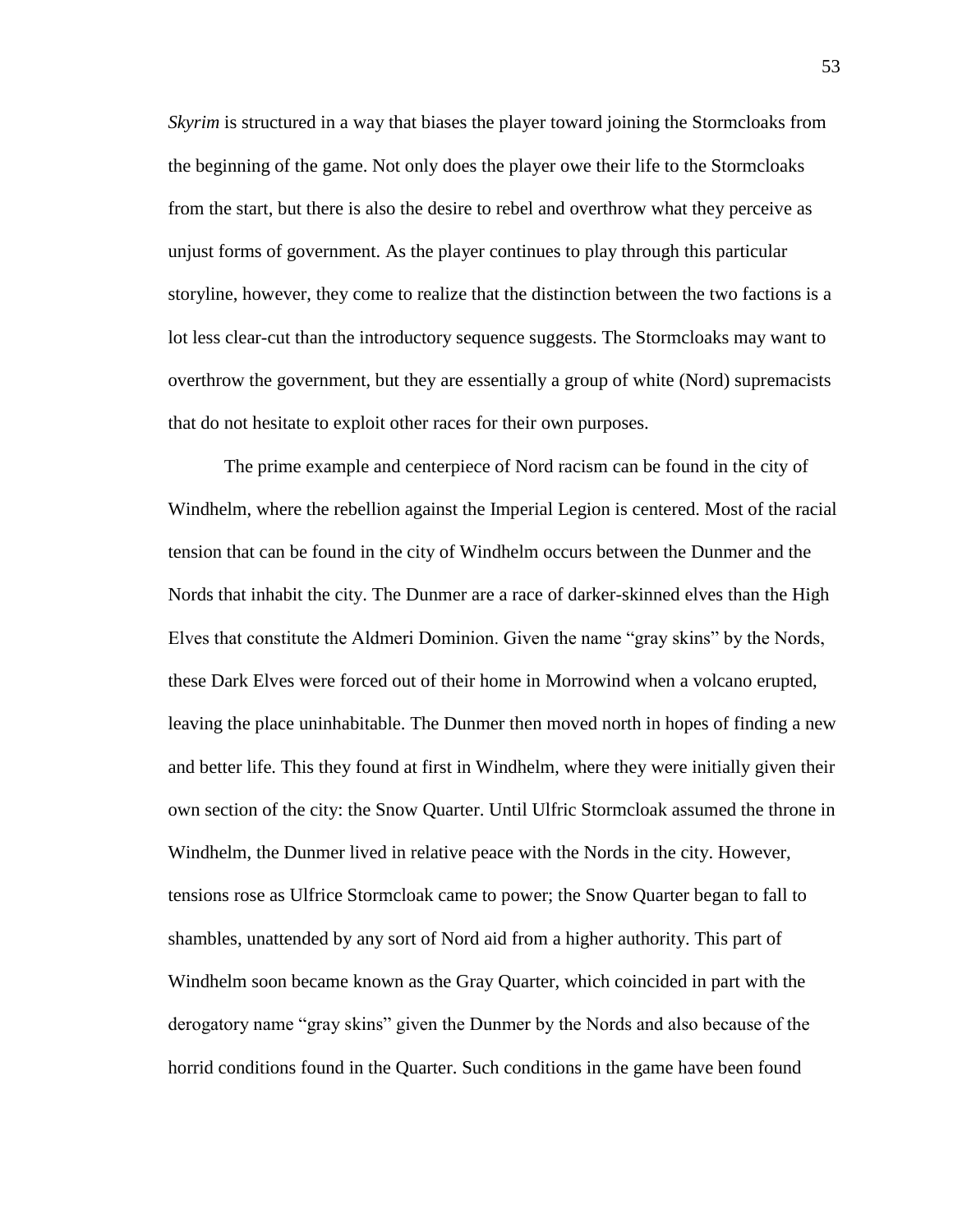*Skyrim* is structured in a way that biases the player toward joining the Stormcloaks from the beginning of the game. Not only does the player owe their life to the Stormcloaks from the start, but there is also the desire to rebel and overthrow what they perceive as unjust forms of government. As the player continues to play through this particular storyline, however, they come to realize that the distinction between the two factions is a lot less clear-cut than the introductory sequence suggests. The Stormcloaks may want to overthrow the government, but they are essentially a group of white (Nord) supremacists that do not hesitate to exploit other races for their own purposes.

The prime example and centerpiece of Nord racism can be found in the city of Windhelm, where the rebellion against the Imperial Legion is centered. Most of the racial tension that can be found in the city of Windhelm occurs between the Dunmer and the Nords that inhabit the city. The Dunmer are a race of darker-skinned elves than the High Elves that constitute the Aldmeri Dominion. Given the name "gray skins" by the Nords, these Dark Elves were forced out of their home in Morrowind when a volcano erupted, leaving the place uninhabitable. The Dunmer then moved north in hopes of finding a new and better life. This they found at first in Windhelm, where they were initially given their own section of the city: the Snow Quarter. Until Ulfric Stormcloak assumed the throne in Windhelm, the Dunmer lived in relative peace with the Nords in the city. However, tensions rose as Ulfrice Stormcloak came to power; the Snow Quarter began to fall to shambles, unattended by any sort of Nord aid from a higher authority. This part of Windhelm soon became known as the Gray Quarter, which coincided in part with the derogatory name "gray skins" given the Dunmer by the Nords and also because of the horrid conditions found in the Quarter. Such conditions in the game have been found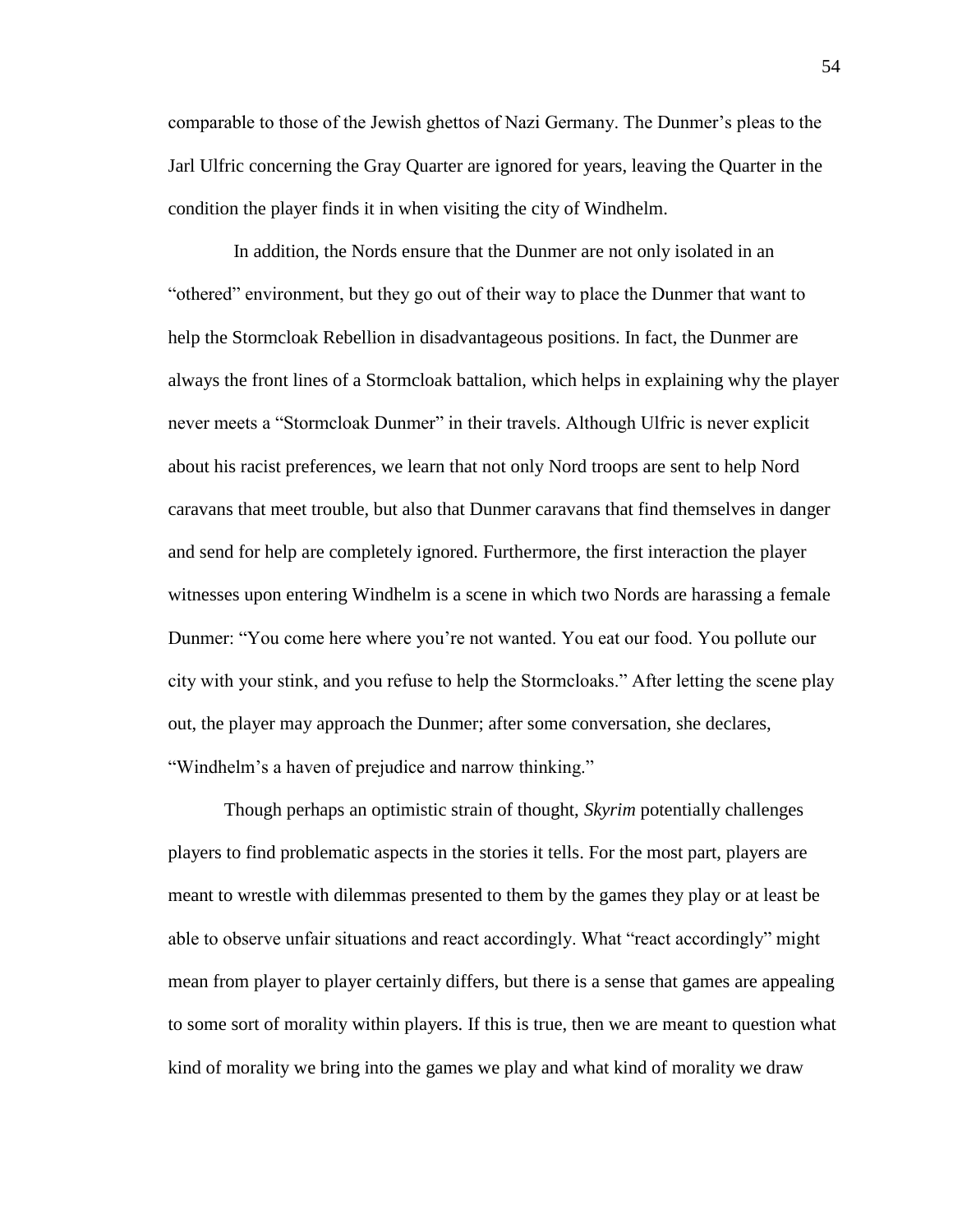comparable to those of the Jewish ghettos of Nazi Germany. The Dunmer's pleas to the Jarl Ulfric concerning the Gray Quarter are ignored for years, leaving the Quarter in the condition the player finds it in when visiting the city of Windhelm.

 In addition, the Nords ensure that the Dunmer are not only isolated in an "othered" environment, but they go out of their way to place the Dunmer that want to help the Stormcloak Rebellion in disadvantageous positions. In fact, the Dunmer are always the front lines of a Stormcloak battalion, which helps in explaining why the player never meets a "Stormcloak Dunmer" in their travels. Although Ulfric is never explicit about his racist preferences, we learn that not only Nord troops are sent to help Nord caravans that meet trouble, but also that Dunmer caravans that find themselves in danger and send for help are completely ignored. Furthermore, the first interaction the player witnesses upon entering Windhelm is a scene in which two Nords are harassing a female Dunmer: "You come here where you're not wanted. You eat our food. You pollute our city with your stink, and you refuse to help the Stormcloaks." After letting the scene play out, the player may approach the Dunmer; after some conversation, she declares, "Windhelm's a haven of prejudice and narrow thinking."

Though perhaps an optimistic strain of thought, *Skyrim* potentially challenges players to find problematic aspects in the stories it tells. For the most part, players are meant to wrestle with dilemmas presented to them by the games they play or at least be able to observe unfair situations and react accordingly. What "react accordingly" might mean from player to player certainly differs, but there is a sense that games are appealing to some sort of morality within players. If this is true, then we are meant to question what kind of morality we bring into the games we play and what kind of morality we draw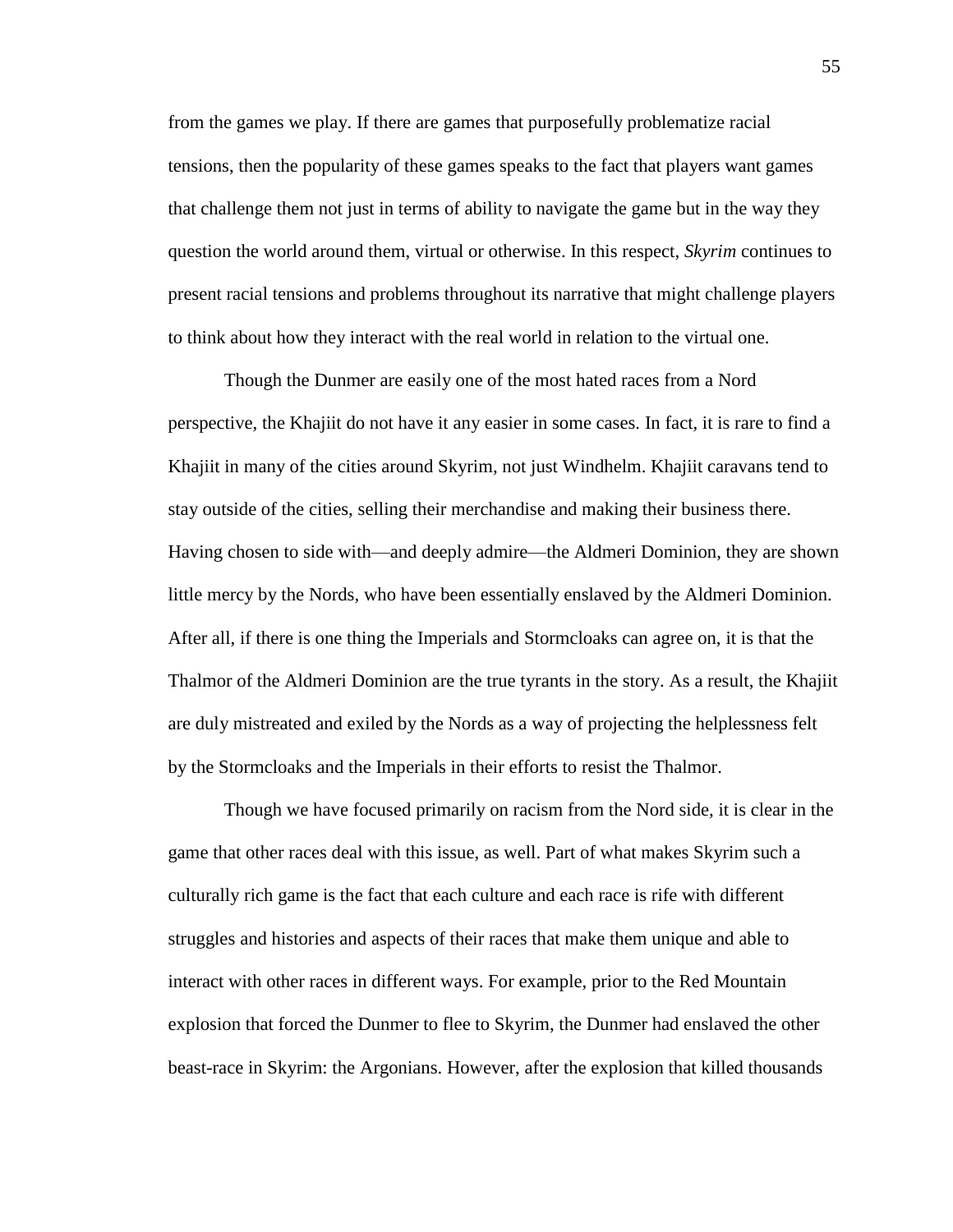from the games we play. If there are games that purposefully problematize racial tensions, then the popularity of these games speaks to the fact that players want games that challenge them not just in terms of ability to navigate the game but in the way they question the world around them, virtual or otherwise. In this respect, *Skyrim* continues to present racial tensions and problems throughout its narrative that might challenge players to think about how they interact with the real world in relation to the virtual one.

Though the Dunmer are easily one of the most hated races from a Nord perspective, the Khajiit do not have it any easier in some cases. In fact, it is rare to find a Khajiit in many of the cities around Skyrim, not just Windhelm. Khajiit caravans tend to stay outside of the cities, selling their merchandise and making their business there. Having chosen to side with—and deeply admire—the Aldmeri Dominion, they are shown little mercy by the Nords, who have been essentially enslaved by the Aldmeri Dominion. After all, if there is one thing the Imperials and Stormcloaks can agree on, it is that the Thalmor of the Aldmeri Dominion are the true tyrants in the story. As a result, the Khajiit are duly mistreated and exiled by the Nords as a way of projecting the helplessness felt by the Stormcloaks and the Imperials in their efforts to resist the Thalmor.

Though we have focused primarily on racism from the Nord side, it is clear in the game that other races deal with this issue, as well. Part of what makes Skyrim such a culturally rich game is the fact that each culture and each race is rife with different struggles and histories and aspects of their races that make them unique and able to interact with other races in different ways. For example, prior to the Red Mountain explosion that forced the Dunmer to flee to Skyrim, the Dunmer had enslaved the other beast-race in Skyrim: the Argonians. However, after the explosion that killed thousands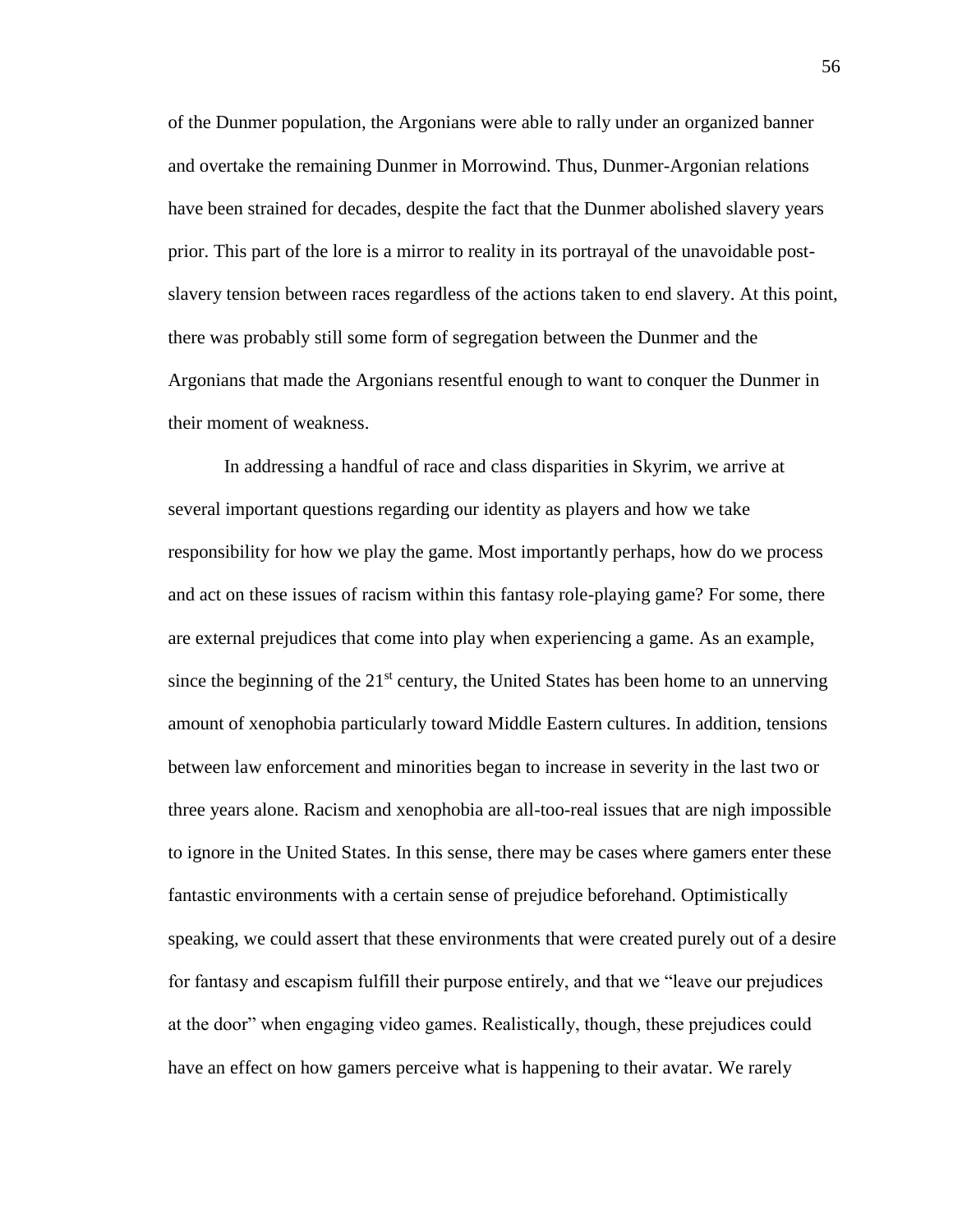of the Dunmer population, the Argonians were able to rally under an organized banner and overtake the remaining Dunmer in Morrowind. Thus, Dunmer-Argonian relations have been strained for decades, despite the fact that the Dunmer abolished slavery years prior. This part of the lore is a mirror to reality in its portrayal of the unavoidable postslavery tension between races regardless of the actions taken to end slavery. At this point, there was probably still some form of segregation between the Dunmer and the Argonians that made the Argonians resentful enough to want to conquer the Dunmer in their moment of weakness.

In addressing a handful of race and class disparities in Skyrim, we arrive at several important questions regarding our identity as players and how we take responsibility for how we play the game. Most importantly perhaps, how do we process and act on these issues of racism within this fantasy role-playing game? For some, there are external prejudices that come into play when experiencing a game. As an example, since the beginning of the  $21<sup>st</sup>$  century, the United States has been home to an unnerving amount of xenophobia particularly toward Middle Eastern cultures. In addition, tensions between law enforcement and minorities began to increase in severity in the last two or three years alone. Racism and xenophobia are all-too-real issues that are nigh impossible to ignore in the United States. In this sense, there may be cases where gamers enter these fantastic environments with a certain sense of prejudice beforehand. Optimistically speaking, we could assert that these environments that were created purely out of a desire for fantasy and escapism fulfill their purpose entirely, and that we "leave our prejudices at the door" when engaging video games. Realistically, though, these prejudices could have an effect on how gamers perceive what is happening to their avatar. We rarely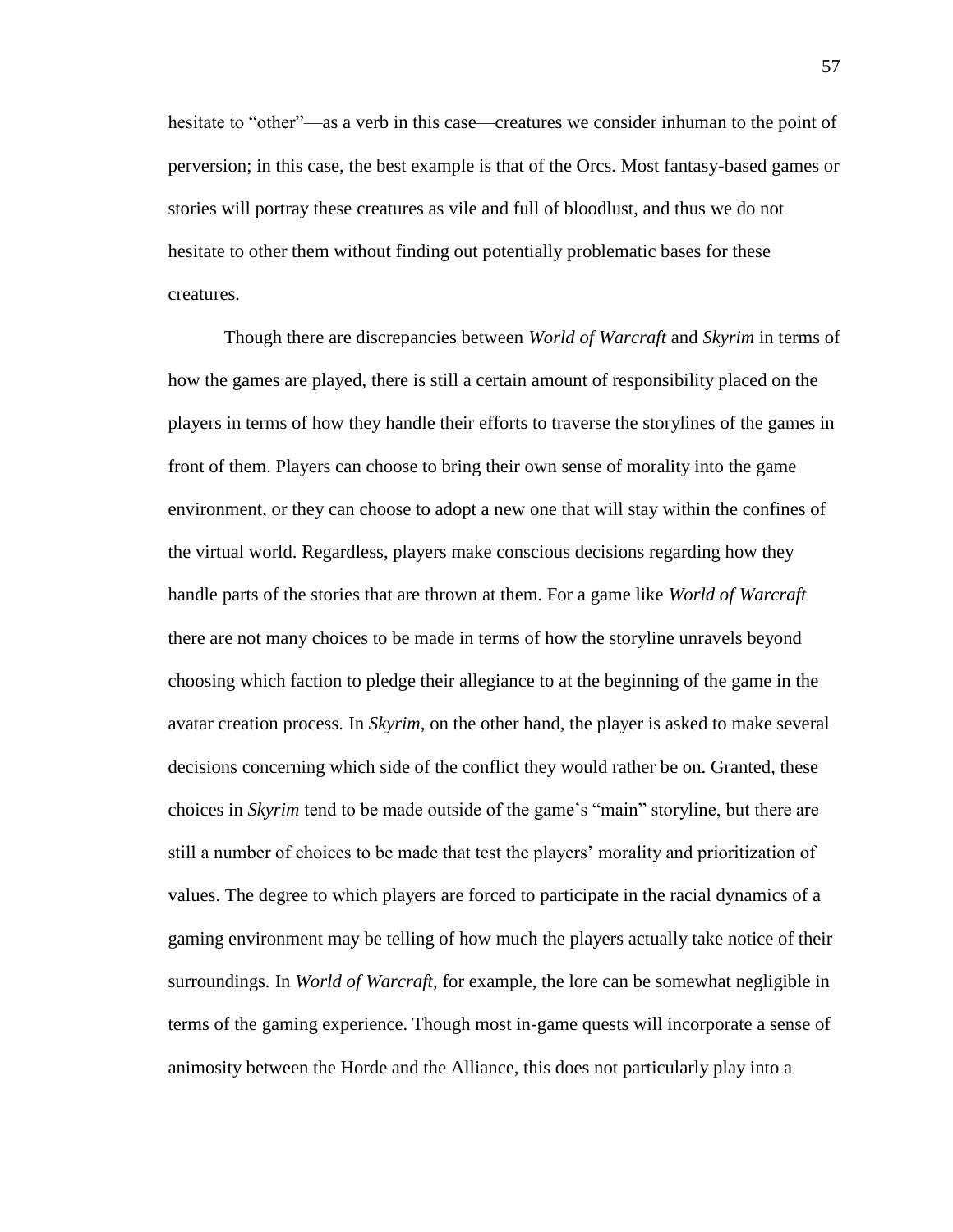hesitate to "other"—as a verb in this case—creatures we consider inhuman to the point of perversion; in this case, the best example is that of the Orcs. Most fantasy-based games or stories will portray these creatures as vile and full of bloodlust, and thus we do not hesitate to other them without finding out potentially problematic bases for these creatures.

Though there are discrepancies between *World of Warcraft* and *Skyrim* in terms of how the games are played, there is still a certain amount of responsibility placed on the players in terms of how they handle their efforts to traverse the storylines of the games in front of them. Players can choose to bring their own sense of morality into the game environment, or they can choose to adopt a new one that will stay within the confines of the virtual world. Regardless, players make conscious decisions regarding how they handle parts of the stories that are thrown at them. For a game like *World of Warcraft* there are not many choices to be made in terms of how the storyline unravels beyond choosing which faction to pledge their allegiance to at the beginning of the game in the avatar creation process. In *Skyrim*, on the other hand, the player is asked to make several decisions concerning which side of the conflict they would rather be on. Granted, these choices in *Skyrim* tend to be made outside of the game's "main" storyline, but there are still a number of choices to be made that test the players' morality and prioritization of values. The degree to which players are forced to participate in the racial dynamics of a gaming environment may be telling of how much the players actually take notice of their surroundings. In *World of Warcraft*, for example, the lore can be somewhat negligible in terms of the gaming experience. Though most in-game quests will incorporate a sense of animosity between the Horde and the Alliance, this does not particularly play into a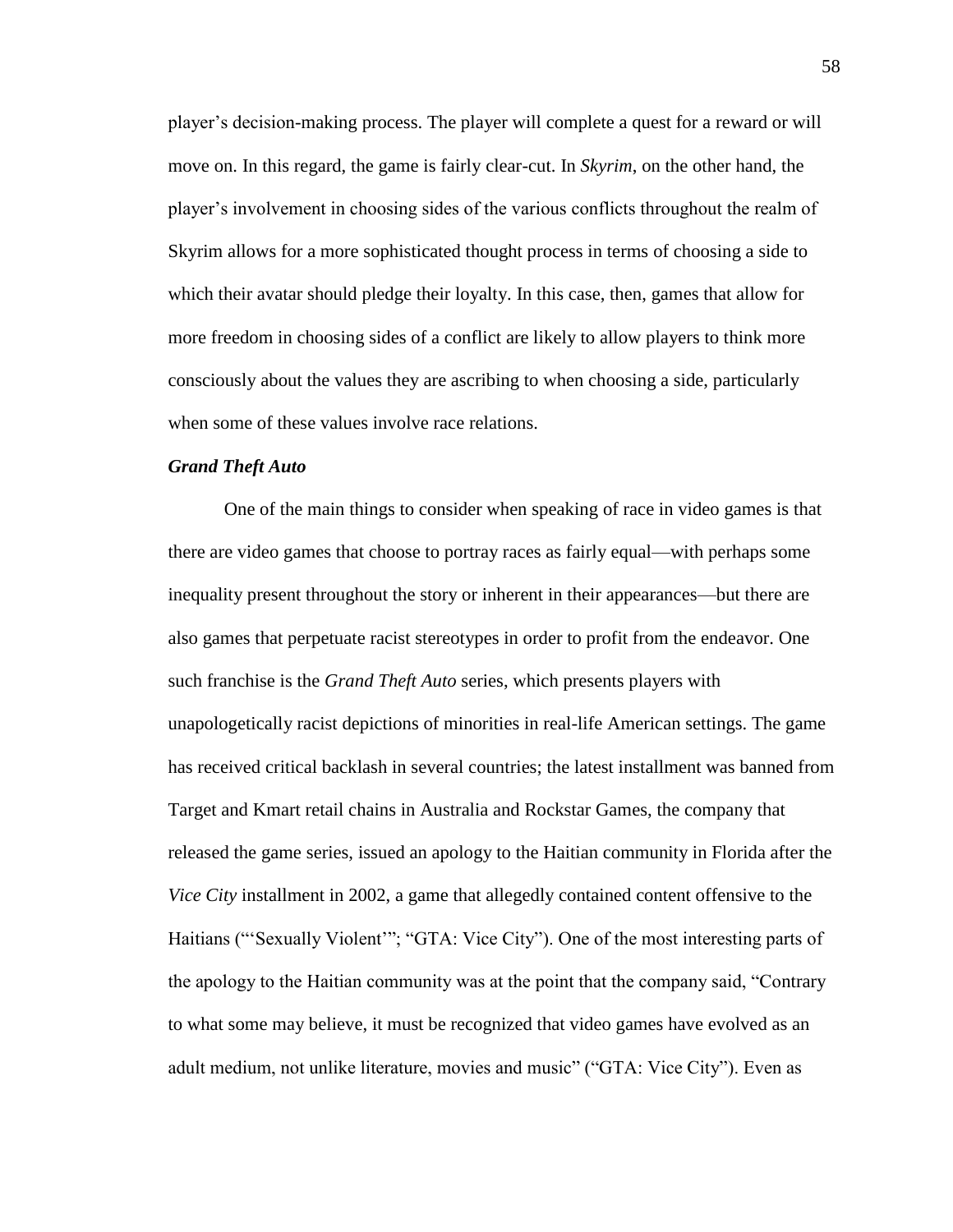player's decision-making process. The player will complete a quest for a reward or will move on. In this regard, the game is fairly clear-cut. In *Skyrim*, on the other hand, the player's involvement in choosing sides of the various conflicts throughout the realm of Skyrim allows for a more sophisticated thought process in terms of choosing a side to which their avatar should pledge their loyalty. In this case, then, games that allow for more freedom in choosing sides of a conflict are likely to allow players to think more consciously about the values they are ascribing to when choosing a side, particularly when some of these values involve race relations.

# *Grand Theft Auto*

One of the main things to consider when speaking of race in video games is that there are video games that choose to portray races as fairly equal—with perhaps some inequality present throughout the story or inherent in their appearances—but there are also games that perpetuate racist stereotypes in order to profit from the endeavor. One such franchise is the *Grand Theft Auto* series, which presents players with unapologetically racist depictions of minorities in real-life American settings. The game has received critical backlash in several countries; the latest installment was banned from Target and Kmart retail chains in Australia and Rockstar Games, the company that released the game series, issued an apology to the Haitian community in Florida after the *Vice City* installment in 2002, a game that allegedly contained content offensive to the Haitians ("'Sexually Violent'"; "GTA: Vice City"). One of the most interesting parts of the apology to the Haitian community was at the point that the company said, "Contrary to what some may believe, it must be recognized that video games have evolved as an adult medium, not unlike literature, movies and music" ("GTA: Vice City"). Even as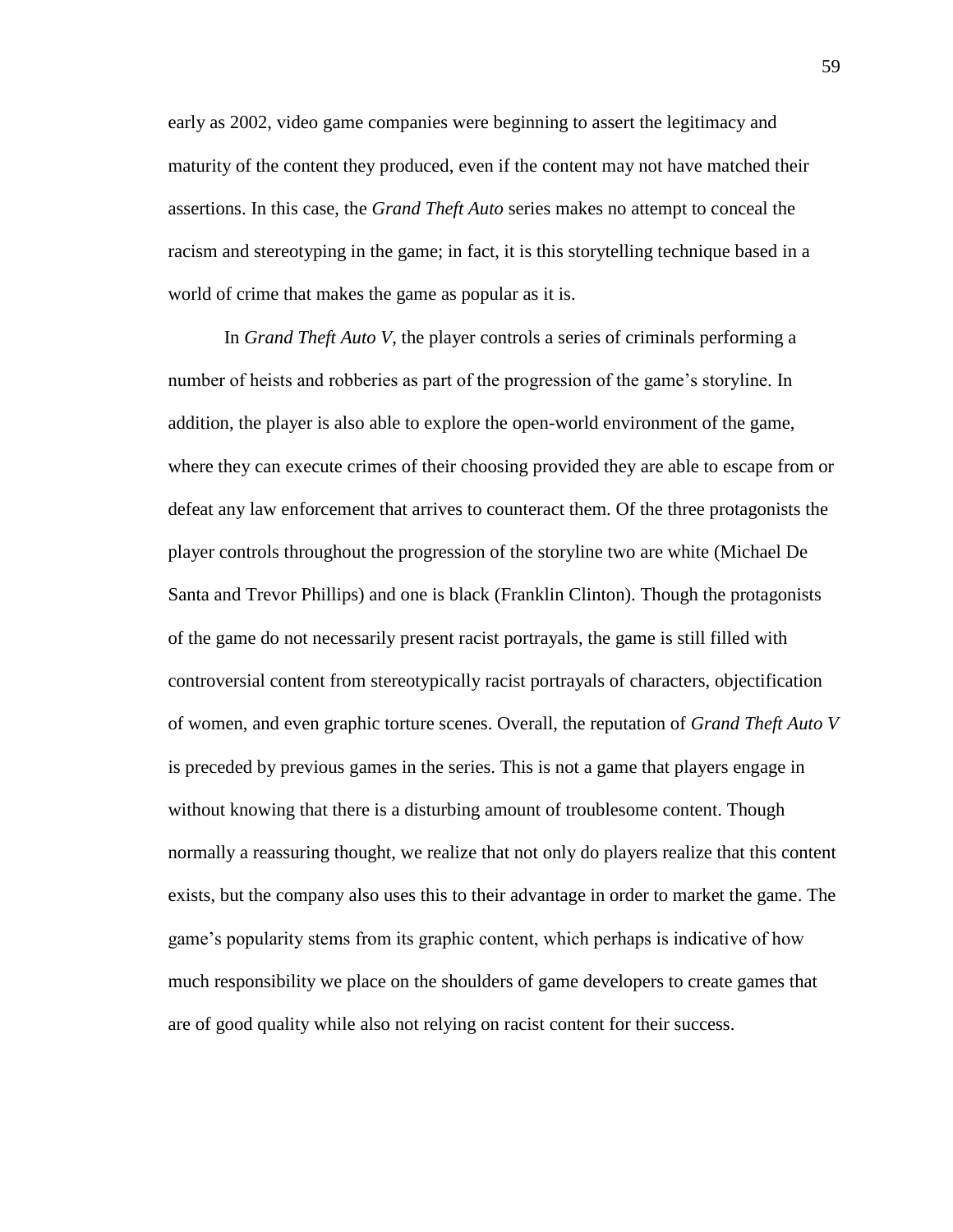early as 2002, video game companies were beginning to assert the legitimacy and maturity of the content they produced, even if the content may not have matched their assertions. In this case, the *Grand Theft Auto* series makes no attempt to conceal the racism and stereotyping in the game; in fact, it is this storytelling technique based in a world of crime that makes the game as popular as it is.

In *Grand Theft Auto V*, the player controls a series of criminals performing a number of heists and robberies as part of the progression of the game's storyline. In addition, the player is also able to explore the open-world environment of the game, where they can execute crimes of their choosing provided they are able to escape from or defeat any law enforcement that arrives to counteract them. Of the three protagonists the player controls throughout the progression of the storyline two are white (Michael De Santa and Trevor Phillips) and one is black (Franklin Clinton). Though the protagonists of the game do not necessarily present racist portrayals, the game is still filled with controversial content from stereotypically racist portrayals of characters, objectification of women, and even graphic torture scenes. Overall, the reputation of *Grand Theft Auto V* is preceded by previous games in the series. This is not a game that players engage in without knowing that there is a disturbing amount of troublesome content. Though normally a reassuring thought, we realize that not only do players realize that this content exists, but the company also uses this to their advantage in order to market the game. The game's popularity stems from its graphic content, which perhaps is indicative of how much responsibility we place on the shoulders of game developers to create games that are of good quality while also not relying on racist content for their success.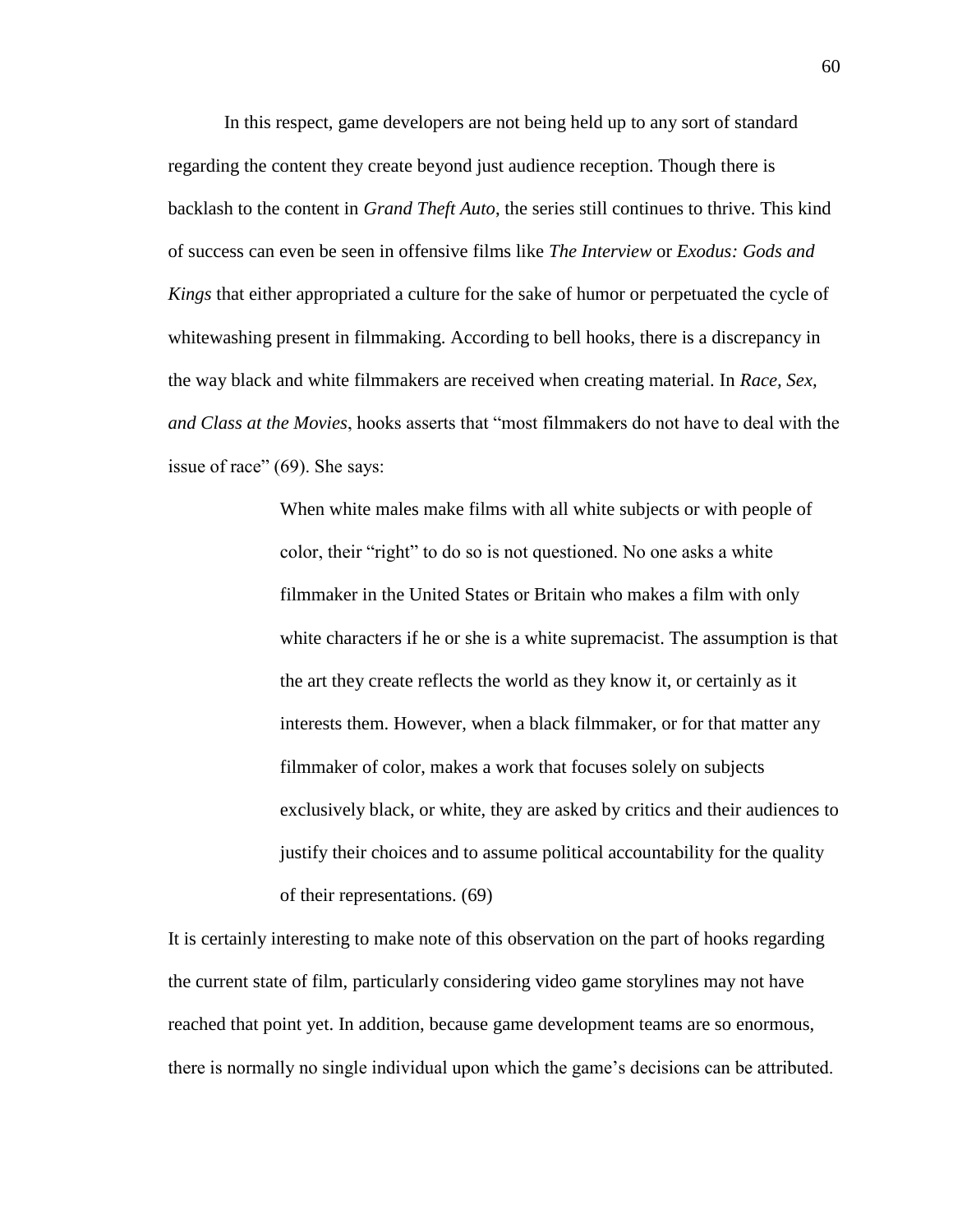In this respect, game developers are not being held up to any sort of standard regarding the content they create beyond just audience reception. Though there is backlash to the content in *Grand Theft Auto*, the series still continues to thrive. This kind of success can even be seen in offensive films like *The Interview* or *Exodus: Gods and Kings* that either appropriated a culture for the sake of humor or perpetuated the cycle of whitewashing present in filmmaking. According to bell hooks, there is a discrepancy in the way black and white filmmakers are received when creating material. In *Race, Sex, and Class at the Movies*, hooks asserts that "most filmmakers do not have to deal with the issue of race" (69). She says:

> When white males make films with all white subjects or with people of color, their "right" to do so is not questioned. No one asks a white filmmaker in the United States or Britain who makes a film with only white characters if he or she is a white supremacist. The assumption is that the art they create reflects the world as they know it, or certainly as it interests them. However, when a black filmmaker, or for that matter any filmmaker of color, makes a work that focuses solely on subjects exclusively black, or white, they are asked by critics and their audiences to justify their choices and to assume political accountability for the quality of their representations. (69)

It is certainly interesting to make note of this observation on the part of hooks regarding the current state of film, particularly considering video game storylines may not have reached that point yet. In addition, because game development teams are so enormous, there is normally no single individual upon which the game's decisions can be attributed.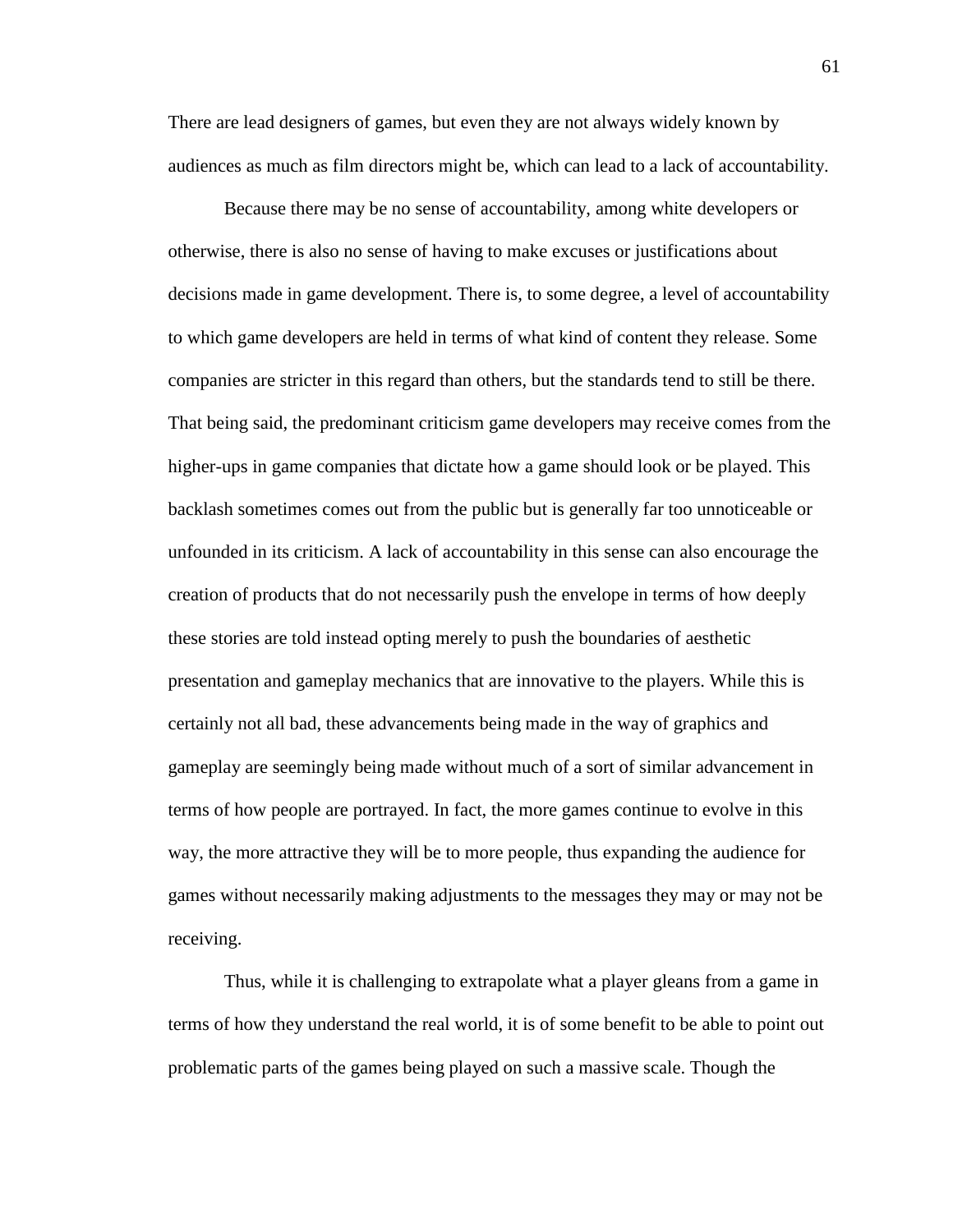There are lead designers of games, but even they are not always widely known by audiences as much as film directors might be, which can lead to a lack of accountability.

Because there may be no sense of accountability, among white developers or otherwise, there is also no sense of having to make excuses or justifications about decisions made in game development. There is, to some degree, a level of accountability to which game developers are held in terms of what kind of content they release. Some companies are stricter in this regard than others, but the standards tend to still be there. That being said, the predominant criticism game developers may receive comes from the higher-ups in game companies that dictate how a game should look or be played. This backlash sometimes comes out from the public but is generally far too unnoticeable or unfounded in its criticism. A lack of accountability in this sense can also encourage the creation of products that do not necessarily push the envelope in terms of how deeply these stories are told instead opting merely to push the boundaries of aesthetic presentation and gameplay mechanics that are innovative to the players. While this is certainly not all bad, these advancements being made in the way of graphics and gameplay are seemingly being made without much of a sort of similar advancement in terms of how people are portrayed. In fact, the more games continue to evolve in this way, the more attractive they will be to more people, thus expanding the audience for games without necessarily making adjustments to the messages they may or may not be receiving.

Thus, while it is challenging to extrapolate what a player gleans from a game in terms of how they understand the real world, it is of some benefit to be able to point out problematic parts of the games being played on such a massive scale. Though the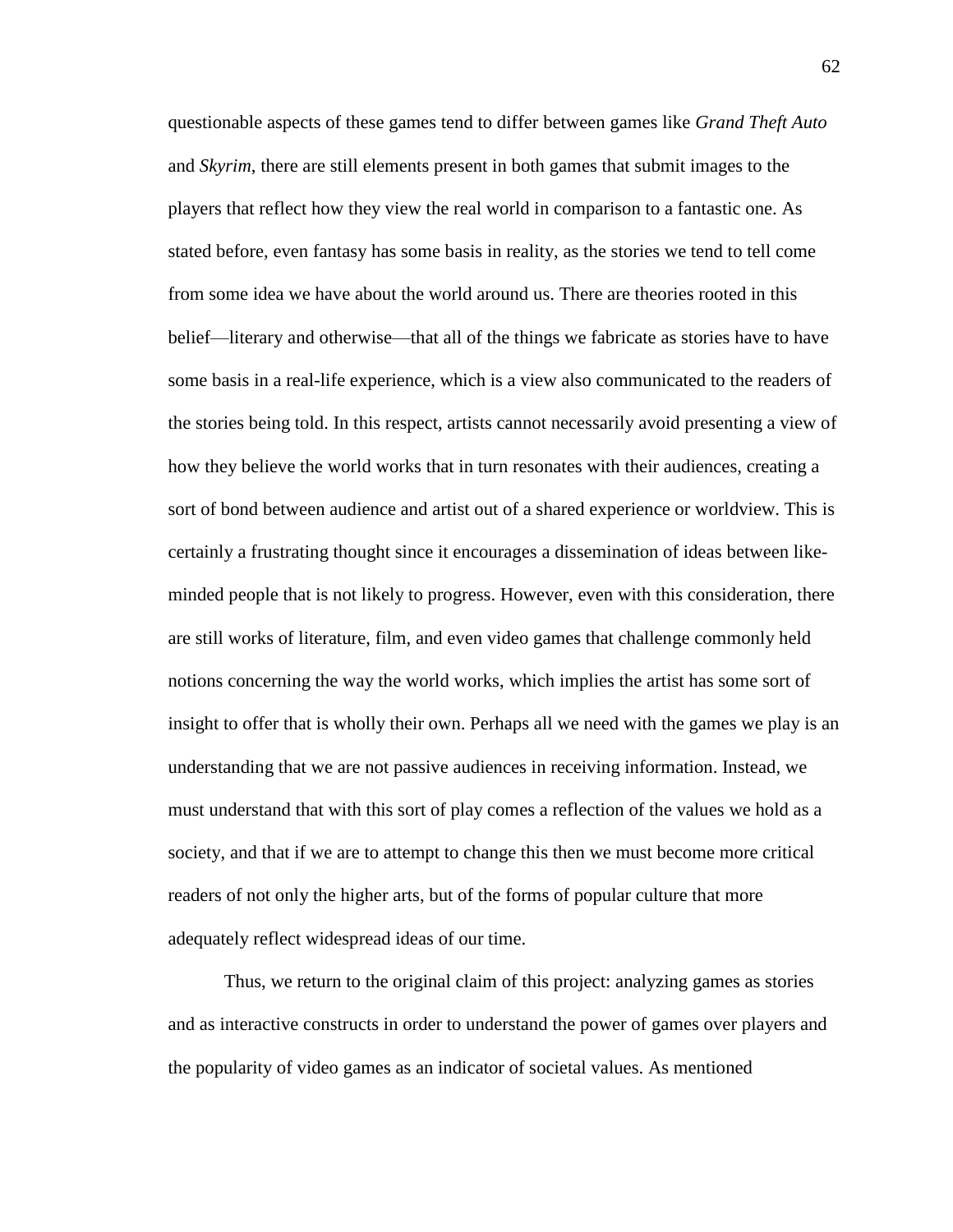questionable aspects of these games tend to differ between games like *Grand Theft Auto* and *Skyrim*, there are still elements present in both games that submit images to the players that reflect how they view the real world in comparison to a fantastic one. As stated before, even fantasy has some basis in reality, as the stories we tend to tell come from some idea we have about the world around us. There are theories rooted in this belief—literary and otherwise—that all of the things we fabricate as stories have to have some basis in a real-life experience, which is a view also communicated to the readers of the stories being told. In this respect, artists cannot necessarily avoid presenting a view of how they believe the world works that in turn resonates with their audiences, creating a sort of bond between audience and artist out of a shared experience or worldview. This is certainly a frustrating thought since it encourages a dissemination of ideas between likeminded people that is not likely to progress. However, even with this consideration, there are still works of literature, film, and even video games that challenge commonly held notions concerning the way the world works, which implies the artist has some sort of insight to offer that is wholly their own. Perhaps all we need with the games we play is an understanding that we are not passive audiences in receiving information. Instead, we must understand that with this sort of play comes a reflection of the values we hold as a society, and that if we are to attempt to change this then we must become more critical readers of not only the higher arts, but of the forms of popular culture that more adequately reflect widespread ideas of our time.

Thus, we return to the original claim of this project: analyzing games as stories and as interactive constructs in order to understand the power of games over players and the popularity of video games as an indicator of societal values. As mentioned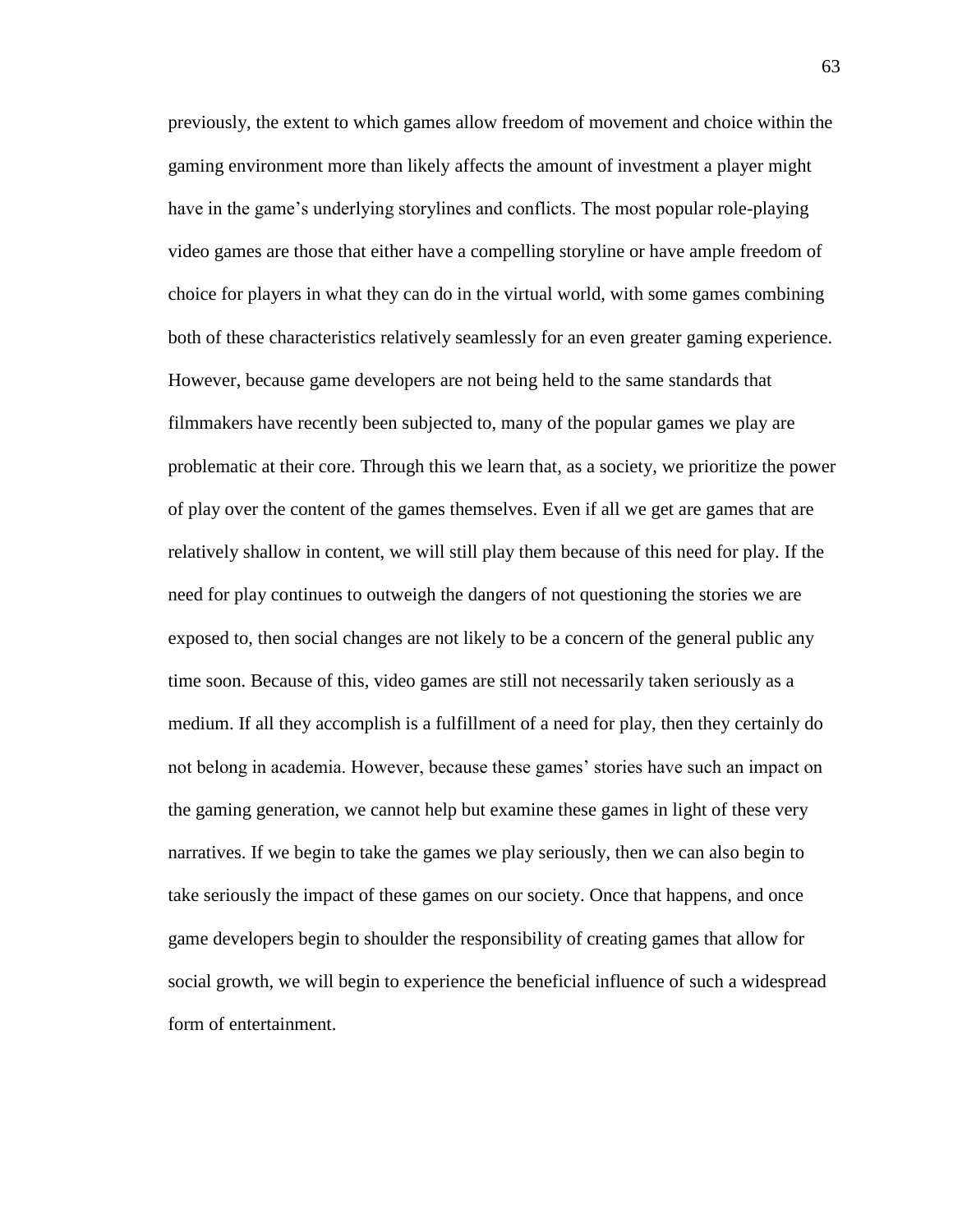previously, the extent to which games allow freedom of movement and choice within the gaming environment more than likely affects the amount of investment a player might have in the game's underlying storylines and conflicts. The most popular role-playing video games are those that either have a compelling storyline or have ample freedom of choice for players in what they can do in the virtual world, with some games combining both of these characteristics relatively seamlessly for an even greater gaming experience. However, because game developers are not being held to the same standards that filmmakers have recently been subjected to, many of the popular games we play are problematic at their core. Through this we learn that, as a society, we prioritize the power of play over the content of the games themselves. Even if all we get are games that are relatively shallow in content, we will still play them because of this need for play. If the need for play continues to outweigh the dangers of not questioning the stories we are exposed to, then social changes are not likely to be a concern of the general public any time soon. Because of this, video games are still not necessarily taken seriously as a medium. If all they accomplish is a fulfillment of a need for play, then they certainly do not belong in academia. However, because these games' stories have such an impact on the gaming generation, we cannot help but examine these games in light of these very narratives. If we begin to take the games we play seriously, then we can also begin to take seriously the impact of these games on our society. Once that happens, and once game developers begin to shoulder the responsibility of creating games that allow for social growth, we will begin to experience the beneficial influence of such a widespread form of entertainment.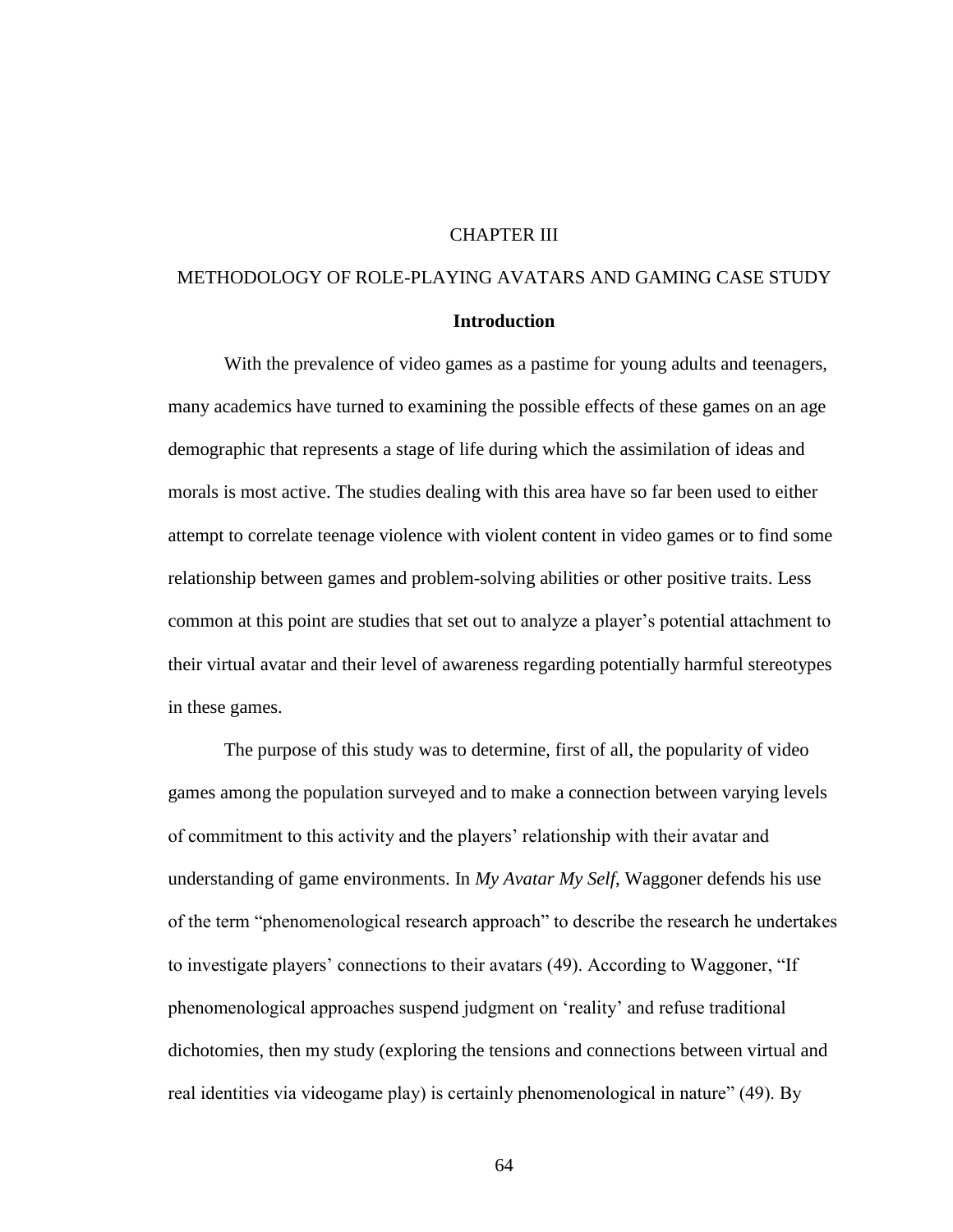# CHAPTER III

# METHODOLOGY OF ROLE-PLAYING AVATARS AND GAMING CASE STUDY **Introduction**

With the prevalence of video games as a pastime for young adults and teenagers, many academics have turned to examining the possible effects of these games on an age demographic that represents a stage of life during which the assimilation of ideas and morals is most active. The studies dealing with this area have so far been used to either attempt to correlate teenage violence with violent content in video games or to find some relationship between games and problem-solving abilities or other positive traits. Less common at this point are studies that set out to analyze a player's potential attachment to their virtual avatar and their level of awareness regarding potentially harmful stereotypes in these games.

The purpose of this study was to determine, first of all, the popularity of video games among the population surveyed and to make a connection between varying levels of commitment to this activity and the players' relationship with their avatar and understanding of game environments. In *My Avatar My Self*, Waggoner defends his use of the term "phenomenological research approach" to describe the research he undertakes to investigate players' connections to their avatars (49). According to Waggoner, "If phenomenological approaches suspend judgment on 'reality' and refuse traditional dichotomies, then my study (exploring the tensions and connections between virtual and real identities via videogame play) is certainly phenomenological in nature" (49). By

64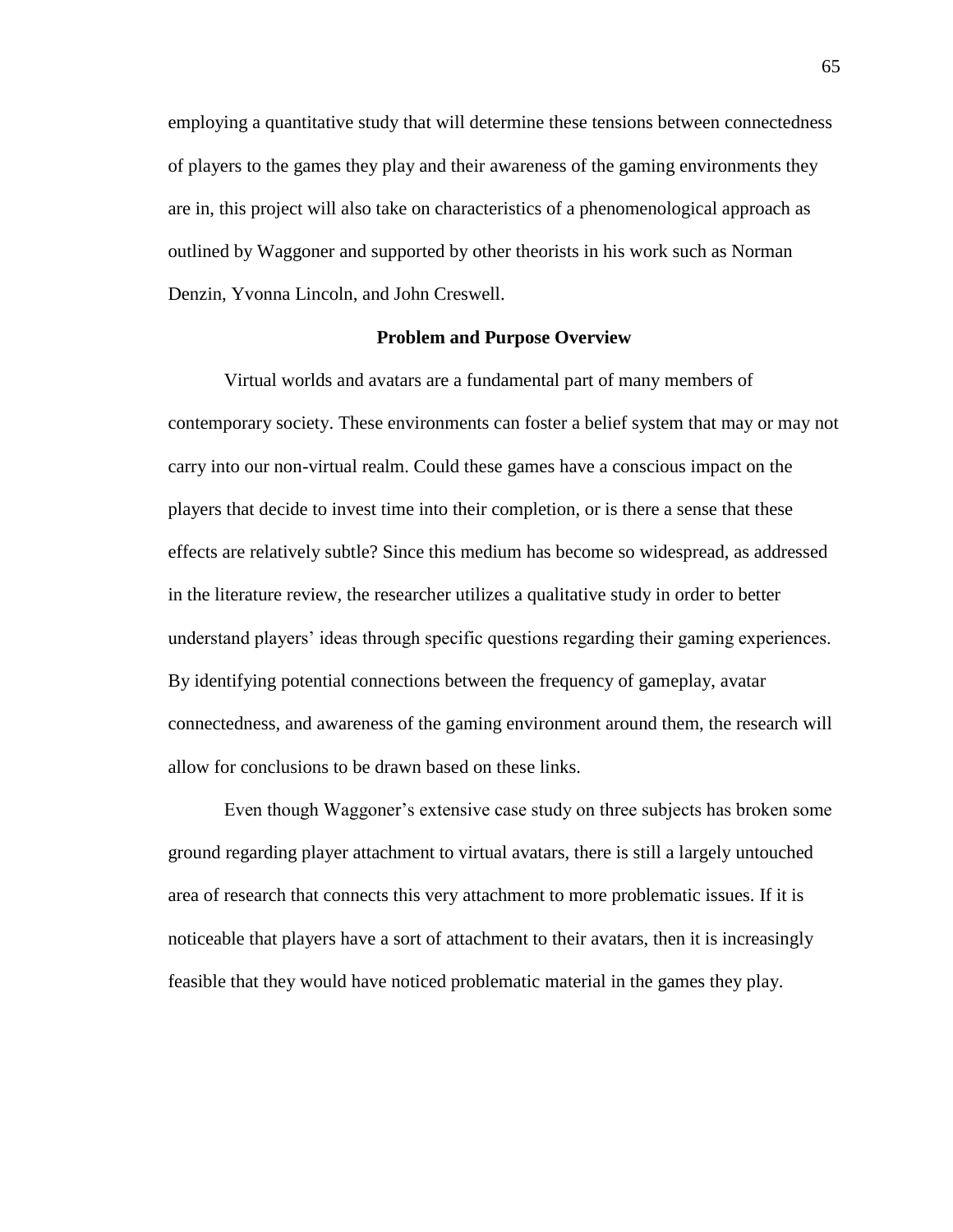employing a quantitative study that will determine these tensions between connectedness of players to the games they play and their awareness of the gaming environments they are in, this project will also take on characteristics of a phenomenological approach as outlined by Waggoner and supported by other theorists in his work such as Norman Denzin, Yvonna Lincoln, and John Creswell.

# **Problem and Purpose Overview**

Virtual worlds and avatars are a fundamental part of many members of contemporary society. These environments can foster a belief system that may or may not carry into our non-virtual realm. Could these games have a conscious impact on the players that decide to invest time into their completion, or is there a sense that these effects are relatively subtle? Since this medium has become so widespread, as addressed in the literature review, the researcher utilizes a qualitative study in order to better understand players' ideas through specific questions regarding their gaming experiences. By identifying potential connections between the frequency of gameplay, avatar connectedness, and awareness of the gaming environment around them, the research will allow for conclusions to be drawn based on these links.

Even though Waggoner's extensive case study on three subjects has broken some ground regarding player attachment to virtual avatars, there is still a largely untouched area of research that connects this very attachment to more problematic issues. If it is noticeable that players have a sort of attachment to their avatars, then it is increasingly feasible that they would have noticed problematic material in the games they play.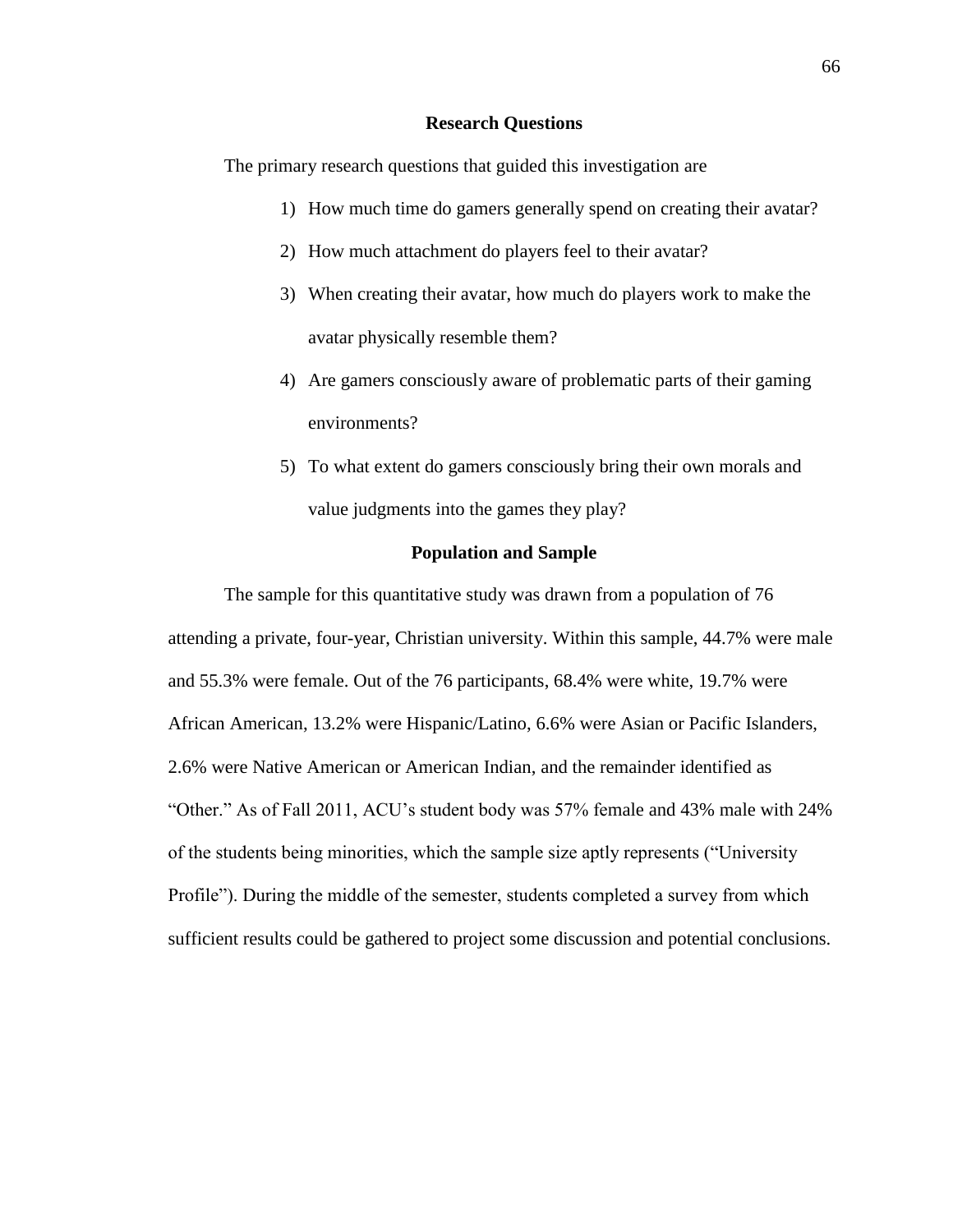# **Research Questions**

The primary research questions that guided this investigation are

- 1) How much time do gamers generally spend on creating their avatar?
- 2) How much attachment do players feel to their avatar?
- 3) When creating their avatar, how much do players work to make the avatar physically resemble them?
- 4) Are gamers consciously aware of problematic parts of their gaming environments?
- 5) To what extent do gamers consciously bring their own morals and value judgments into the games they play?

# **Population and Sample**

The sample for this quantitative study was drawn from a population of 76 attending a private, four-year, Christian university. Within this sample, 44.7% were male and 55.3% were female. Out of the 76 participants, 68.4% were white, 19.7% were African American, 13.2% were Hispanic/Latino, 6.6% were Asian or Pacific Islanders, 2.6% were Native American or American Indian, and the remainder identified as "Other." As of Fall 2011, ACU's student body was 57% female and 43% male with 24% of the students being minorities, which the sample size aptly represents ("University Profile"). During the middle of the semester, students completed a survey from which sufficient results could be gathered to project some discussion and potential conclusions.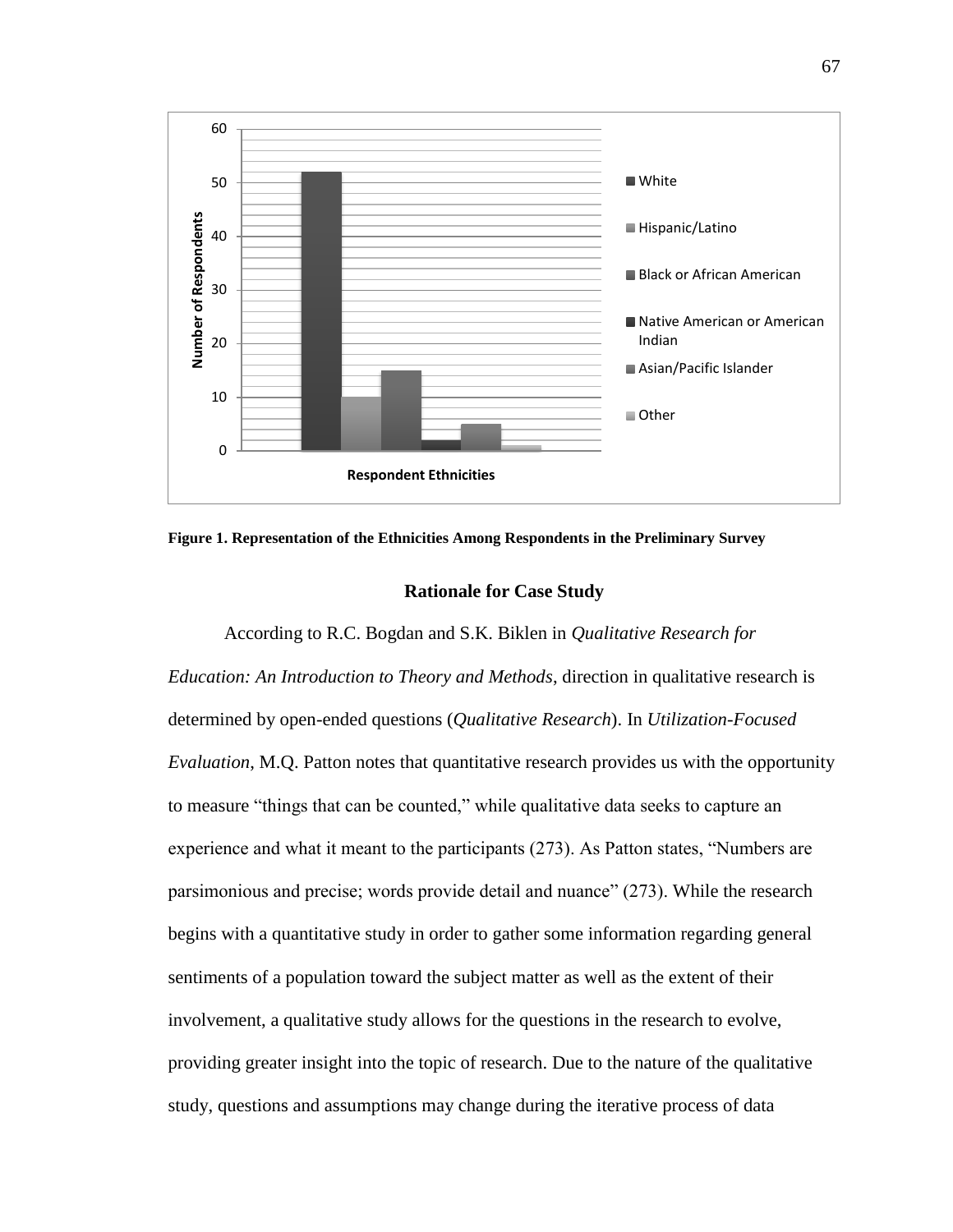

**Figure 1. Representation of the Ethnicities Among Respondents in the Preliminary Survey**

### **Rationale for Case Study**

According to R.C. Bogdan and S.K. Biklen in *Qualitative Research for Education: An Introduction to Theory and Methods*, direction in qualitative research is determined by open-ended questions (*Qualitative Research*). In *Utilization-Focused Evaluation*, M.Q. Patton notes that quantitative research provides us with the opportunity to measure "things that can be counted," while qualitative data seeks to capture an experience and what it meant to the participants (273). As Patton states, "Numbers are parsimonious and precise; words provide detail and nuance" (273). While the research begins with a quantitative study in order to gather some information regarding general sentiments of a population toward the subject matter as well as the extent of their involvement, a qualitative study allows for the questions in the research to evolve, providing greater insight into the topic of research. Due to the nature of the qualitative study, questions and assumptions may change during the iterative process of data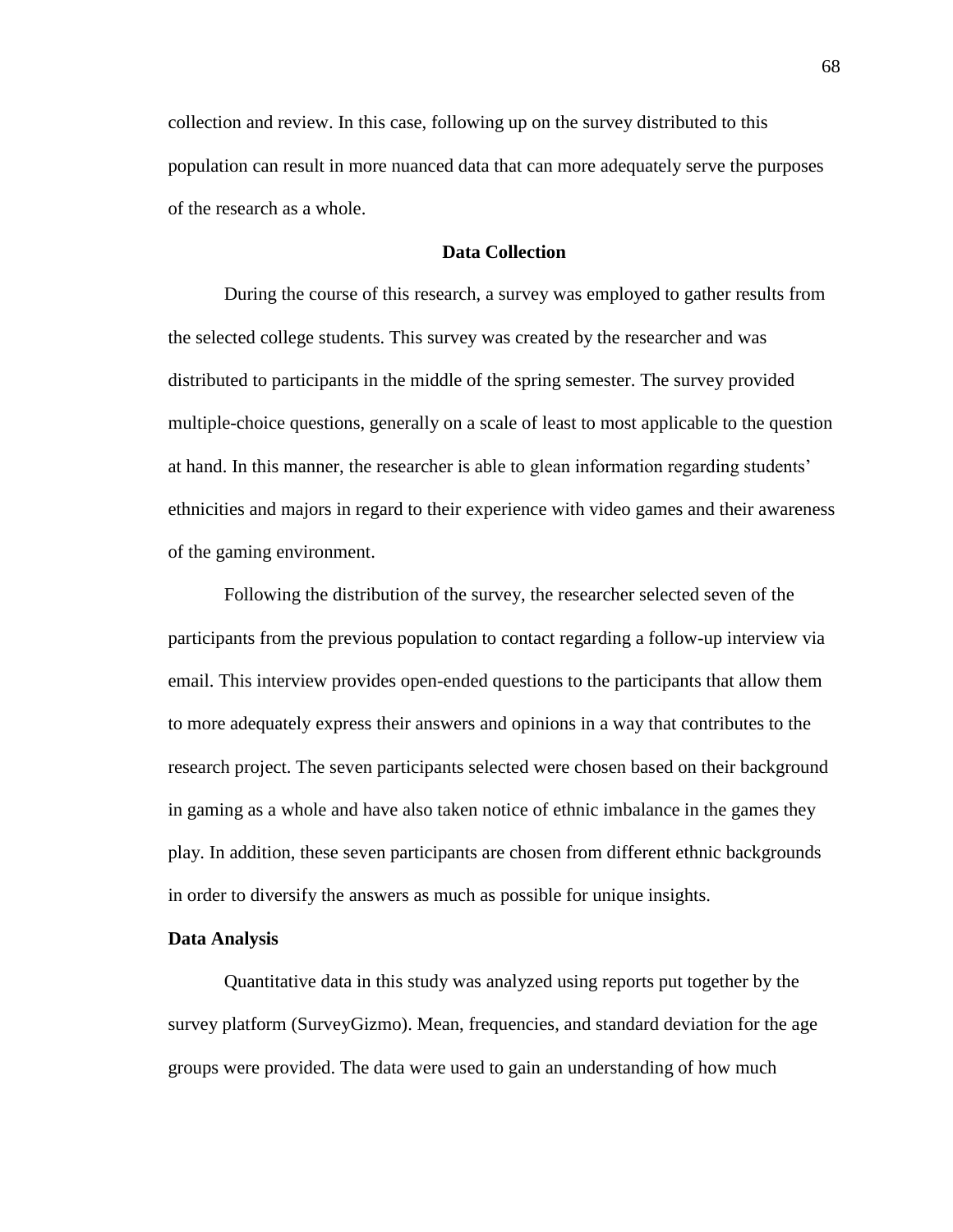collection and review. In this case, following up on the survey distributed to this population can result in more nuanced data that can more adequately serve the purposes of the research as a whole.

# **Data Collection**

During the course of this research, a survey was employed to gather results from the selected college students. This survey was created by the researcher and was distributed to participants in the middle of the spring semester. The survey provided multiple-choice questions, generally on a scale of least to most applicable to the question at hand. In this manner, the researcher is able to glean information regarding students' ethnicities and majors in regard to their experience with video games and their awareness of the gaming environment.

Following the distribution of the survey, the researcher selected seven of the participants from the previous population to contact regarding a follow-up interview via email. This interview provides open-ended questions to the participants that allow them to more adequately express their answers and opinions in a way that contributes to the research project. The seven participants selected were chosen based on their background in gaming as a whole and have also taken notice of ethnic imbalance in the games they play. In addition, these seven participants are chosen from different ethnic backgrounds in order to diversify the answers as much as possible for unique insights.

### **Data Analysis**

Quantitative data in this study was analyzed using reports put together by the survey platform (SurveyGizmo). Mean, frequencies, and standard deviation for the age groups were provided. The data were used to gain an understanding of how much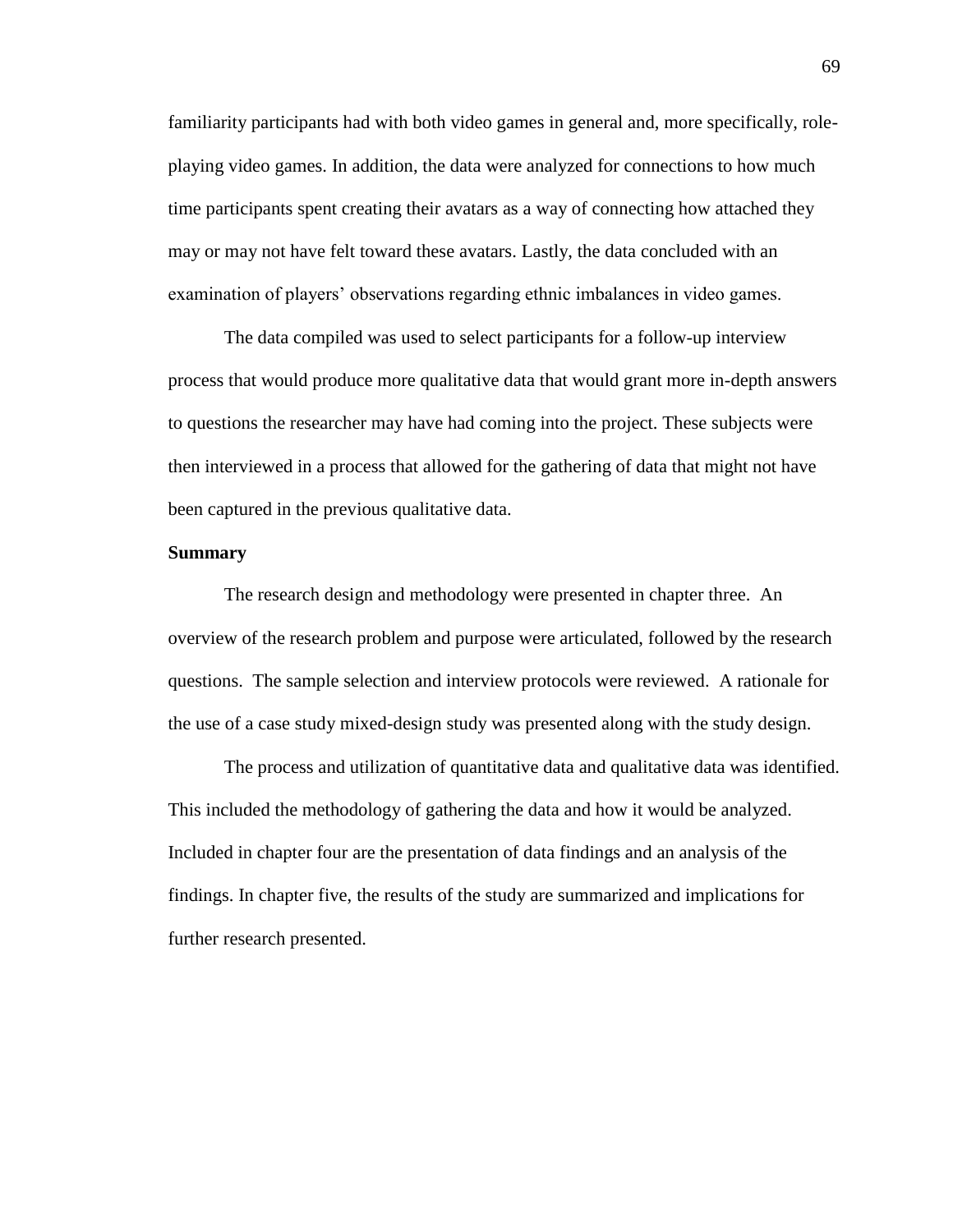familiarity participants had with both video games in general and, more specifically, roleplaying video games. In addition, the data were analyzed for connections to how much time participants spent creating their avatars as a way of connecting how attached they may or may not have felt toward these avatars. Lastly, the data concluded with an examination of players' observations regarding ethnic imbalances in video games.

The data compiled was used to select participants for a follow-up interview process that would produce more qualitative data that would grant more in-depth answers to questions the researcher may have had coming into the project. These subjects were then interviewed in a process that allowed for the gathering of data that might not have been captured in the previous qualitative data.

### **Summary**

The research design and methodology were presented in chapter three. An overview of the research problem and purpose were articulated, followed by the research questions. The sample selection and interview protocols were reviewed. A rationale for the use of a case study mixed-design study was presented along with the study design.

The process and utilization of quantitative data and qualitative data was identified. This included the methodology of gathering the data and how it would be analyzed. Included in chapter four are the presentation of data findings and an analysis of the findings. In chapter five, the results of the study are summarized and implications for further research presented.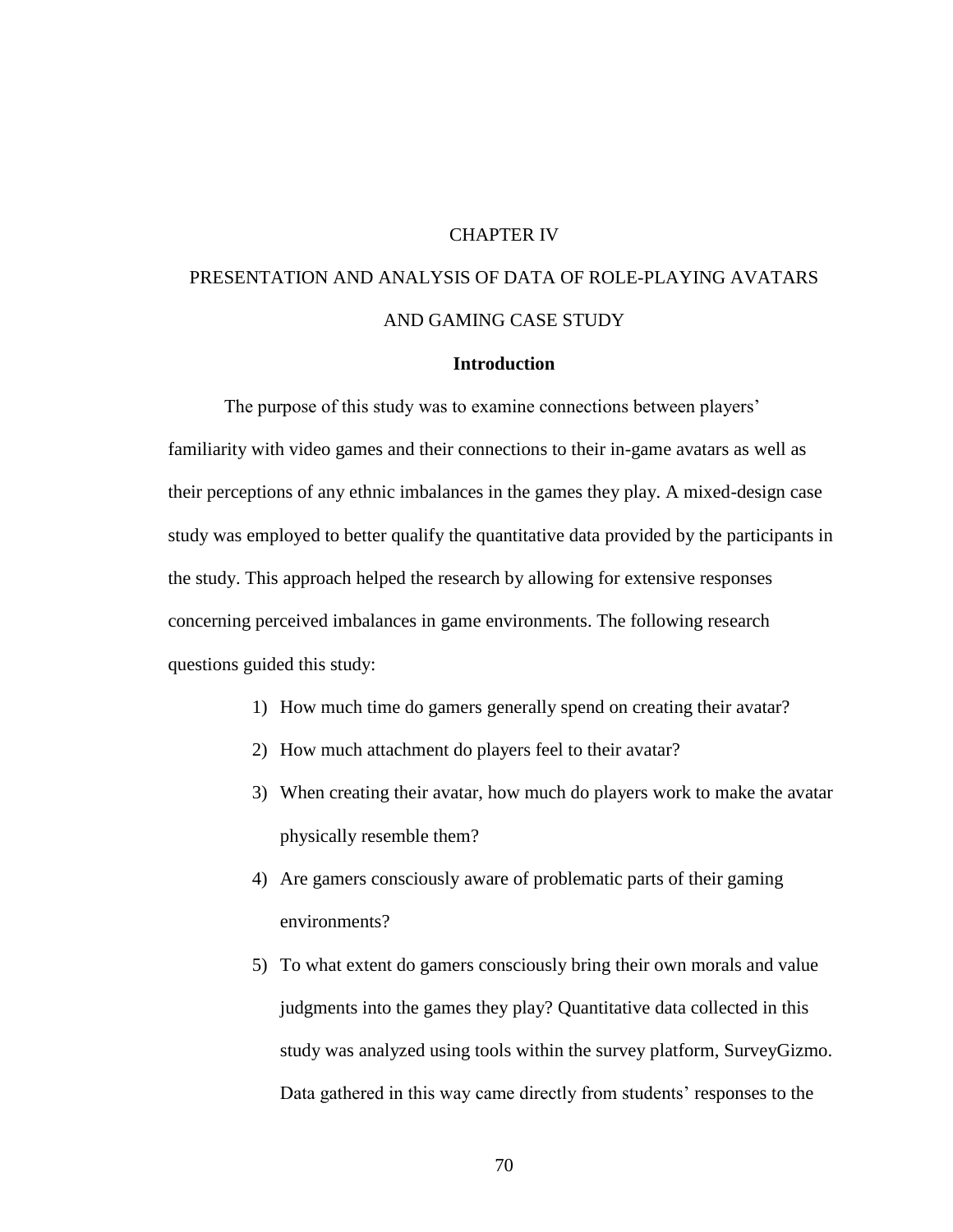# CHAPTER IV

# PRESENTATION AND ANALYSIS OF DATA OF ROLE-PLAYING AVATARS AND GAMING CASE STUDY

# **Introduction**

The purpose of this study was to examine connections between players' familiarity with video games and their connections to their in-game avatars as well as their perceptions of any ethnic imbalances in the games they play. A mixed-design case study was employed to better qualify the quantitative data provided by the participants in the study. This approach helped the research by allowing for extensive responses concerning perceived imbalances in game environments. The following research questions guided this study:

- 1) How much time do gamers generally spend on creating their avatar?
- 2) How much attachment do players feel to their avatar?
- 3) When creating their avatar, how much do players work to make the avatar physically resemble them?
- 4) Are gamers consciously aware of problematic parts of their gaming environments?
- 5) To what extent do gamers consciously bring their own morals and value judgments into the games they play? Quantitative data collected in this study was analyzed using tools within the survey platform, SurveyGizmo. Data gathered in this way came directly from students' responses to the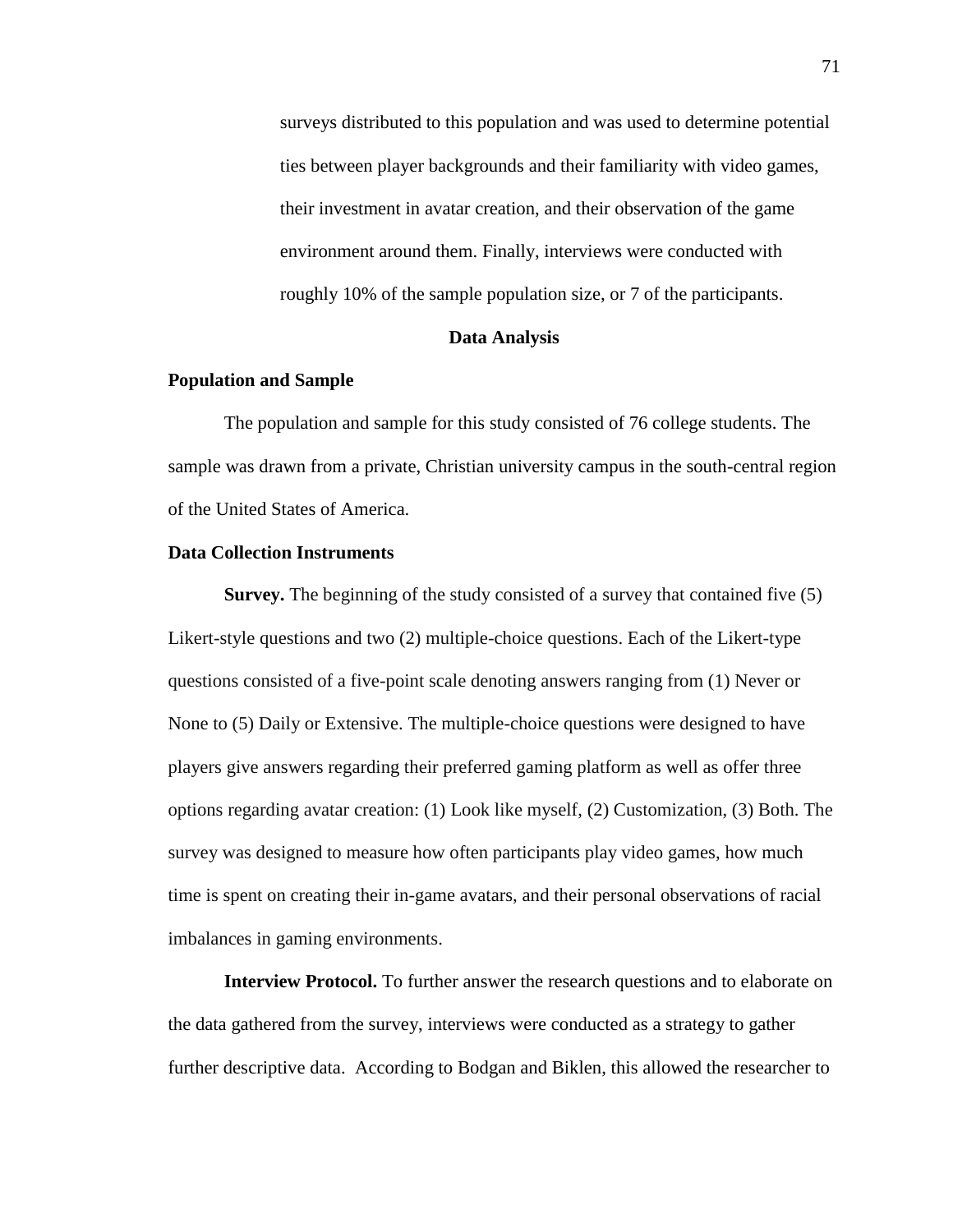surveys distributed to this population and was used to determine potential ties between player backgrounds and their familiarity with video games, their investment in avatar creation, and their observation of the game environment around them. Finally, interviews were conducted with roughly 10% of the sample population size, or 7 of the participants.

# **Data Analysis**

# **Population and Sample**

The population and sample for this study consisted of 76 college students. The sample was drawn from a private, Christian university campus in the south-central region of the United States of America.

### **Data Collection Instruments**

**Survey.** The beginning of the study consisted of a survey that contained five (5) Likert-style questions and two (2) multiple-choice questions. Each of the Likert-type questions consisted of a five-point scale denoting answers ranging from (1) Never or None to (5) Daily or Extensive. The multiple-choice questions were designed to have players give answers regarding their preferred gaming platform as well as offer three options regarding avatar creation: (1) Look like myself, (2) Customization, (3) Both. The survey was designed to measure how often participants play video games, how much time is spent on creating their in-game avatars, and their personal observations of racial imbalances in gaming environments.

**Interview Protocol.** To further answer the research questions and to elaborate on the data gathered from the survey, interviews were conducted as a strategy to gather further descriptive data. According to Bodgan and Biklen, this allowed the researcher to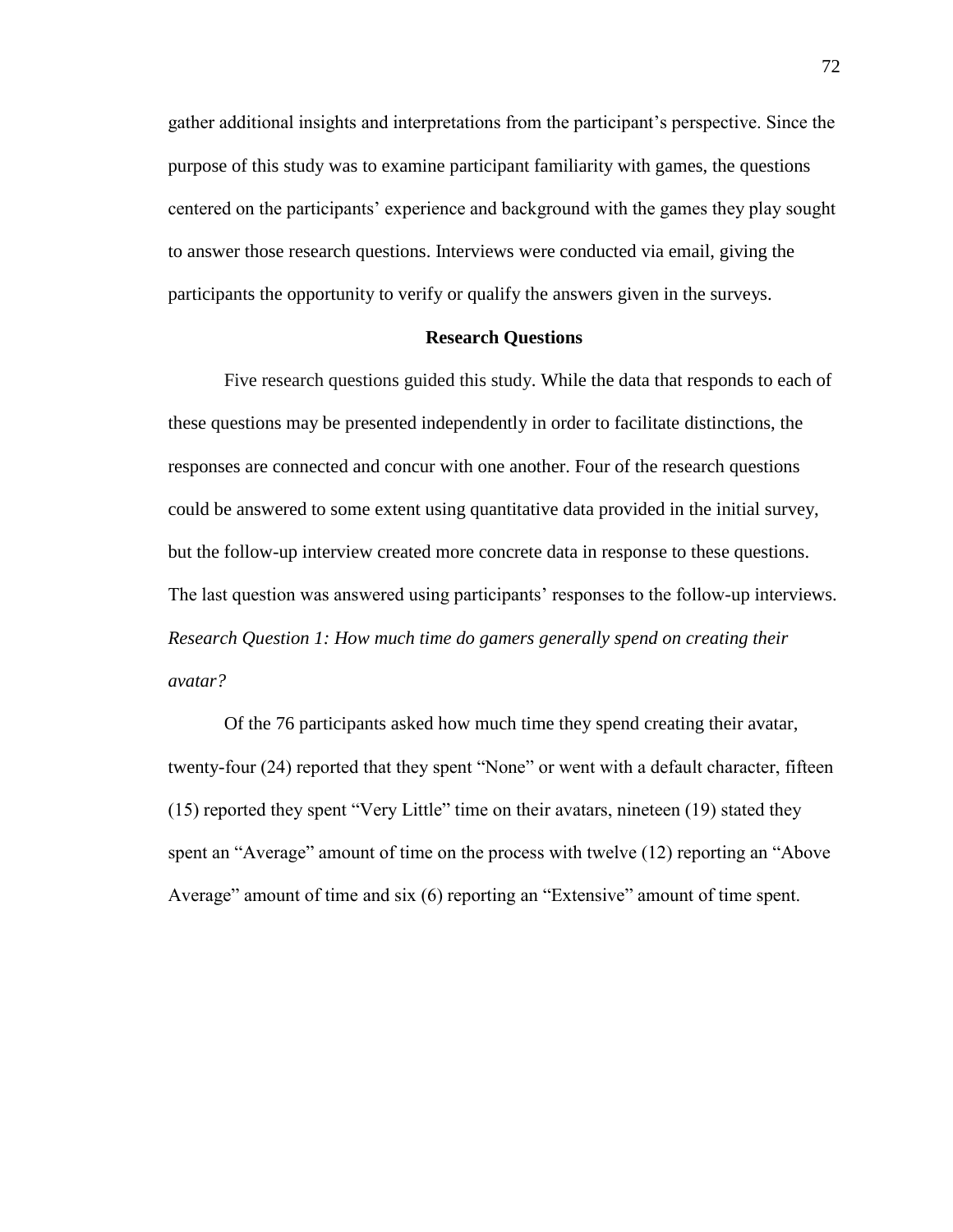gather additional insights and interpretations from the participant's perspective. Since the purpose of this study was to examine participant familiarity with games, the questions centered on the participants' experience and background with the games they play sought to answer those research questions. Interviews were conducted via email, giving the participants the opportunity to verify or qualify the answers given in the surveys.

# **Research Questions**

Five research questions guided this study. While the data that responds to each of these questions may be presented independently in order to facilitate distinctions, the responses are connected and concur with one another. Four of the research questions could be answered to some extent using quantitative data provided in the initial survey, but the follow-up interview created more concrete data in response to these questions. The last question was answered using participants' responses to the follow-up interviews. *Research Question 1: How much time do gamers generally spend on creating their avatar?*

Of the 76 participants asked how much time they spend creating their avatar, twenty-four (24) reported that they spent "None" or went with a default character, fifteen (15) reported they spent "Very Little" time on their avatars, nineteen (19) stated they spent an "Average" amount of time on the process with twelve (12) reporting an "Above Average" amount of time and six (6) reporting an "Extensive" amount of time spent.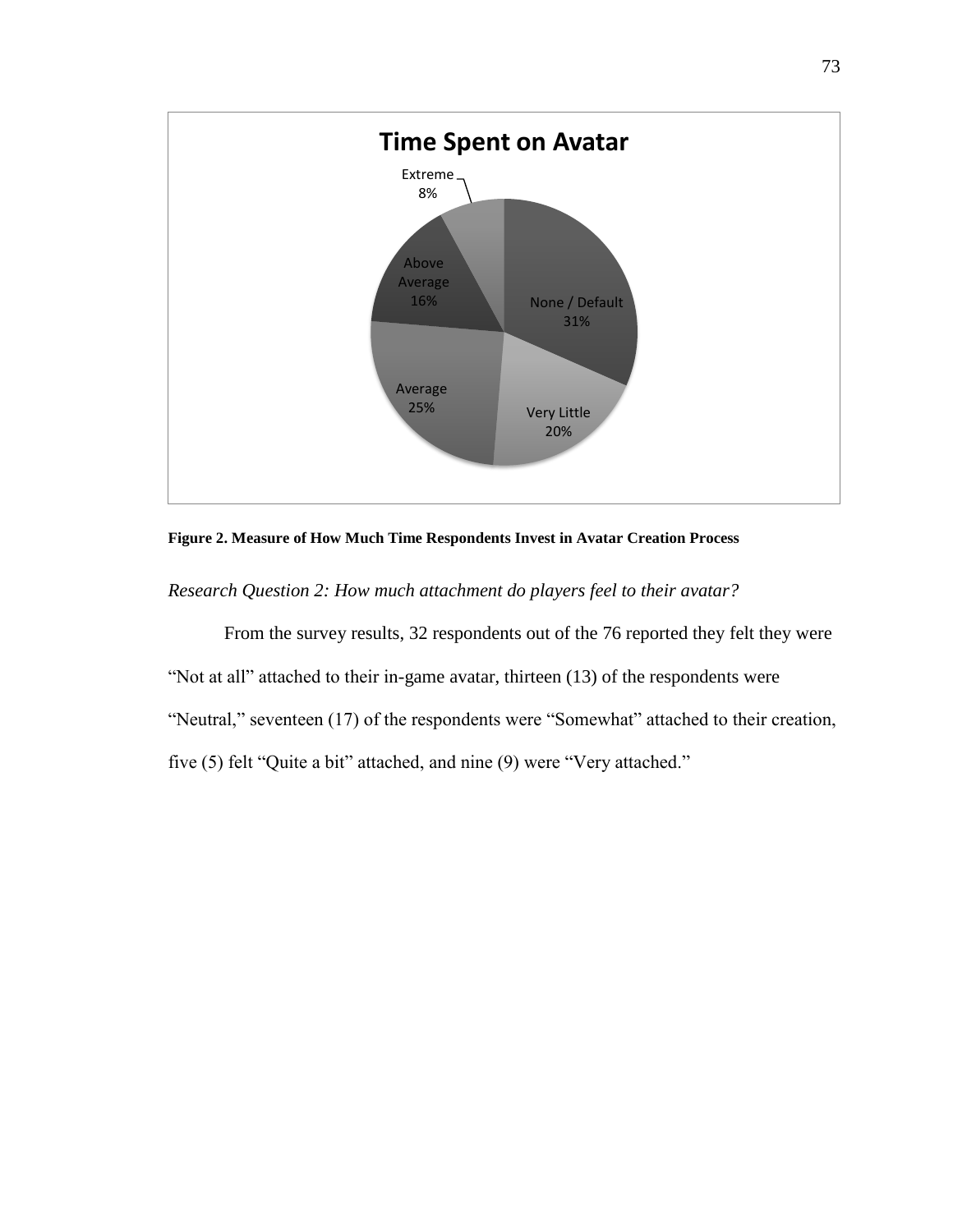

**Figure 2. Measure of How Much Time Respondents Invest in Avatar Creation Process**

*Research Question 2: How much attachment do players feel to their avatar?*

From the survey results, 32 respondents out of the 76 reported they felt they were "Not at all" attached to their in-game avatar, thirteen (13) of the respondents were "Neutral," seventeen (17) of the respondents were "Somewhat" attached to their creation, five (5) felt "Quite a bit" attached, and nine (9) were "Very attached."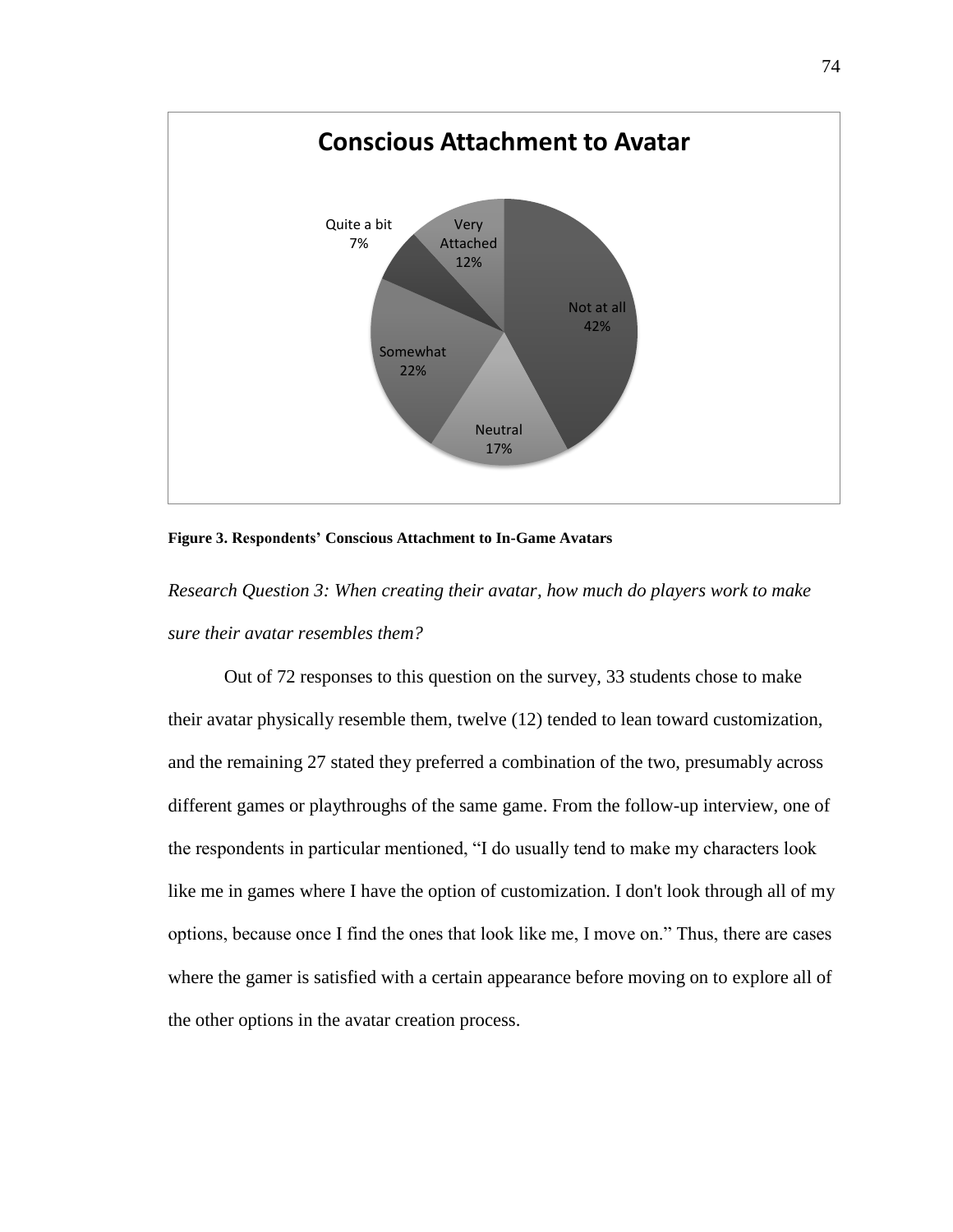

**Figure 3. Respondents' Conscious Attachment to In-Game Avatars**

*Research Question 3: When creating their avatar, how much do players work to make sure their avatar resembles them?*

Out of 72 responses to this question on the survey, 33 students chose to make their avatar physically resemble them, twelve (12) tended to lean toward customization, and the remaining 27 stated they preferred a combination of the two, presumably across different games or playthroughs of the same game. From the follow-up interview, one of the respondents in particular mentioned, "I do usually tend to make my characters look like me in games where I have the option of customization. I don't look through all of my options, because once I find the ones that look like me, I move on." Thus, there are cases where the gamer is satisfied with a certain appearance before moving on to explore all of the other options in the avatar creation process.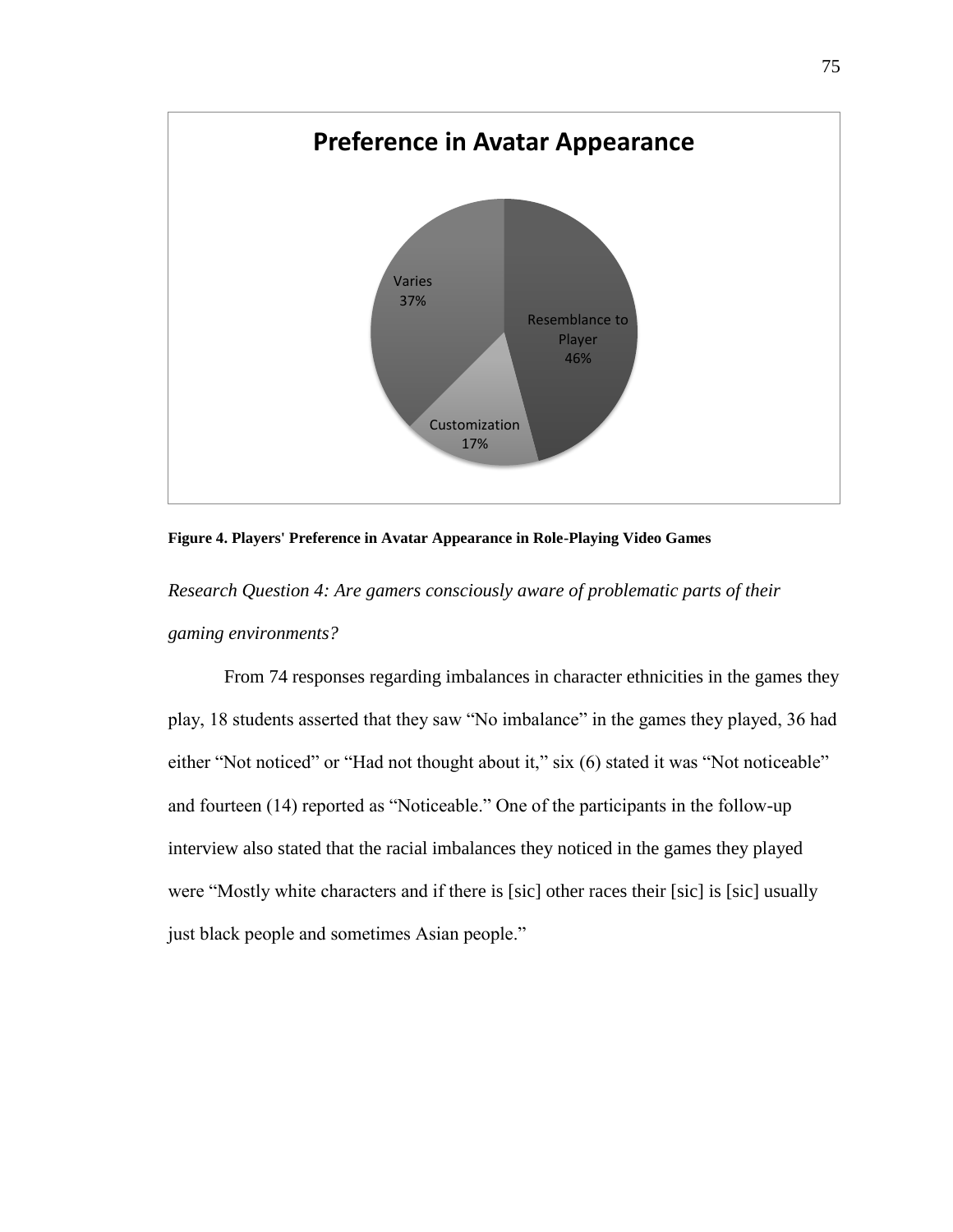

**Figure 4. Players' Preference in Avatar Appearance in Role-Playing Video Games**

*Research Question 4: Are gamers consciously aware of problematic parts of their gaming environments?*

From 74 responses regarding imbalances in character ethnicities in the games they play, 18 students asserted that they saw "No imbalance" in the games they played, 36 had either "Not noticed" or "Had not thought about it," six (6) stated it was "Not noticeable" and fourteen (14) reported as "Noticeable." One of the participants in the follow-up interview also stated that the racial imbalances they noticed in the games they played were "Mostly white characters and if there is [sic] other races their [sic] is [sic] usually just black people and sometimes Asian people."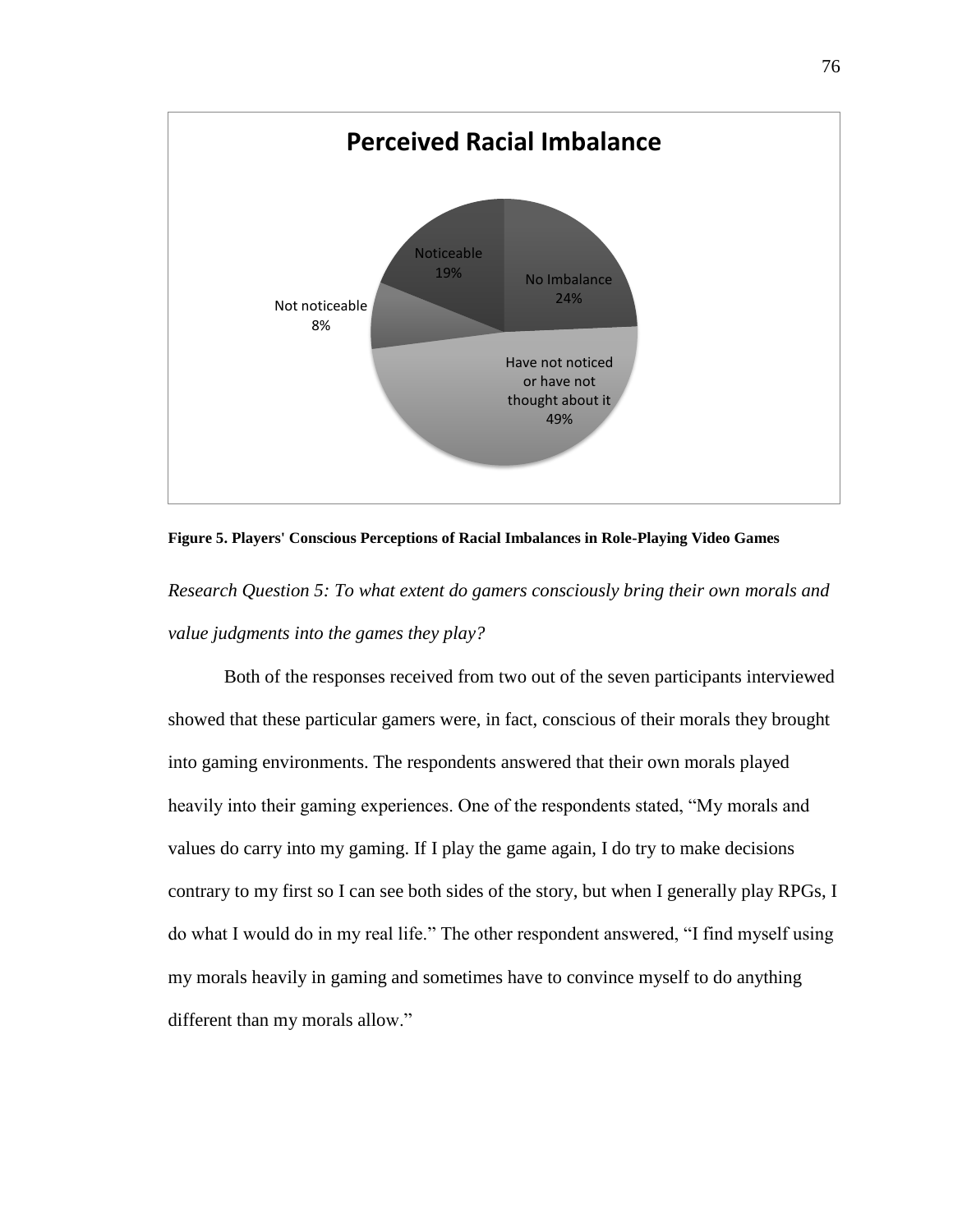

**Figure 5. Players' Conscious Perceptions of Racial Imbalances in Role-Playing Video Games**

*Research Question 5: To what extent do gamers consciously bring their own morals and value judgments into the games they play?*

Both of the responses received from two out of the seven participants interviewed showed that these particular gamers were, in fact, conscious of their morals they brought into gaming environments. The respondents answered that their own morals played heavily into their gaming experiences. One of the respondents stated, "My morals and values do carry into my gaming. If I play the game again, I do try to make decisions contrary to my first so I can see both sides of the story, but when I generally play RPGs, I do what I would do in my real life." The other respondent answered, "I find myself using my morals heavily in gaming and sometimes have to convince myself to do anything different than my morals allow."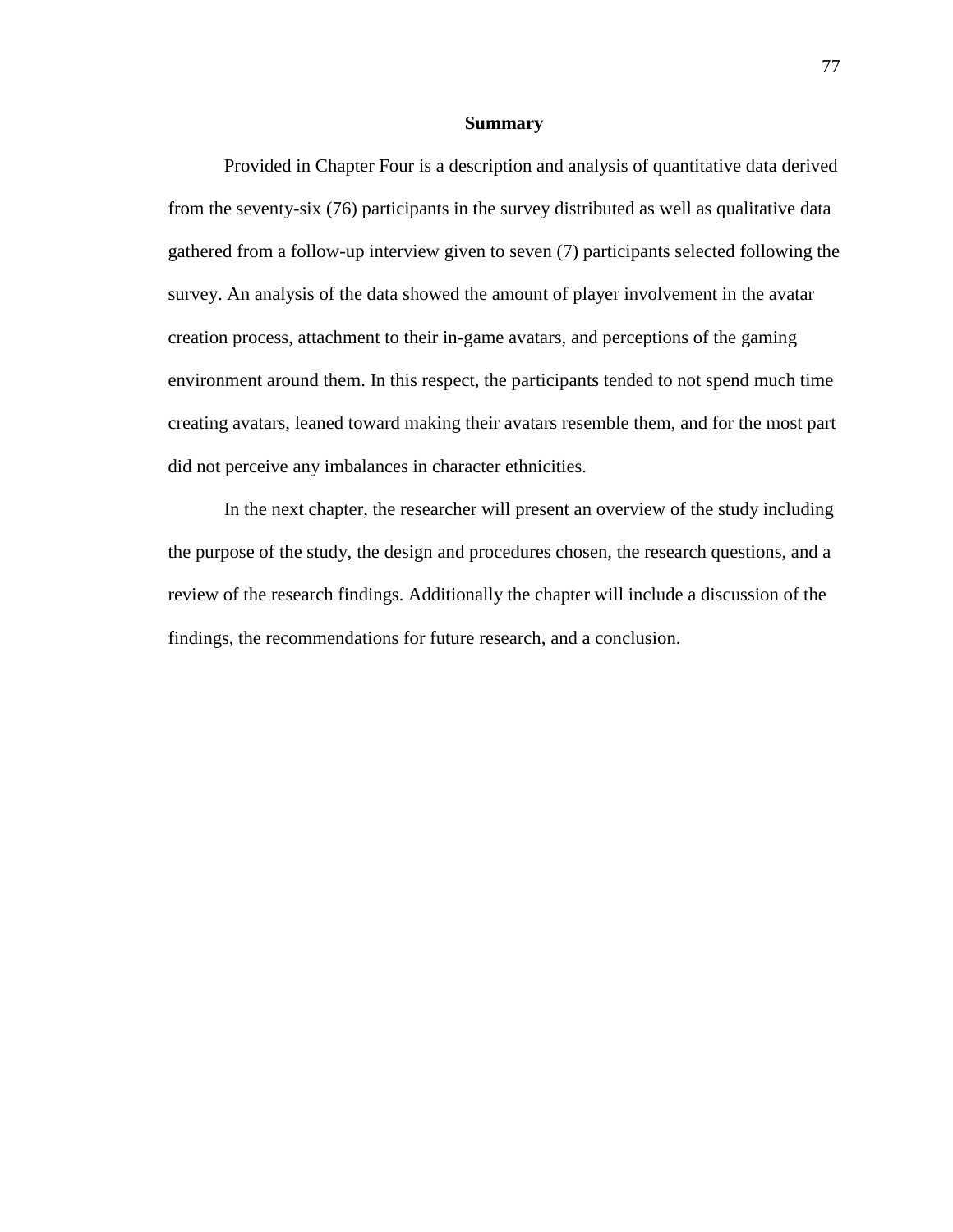### **Summary**

Provided in Chapter Four is a description and analysis of quantitative data derived from the seventy-six (76) participants in the survey distributed as well as qualitative data gathered from a follow-up interview given to seven (7) participants selected following the survey. An analysis of the data showed the amount of player involvement in the avatar creation process, attachment to their in-game avatars, and perceptions of the gaming environment around them. In this respect, the participants tended to not spend much time creating avatars, leaned toward making their avatars resemble them, and for the most part did not perceive any imbalances in character ethnicities.

In the next chapter, the researcher will present an overview of the study including the purpose of the study, the design and procedures chosen, the research questions, and a review of the research findings. Additionally the chapter will include a discussion of the findings, the recommendations for future research, and a conclusion.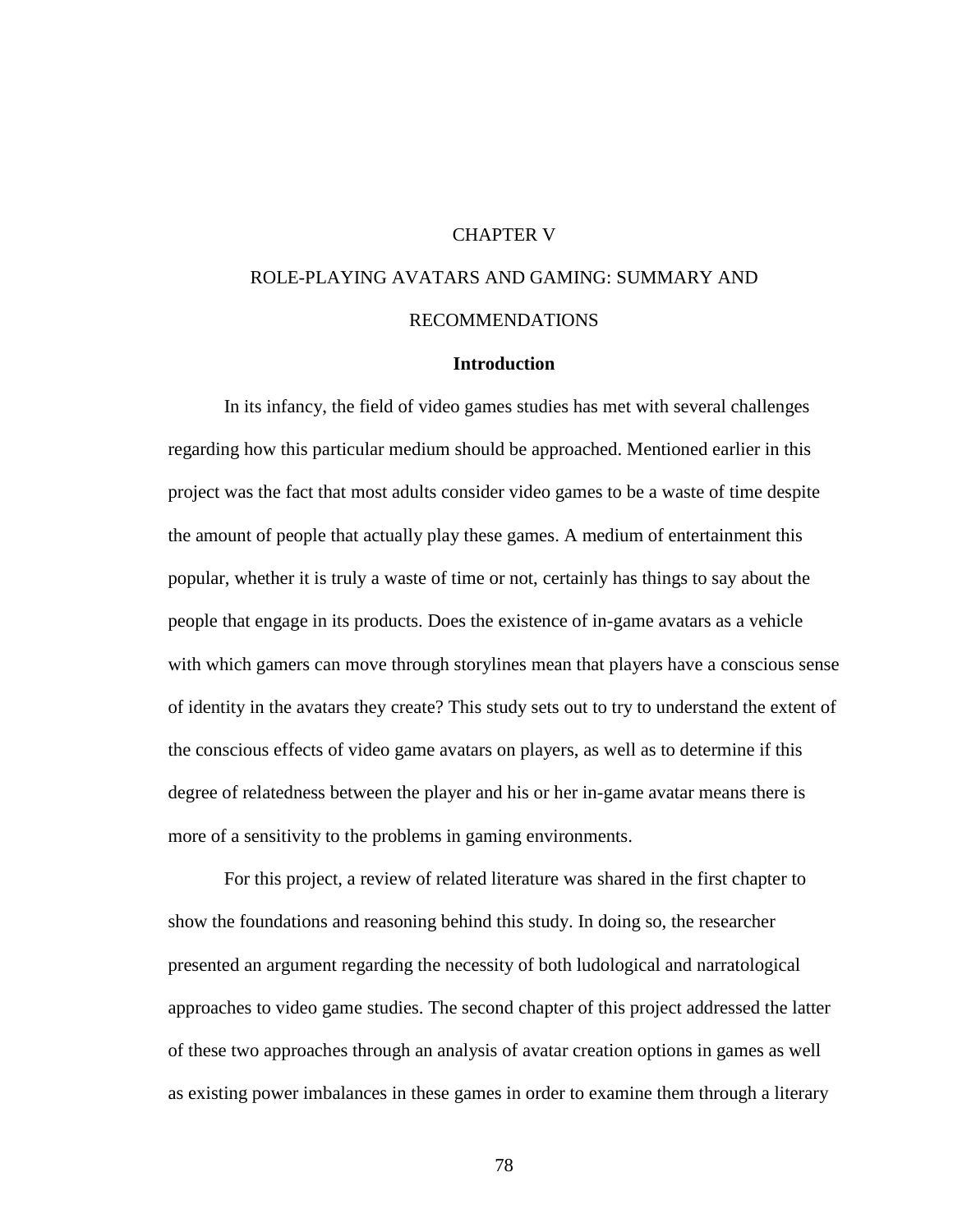# CHAPTER V

# ROLE-PLAYING AVATARS AND GAMING: SUMMARY AND RECOMMENDATIONS

# **Introduction**

In its infancy, the field of video games studies has met with several challenges regarding how this particular medium should be approached. Mentioned earlier in this project was the fact that most adults consider video games to be a waste of time despite the amount of people that actually play these games. A medium of entertainment this popular, whether it is truly a waste of time or not, certainly has things to say about the people that engage in its products. Does the existence of in-game avatars as a vehicle with which gamers can move through storylines mean that players have a conscious sense of identity in the avatars they create? This study sets out to try to understand the extent of the conscious effects of video game avatars on players, as well as to determine if this degree of relatedness between the player and his or her in-game avatar means there is more of a sensitivity to the problems in gaming environments.

For this project, a review of related literature was shared in the first chapter to show the foundations and reasoning behind this study. In doing so, the researcher presented an argument regarding the necessity of both ludological and narratological approaches to video game studies. The second chapter of this project addressed the latter of these two approaches through an analysis of avatar creation options in games as well as existing power imbalances in these games in order to examine them through a literary

78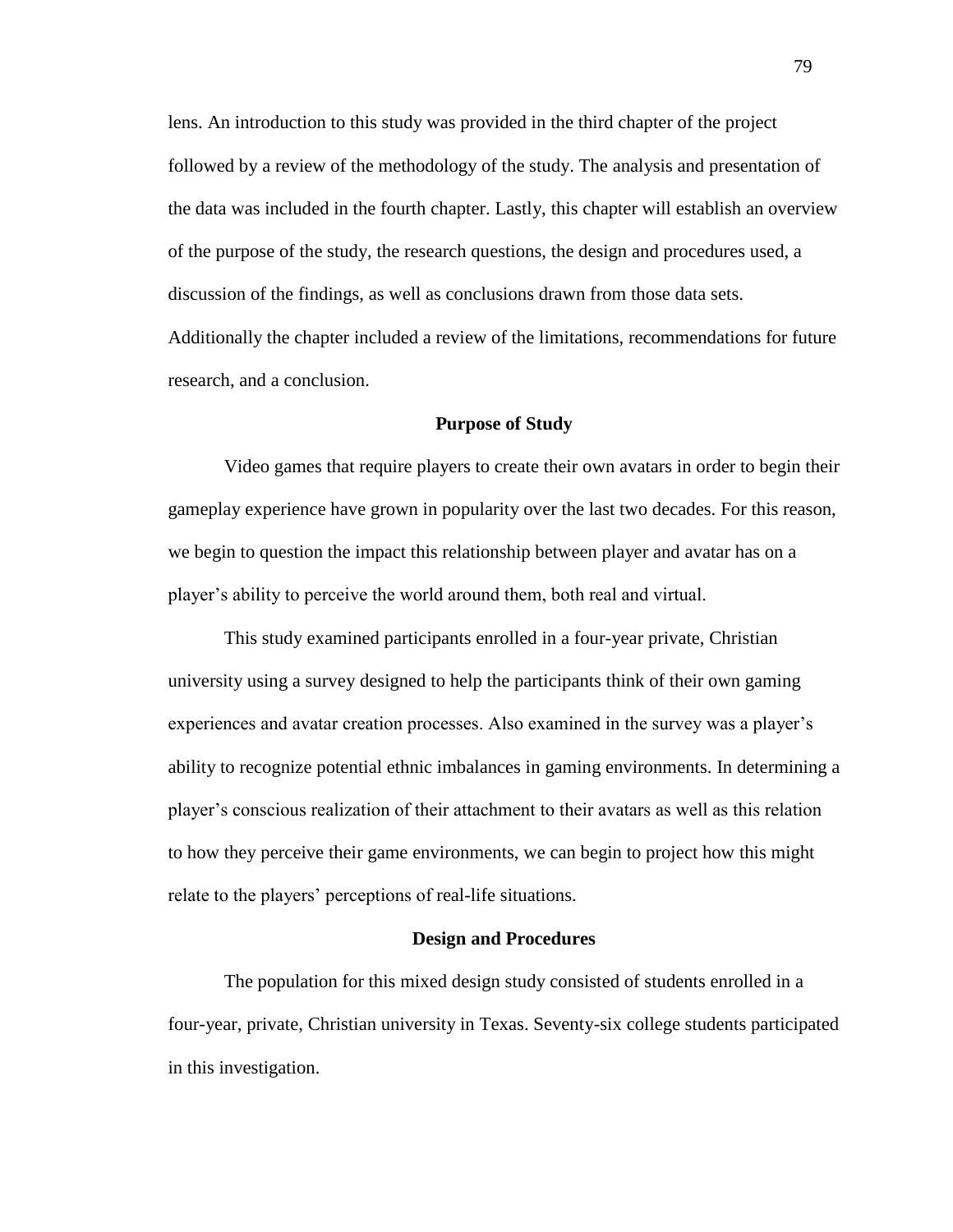lens. An introduction to this study was provided in the third chapter of the project followed by a review of the methodology of the study. The analysis and presentation of the data was included in the fourth chapter. Lastly, this chapter will establish an overview of the purpose of the study, the research questions, the design and procedures used, a discussion of the findings, as well as conclusions drawn from those data sets. Additionally the chapter included a review of the limitations, recommendations for future research, and a conclusion.

# **Purpose of Study**

Video games that require players to create their own avatars in order to begin their gameplay experience have grown in popularity over the last two decades. For this reason, we begin to question the impact this relationship between player and avatar has on a player's ability to perceive the world around them, both real and virtual.

This study examined participants enrolled in a four-year private, Christian university using a survey designed to help the participants think of their own gaming experiences and avatar creation processes. Also examined in the survey was a player's ability to recognize potential ethnic imbalances in gaming environments. In determining a player's conscious realization of their attachment to their avatars as well as this relation to how they perceive their game environments, we can begin to project how this might relate to the players' perceptions of real-life situations.

### **Design and Procedures**

The population for this mixed design study consisted of students enrolled in a four-year, private, Christian university in Texas. Seventy-six college students participated in this investigation.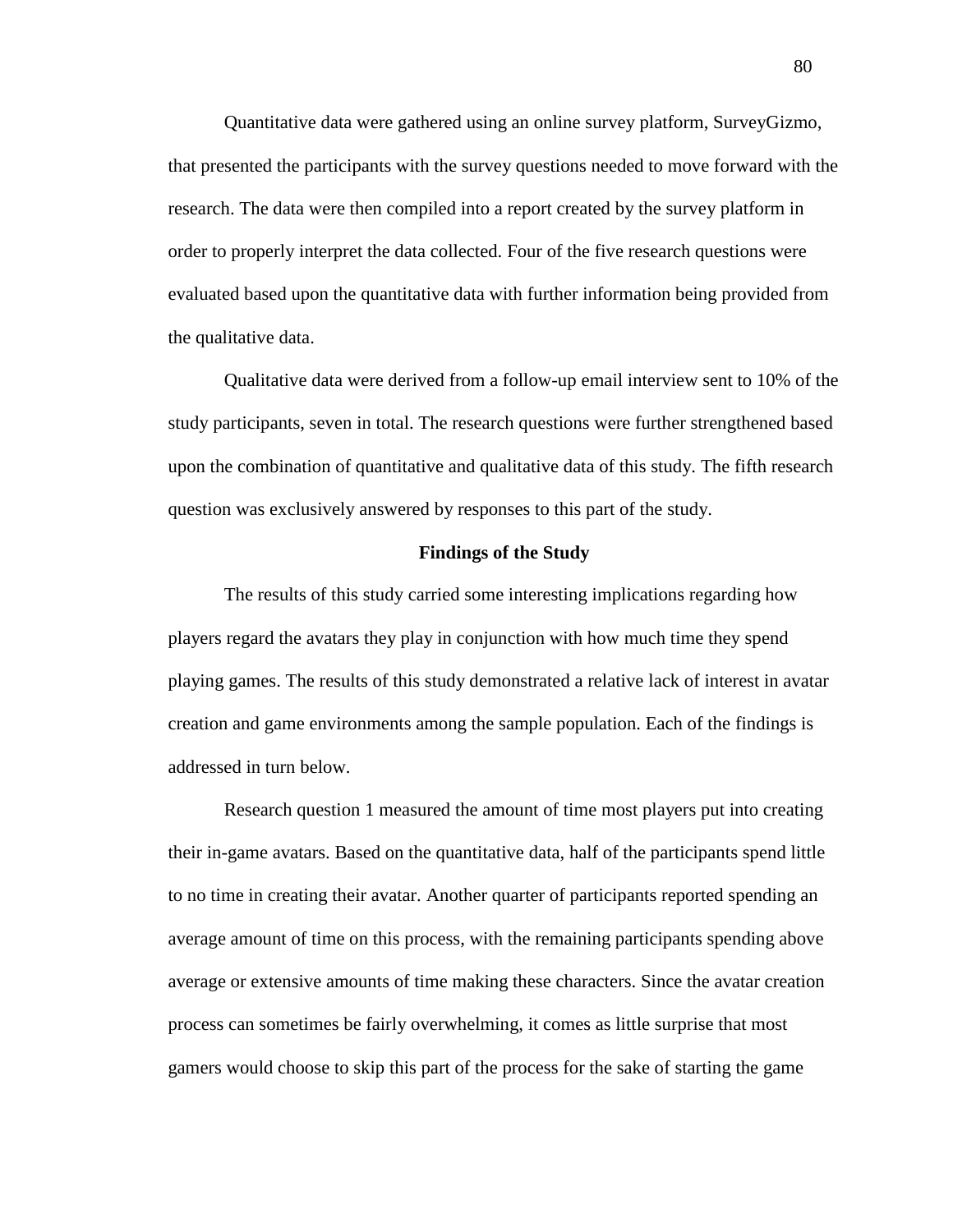Quantitative data were gathered using an online survey platform, SurveyGizmo, that presented the participants with the survey questions needed to move forward with the research. The data were then compiled into a report created by the survey platform in order to properly interpret the data collected. Four of the five research questions were evaluated based upon the quantitative data with further information being provided from the qualitative data.

Qualitative data were derived from a follow-up email interview sent to 10% of the study participants, seven in total. The research questions were further strengthened based upon the combination of quantitative and qualitative data of this study. The fifth research question was exclusively answered by responses to this part of the study.

### **Findings of the Study**

The results of this study carried some interesting implications regarding how players regard the avatars they play in conjunction with how much time they spend playing games. The results of this study demonstrated a relative lack of interest in avatar creation and game environments among the sample population. Each of the findings is addressed in turn below.

Research question 1 measured the amount of time most players put into creating their in-game avatars. Based on the quantitative data, half of the participants spend little to no time in creating their avatar. Another quarter of participants reported spending an average amount of time on this process, with the remaining participants spending above average or extensive amounts of time making these characters. Since the avatar creation process can sometimes be fairly overwhelming, it comes as little surprise that most gamers would choose to skip this part of the process for the sake of starting the game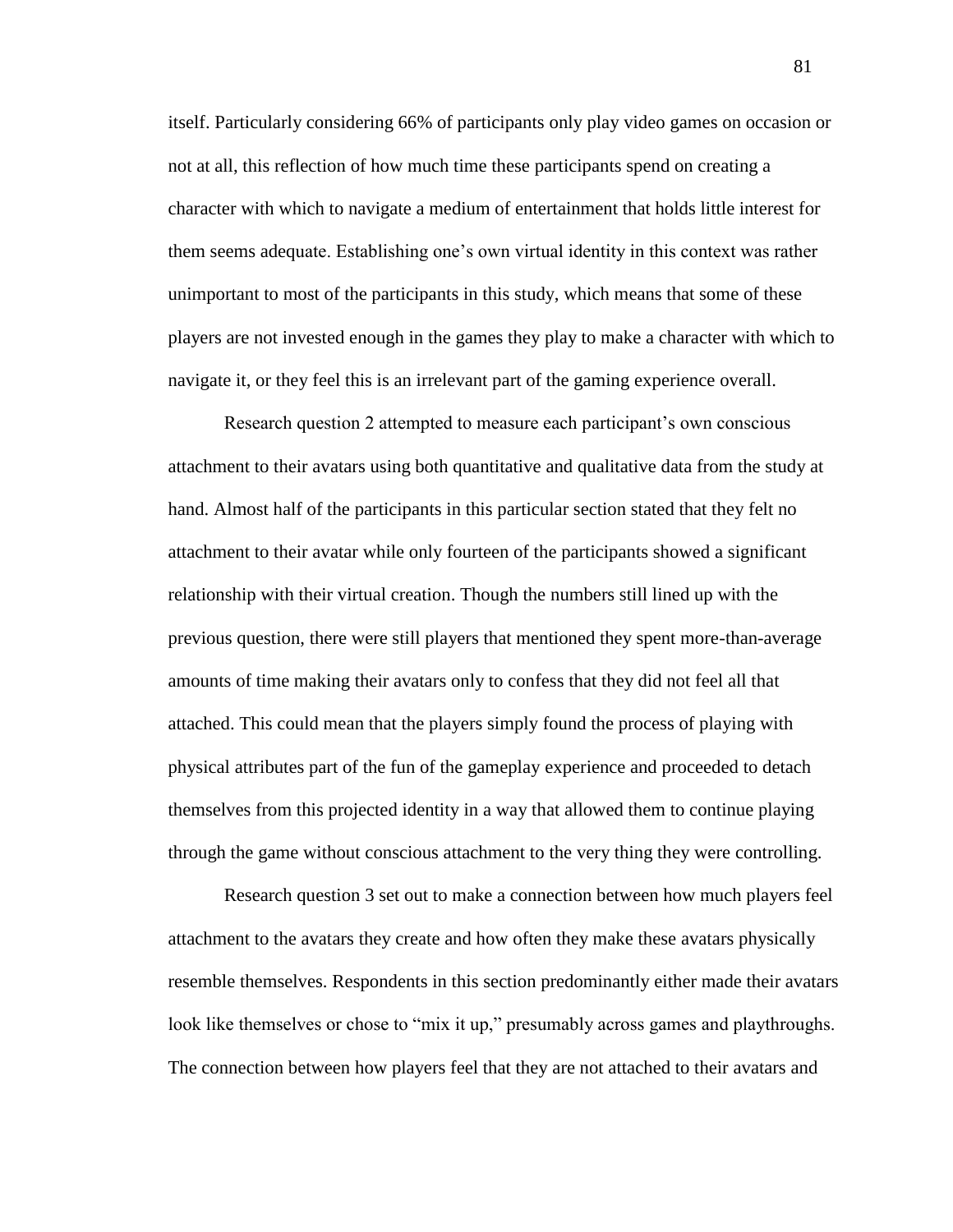itself. Particularly considering 66% of participants only play video games on occasion or not at all, this reflection of how much time these participants spend on creating a character with which to navigate a medium of entertainment that holds little interest for them seems adequate. Establishing one's own virtual identity in this context was rather unimportant to most of the participants in this study, which means that some of these players are not invested enough in the games they play to make a character with which to navigate it, or they feel this is an irrelevant part of the gaming experience overall.

Research question 2 attempted to measure each participant's own conscious attachment to their avatars using both quantitative and qualitative data from the study at hand. Almost half of the participants in this particular section stated that they felt no attachment to their avatar while only fourteen of the participants showed a significant relationship with their virtual creation. Though the numbers still lined up with the previous question, there were still players that mentioned they spent more-than-average amounts of time making their avatars only to confess that they did not feel all that attached. This could mean that the players simply found the process of playing with physical attributes part of the fun of the gameplay experience and proceeded to detach themselves from this projected identity in a way that allowed them to continue playing through the game without conscious attachment to the very thing they were controlling.

Research question 3 set out to make a connection between how much players feel attachment to the avatars they create and how often they make these avatars physically resemble themselves. Respondents in this section predominantly either made their avatars look like themselves or chose to "mix it up," presumably across games and playthroughs. The connection between how players feel that they are not attached to their avatars and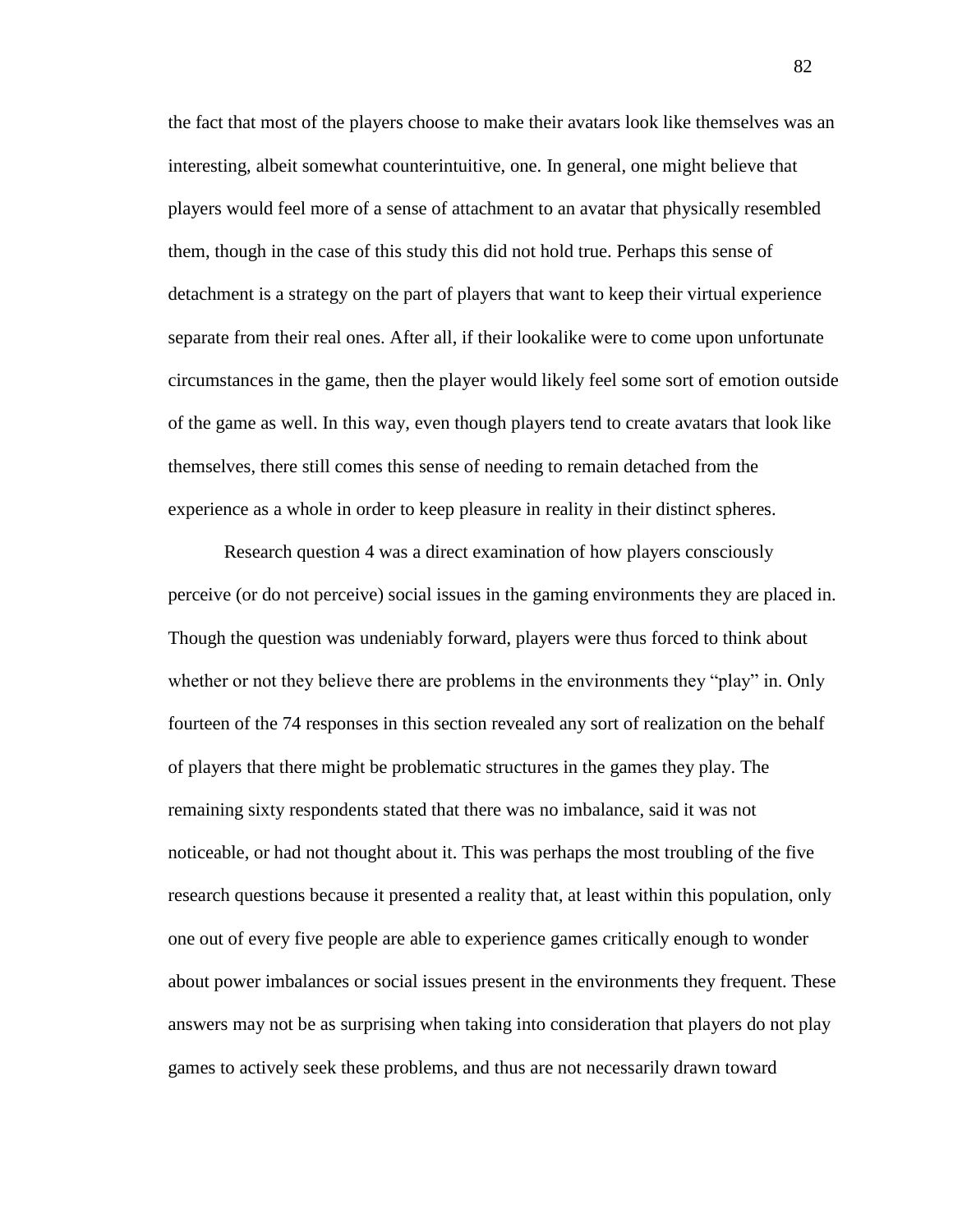the fact that most of the players choose to make their avatars look like themselves was an interesting, albeit somewhat counterintuitive, one. In general, one might believe that players would feel more of a sense of attachment to an avatar that physically resembled them, though in the case of this study this did not hold true. Perhaps this sense of detachment is a strategy on the part of players that want to keep their virtual experience separate from their real ones. After all, if their lookalike were to come upon unfortunate circumstances in the game, then the player would likely feel some sort of emotion outside of the game as well. In this way, even though players tend to create avatars that look like themselves, there still comes this sense of needing to remain detached from the experience as a whole in order to keep pleasure in reality in their distinct spheres.

Research question 4 was a direct examination of how players consciously perceive (or do not perceive) social issues in the gaming environments they are placed in. Though the question was undeniably forward, players were thus forced to think about whether or not they believe there are problems in the environments they "play" in. Only fourteen of the 74 responses in this section revealed any sort of realization on the behalf of players that there might be problematic structures in the games they play. The remaining sixty respondents stated that there was no imbalance, said it was not noticeable, or had not thought about it. This was perhaps the most troubling of the five research questions because it presented a reality that, at least within this population, only one out of every five people are able to experience games critically enough to wonder about power imbalances or social issues present in the environments they frequent. These answers may not be as surprising when taking into consideration that players do not play games to actively seek these problems, and thus are not necessarily drawn toward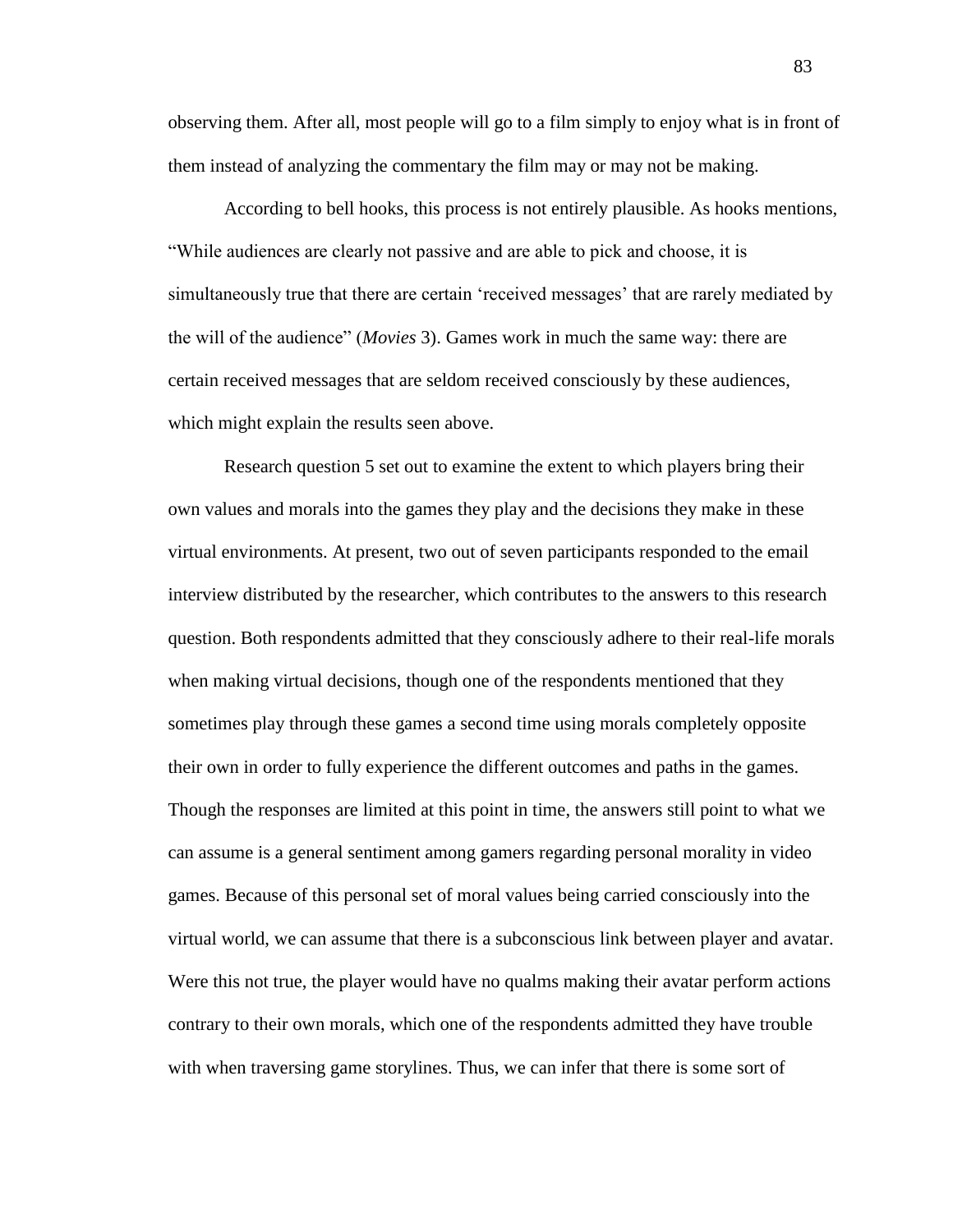observing them. After all, most people will go to a film simply to enjoy what is in front of them instead of analyzing the commentary the film may or may not be making.

According to bell hooks, this process is not entirely plausible. As hooks mentions, "While audiences are clearly not passive and are able to pick and choose, it is simultaneously true that there are certain 'received messages' that are rarely mediated by the will of the audience" (*Movies* 3). Games work in much the same way: there are certain received messages that are seldom received consciously by these audiences, which might explain the results seen above.

Research question 5 set out to examine the extent to which players bring their own values and morals into the games they play and the decisions they make in these virtual environments. At present, two out of seven participants responded to the email interview distributed by the researcher, which contributes to the answers to this research question. Both respondents admitted that they consciously adhere to their real-life morals when making virtual decisions, though one of the respondents mentioned that they sometimes play through these games a second time using morals completely opposite their own in order to fully experience the different outcomes and paths in the games. Though the responses are limited at this point in time, the answers still point to what we can assume is a general sentiment among gamers regarding personal morality in video games. Because of this personal set of moral values being carried consciously into the virtual world, we can assume that there is a subconscious link between player and avatar. Were this not true, the player would have no qualms making their avatar perform actions contrary to their own morals, which one of the respondents admitted they have trouble with when traversing game storylines. Thus, we can infer that there is some sort of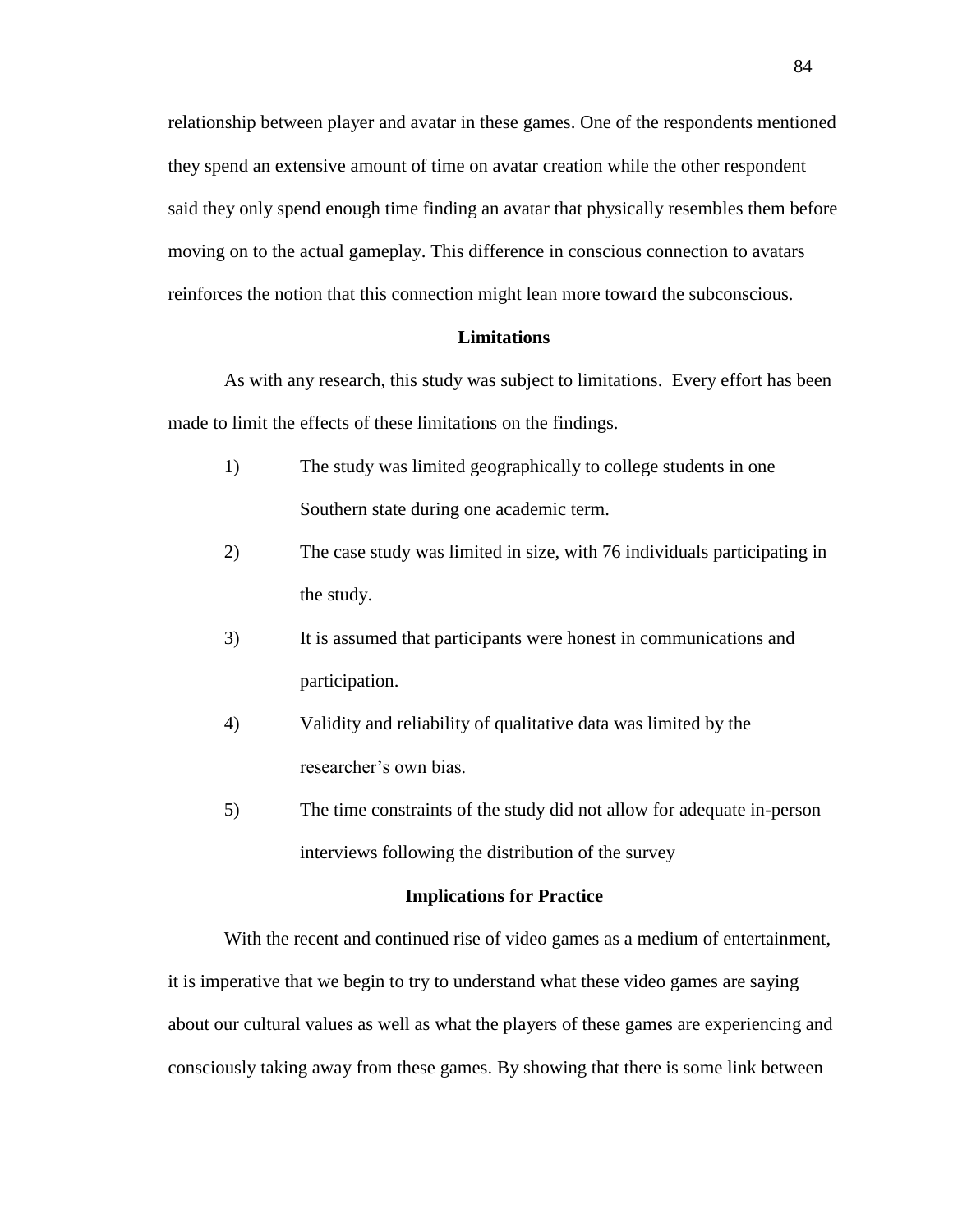relationship between player and avatar in these games. One of the respondents mentioned they spend an extensive amount of time on avatar creation while the other respondent said they only spend enough time finding an avatar that physically resembles them before moving on to the actual gameplay. This difference in conscious connection to avatars reinforces the notion that this connection might lean more toward the subconscious.

# **Limitations**

As with any research, this study was subject to limitations. Every effort has been made to limit the effects of these limitations on the findings.

- 1) The study was limited geographically to college students in one Southern state during one academic term.
- 2) The case study was limited in size, with 76 individuals participating in the study.
- 3) It is assumed that participants were honest in communications and participation.
- 4) Validity and reliability of qualitative data was limited by the researcher's own bias.
- 5) The time constraints of the study did not allow for adequate in-person interviews following the distribution of the survey

#### **Implications for Practice**

With the recent and continued rise of video games as a medium of entertainment, it is imperative that we begin to try to understand what these video games are saying about our cultural values as well as what the players of these games are experiencing and consciously taking away from these games. By showing that there is some link between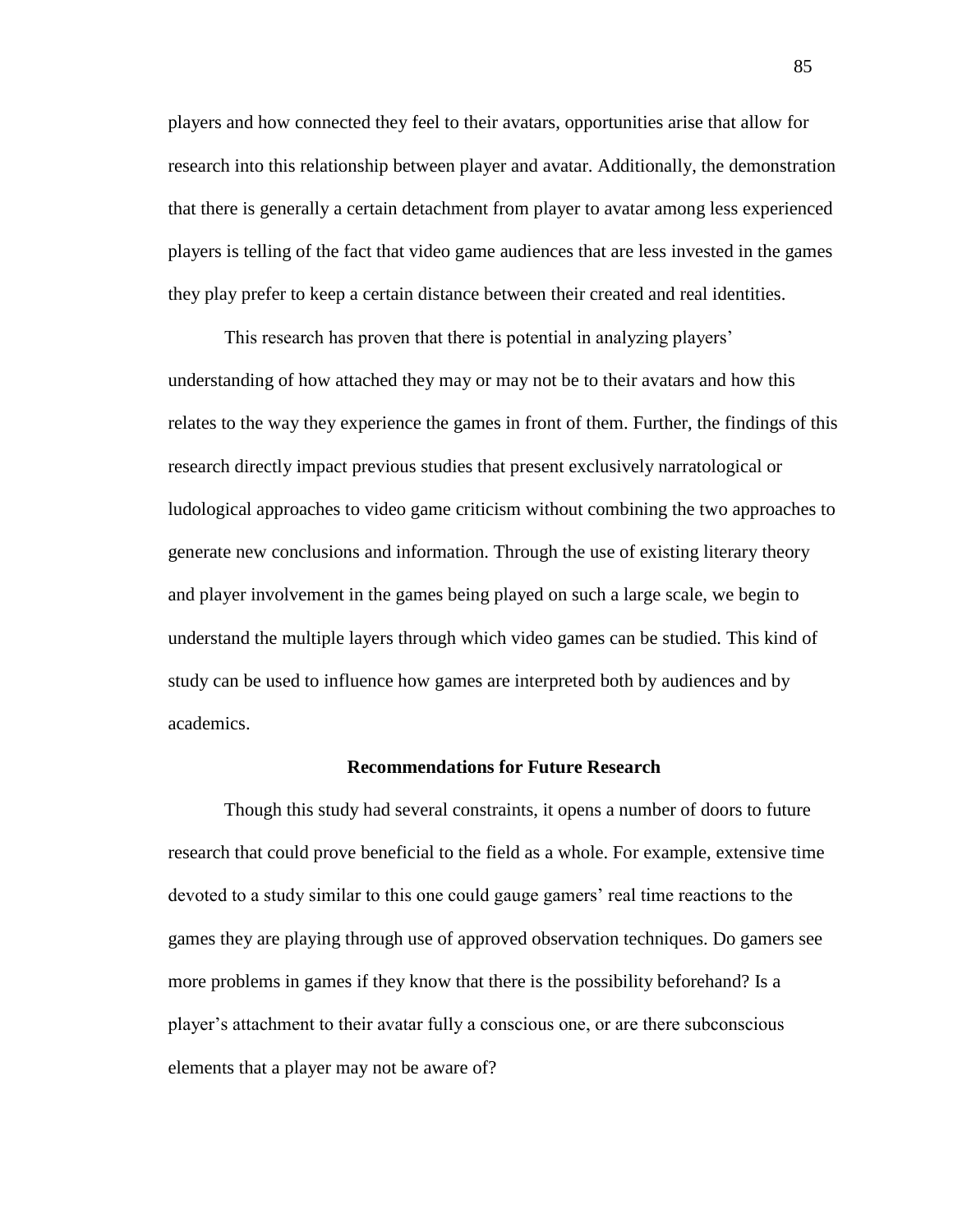players and how connected they feel to their avatars, opportunities arise that allow for research into this relationship between player and avatar. Additionally, the demonstration that there is generally a certain detachment from player to avatar among less experienced players is telling of the fact that video game audiences that are less invested in the games they play prefer to keep a certain distance between their created and real identities.

This research has proven that there is potential in analyzing players' understanding of how attached they may or may not be to their avatars and how this relates to the way they experience the games in front of them. Further, the findings of this research directly impact previous studies that present exclusively narratological or ludological approaches to video game criticism without combining the two approaches to generate new conclusions and information. Through the use of existing literary theory and player involvement in the games being played on such a large scale, we begin to understand the multiple layers through which video games can be studied. This kind of study can be used to influence how games are interpreted both by audiences and by academics.

### **Recommendations for Future Research**

Though this study had several constraints, it opens a number of doors to future research that could prove beneficial to the field as a whole. For example, extensive time devoted to a study similar to this one could gauge gamers' real time reactions to the games they are playing through use of approved observation techniques. Do gamers see more problems in games if they know that there is the possibility beforehand? Is a player's attachment to their avatar fully a conscious one, or are there subconscious elements that a player may not be aware of?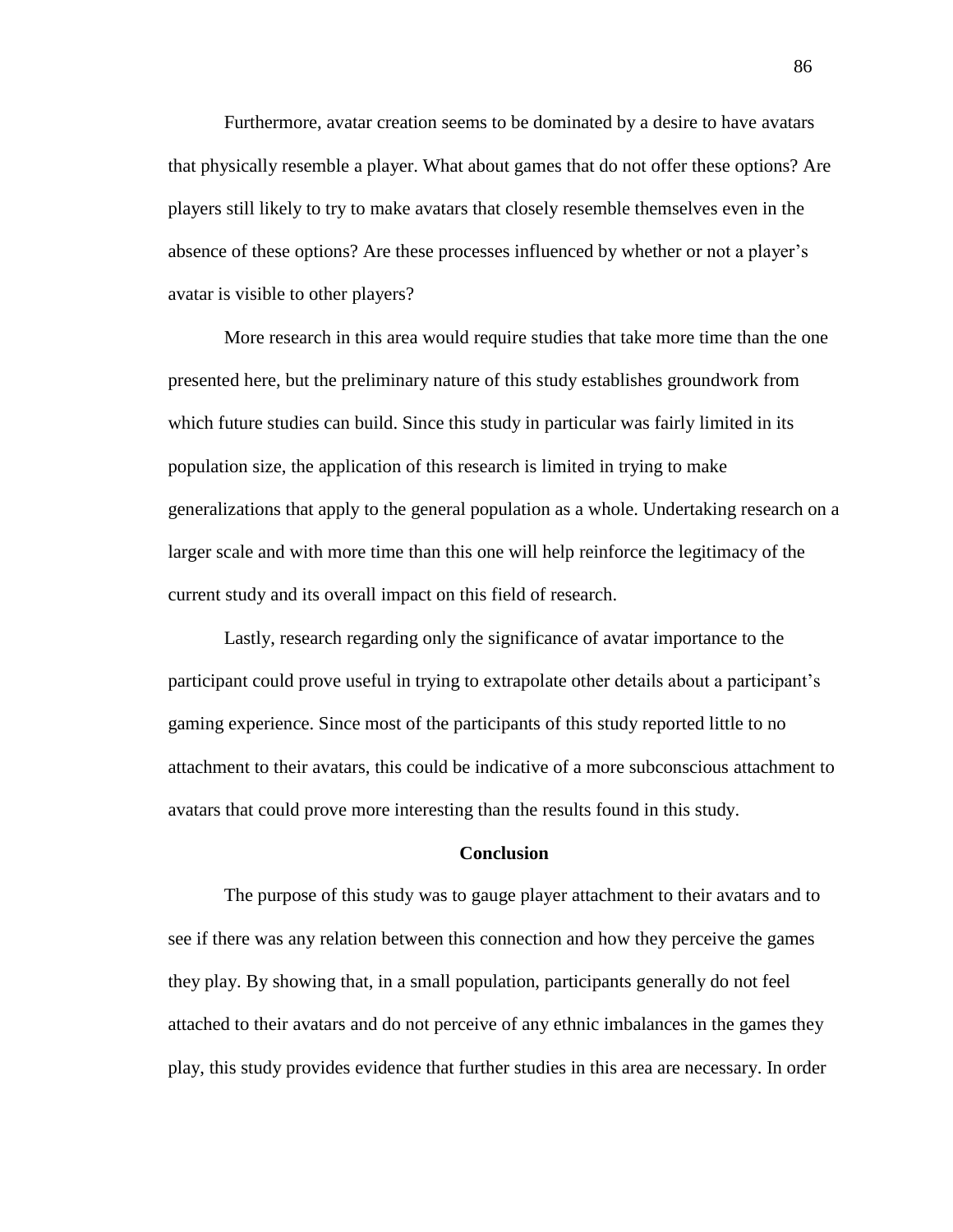Furthermore, avatar creation seems to be dominated by a desire to have avatars that physically resemble a player. What about games that do not offer these options? Are players still likely to try to make avatars that closely resemble themselves even in the absence of these options? Are these processes influenced by whether or not a player's avatar is visible to other players?

More research in this area would require studies that take more time than the one presented here, but the preliminary nature of this study establishes groundwork from which future studies can build. Since this study in particular was fairly limited in its population size, the application of this research is limited in trying to make generalizations that apply to the general population as a whole. Undertaking research on a larger scale and with more time than this one will help reinforce the legitimacy of the current study and its overall impact on this field of research.

Lastly, research regarding only the significance of avatar importance to the participant could prove useful in trying to extrapolate other details about a participant's gaming experience. Since most of the participants of this study reported little to no attachment to their avatars, this could be indicative of a more subconscious attachment to avatars that could prove more interesting than the results found in this study.

# **Conclusion**

The purpose of this study was to gauge player attachment to their avatars and to see if there was any relation between this connection and how they perceive the games they play. By showing that, in a small population, participants generally do not feel attached to their avatars and do not perceive of any ethnic imbalances in the games they play, this study provides evidence that further studies in this area are necessary. In order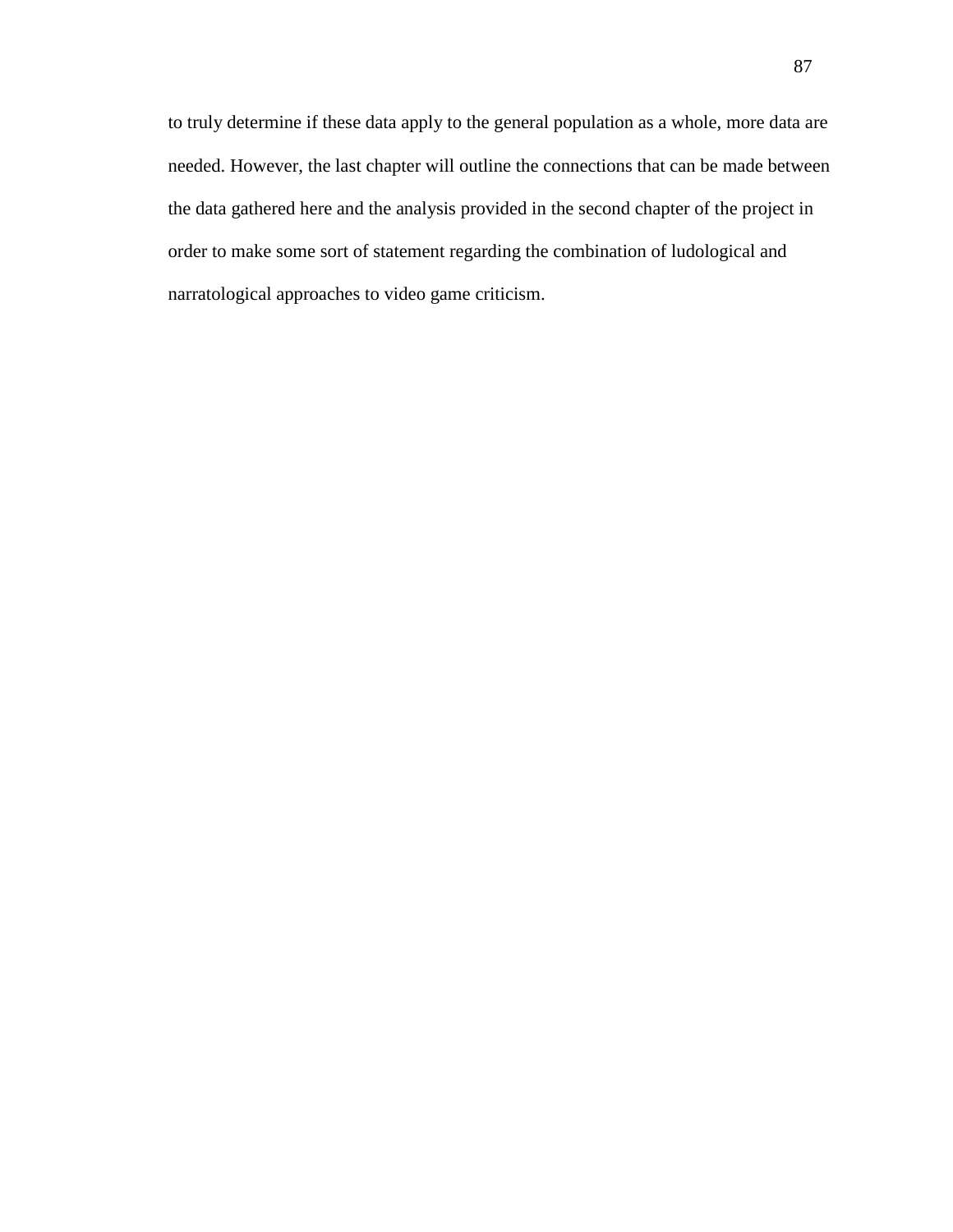to truly determine if these data apply to the general population as a whole, more data are needed. However, the last chapter will outline the connections that can be made between the data gathered here and the analysis provided in the second chapter of the project in order to make some sort of statement regarding the combination of ludological and narratological approaches to video game criticism.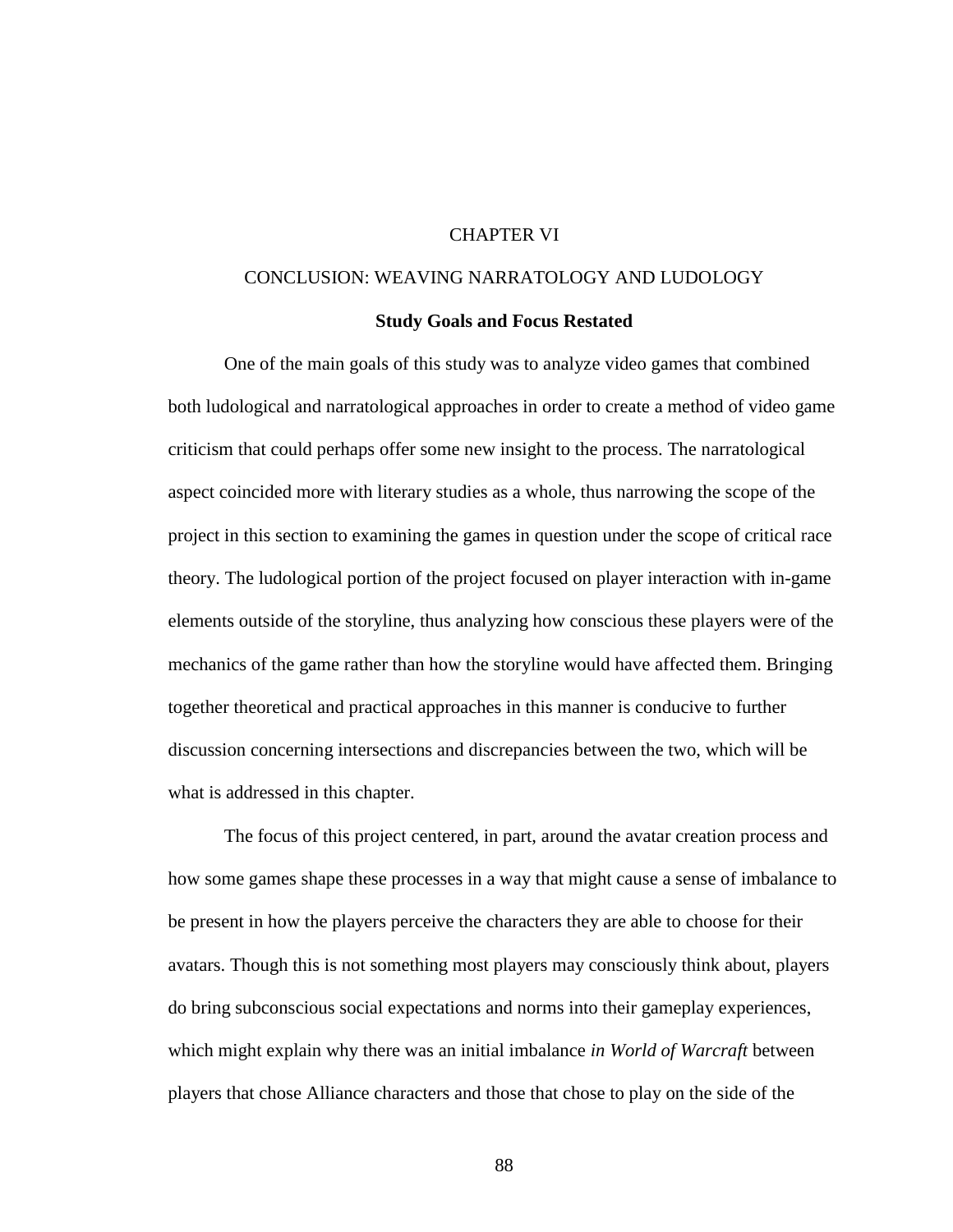# CHAPTER VI

# CONCLUSION: WEAVING NARRATOLOGY AND LUDOLOGY

### **Study Goals and Focus Restated**

One of the main goals of this study was to analyze video games that combined both ludological and narratological approaches in order to create a method of video game criticism that could perhaps offer some new insight to the process. The narratological aspect coincided more with literary studies as a whole, thus narrowing the scope of the project in this section to examining the games in question under the scope of critical race theory. The ludological portion of the project focused on player interaction with in-game elements outside of the storyline, thus analyzing how conscious these players were of the mechanics of the game rather than how the storyline would have affected them. Bringing together theoretical and practical approaches in this manner is conducive to further discussion concerning intersections and discrepancies between the two, which will be what is addressed in this chapter.

The focus of this project centered, in part, around the avatar creation process and how some games shape these processes in a way that might cause a sense of imbalance to be present in how the players perceive the characters they are able to choose for their avatars. Though this is not something most players may consciously think about, players do bring subconscious social expectations and norms into their gameplay experiences, which might explain why there was an initial imbalance *in World of Warcraft* between players that chose Alliance characters and those that chose to play on the side of the

88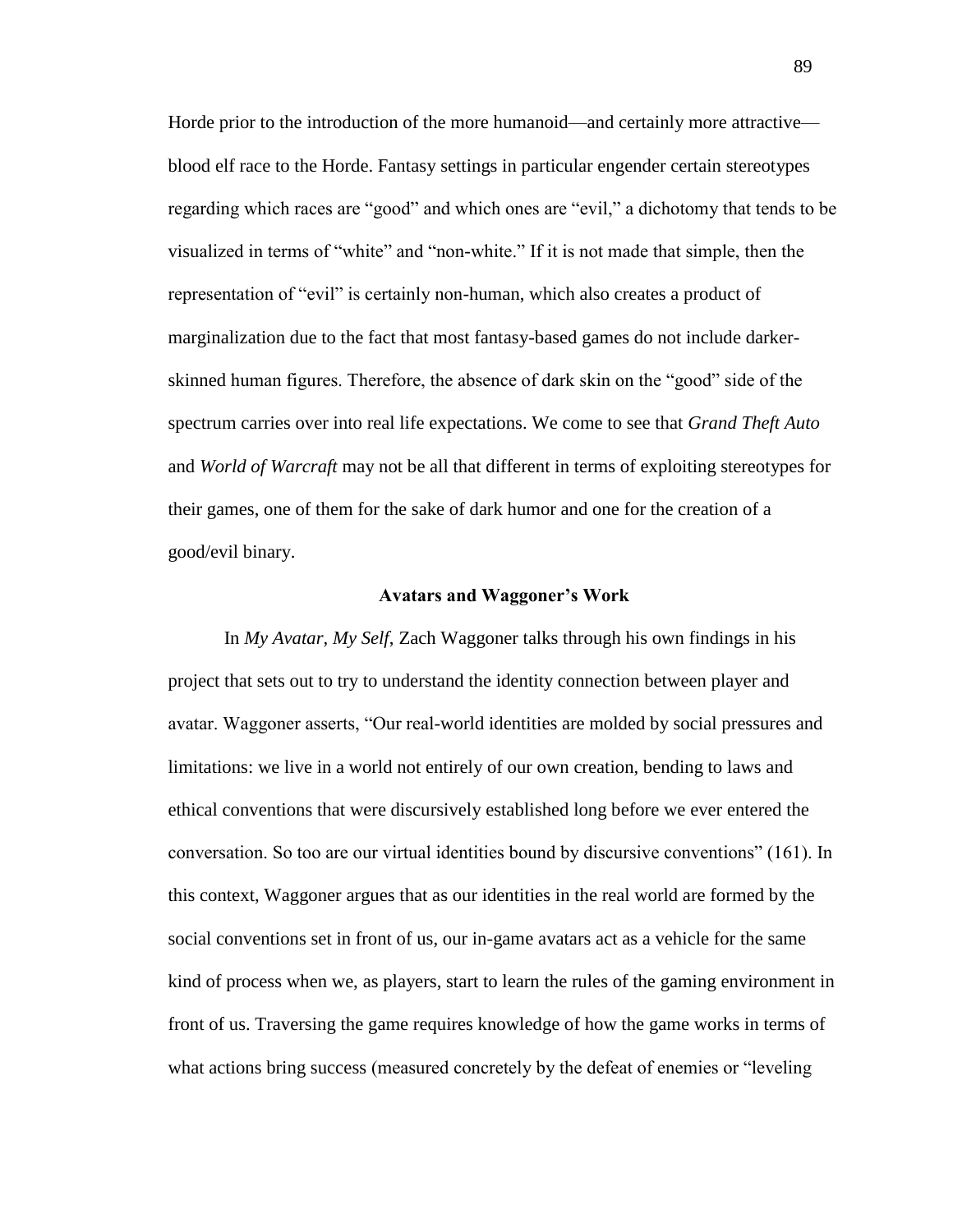Horde prior to the introduction of the more humanoid—and certainly more attractive blood elf race to the Horde. Fantasy settings in particular engender certain stereotypes regarding which races are "good" and which ones are "evil," a dichotomy that tends to be visualized in terms of "white" and "non-white." If it is not made that simple, then the representation of "evil" is certainly non-human, which also creates a product of marginalization due to the fact that most fantasy-based games do not include darkerskinned human figures. Therefore, the absence of dark skin on the "good" side of the spectrum carries over into real life expectations. We come to see that *Grand Theft Auto* and *World of Warcraft* may not be all that different in terms of exploiting stereotypes for their games, one of them for the sake of dark humor and one for the creation of a good/evil binary.

#### **Avatars and Waggoner's Work**

In *My Avatar, My Self*, Zach Waggoner talks through his own findings in his project that sets out to try to understand the identity connection between player and avatar. Waggoner asserts, "Our real-world identities are molded by social pressures and limitations: we live in a world not entirely of our own creation, bending to laws and ethical conventions that were discursively established long before we ever entered the conversation. So too are our virtual identities bound by discursive conventions" (161). In this context, Waggoner argues that as our identities in the real world are formed by the social conventions set in front of us, our in-game avatars act as a vehicle for the same kind of process when we, as players, start to learn the rules of the gaming environment in front of us. Traversing the game requires knowledge of how the game works in terms of what actions bring success (measured concretely by the defeat of enemies or "leveling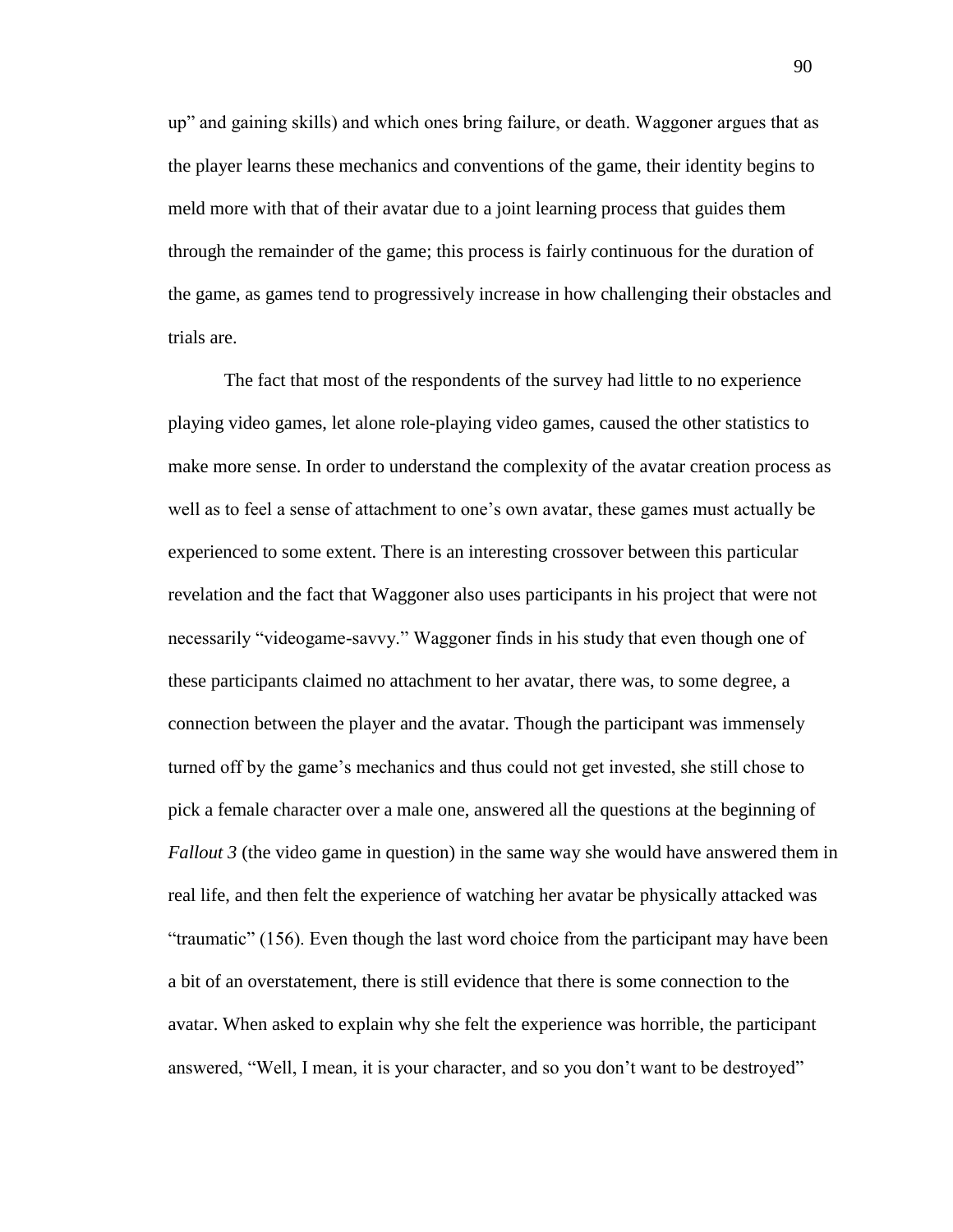up" and gaining skills) and which ones bring failure, or death. Waggoner argues that as the player learns these mechanics and conventions of the game, their identity begins to meld more with that of their avatar due to a joint learning process that guides them through the remainder of the game; this process is fairly continuous for the duration of the game, as games tend to progressively increase in how challenging their obstacles and trials are.

The fact that most of the respondents of the survey had little to no experience playing video games, let alone role-playing video games, caused the other statistics to make more sense. In order to understand the complexity of the avatar creation process as well as to feel a sense of attachment to one's own avatar, these games must actually be experienced to some extent. There is an interesting crossover between this particular revelation and the fact that Waggoner also uses participants in his project that were not necessarily "videogame-savvy." Waggoner finds in his study that even though one of these participants claimed no attachment to her avatar, there was, to some degree, a connection between the player and the avatar. Though the participant was immensely turned off by the game's mechanics and thus could not get invested, she still chose to pick a female character over a male one, answered all the questions at the beginning of *Fallout 3* (the video game in question) in the same way she would have answered them in real life, and then felt the experience of watching her avatar be physically attacked was "traumatic" (156). Even though the last word choice from the participant may have been a bit of an overstatement, there is still evidence that there is some connection to the avatar. When asked to explain why she felt the experience was horrible, the participant answered, "Well, I mean, it is your character, and so you don't want to be destroyed"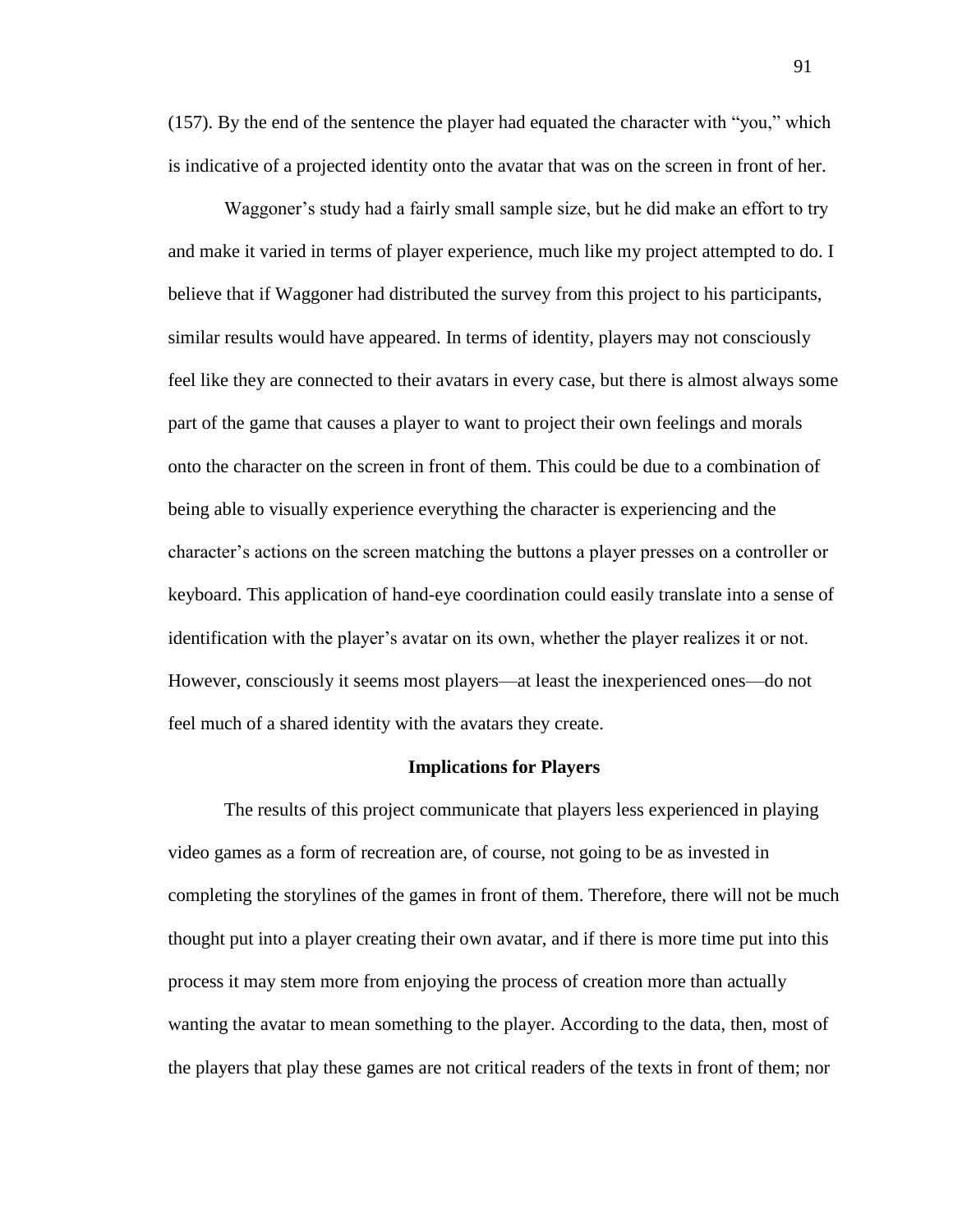(157). By the end of the sentence the player had equated the character with "you," which is indicative of a projected identity onto the avatar that was on the screen in front of her.

Waggoner's study had a fairly small sample size, but he did make an effort to try and make it varied in terms of player experience, much like my project attempted to do. I believe that if Waggoner had distributed the survey from this project to his participants, similar results would have appeared. In terms of identity, players may not consciously feel like they are connected to their avatars in every case, but there is almost always some part of the game that causes a player to want to project their own feelings and morals onto the character on the screen in front of them. This could be due to a combination of being able to visually experience everything the character is experiencing and the character's actions on the screen matching the buttons a player presses on a controller or keyboard. This application of hand-eye coordination could easily translate into a sense of identification with the player's avatar on its own, whether the player realizes it or not. However, consciously it seems most players—at least the inexperienced ones—do not feel much of a shared identity with the avatars they create.

### **Implications for Players**

The results of this project communicate that players less experienced in playing video games as a form of recreation are, of course, not going to be as invested in completing the storylines of the games in front of them. Therefore, there will not be much thought put into a player creating their own avatar, and if there is more time put into this process it may stem more from enjoying the process of creation more than actually wanting the avatar to mean something to the player. According to the data, then, most of the players that play these games are not critical readers of the texts in front of them; nor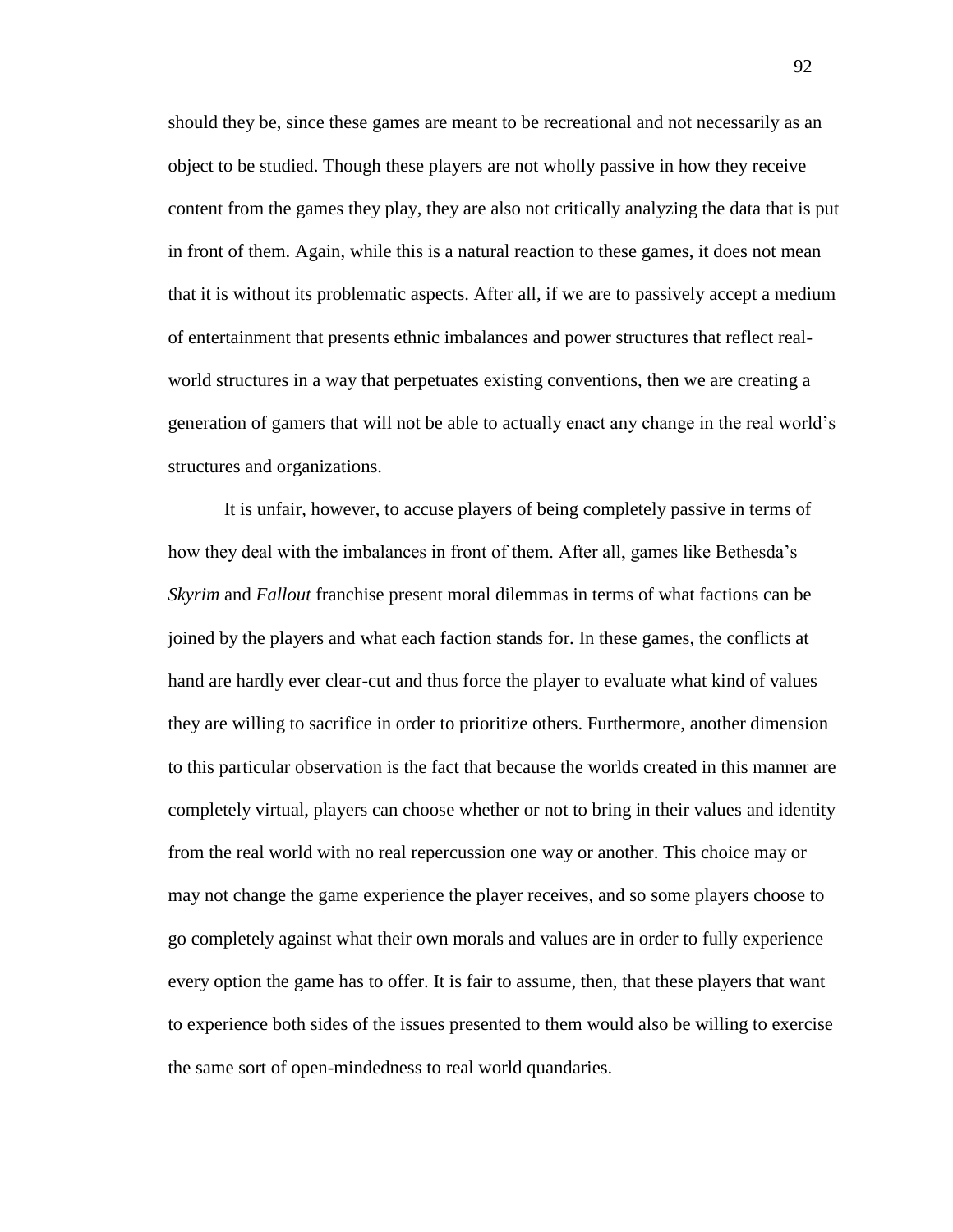should they be, since these games are meant to be recreational and not necessarily as an object to be studied. Though these players are not wholly passive in how they receive content from the games they play, they are also not critically analyzing the data that is put in front of them. Again, while this is a natural reaction to these games, it does not mean that it is without its problematic aspects. After all, if we are to passively accept a medium of entertainment that presents ethnic imbalances and power structures that reflect realworld structures in a way that perpetuates existing conventions, then we are creating a generation of gamers that will not be able to actually enact any change in the real world's structures and organizations.

It is unfair, however, to accuse players of being completely passive in terms of how they deal with the imbalances in front of them. After all, games like Bethesda's *Skyrim* and *Fallout* franchise present moral dilemmas in terms of what factions can be joined by the players and what each faction stands for. In these games, the conflicts at hand are hardly ever clear-cut and thus force the player to evaluate what kind of values they are willing to sacrifice in order to prioritize others. Furthermore, another dimension to this particular observation is the fact that because the worlds created in this manner are completely virtual, players can choose whether or not to bring in their values and identity from the real world with no real repercussion one way or another. This choice may or may not change the game experience the player receives, and so some players choose to go completely against what their own morals and values are in order to fully experience every option the game has to offer. It is fair to assume, then, that these players that want to experience both sides of the issues presented to them would also be willing to exercise the same sort of open-mindedness to real world quandaries.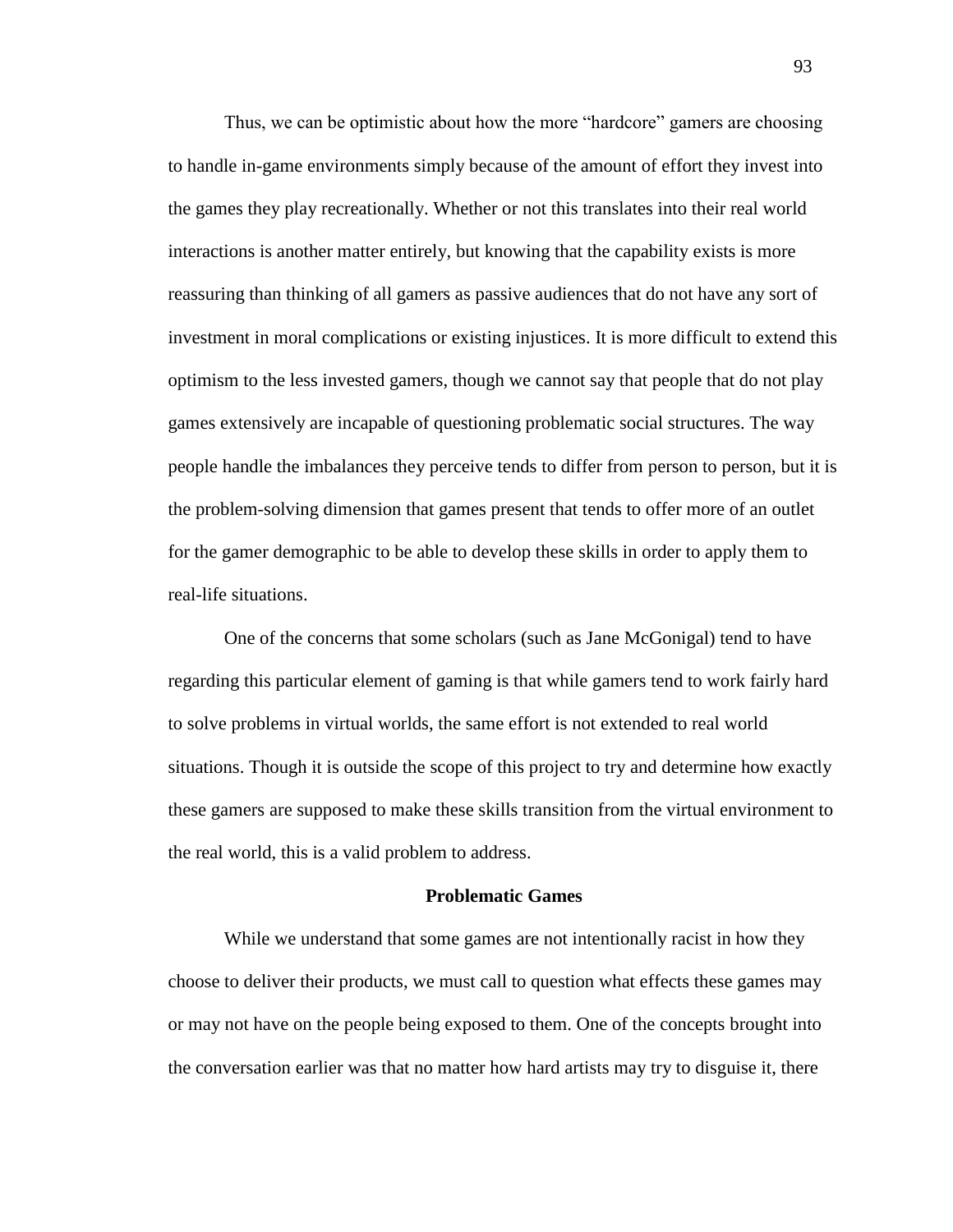Thus, we can be optimistic about how the more "hardcore" gamers are choosing to handle in-game environments simply because of the amount of effort they invest into the games they play recreationally. Whether or not this translates into their real world interactions is another matter entirely, but knowing that the capability exists is more reassuring than thinking of all gamers as passive audiences that do not have any sort of investment in moral complications or existing injustices. It is more difficult to extend this optimism to the less invested gamers, though we cannot say that people that do not play games extensively are incapable of questioning problematic social structures. The way people handle the imbalances they perceive tends to differ from person to person, but it is the problem-solving dimension that games present that tends to offer more of an outlet for the gamer demographic to be able to develop these skills in order to apply them to real-life situations.

One of the concerns that some scholars (such as Jane McGonigal) tend to have regarding this particular element of gaming is that while gamers tend to work fairly hard to solve problems in virtual worlds, the same effort is not extended to real world situations. Though it is outside the scope of this project to try and determine how exactly these gamers are supposed to make these skills transition from the virtual environment to the real world, this is a valid problem to address.

### **Problematic Games**

While we understand that some games are not intentionally racist in how they choose to deliver their products, we must call to question what effects these games may or may not have on the people being exposed to them. One of the concepts brought into the conversation earlier was that no matter how hard artists may try to disguise it, there

93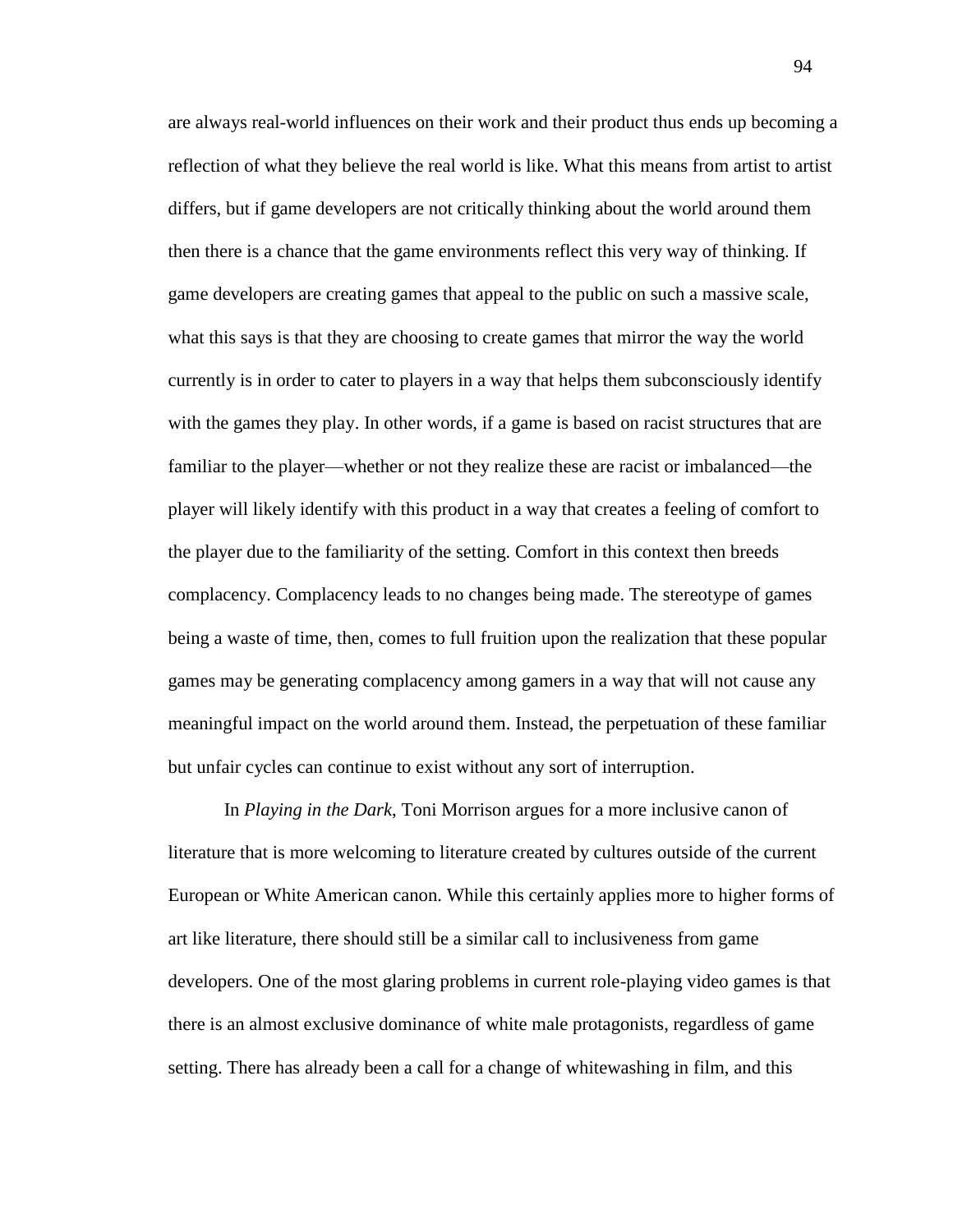are always real-world influences on their work and their product thus ends up becoming a reflection of what they believe the real world is like. What this means from artist to artist differs, but if game developers are not critically thinking about the world around them then there is a chance that the game environments reflect this very way of thinking. If game developers are creating games that appeal to the public on such a massive scale, what this says is that they are choosing to create games that mirror the way the world currently is in order to cater to players in a way that helps them subconsciously identify with the games they play. In other words, if a game is based on racist structures that are familiar to the player—whether or not they realize these are racist or imbalanced—the player will likely identify with this product in a way that creates a feeling of comfort to the player due to the familiarity of the setting. Comfort in this context then breeds complacency. Complacency leads to no changes being made. The stereotype of games being a waste of time, then, comes to full fruition upon the realization that these popular games may be generating complacency among gamers in a way that will not cause any meaningful impact on the world around them. Instead, the perpetuation of these familiar but unfair cycles can continue to exist without any sort of interruption.

In *Playing in the Dark*, Toni Morrison argues for a more inclusive canon of literature that is more welcoming to literature created by cultures outside of the current European or White American canon. While this certainly applies more to higher forms of art like literature, there should still be a similar call to inclusiveness from game developers. One of the most glaring problems in current role-playing video games is that there is an almost exclusive dominance of white male protagonists, regardless of game setting. There has already been a call for a change of whitewashing in film, and this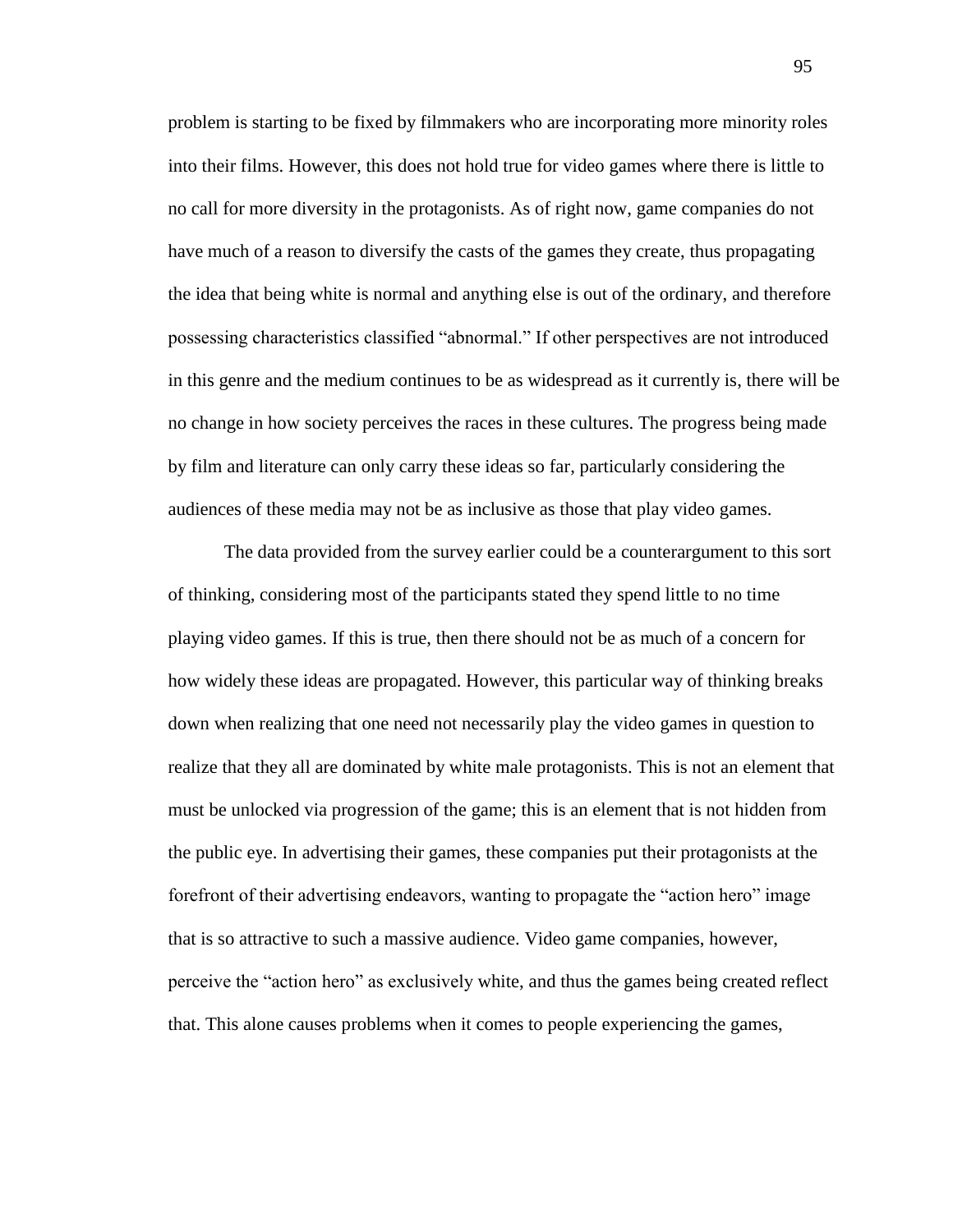problem is starting to be fixed by filmmakers who are incorporating more minority roles into their films. However, this does not hold true for video games where there is little to no call for more diversity in the protagonists. As of right now, game companies do not have much of a reason to diversify the casts of the games they create, thus propagating the idea that being white is normal and anything else is out of the ordinary, and therefore possessing characteristics classified "abnormal." If other perspectives are not introduced in this genre and the medium continues to be as widespread as it currently is, there will be no change in how society perceives the races in these cultures. The progress being made by film and literature can only carry these ideas so far, particularly considering the audiences of these media may not be as inclusive as those that play video games.

The data provided from the survey earlier could be a counterargument to this sort of thinking, considering most of the participants stated they spend little to no time playing video games. If this is true, then there should not be as much of a concern for how widely these ideas are propagated. However, this particular way of thinking breaks down when realizing that one need not necessarily play the video games in question to realize that they all are dominated by white male protagonists. This is not an element that must be unlocked via progression of the game; this is an element that is not hidden from the public eye. In advertising their games, these companies put their protagonists at the forefront of their advertising endeavors, wanting to propagate the "action hero" image that is so attractive to such a massive audience. Video game companies, however, perceive the "action hero" as exclusively white, and thus the games being created reflect that. This alone causes problems when it comes to people experiencing the games,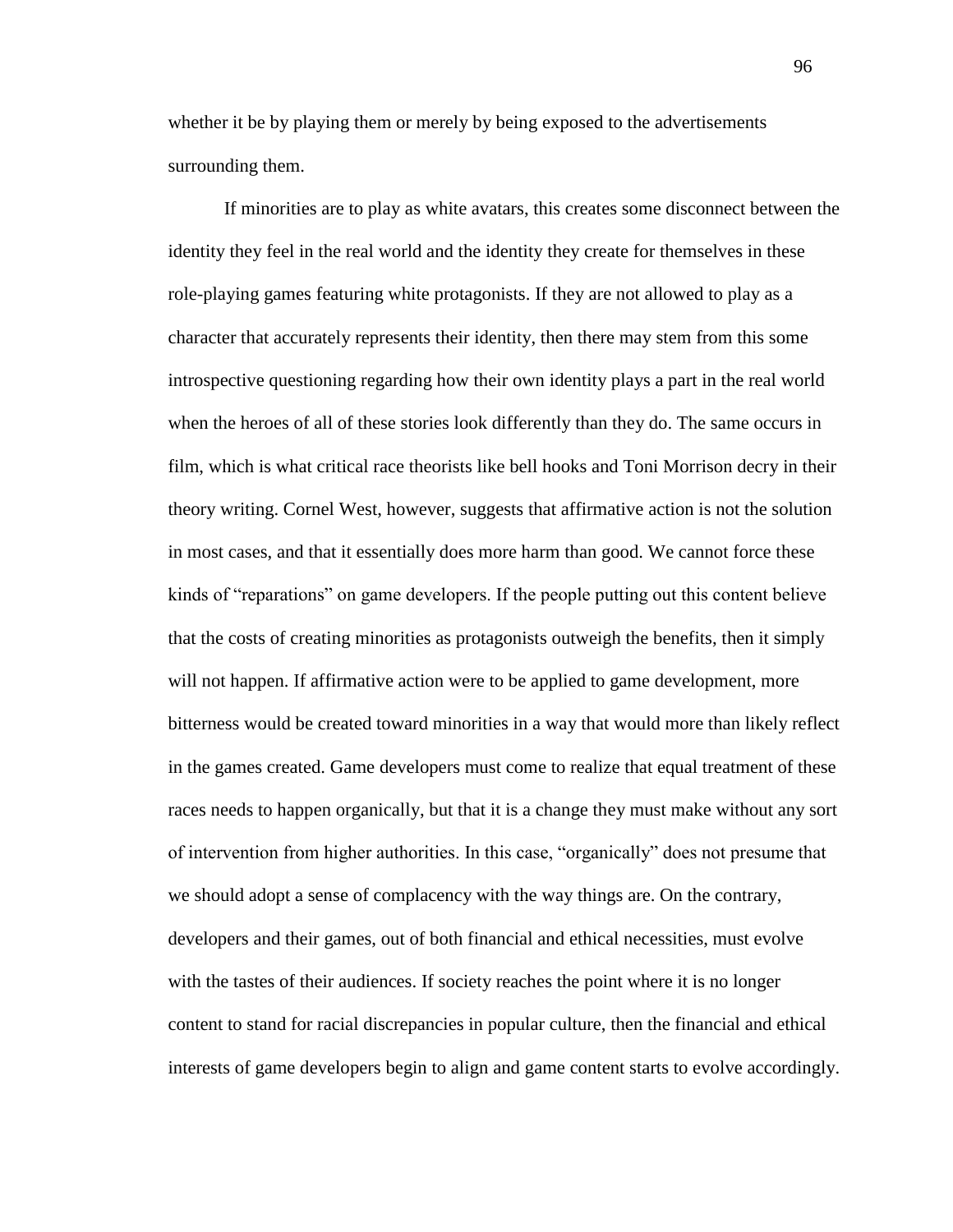whether it be by playing them or merely by being exposed to the advertisements surrounding them.

If minorities are to play as white avatars, this creates some disconnect between the identity they feel in the real world and the identity they create for themselves in these role-playing games featuring white protagonists. If they are not allowed to play as a character that accurately represents their identity, then there may stem from this some introspective questioning regarding how their own identity plays a part in the real world when the heroes of all of these stories look differently than they do. The same occurs in film, which is what critical race theorists like bell hooks and Toni Morrison decry in their theory writing. Cornel West, however, suggests that affirmative action is not the solution in most cases, and that it essentially does more harm than good. We cannot force these kinds of "reparations" on game developers. If the people putting out this content believe that the costs of creating minorities as protagonists outweigh the benefits, then it simply will not happen. If affirmative action were to be applied to game development, more bitterness would be created toward minorities in a way that would more than likely reflect in the games created. Game developers must come to realize that equal treatment of these races needs to happen organically, but that it is a change they must make without any sort of intervention from higher authorities. In this case, "organically" does not presume that we should adopt a sense of complacency with the way things are. On the contrary, developers and their games, out of both financial and ethical necessities, must evolve with the tastes of their audiences. If society reaches the point where it is no longer content to stand for racial discrepancies in popular culture, then the financial and ethical interests of game developers begin to align and game content starts to evolve accordingly.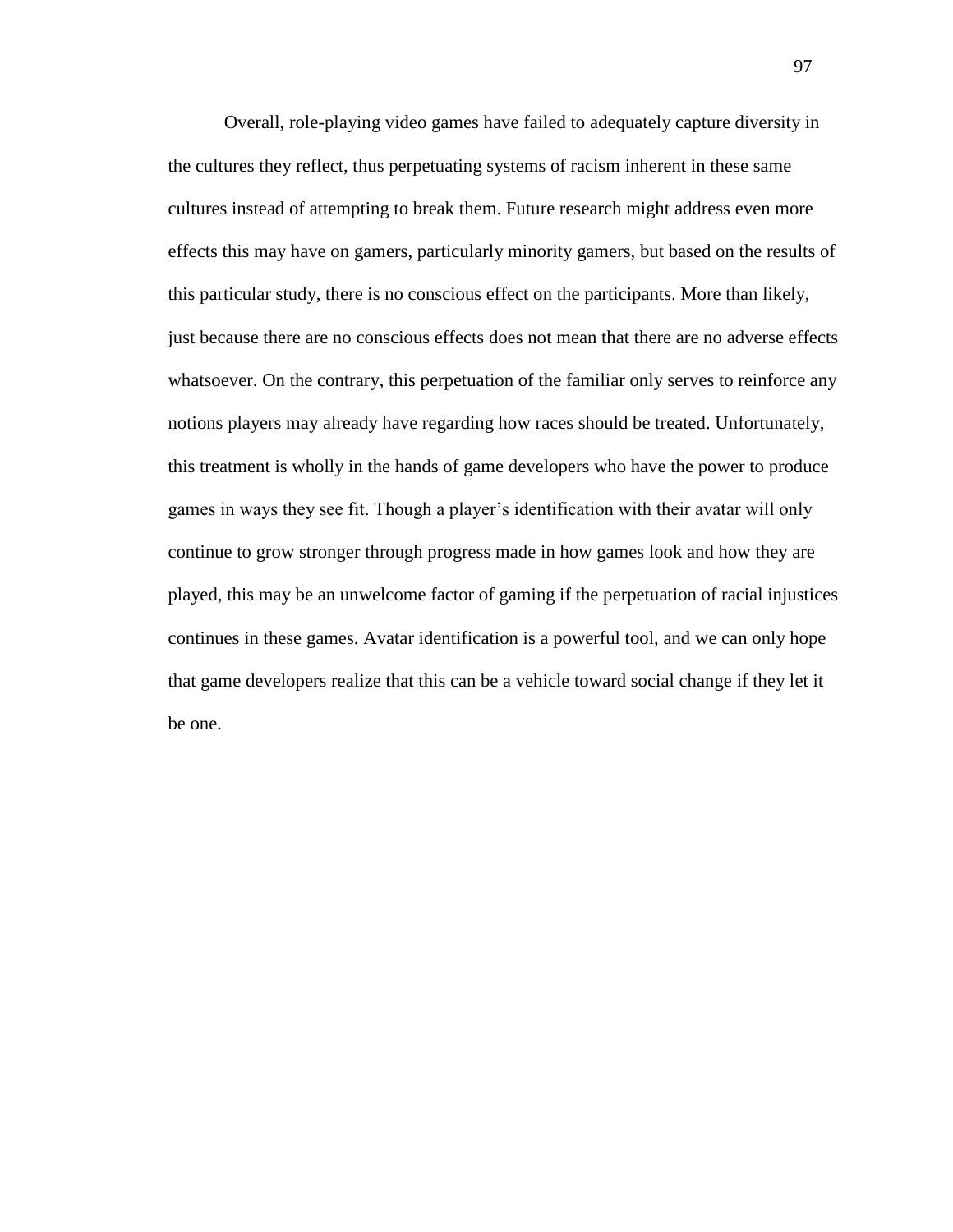Overall, role-playing video games have failed to adequately capture diversity in the cultures they reflect, thus perpetuating systems of racism inherent in these same cultures instead of attempting to break them. Future research might address even more effects this may have on gamers, particularly minority gamers, but based on the results of this particular study, there is no conscious effect on the participants. More than likely, just because there are no conscious effects does not mean that there are no adverse effects whatsoever. On the contrary, this perpetuation of the familiar only serves to reinforce any notions players may already have regarding how races should be treated. Unfortunately, this treatment is wholly in the hands of game developers who have the power to produce games in ways they see fit. Though a player's identification with their avatar will only continue to grow stronger through progress made in how games look and how they are played, this may be an unwelcome factor of gaming if the perpetuation of racial injustices continues in these games. Avatar identification is a powerful tool, and we can only hope that game developers realize that this can be a vehicle toward social change if they let it be one.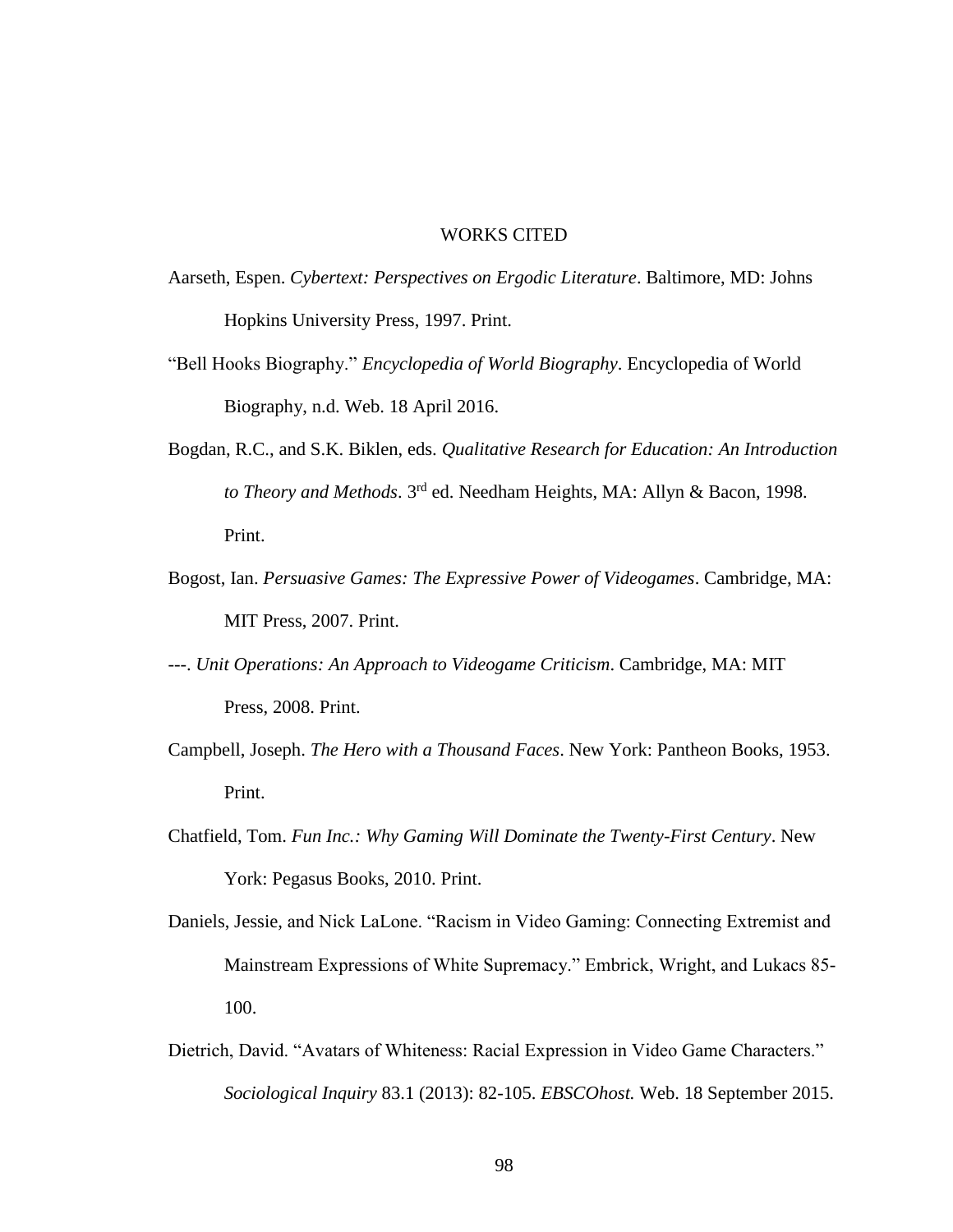### WORKS CITED

- Aarseth, Espen. *Cybertext: Perspectives on Ergodic Literature*. Baltimore, MD: Johns Hopkins University Press, 1997. Print.
- "Bell Hooks Biography." *Encyclopedia of World Biography*. Encyclopedia of World Biography, n.d. Web. 18 April 2016.
- Bogdan, R.C., and S.K. Biklen, eds. *Qualitative Research for Education: An Introduction to Theory and Methods*. 3rd ed. Needham Heights, MA: Allyn & Bacon, 1998. Print.
- Bogost, Ian. *Persuasive Games: The Expressive Power of Videogames*. Cambridge, MA: MIT Press, 2007. Print.
- ---. *Unit Operations: An Approach to Videogame Criticism*. Cambridge, MA: MIT Press, 2008. Print.
- Campbell, Joseph. *The Hero with a Thousand Faces*. New York: Pantheon Books, 1953. Print.
- Chatfield, Tom. *Fun Inc.: Why Gaming Will Dominate the Twenty-First Century*. New York: Pegasus Books, 2010. Print.
- Daniels, Jessie, and Nick LaLone. "Racism in Video Gaming: Connecting Extremist and Mainstream Expressions of White Supremacy." Embrick, Wright, and Lukacs 85- 100.
- Dietrich, David. "Avatars of Whiteness: Racial Expression in Video Game Characters." *Sociological Inquiry* 83.1 (2013): 82-105. *EBSCOhost.* Web. 18 September 2015.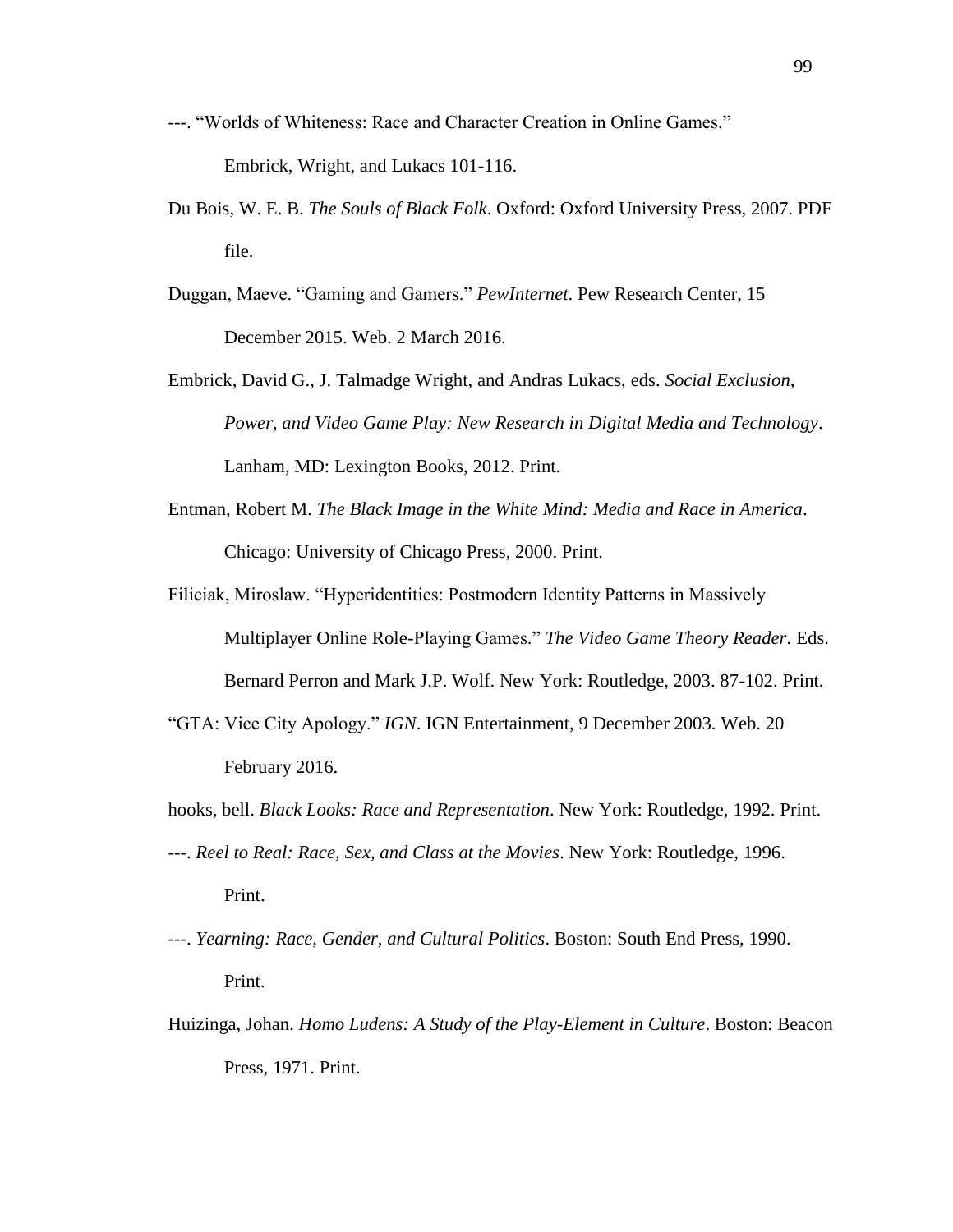- ---. "Worlds of Whiteness: Race and Character Creation in Online Games." Embrick, Wright, and Lukacs 101-116.
- Du Bois, W. E. B. *The Souls of Black Folk*. Oxford: Oxford University Press, 2007. PDF file.
- Duggan, Maeve. "Gaming and Gamers." *PewInternet*. Pew Research Center, 15 December 2015. Web. 2 March 2016.
- Embrick, David G., J. Talmadge Wright, and Andras Lukacs, eds. *Social Exclusion, Power, and Video Game Play: New Research in Digital Media and Technology*. Lanham, MD: Lexington Books, 2012. Print.
- Entman, Robert M. *The Black Image in the White Mind: Media and Race in America*. Chicago: University of Chicago Press, 2000. Print.
- Filiciak, Miroslaw. "Hyperidentities: Postmodern Identity Patterns in Massively Multiplayer Online Role-Playing Games." *The Video Game Theory Reader*. Eds. Bernard Perron and Mark J.P. Wolf. New York: Routledge, 2003. 87-102. Print.
- "GTA: Vice City Apology." *IGN*. IGN Entertainment, 9 December 2003. Web. 20 February 2016.
- hooks, bell. *Black Looks: Race and Representation*. New York: Routledge, 1992. Print.
- ---. *Reel to Real: Race, Sex, and Class at the Movies*. New York: Routledge, 1996. Print.
- ---. *Yearning: Race, Gender, and Cultural Politics*. Boston: South End Press, 1990. Print.
- Huizinga, Johan. *Homo Ludens: A Study of the Play-Element in Culture*. Boston: Beacon Press, 1971. Print.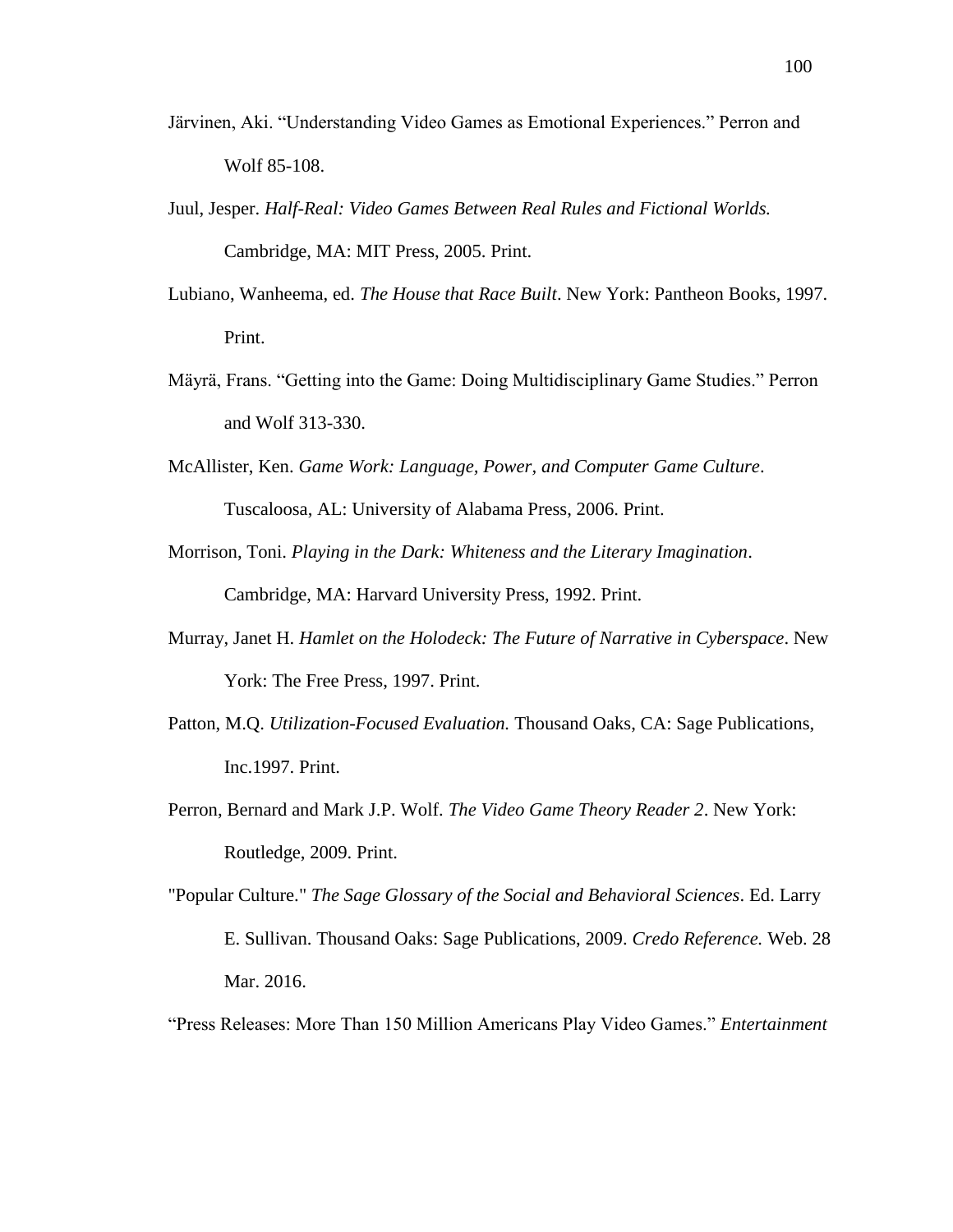- Järvinen, Aki. "Understanding Video Games as Emotional Experiences." Perron and Wolf 85-108.
- Juul, Jesper. *Half-Real: Video Games Between Real Rules and Fictional Worlds.*  Cambridge, MA: MIT Press, 2005. Print.
- Lubiano, Wanheema, ed. *The House that Race Built*. New York: Pantheon Books, 1997. Print.
- Mäyrä, Frans. "Getting into the Game: Doing Multidisciplinary Game Studies." Perron and Wolf 313-330.
- McAllister, Ken. *Game Work: Language, Power, and Computer Game Culture*. Tuscaloosa, AL: University of Alabama Press, 2006. Print.
- Morrison, Toni. *Playing in the Dark: Whiteness and the Literary Imagination*. Cambridge, MA: Harvard University Press, 1992. Print.
- Murray, Janet H. *Hamlet on the Holodeck: The Future of Narrative in Cyberspace*. New York: The Free Press, 1997. Print.
- Patton, M.Q. *Utilization-Focused Evaluation.* Thousand Oaks, CA: Sage Publications, Inc.1997. Print.
- Perron, Bernard and Mark J.P. Wolf. *The Video Game Theory Reader 2*. New York: Routledge, 2009. Print.
- "Popular Culture." *The Sage Glossary of the Social and Behavioral Sciences*. Ed. Larry E. Sullivan. Thousand Oaks: Sage Publications, 2009. *Credo Reference.* Web. 28 Mar. 2016.
- "Press Releases: More Than 150 Million Americans Play Video Games." *Entertainment*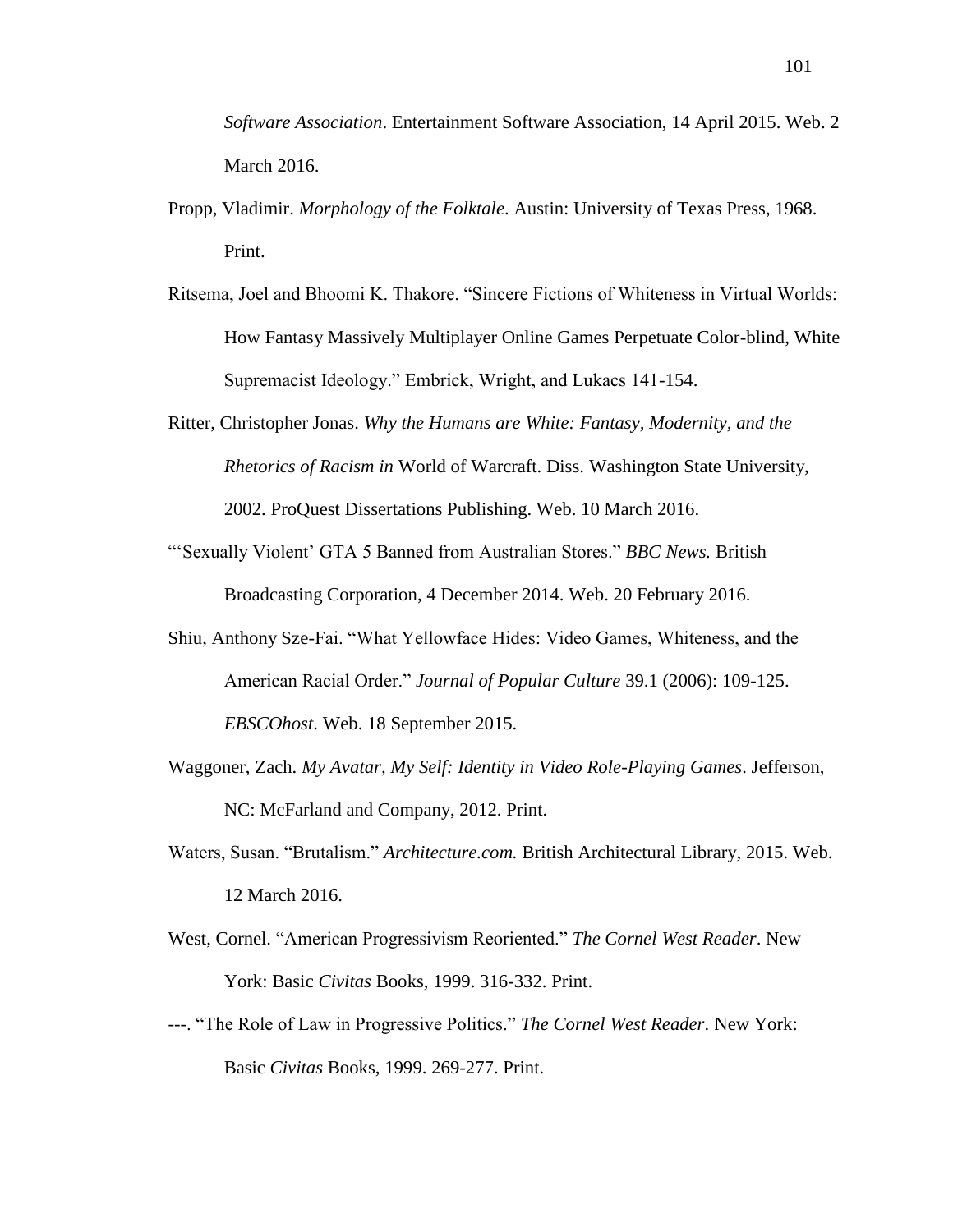*Software Association*. Entertainment Software Association, 14 April 2015. Web. 2 March 2016.

- Propp, Vladimir. *Morphology of the Folktale*. Austin: University of Texas Press, 1968. Print.
- Ritsema, Joel and Bhoomi K. Thakore. "Sincere Fictions of Whiteness in Virtual Worlds: How Fantasy Massively Multiplayer Online Games Perpetuate Color-blind, White Supremacist Ideology." Embrick, Wright, and Lukacs 141-154.
- Ritter, Christopher Jonas. *Why the Humans are White: Fantasy, Modernity, and the Rhetorics of Racism in* World of Warcraft. Diss. Washington State University, 2002. ProQuest Dissertations Publishing. Web. 10 March 2016.
- "'Sexually Violent' GTA 5 Banned from Australian Stores." *BBC News.* British Broadcasting Corporation, 4 December 2014. Web. 20 February 2016.
- Shiu, Anthony Sze-Fai. "What Yellowface Hides: Video Games, Whiteness, and the American Racial Order." *Journal of Popular Culture* 39.1 (2006): 109-125. *EBSCOhost*. Web. 18 September 2015.
- Waggoner, Zach. *My Avatar, My Self: Identity in Video Role-Playing Games*. Jefferson, NC: McFarland and Company, 2012. Print.
- Waters, Susan. "Brutalism." *Architecture.com.* British Architectural Library, 2015. Web. 12 March 2016.
- West, Cornel. "American Progressivism Reoriented." *The Cornel West Reader*. New York: Basic *Civitas* Books, 1999. 316-332. Print.
- ---. "The Role of Law in Progressive Politics." *The Cornel West Reader*. New York: Basic *Civitas* Books, 1999. 269-277. Print.